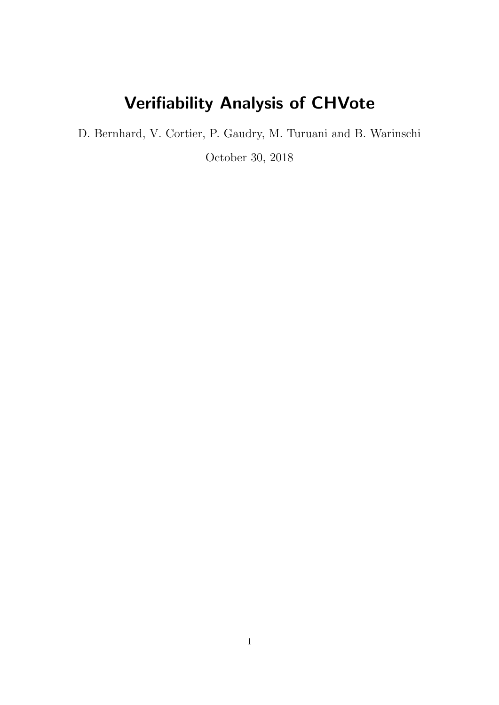# Verifiability Analysis of CHVote

D. Bernhard, V. Cortier, P. Gaudry, M. Turuani and B. Warinschi

October 30, 2018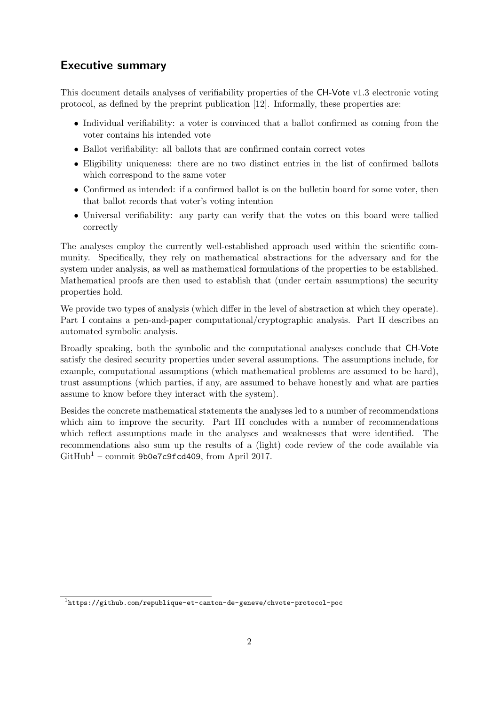## Executive summary

This document details analyses of verifiability properties of the CH-Vote v1.3 electronic voting protocol, as defined by the preprint publication [\[12\]](#page-113-0). Informally, these properties are:

- Individual verifiability: a voter is convinced that a ballot confirmed as coming from the voter contains his intended vote
- Ballot verifiability: all ballots that are confirmed contain correct votes
- Eligibility uniqueness: there are no two distinct entries in the list of confirmed ballots which correspond to the same voter
- Confirmed as intended: if a confirmed ballot is on the bulletin board for some voter, then that ballot records that voter's voting intention
- Universal verifiability: any party can verify that the votes on this board were tallied correctly

The analyses employ the currently well-established approach used within the scientific community. Specifically, they rely on mathematical abstractions for the adversary and for the system under analysis, as well as mathematical formulations of the properties to be established. Mathematical proofs are then used to establish that (under certain assumptions) the security properties hold.

We provide two types of analysis (which differ in the level of abstraction at which they operate). Part [I](#page-4-0) contains a pen-and-paper computational/cryptographic analysis. Part [II](#page-80-0) describes an automated symbolic analysis.

Broadly speaking, both the symbolic and the computational analyses conclude that CH-Vote satisfy the desired security properties under several assumptions. The assumptions include, for example, computational assumptions (which mathematical problems are assumed to be hard), trust assumptions (which parties, if any, are assumed to behave honestly and what are parties assume to know before they interact with the system).

Besides the concrete mathematical statements the analyses led to a number of recommendations which aim to improve the security. Part [III](#page-98-0) concludes with a number of recommendations which reflect assumptions made in the analyses and weaknesses that were identified. The recommendations also sum up the results of a (light) code review of the code available via  $GitHub<sup>1</sup>$  $GitHub<sup>1</sup>$  $GitHub<sup>1</sup>$  – commit 9b0e7c9fcd409, from April 2017.

<span id="page-1-0"></span> $^{\rm 1}$ <https://github.com/republique-et-canton-de-geneve/chvote-protocol-poc>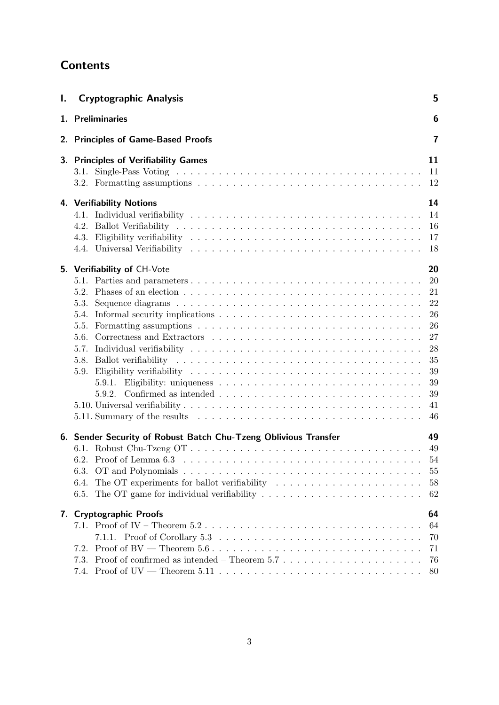## **Contents**

| Ι. | <b>Cryptographic Analysis</b>                                                                                                                                                                                                                                                         | 5                                                                                |  |  |  |  |
|----|---------------------------------------------------------------------------------------------------------------------------------------------------------------------------------------------------------------------------------------------------------------------------------------|----------------------------------------------------------------------------------|--|--|--|--|
|    | 1. Preliminaries                                                                                                                                                                                                                                                                      | 6                                                                                |  |  |  |  |
|    | 2. Principles of Game-Based Proofs                                                                                                                                                                                                                                                    |                                                                                  |  |  |  |  |
|    | 3. Principles of Verifiability Games<br>4. Verifiability Notions                                                                                                                                                                                                                      | 11<br>11<br>12<br>14                                                             |  |  |  |  |
|    | 4.2.                                                                                                                                                                                                                                                                                  | 14<br>16<br>17<br>18                                                             |  |  |  |  |
|    | 5. Verifiability of CH-Vote<br>5.2. Phases of an election $\ldots \ldots \ldots \ldots \ldots \ldots \ldots \ldots \ldots \ldots \ldots$<br>5.3.<br>5.4.<br>5.5.<br>5.9.<br>5.9.2.                                                                                                    | 20<br>20<br>21<br>22<br>26<br>26<br>27<br>28<br>35<br>39<br>39<br>39<br>41<br>46 |  |  |  |  |
|    | 6. Sender Security of Robust Batch Chu-Tzeng Oblivious Transfer<br>The OT experiments for ballot verifiability $\ldots \ldots \ldots \ldots \ldots \ldots \ldots$<br>6.4.<br>The OT game for individual verifiability $\dots \dots \dots \dots \dots \dots \dots \dots \dots$<br>6.5. | 49<br>55<br>58<br>62                                                             |  |  |  |  |
|    | 7. Cryptographic Proofs<br>7.2.<br>Proof of confirmed as intended – Theorem 5.7 $\dots$<br>7.3.<br>7.4.                                                                                                                                                                               | 64<br>64<br>70<br>71<br>76<br>80                                                 |  |  |  |  |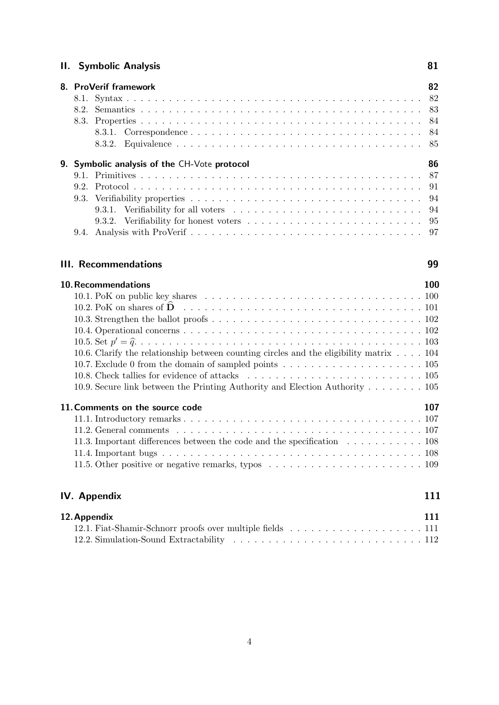## [II. Symbolic Analysis](#page-80-0) 81

|                                              |  | 8. ProVerif framework                                                                                                                                                                                                          | 82 |  |  |
|----------------------------------------------|--|--------------------------------------------------------------------------------------------------------------------------------------------------------------------------------------------------------------------------------|----|--|--|
|                                              |  |                                                                                                                                                                                                                                |    |  |  |
|                                              |  |                                                                                                                                                                                                                                |    |  |  |
|                                              |  |                                                                                                                                                                                                                                |    |  |  |
|                                              |  |                                                                                                                                                                                                                                |    |  |  |
|                                              |  |                                                                                                                                                                                                                                |    |  |  |
| 9. Symbolic analysis of the CH-Vote protocol |  |                                                                                                                                                                                                                                |    |  |  |
|                                              |  |                                                                                                                                                                                                                                |    |  |  |
|                                              |  |                                                                                                                                                                                                                                |    |  |  |
|                                              |  |                                                                                                                                                                                                                                |    |  |  |
|                                              |  |                                                                                                                                                                                                                                |    |  |  |
|                                              |  | 9.3.1. Verifiability for all voters contained and solution of the set of the set of the set of the set of the set of the set of the set of the set of the set of the set of the set of the set of the set of the set of the se |    |  |  |
|                                              |  |                                                                                                                                                                                                                                |    |  |  |

## [III. Recommendations](#page-98-0) 99

[10.Recommendations](#page-99-0) 100 [10.1. PoK on public key shares](#page-99-1) . . . . . . . . . . . . . . . . . . . . . . . . . . . . . . . 100 [10.2. PoK on shares of](#page-100-0) <sup>D</sup><sup>b</sup> . . . . . . . . . . . . . . . . . . . . . . . . . . . . . . . . . . <sup>101</sup> [10.3. Strengthen the ballot proofs](#page-101-0) . . . . . . . . . . . . . . . . . . . . . . . . . . . . . . 102 [10.4. Operational concerns](#page-101-1) . . . . . . . . . . . . . . . . . . . . . . . . . . . . . . . . . . 102 [10.5. Set](#page-102-0) p <sup>0</sup> <sup>=</sup> <sup>q</sup>b. . . . . . . . . . . . . . . . . . . . . . . . . . . . . . . . . . . . . . . . . <sup>103</sup> [10.6. Clarify the relationship between counting circles and the eligibility matrix](#page-103-0) . . . . 104 [10.7. Exclude 0 from the domain of sampled points](#page-104-0) . . . . . . . . . . . . . . . . . . . . 105 [10.8. Check tallies for evidence of attacks](#page-104-1) . . . . . . . . . . . . . . . . . . . . . . . . . 105 [10.9. Secure link between the Printing Authority and Election Authority](#page-104-2) . . . . . . . . 105 11. Comments on the source code 107 [11.1. Introductory remarks](#page-106-1) . . . . . . . . . . . . . . . . . . . . . . . . . . . . . . . . . . 107 [11.2. General comments](#page-106-2) . . . . . . . . . . . . . . . . . . . . . . . . . . . . . . . . . . . 107 [11.3. Important differences between the code and the specification](#page-107-0) . . . . . . . . . . . 108 [11.4. Important bugs](#page-107-1) . . . . . . . . . . . . . . . . . . . . . . . . . . . . . . . . . . . . . 108 [11.5. Other positive or negative remarks, typos](#page-108-0) . . . . . . . . . . . . . . . . . . . . . . 109

## [IV. Appendix](#page-110-0) 111

| 12. Appendix |  |  |  |
|--------------|--|--|--|
|              |  |  |  |
|              |  |  |  |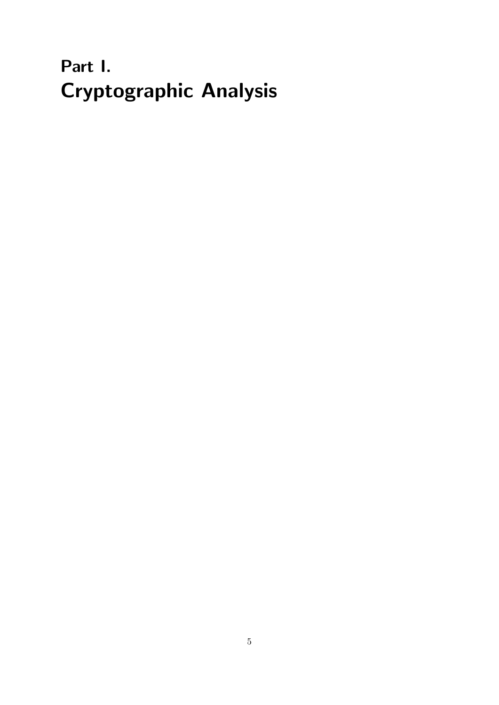# <span id="page-4-0"></span>Part I. Cryptographic Analysis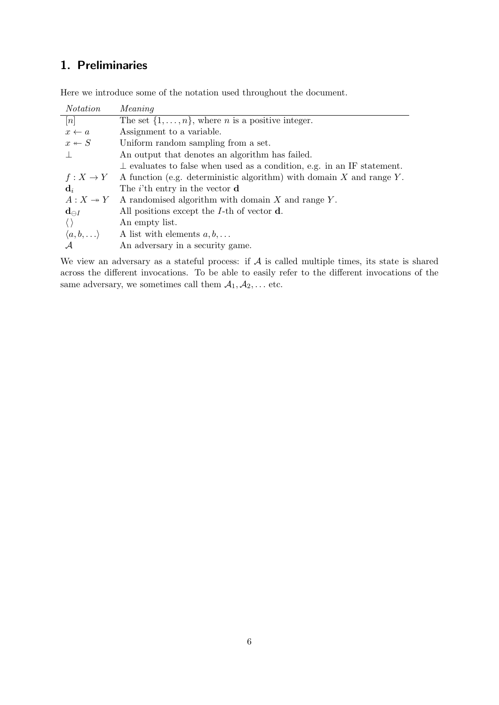## <span id="page-5-0"></span>1. Preliminaries

Here we introduce some of the notation used throughout the document.

| <i>Notation</i>             | Meaning                                                                       |
|-----------------------------|-------------------------------------------------------------------------------|
| n                           | The set $\{1, \ldots, n\}$ , where <i>n</i> is a positive integer.            |
| $x \leftarrow a$            | Assignment to a variable.                                                     |
| $x \leftarrow S$            | Uniform random sampling from a set.                                           |
|                             | An output that denotes an algorithm has failed.                               |
|                             | $\perp$ evaluates to false when used as a condition, e.g. in an IF statement. |
| $f:X\to Y$                  | A function (e.g. deterministic algorithm) with domain $X$ and range $Y$ .     |
| $\mathbf{d}_i$              | The <i>i</i> 'th entry in the vector $\bf{d}$                                 |
|                             | $A: X \rightarrow Y$ A randomised algorithm with domain X and range Y.        |
| $\mathbf{d}_{\ominus I}$    | All positions except the $I$ -th of vector $\mathbf d$ .                      |
| $\langle \rangle$           | An empty list.                                                                |
| $\langle a,b,\ldots\rangle$ | A list with elements $a, b, \ldots$                                           |
|                             | An adversary in a security game.                                              |

We view an adversary as a stateful process: if  $A$  is called multiple times, its state is shared across the different invocations. To be able to easily refer to the different invocations of the same adversary, we sometimes call them  $A_1, A_2, \dots$  etc.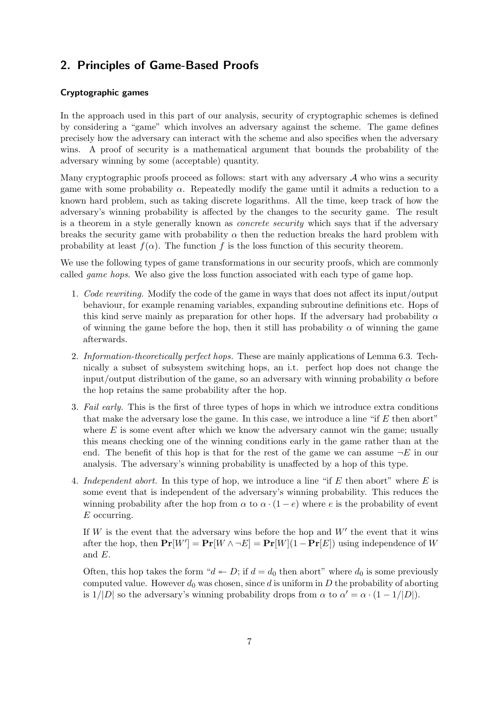## <span id="page-6-0"></span>2. Principles of Game-Based Proofs

## Cryptographic games

In the approach used in this part of our analysis, security of cryptographic schemes is defined by considering a "game" which involves an adversary against the scheme. The game defines precisely how the adversary can interact with the scheme and also specifies when the adversary wins. A proof of security is a mathematical argument that bounds the probability of the adversary winning by some (acceptable) quantity.

Many cryptographic proofs proceed as follows: start with any adversary  $A$  who wins a security game with some probability  $\alpha$ . Repeatedly modify the game until it admits a reduction to a known hard problem, such as taking discrete logarithms. All the time, keep track of how the adversary's winning probability is affected by the changes to the security game. The result is a theorem in a style generally known as concrete security which says that if the adversary breaks the security game with probability  $\alpha$  then the reduction breaks the hard problem with probability at least  $f(\alpha)$ . The function f is the loss function of this security theorem.

We use the following types of game transformations in our security proofs, which are commonly called *game hops*. We also give the loss function associated with each type of game hop.

- 1. Code rewriting. Modify the code of the game in ways that does not affect its input/output behaviour, for example renaming variables, expanding subroutine definitions etc. Hops of this kind serve mainly as preparation for other hops. If the adversary had probability  $\alpha$ of winning the game before the hop, then it still has probability  $\alpha$  of winning the game afterwards.
- 2. Information-theoretically perfect hops. These are mainly applications of Lemma [6.3.](#page-49-0) Technically a subset of subsystem switching hops, an i.t. perfect hop does not change the input/output distribution of the game, so an adversary with winning probability  $\alpha$  before the hop retains the same probability after the hop.
- 3. Fail early. This is the first of three types of hops in which we introduce extra conditions that make the adversary lose the game. In this case, we introduce a line "if  $E$  then abort" where  $E$  is some event after which we know the adversary cannot win the game; usually this means checking one of the winning conditions early in the game rather than at the end. The benefit of this hop is that for the rest of the game we can assume  $\neg E$  in our analysis. The adversary's winning probability is unaffected by a hop of this type.
- 4. Independent abort. In this type of hop, we introduce a line "if E then abort" where  $E$  is some event that is independent of the adversary's winning probability. This reduces the winning probability after the hop from  $\alpha$  to  $\alpha \cdot (1 - e)$  where e is the probability of event  $E$  occurring.

If  $W$  is the event that the adversary wins before the hop and  $W'$  the event that it wins after the hop, then  $Pr[W'] = Pr[W \wedge \neg E] = Pr[W](1 - Pr[E])$  using independence of W and E.

Often, this hop takes the form " $d \leftarrow D$ ; if  $d = d_0$  then abort" where  $d_0$  is some previously computed value. However  $d_0$  was chosen, since d is uniform in D the probability of aborting is  $1/|D|$  so the adversary's winning probability drops from  $\alpha$  to  $\alpha' = \alpha \cdot (1 - 1/|D|)$ .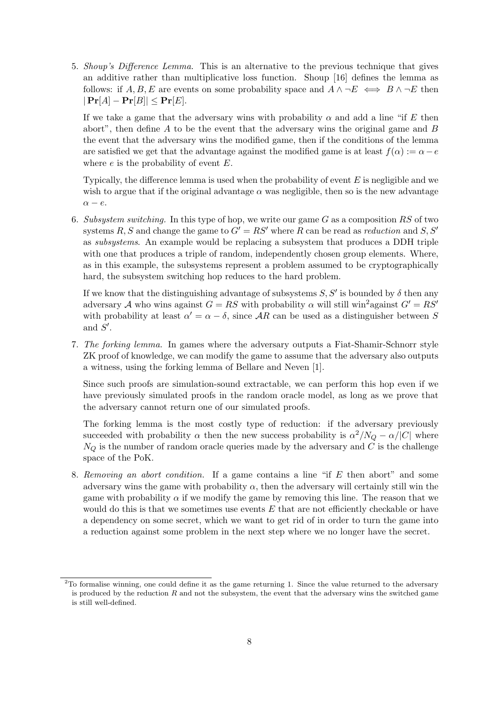5. Shoup's Difference Lemma. This is an alternative to the previous technique that gives an additive rather than multiplicative loss function. Shoup [\[16\]](#page-114-0) defines the lemma as follows: if A, B, E are events on some probability space and  $A \wedge \neg E \iff B \wedge \neg E$  then  $|\Pr[A] - \Pr[B]| \leq \Pr[E].$ 

If we take a game that the adversary wins with probability  $\alpha$  and add a line "if E then abort", then define A to be the event that the adversary wins the original game and B the event that the adversary wins the modified game, then if the conditions of the lemma are satisfied we get that the advantage against the modified game is at least  $f(\alpha) := \alpha - e$ where  $e$  is the probability of event  $E$ .

Typically, the difference lemma is used when the probability of event  $E$  is negligible and we wish to argue that if the original advantage  $\alpha$  was negligible, then so is the new advantage  $\alpha - e$ .

6. Subsystem switching. In this type of hop, we write our game  $G$  as a composition  $RS$  of two systems R, S and change the game to  $G' = RS'$  where R can be read as reduction and S, S' as subsystems. An example would be replacing a subsystem that produces a DDH triple with one that produces a triple of random, independently chosen group elements. Where, as in this example, the subsystems represent a problem assumed to be cryptographically hard, the subsystem switching hop reduces to the hard problem.

If we know that the distinguishing advantage of subsystems  $S, S'$  is bounded by  $\delta$  then any adversary A who wins against  $G = RS$  with probability  $\alpha$  will still win<sup>[2](#page-7-0)</sup>against  $G' = RS'$ with probability at least  $\alpha' = \alpha - \delta$ , since AR can be used as a distinguisher between S and  $S'$ .

7. The forking lemma. In games where the adversary outputs a Fiat-Shamir-Schnorr style ZK proof of knowledge, we can modify the game to assume that the adversary also outputs a witness, using the forking lemma of Bellare and Neven [\[1\]](#page-113-1).

Since such proofs are simulation-sound extractable, we can perform this hop even if we have previously simulated proofs in the random oracle model, as long as we prove that the adversary cannot return one of our simulated proofs.

The forking lemma is the most costly type of reduction: if the adversary previously succeeded with probability  $\alpha$  then the new success probability is  $\alpha^2/N_Q - \alpha/|C|$  where  $N_Q$  is the number of random oracle queries made by the adversary and C is the challenge space of the PoK.

8. Removing an abort condition. If a game contains a line "if E then abort" and some adversary wins the game with probability  $\alpha$ , then the adversary will certainly still win the game with probability  $\alpha$  if we modify the game by removing this line. The reason that we would do this is that we sometimes use events  $E$  that are not efficiently checkable or have a dependency on some secret, which we want to get rid of in order to turn the game into a reduction against some problem in the next step where we no longer have the secret.

<span id="page-7-0"></span><sup>2</sup>To formalise winning, one could define it as the game returning 1. Since the value returned to the adversary is produced by the reduction  $R$  and not the subsystem, the event that the adversary wins the switched game is still well-defined.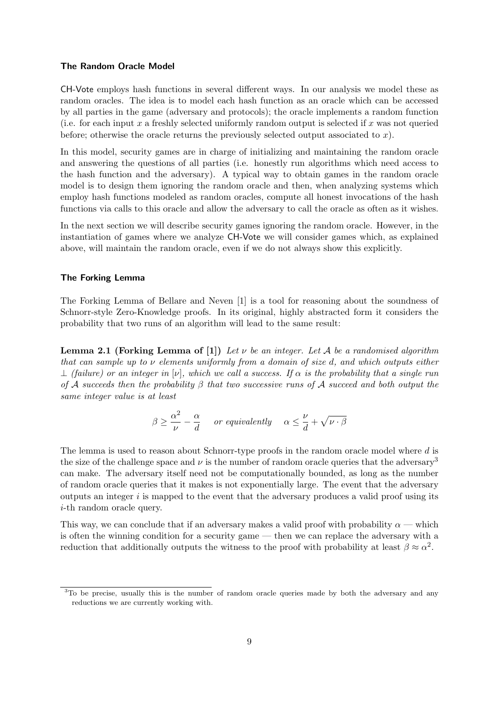### The Random Oracle Model

CH-Vote employs hash functions in several different ways. In our analysis we model these as random oracles. The idea is to model each hash function as an oracle which can be accessed by all parties in the game (adversary and protocols); the oracle implements a random function (i.e. for each input x a freshly selected uniformly random output is selected if x was not queried before; otherwise the oracle returns the previously selected output associated to  $x$ ).

In this model, security games are in charge of initializing and maintaining the random oracle and answering the questions of all parties (i.e. honestly run algorithms which need access to the hash function and the adversary). A typical way to obtain games in the random oracle model is to design them ignoring the random oracle and then, when analyzing systems which employ hash functions modeled as random oracles, compute all honest invocations of the hash functions via calls to this oracle and allow the adversary to call the oracle as often as it wishes.

In the next section we will describe security games ignoring the random oracle. However, in the instantiation of games where we analyze CH-Vote we will consider games which, as explained above, will maintain the random oracle, even if we do not always show this explicitly.

## The Forking Lemma

The Forking Lemma of Bellare and Neven [\[1\]](#page-113-1) is a tool for reasoning about the soundness of Schnorr-style Zero-Knowledge proofs. In its original, highly abstracted form it considers the probability that two runs of an algorithm will lead to the same result:

**Lemma 2.1 (Forking Lemma of [\[1\]](#page-113-1))** Let  $\nu$  be an integer. Let A be a randomised algorithm that can sample up to  $\nu$  elements uniformly from a domain of size d, and which outputs either  $\perp$  (failure) or an integer in [v], which we call a success. If  $\alpha$  is the probability that a single run of A succeeds then the probability  $\beta$  that two successive runs of A succeed and both output the same integer value is at least

$$
\beta \ge \frac{\alpha^2}{\nu} - \frac{\alpha}{d} \quad \text{ or equivalently} \quad \alpha \le \frac{\nu}{d} + \sqrt{\nu \cdot \beta}
$$

The lemma is used to reason about Schnorr-type proofs in the random oracle model where d is the size of the challenge space and  $\nu$  is the number of random oracle queries that the adversary<sup>[3](#page-8-0)</sup> can make. The adversary itself need not be computationally bounded, as long as the number of random oracle queries that it makes is not exponentially large. The event that the adversary outputs an integer  $i$  is mapped to the event that the adversary produces a valid proof using its i-th random oracle query.

This way, we can conclude that if an adversary makes a valid proof with probability  $\alpha$  — which is often the winning condition for a security game — then we can replace the adversary with a reduction that additionally outputs the witness to the proof with probability at least  $\beta \approx \alpha^2$ .

<span id="page-8-0"></span><sup>&</sup>lt;sup>3</sup>To be precise, usually this is the number of random oracle queries made by both the adversary and any reductions we are currently working with.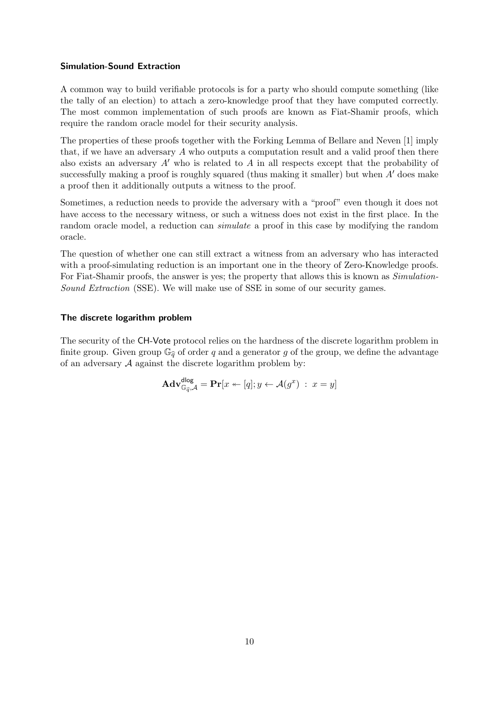## Simulation-Sound Extraction

A common way to build verifiable protocols is for a party who should compute something (like the tally of an election) to attach a zero-knowledge proof that they have computed correctly. The most common implementation of such proofs are known as Fiat-Shamir proofs, which require the random oracle model for their security analysis.

The properties of these proofs together with the Forking Lemma of Bellare and Neven [\[1\]](#page-113-1) imply that, if we have an adversary A who outputs a computation result and a valid proof then there also exists an adversary  $A'$  who is related to  $A$  in all respects except that the probability of successfully making a proof is roughly squared (thus making it smaller) but when  $A'$  does make a proof then it additionally outputs a witness to the proof.

Sometimes, a reduction needs to provide the adversary with a "proof" even though it does not have access to the necessary witness, or such a witness does not exist in the first place. In the random oracle model, a reduction can simulate a proof in this case by modifying the random oracle.

The question of whether one can still extract a witness from an adversary who has interacted with a proof-simulating reduction is an important one in the theory of Zero-Knowledge proofs. For Fiat-Shamir proofs, the answer is yes; the property that allows this is known as *Simulation*-Sound Extraction (SSE). We will make use of SSE in some of our security games.

#### The discrete logarithm problem

The security of the CH-Vote protocol relies on the hardness of the discrete logarithm problem in finite group. Given group  $\mathbb{G}_{\hat{g}}$  of order q and a generator g of the group, we define the advantage of an adversary  $A$  against the discrete logarithm problem by:

$$
\mathbf{Adv}_{\mathbb{G}_{\widehat{q}}, \mathcal{A}}^{\mathsf{dlog}} = \mathbf{Pr}[x \leftarrow [q]; y \leftarrow \mathcal{A}(g^x) : x = y]
$$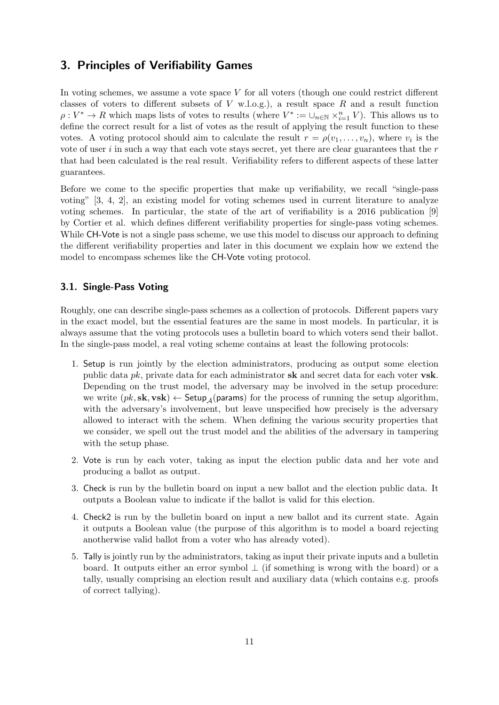## <span id="page-10-0"></span>3. Principles of Verifiability Games

In voting schemes, we assume a vote space  $V$  for all voters (though one could restrict different classes of voters to different subsets of  $V$  w.l.o.g.), a result space  $R$  and a result function  $\rho: V^* \to R$  which maps lists of votes to results (where  $V^* := \bigcup_{n \in \mathbb{N}} \times_{i=1}^n V$ ). This allows us to define the correct result for a list of votes as the result of applying the result function to these votes. A voting protocol should aim to calculate the result  $r = \rho(v_1, \ldots, v_n)$ , where  $v_i$  is the vote of user  $i$  in such a way that each vote stays secret, yet there are clear guarantees that the  $r$ that had been calculated is the real result. Verifiability refers to different aspects of these latter guarantees.

Before we come to the specific properties that make up verifiability, we recall "single-pass voting" [\[3,](#page-113-2) [4,](#page-113-3) [2\]](#page-113-4), an existing model for voting schemes used in current literature to analyze voting schemes. In particular, the state of the art of verifiability is a 2016 publication [\[9\]](#page-113-5) by Cortier et al. which defines different verifiability properties for single-pass voting schemes. While CH-Vote is not a single pass scheme, we use this model to discuss our approach to defining the different verifiability properties and later in this document we explain how we extend the model to encompass schemes like the CH-Vote voting protocol.

## <span id="page-10-1"></span>3.1. Single-Pass Voting

Roughly, one can describe single-pass schemes as a collection of protocols. Different papers vary in the exact model, but the essential features are the same in most models. In particular, it is always assume that the voting protocols uses a bulletin board to which voters send their ballot. In the single-pass model, a real voting scheme contains at least the following protocols:

- 1. Setup is run jointly by the election administrators, producing as output some election public data  $pk$ , private data for each administrator sk and secret data for each voter vsk. Depending on the trust model, the adversary may be involved in the setup procedure: we write  $(pk, sk, vsk) \leftarrow Setup_{\mathcal{A}}(params)$  for the process of running the setup algorithm, with the adversary's involvement, but leave unspecified how precisely is the adversary allowed to interact with the schem. When defining the various security properties that we consider, we spell out the trust model and the abilities of the adversary in tampering with the setup phase.
- 2. Vote is run by each voter, taking as input the election public data and her vote and producing a ballot as output.
- 3. Check is run by the bulletin board on input a new ballot and the election public data. It outputs a Boolean value to indicate if the ballot is valid for this election.
- 4. Check2 is run by the bulletin board on input a new ballot and its current state. Again it outputs a Boolean value (the purpose of this algorithm is to model a board rejecting anotherwise valid ballot from a voter who has already voted).
- 5. Tally is jointly run by the administrators, taking as input their private inputs and a bulletin board. It outputs either an error symbol  $\perp$  (if something is wrong with the board) or a tally, usually comprising an election result and auxiliary data (which contains e.g. proofs of correct tallying).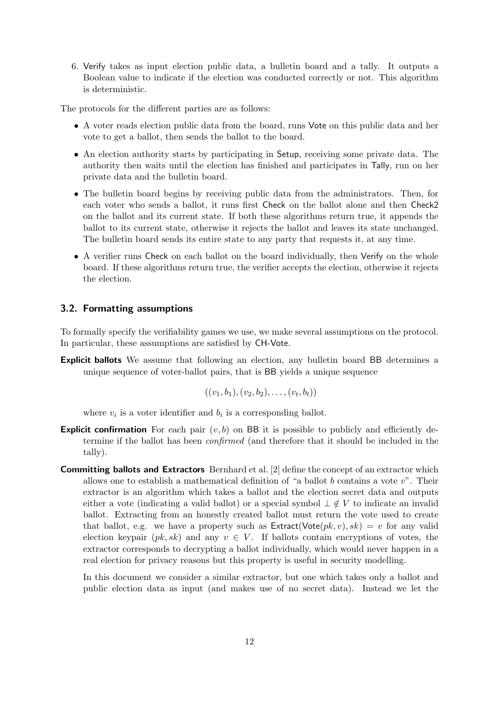6. Verify takes as input election public data, a bulletin board and a tally. It outputs a Boolean value to indicate if the election was conducted correctly or not. This algorithm is deterministic.

The protocols for the different parties are as follows:

- A voter reads election public data from the board, runs Vote on this public data and her vote to get a ballot, then sends the ballot to the board.
- An election authority starts by participating in Setup, receiving some private data. The authority then waits until the election has finished and participates in Tally, run on her private data and the bulletin board.
- The bulletin board begins by receiving public data from the administrators. Then, for each voter who sends a ballot, it runs first Check on the ballot alone and then Check2 on the ballot and its current state. If both these algorithms return true, it appends the ballot to its current state, otherwise it rejects the ballot and leaves its state unchanged. The bulletin board sends its entire state to any party that requests it, at any time.
- A verifier runs Check on each ballot on the board individually, then Verify on the whole board. If these algorithms return true, the verifier accepts the election, otherwise it rejects the election.

## <span id="page-11-0"></span>3.2. Formatting assumptions

To formally specify the verifiability games we use, we make several assumptions on the protocol. In particular, these assumptions are satisfied by CH-Vote.

Explicit ballots We assume that following an election, any bulletin board BB determines a unique sequence of voter-ballot pairs, that is BB yields a unique sequence

$$
((v_1,b_1),(v_2,b_2),\ldots,(v_t,b_t))
$$

where  $v_i$  is a voter identifier and  $b_i$  is a corresponding ballot.

- **Explicit confirmation** For each pair  $(v, b)$  on BB it is possible to publicly and efficiently determine if the ballot has been confirmed (and therefore that it should be included in the tally).
- **Committing ballots and Extractors** Bernhard et al. [\[2\]](#page-113-4) define the concept of an extractor which allows one to establish a mathematical definition of "a ballot b contains a vote  $v$ ". Their extractor is an algorithm which takes a ballot and the election secret data and outputs either a vote (indicating a valid ballot) or a special symbol  $\perp \notin V$  to indicate an invalid ballot. Extracting from an honestly created ballot must return the vote used to create that ballot, e.g. we have a property such as  $Extract(Vote(pk, v), sk) = v$  for any valid election keypair  $(pk, sk)$  and any  $v \in V$ . If ballots contain encryptions of votes, the extractor corresponds to decrypting a ballot individually, which would never happen in a real election for privacy reasons but this property is useful in security modelling.

In this document we consider a similar extractor, but one which takes only a ballot and public election data as input (and makes use of no secret data). Instead we let the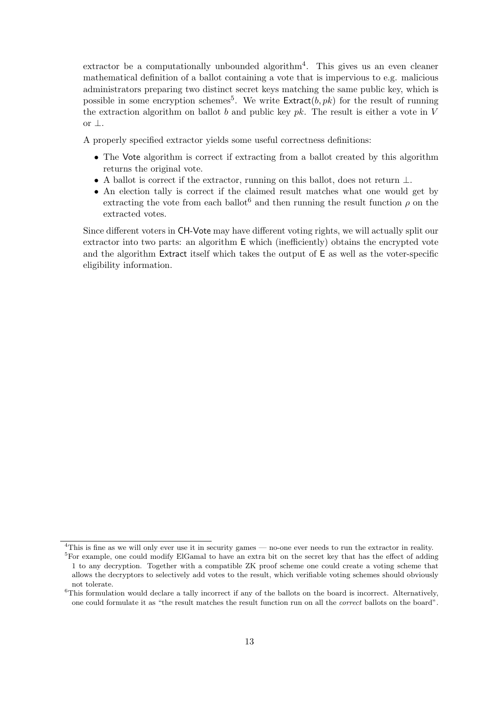extractor be a computationally unbounded algorithm<sup>[4](#page-12-0)</sup>. This gives us an even cleaner mathematical definition of a ballot containing a vote that is impervious to e.g. malicious administrators preparing two distinct secret keys matching the same public key, which is possible in some encryption schemes<sup>[5](#page-12-1)</sup>. We write  $\textsf{Extract}(b,pk)$  for the result of running the extraction algorithm on ballot b and public key  $pk$ . The result is either a vote in V or ⊥.

A properly specified extractor yields some useful correctness definitions:

- The Vote algorithm is correct if extracting from a ballot created by this algorithm returns the original vote.
- A ballot is correct if the extractor, running on this ballot, does not return  $\perp$ .
- An election tally is correct if the claimed result matches what one would get by extracting the vote from each ballot<sup>[6](#page-12-2)</sup> and then running the result function  $\rho$  on the extracted votes.

Since different voters in CH-Vote may have different voting rights, we will actually split our extractor into two parts: an algorithm E which (inefficiently) obtains the encrypted vote and the algorithm Extract itself which takes the output of E as well as the voter-specific eligibility information.

<span id="page-12-0"></span><sup>&</sup>lt;sup>4</sup>This is fine as we will only ever use it in security games — no-one ever needs to run the extractor in reality.

<span id="page-12-1"></span><sup>&</sup>lt;sup>5</sup>For example, one could modify ElGamal to have an extra bit on the secret key that has the effect of adding 1 to any decryption. Together with a compatible ZK proof scheme one could create a voting scheme that allows the decryptors to selectively add votes to the result, which verifiable voting schemes should obviously not tolerate.

<span id="page-12-2"></span> ${}^{6}$ This formulation would declare a tally incorrect if any of the ballots on the board is incorrect. Alternatively, one could formulate it as "the result matches the result function run on all the correct ballots on the board".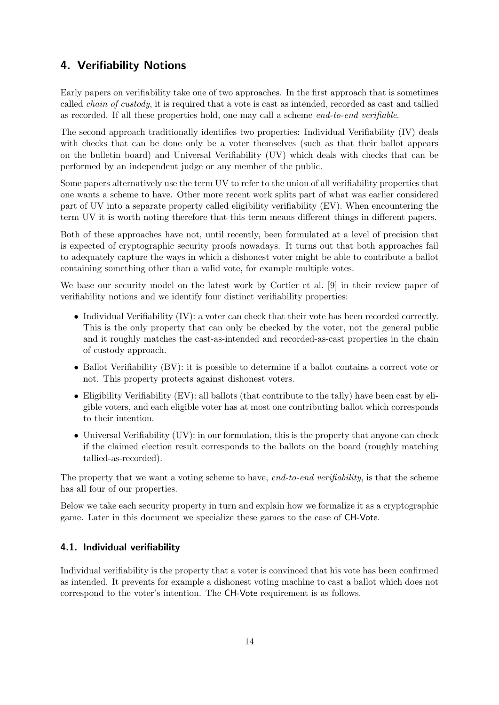## <span id="page-13-0"></span>4. Verifiability Notions

Early papers on verifiability take one of two approaches. In the first approach that is sometimes called chain of custody, it is required that a vote is cast as intended, recorded as cast and tallied as recorded. If all these properties hold, one may call a scheme end-to-end verifiable.

The second approach traditionally identifies two properties: Individual Verifiability (IV) deals with checks that can be done only be a voter themselves (such as that their ballot appears on the bulletin board) and Universal Verifiability (UV) which deals with checks that can be performed by an independent judge or any member of the public.

Some papers alternatively use the term UV to refer to the union of all verifiability properties that one wants a scheme to have. Other more recent work splits part of what was earlier considered part of UV into a separate property called eligibility verifiability (EV). When encountering the term UV it is worth noting therefore that this term means different things in different papers.

Both of these approaches have not, until recently, been formulated at a level of precision that is expected of cryptographic security proofs nowadays. It turns out that both approaches fail to adequately capture the ways in which a dishonest voter might be able to contribute a ballot containing something other than a valid vote, for example multiple votes.

We base our security model on the latest work by Cortier et al. [\[9\]](#page-113-5) in their review paper of verifiability notions and we identify four distinct verifiability properties:

- Individual Verifiability (IV): a voter can check that their vote has been recorded correctly. This is the only property that can only be checked by the voter, not the general public and it roughly matches the cast-as-intended and recorded-as-cast properties in the chain of custody approach.
- Ballot Verifiability (BV): it is possible to determine if a ballot contains a correct vote or not. This property protects against dishonest voters.
- Eligibility Verifiability (EV): all ballots (that contribute to the tally) have been cast by eligible voters, and each eligible voter has at most one contributing ballot which corresponds to their intention.
- Universal Verifiability (UV): in our formulation, this is the property that anyone can check if the claimed election result corresponds to the ballots on the board (roughly matching tallied-as-recorded).

The property that we want a voting scheme to have, end-to-end verifiability, is that the scheme has all four of our properties.

Below we take each security property in turn and explain how we formalize it as a cryptographic game. Later in this document we specialize these games to the case of CH-Vote.

## <span id="page-13-1"></span>4.1. Individual verifiability

Individual verifiability is the property that a voter is convinced that his vote has been confirmed as intended. It prevents for example a dishonest voting machine to cast a ballot which does not correspond to the voter's intention. The CH-Vote requirement is as follows.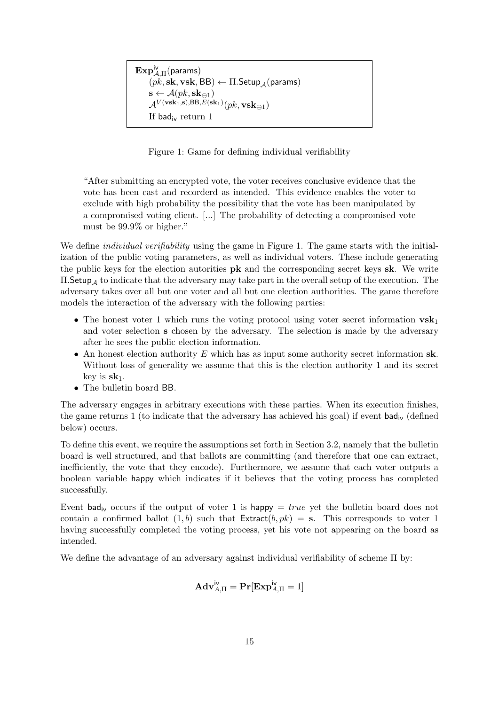```
\mathbf{Exp}^{\mathsf{iv}}_{\mathcal{A},\Pi}(\mathsf{params})(pk, sk, vsk, BB) \leftarrow \Pi. Setup _A(params)
\mathbf{s} \leftarrow \mathcal{A}(pk, \mathbf{sk}_{\ominus 1})\mathcal{A}^{V(\mathbf{v}\mathbf{s}\mathbf{k}_1, \mathbf{s}), \mathsf{BB}, E(\mathbf{s}\mathbf{k}_1)}(pk, \mathbf{v}\mathbf{s}\mathbf{k}_{\ominus 1})If bad<sub>iv</sub> return 1
```
<span id="page-14-0"></span>Figure 1: Game for defining individual verifiability

"After submitting an encrypted vote, the voter receives conclusive evidence that the vote has been cast and recorderd as intended. This evidence enables the voter to exclude with high probability the possibility that the vote has been manipulated by a compromised voting client. [...] The probability of detecting a compromised vote must be 99.9% or higher."

We define *individual verifiability* using the game in Figure [1.](#page-14-0) The game starts with the initialization of the public voting parameters, as well as individual voters. These include generating the public keys for the election autorities pk and the corresponding secret keys sk. We write  $\Pi$ . Setup<sub>A</sub> to indicate that the adversary may take part in the overall setup of the execution. The adversary takes over all but one voter and all but one election authorities. The game therefore models the interaction of the adversary with the following parties:

- The honest voter 1 which runs the voting protocol using voter secret information  $\mathbf{vsk}_1$ and voter selection s chosen by the adversary. The selection is made by the adversary after he sees the public election information.
- An honest election authority E which has as input some authority secret information  $sk$ . Without loss of generality we assume that this is the election authority 1 and its secret key is  $sk_1$ .
- The bulletin board BB.

The adversary engages in arbitrary executions with these parties. When its execution finishes, the game returns 1 (to indicate that the adversary has achieved his goal) if event  $bad_{iv}$  (defined below) occurs.

To define this event, we require the assumptions set forth in Section [3.2,](#page-11-0) namely that the bulletin board is well structured, and that ballots are committing (and therefore that one can extract, inefficiently, the vote that they encode). Furthermore, we assume that each voter outputs a boolean variable happy which indicates if it believes that the voting process has completed successfully.

Event bad<sub>iv</sub> occurs if the output of voter 1 is happy  $= true$  yet the bulletin board does not contain a confirmed ballot  $(1, b)$  such that  $Extract(b, pk) = s$ . This corresponds to voter 1 having successfully completed the voting process, yet his vote not appearing on the board as intended.

We define the advantage of an adversary against individual verifiability of scheme  $\Pi$  by:

$$
\mathbf{Adv}_{A,\Pi}^{\mathsf{iv}} = \mathbf{Pr}[\mathbf{Exp}_{A,\Pi}^{\mathsf{iv}} = 1]
$$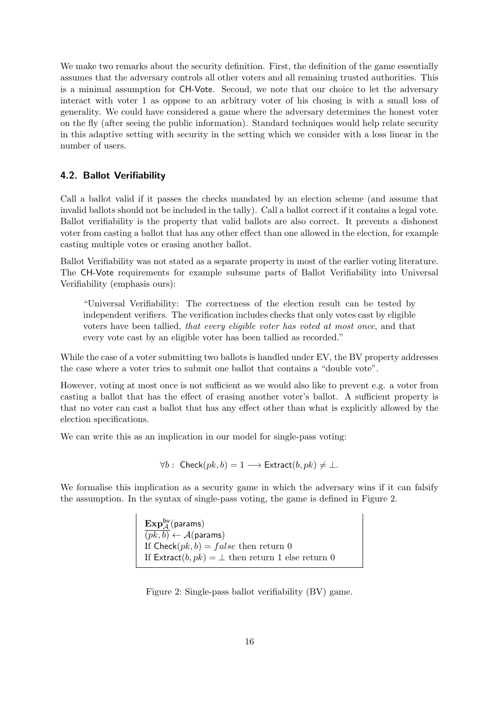We make two remarks about the security definition. First, the definition of the game essentially assumes that the adversary controls all other voters and all remaining trusted authorities. This is a minimal assumption for CH-Vote. Second, we note that our choice to let the adversary interact with voter 1 as oppose to an arbitrary voter of his chosing is with a small loss of generality. We could have considered a game where the adversary determines the honest voter on the fly (after seeing the public information). Standard techniques would help relate security in this adaptive setting with security in the setting which we consider with a loss linear in the number of users.

## <span id="page-15-0"></span>4.2. Ballot Verifiability

Call a ballot valid if it passes the checks mandated by an election scheme (and assume that invalid ballots should not be included in the tally). Call a ballot correct if it contains a legal vote. Ballot verifiability is the property that valid ballots are also correct. It prevents a dishonest voter from casting a ballot that has any other effect than one allowed in the election, for example casting multiple votes or erasing another ballot.

Ballot Verifiability was not stated as a separate property in most of the earlier voting literature. The CH-Vote requirements for example subsume parts of Ballot Verifiability into Universal Verifiability (emphasis ours):

"Universal Verifiability: The correctness of the election result can be tested by independent verifiers. The verification includes checks that only votes cast by eligible voters have been tallied, that every eligible voter has voted at most once, and that every vote cast by an eligible voter has been tallied as recorded."

While the case of a voter submitting two ballots is handled under EV, the BV property addresses the case where a voter tries to submit one ballot that contains a "double vote".

However, voting at most once is not sufficient as we would also like to prevent e.g. a voter from casting a ballot that has the effect of erasing another voter's ballot. A sufficient property is that no voter can cast a ballot that has any effect other than what is explicitly allowed by the election specifications.

We can write this as an implication in our model for single-pass voting:

 $\forall b: \text{Check}(pk, b) = 1 \longrightarrow \text{Extract}(b, pk) \neq \bot.$ 

We formalise this implication as a security game in which the adversary wins if it can falsify the assumption. In the syntax of single-pass voting, the game is defined in Figure [2.](#page-15-1)

> $\mathrm{Exp}^{\mathsf{bv}}_{\mathcal{A}}(\mathsf{params})$  $(pk, b) \leftarrow \mathcal{A}(\text{params})$ If  $\textsf{Check}(pk, b) = false$  then return 0 If  $\text{Extract}(b, pk) = \perp$  then return 1 else return 0

<span id="page-15-1"></span>Figure 2: Single-pass ballot verifiability (BV) game.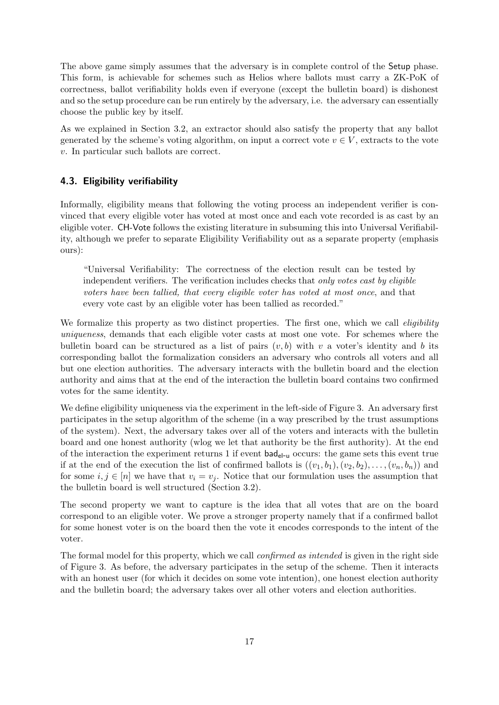The above game simply assumes that the adversary is in complete control of the Setup phase. This form, is achievable for schemes such as Helios where ballots must carry a ZK-PoK of correctness, ballot verifiability holds even if everyone (except the bulletin board) is dishonest and so the setup procedure can be run entirely by the adversary, i.e. the adversary can essentially choose the public key by itself.

As we explained in Section [3.2,](#page-11-0) an extractor should also satisfy the property that any ballot generated by the scheme's voting algorithm, on input a correct vote  $v \in V$ , extracts to the vote v. In particular such ballots are correct.

## <span id="page-16-0"></span>4.3. Eligibility verifiability

Informally, eligibility means that following the voting process an independent verifier is convinced that every eligible voter has voted at most once and each vote recorded is as cast by an eligible voter. CH-Vote follows the existing literature in subsuming this into Universal Verifiability, although we prefer to separate Eligibility Verifiability out as a separate property (emphasis ours):

"Universal Verifiability: The correctness of the election result can be tested by independent verifiers. The verification includes checks that only votes cast by eligible voters have been tallied, that every eligible voter has voted at most once, and that every vote cast by an eligible voter has been tallied as recorded."

We formalize this property as two distinct properties. The first one, which we call *eligibility* uniqueness, demands that each eligible voter casts at most one vote. For schemes where the bullet the board can be structured as a list of pairs  $(v, b)$  with v a voter's identity and b its corresponding ballot the formalization considers an adversary who controls all voters and all but one election authorities. The adversary interacts with the bulletin board and the election authority and aims that at the end of the interaction the bulletin board contains two confirmed votes for the same identity.

We define eligibility uniqueness via the experiment in the left-side of Figure [3.](#page-17-1) An adversary first participates in the setup algorithm of the scheme (in a way prescribed by the trust assumptions of the system). Next, the adversary takes over all of the voters and interacts with the bulletin board and one honest authority (wlog we let that authority be the first authority). At the end of the interaction the experiment returns 1 if event bad<sub>el-u</sub> occurs: the game sets this event true if at the end of the execution the list of confirmed ballots is  $((v_1, b_1), (v_2, b_2), \ldots, (v_n, b_n))$  and for some  $i, j \in [n]$  we have that  $v_i = v_j$ . Notice that our formulation uses the assumption that the bulletin board is well structured (Section [3.2\)](#page-11-0).

The second property we want to capture is the idea that all votes that are on the board correspond to an eligible voter. We prove a stronger property namely that if a confirmed ballot for some honest voter is on the board then the vote it encodes corresponds to the intent of the voter.

The formal model for this property, which we call *confirmed as intended* is given in the right side of Figure [3.](#page-17-1) As before, the adversary participates in the setup of the scheme. Then it interacts with an honest user (for which it decides on some vote intention), one honest election authority and the bulletin board; the adversary takes over all other voters and election authorities.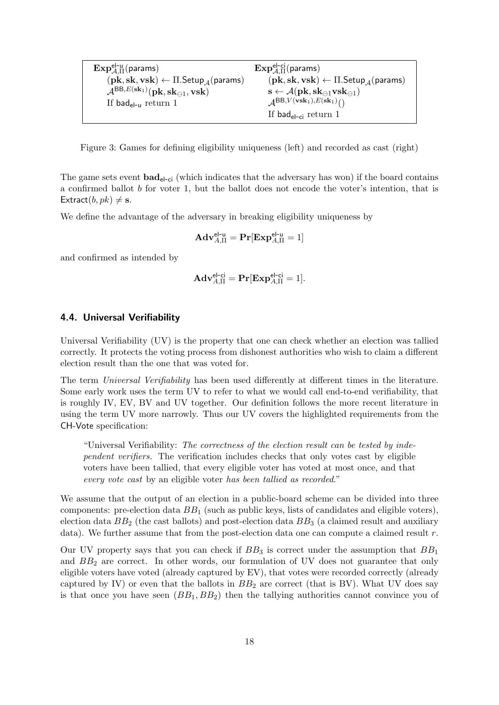| $\mathrm{Exp}_{A,\Pi}^{\mathsf{el-u}}(\mathsf{params})$                                         | $\mathbf{Exp}_{A\Pi}^{\mathsf{el-ci}}(\mathsf{params})$                                                      |
|-------------------------------------------------------------------------------------------------|--------------------------------------------------------------------------------------------------------------|
| $(\mathbf{pk}, \mathbf{sk}, \mathbf{vsk}) \leftarrow \Pi$ . Setup $_A(\mathsf{params})$         | $(\mathbf{pk}, \mathbf{sk}, \mathbf{vsk}) \leftarrow \Pi$ . Setup $_A(\mathsf{params})$                      |
| $\mathcal{A}^{\mathsf{BB}, E(\mathbf{sk}_1)}(\mathbf{pk},\mathbf{sk}_{\ominus 1},\mathbf{vsk})$ | $\mathbf{s} \leftarrow \mathcal{A}(\mathbf{pk}, \mathbf{sk}_{\ominus 1} \mathbf{v} \mathbf{sk}_{\ominus 1})$ |
| If bad <sub>el-u</sub> return 1                                                                 | $A^{BB,V(vsk_1),E(sk_1)}()$                                                                                  |
|                                                                                                 | If bad <sub>el-ci</sub> return 1                                                                             |

<span id="page-17-1"></span>Figure 3: Games for defining eligibility uniqueness (left) and recorded as cast (right)

The game sets event  $bad_{el-ci}$  (which indicates that the adversary has won) if the board contains a confirmed ballot b for voter 1, but the ballot does not encode the voter's intention, that is Extract $(b, pk) \neq$  s.

We define the advantage of the adversary in breaking eligibility uniqueness by

$$
\mathbf{Adv}_{A,\Pi}^{\mathsf{el-u}} = \mathbf{Pr}[\mathbf{Exp}_{A,\Pi}^{\mathsf{el-u}} = 1]
$$

and confirmed as intended by

$$
\mathbf{Adv}_{A,\Pi}^{\mathsf{el}\text{-}\mathsf{ci}} = \mathbf{Pr}[\mathbf{Exp}_{A,\Pi}^{\mathsf{el}\text{-}\mathsf{ci}} = 1].
$$

## <span id="page-17-0"></span>4.4. Universal Verifiability

Universal Verifiability (UV) is the property that one can check whether an election was tallied correctly. It protects the voting process from dishonest authorities who wish to claim a different election result than the one that was voted for.

The term Universal Verifiability has been used differently at different times in the literature. Some early work uses the term UV to refer to what we would call end-to-end verifiability, that is roughly IV, EV, BV and UV together. Our definition follows the more recent literature in using the term UV more narrowly. Thus our UV covers the highlighted requirements from the CH-Vote specification:

"Universal Verifiability: The correctness of the election result can be tested by independent verifiers. The verification includes checks that only votes cast by eligible voters have been tallied, that every eligible voter has voted at most once, and that every vote cast by an eligible voter has been tallied as recorded."

We assume that the output of an election in a public-board scheme can be divided into three components: pre-election data  $BB<sub>1</sub>$  (such as public keys, lists of candidates and eligible voters), election data  $BB<sub>2</sub>$  (the cast ballots) and post-election data  $BB<sub>3</sub>$  (a claimed result and auxiliary data). We further assume that from the post-election data one can compute a claimed result  $r$ .

Our UV property says that you can check if  $BB_3$  is correct under the assumption that  $BB_1$ and  $BB<sub>2</sub>$  are correct. In other words, our formulation of UV does not guarantee that only eligible voters have voted (already captured by EV), that votes were recorded correctly (already captured by IV) or even that the ballots in  $BB_2$  are correct (that is BV). What UV does say is that once you have seen  $(BB_1, BB_2)$  then the tallying authorities cannot convince you of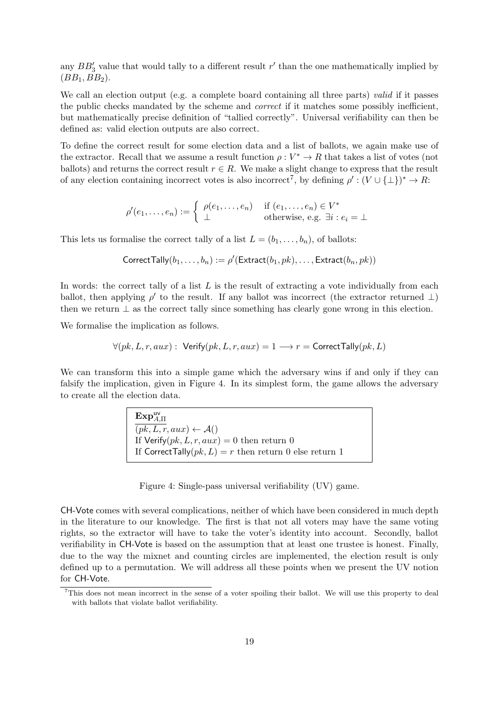any  $BB'_3$  value that would tally to a different result r' than the one mathematically implied by  $(BB_1, BB_2).$ 

We call an election output (e.g. a complete board containing all three parts) valid if it passes the public checks mandated by the scheme and correct if it matches some possibly inefficient, but mathematically precise definition of "tallied correctly". Universal verifiability can then be defined as: valid election outputs are also correct.

To define the correct result for some election data and a list of ballots, we again make use of the extractor. Recall that we assume a result function  $\rho: V^* \to R$  that takes a list of votes (not ballots) and returns the correct result  $r \in R$ . We make a slight change to express that the result of any election containing incorrect votes is also incorrect<sup>[7](#page-18-0)</sup>, by defining  $\rho' : (V \cup \{\perp\})^* \to R$ :

$$
\rho'(e_1,\ldots,e_n) := \begin{cases} \rho(e_1,\ldots,e_n) & \text{if } (e_1,\ldots,e_n) \in V^* \\ \perp & \text{otherwise, e.g. } \exists i : e_i = \perp \end{cases}
$$

This lets us formalise the correct tally of a list  $L = (b_1, \ldots, b_n)$ , of ballots:

$$
\mathsf{CorrectTally}(b_1,\ldots,b_n) := \rho'(\mathsf{Extract}(b_1,pk),\ldots,\mathsf{Extract}(b_n,pk))
$$

In words: the correct tally of a list  $L$  is the result of extracting a vote individually from each ballot, then applying  $\rho'$  to the result. If any ballot was incorrect (the extractor returned  $\perp$ ) then we return  $\perp$  as the correct tally since something has clearly gone wrong in this election.

We formalise the implication as follows.

$$
\forall (pk, L, r, aux): \text{Verify}(pk, L, r, aux) = 1 \longrightarrow r = \text{CorrectTally}(pk, L)
$$

We can transform this into a simple game which the adversary wins if and only if they can falsify the implication, given in Figure [4.](#page-18-1) In its simplest form, the game allows the adversary to create all the election data.

> $\mathrm{Exp}_{A,\Pi}^{\mathsf{uv}}$  $(pk, L, r, aux) \leftarrow \mathcal{A}()$ If Verify $(pk, L, r, aux) = 0$  then return 0 If CorrectTally( $pk, L$ ) = r then return 0 else return 1

<span id="page-18-1"></span>Figure 4: Single-pass universal verifiability (UV) game.

CH-Vote comes with several complications, neither of which have been considered in much depth in the literature to our knowledge. The first is that not all voters may have the same voting rights, so the extractor will have to take the voter's identity into account. Secondly, ballot verifiability in CH-Vote is based on the assumption that at least one trustee is honest. Finally, due to the way the mixnet and counting circles are implemented, the election result is only defined up to a permutation. We will address all these points when we present the UV notion for CH-Vote.

<span id="page-18-0"></span><sup>&</sup>lt;sup>7</sup>This does not mean incorrect in the sense of a voter spoiling their ballot. We will use this property to deal with ballots that violate ballot verifiability.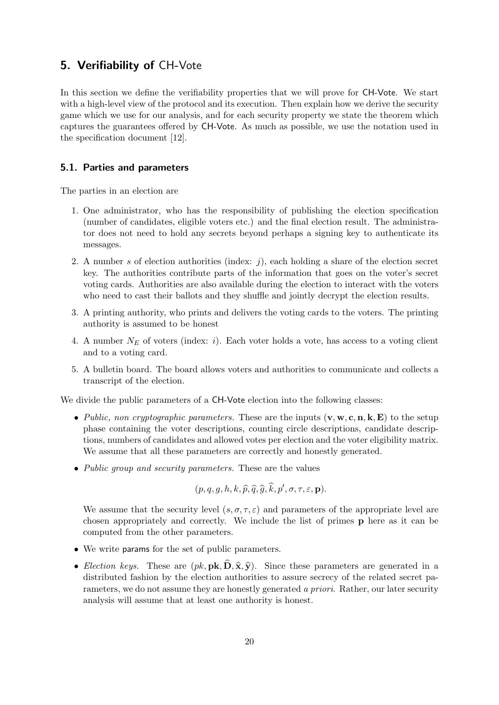## <span id="page-19-0"></span>5. Verifiability of CH-Vote

In this section we define the verifiability properties that we will prove for CH-Vote. We start with a high-level view of the protocol and its execution. Then explain how we derive the security game which we use for our analysis, and for each security property we state the theorem which captures the guarantees offered by CH-Vote. As much as possible, we use the notation used in the specification document [\[12\]](#page-113-0).

## <span id="page-19-1"></span>5.1. Parties and parameters

The parties in an election are

- 1. One administrator, who has the responsibility of publishing the election specification (number of candidates, eligible voters etc.) and the final election result. The administrator does not need to hold any secrets beyond perhaps a signing key to authenticate its messages.
- 2. A number s of election authorities (index:  $i$ ), each holding a share of the election secret key. The authorities contribute parts of the information that goes on the voter's secret voting cards. Authorities are also available during the election to interact with the voters who need to cast their ballots and they shuffle and jointly decrypt the election results.
- 3. A printing authority, who prints and delivers the voting cards to the voters. The printing authority is assumed to be honest
- 4. A number  $N_E$  of voters (index: i). Each voter holds a vote, has access to a voting client and to a voting card.
- 5. A bulletin board. The board allows voters and authorities to communicate and collects a transcript of the election.

We divide the public parameters of a CH-Vote election into the following classes:

- Public, non cryptographic parameters. These are the inputs  $(v, w, c, n, k, E)$  to the setup phase containing the voter descriptions, counting circle descriptions, candidate descriptions, numbers of candidates and allowed votes per election and the voter eligibility matrix. We assume that all these parameters are correctly and honestly generated.
- Public group and security parameters. These are the values

$$
(p,q,g,h,k,\widehat{p},\widehat{q},\widehat{g},\widehat{k},p',\sigma,\tau,\varepsilon,\mathbf{p}).
$$

We assume that the security level  $(s, \sigma, \tau, \varepsilon)$  and parameters of the appropriate level are chosen appropriately and correctly. We include the list of primes p here as it can be computed from the other parameters.

- We write params for the set of public parameters.
- Election keys. These are  $(pk, \mathbf{pk}, \mathbf{D}, \hat{\mathbf{x}}, \hat{\mathbf{y}})$ . Since these parameters are generated in a distributed fashion by the election authorities to assure secrecy of the related secret parameters, we do not assume they are honestly generated a priori. Rather, our later security analysis will assume that at least one authority is honest.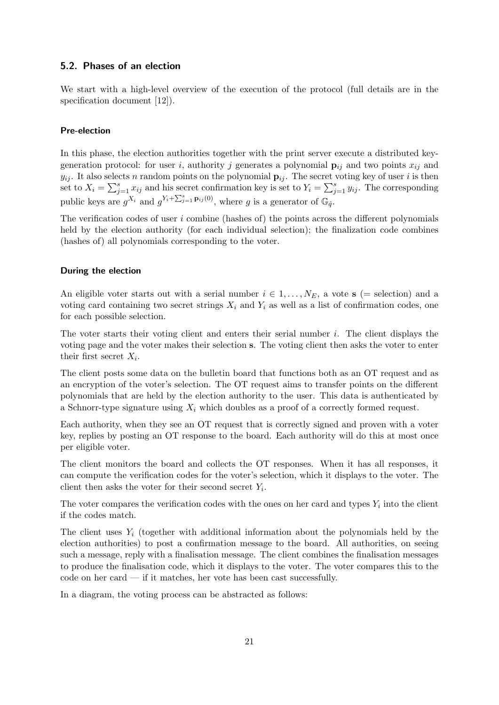## <span id="page-20-0"></span>5.2. Phases of an election

We start with a high-level overview of the execution of the protocol (full details are in the specification document [\[12\]](#page-113-0)).

#### Pre-election

In this phase, the election authorities together with the print server execute a distributed keygeneration protocol: for user i, authority j generates a polynomial  $\mathbf{p}_{ij}$  and two points  $x_{ij}$  and  $y_{ij}$ . It also selects n random points on the polynomial  $\mathbf{p}_{ij}$ . The secret voting key of user i is then set to  $X_i = \sum_{j=1}^s x_{ij}$  and his secret confirmation key is set to  $Y_i = \sum_{j=1}^s y_{ij}$ . The corresponding public keys are  $g^{X_i}$  and  $g^{Y_i + \sum_{j=1}^s \mathbf{p}_{ij}(0)}$ , where g is a generator of  $\mathbb{G}_{\hat{q}}$ .

The verification codes of user  $i$  combine (hashes of) the points across the different polynomials held by the election authority (for each individual selection); the finalization code combines (hashes of) all polynomials corresponding to the voter.

## During the election

An eligible voter starts out with a serial number  $i \in 1, \ldots, N_E$ , a vote s (= selection) and a voting card containing two secret strings  $X_i$  and  $Y_i$  as well as a list of confirmation codes, one for each possible selection.

The voter starts their voting client and enters their serial number  $i$ . The client displays the voting page and the voter makes their selection s. The voting client then asks the voter to enter their first secret  $X_i$ .

The client posts some data on the bulletin board that functions both as an OT request and as an encryption of the voter's selection. The OT request aims to transfer points on the different polynomials that are held by the election authority to the user. This data is authenticated by a Schnorr-type signature using  $X_i$  which doubles as a proof of a correctly formed request.

Each authority, when they see an OT request that is correctly signed and proven with a voter key, replies by posting an OT response to the board. Each authority will do this at most once per eligible voter.

The client monitors the board and collects the OT responses. When it has all responses, it can compute the verification codes for the voter's selection, which it displays to the voter. The client then asks the voter for their second secret  $Y_i$ .

The voter compares the verification codes with the ones on her card and types  $Y_i$  into the client if the codes match.

The client uses  $Y_i$  (together with additional information about the polynomials held by the election authorities) to post a confirmation message to the board. All authorities, on seeing such a message, reply with a finalisation message. The client combines the finalisation messages to produce the finalisation code, which it displays to the voter. The voter compares this to the code on her card — if it matches, her vote has been cast successfully.

In a diagram, the voting process can be abstracted as follows: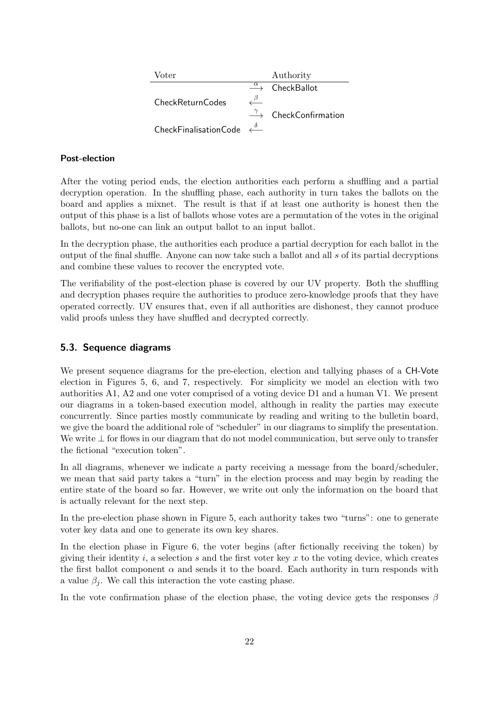| Voter                                                     | Authority                                              |
|-----------------------------------------------------------|--------------------------------------------------------|
|                                                           | $\stackrel{\alpha}{\longrightarrow}$ CheckBallot       |
| CheckReturnCodes                                          |                                                        |
|                                                           | $\stackrel{\gamma}{\longrightarrow}$ CheckConfirmation |
| CheckFinalisationCode $\stackrel{\delta}{\longleftarrow}$ |                                                        |

## Post-election

After the voting period ends, the election authorities each perform a shuffling and a partial decryption operation. In the shuffling phase, each authority in turn takes the ballots on the board and applies a mixnet. The result is that if at least one authority is honest then the output of this phase is a list of ballots whose votes are a permutation of the votes in the original ballots, but no-one can link an output ballot to an input ballot.

In the decryption phase, the authorities each produce a partial decryption for each ballot in the output of the final shuffle. Anyone can now take such a ballot and all s of its partial decryptions and combine these values to recover the encrypted vote.

The verifiability of the post-election phase is covered by our UV property. Both the shuffling and decryption phases require the authorities to produce zero-knowledge proofs that they have operated correctly. UV ensures that, even if all authorities are dishonest, they cannot produce valid proofs unless they have shuffled and decrypted correctly.

## <span id="page-21-0"></span>5.3. Sequence diagrams

We present sequence diagrams for the pre-election, election and tallying phases of a CH-Vote election in Figures [5,](#page-22-0) [6,](#page-23-0) and [7,](#page-24-0) respectively. For simplicity we model an election with two authorities A1, A2 and one voter comprised of a voting device D1 and a human V1. We present our diagrams in a token-based execution model, although in reality the parties may execute concurrently. Since parties mostly communicate by reading and writing to the bulletin board, we give the board the additional role of "scheduler" in our diagrams to simplify the presentation. We write ⊥ for flows in our diagram that do not model communication, but serve only to transfer the fictional "execution token".

In all diagrams, whenever we indicate a party receiving a message from the board/scheduler, we mean that said party takes a "turn" in the election process and may begin by reading the entire state of the board so far. However, we write out only the information on the board that is actually relevant for the next step.

In the pre-election phase shown in Figure [5,](#page-22-0) each authority takes two "turns": one to generate voter key data and one to generate its own key shares.

In the election phase in Figure [6,](#page-23-0) the voter begins (after fictionally receiving the token) by giving their identity  $i$ , a selection  $s$  and the first voter key  $x$  to the voting device, which creates the first ballot component  $\alpha$  and sends it to the board. Each authority in turn responds with a value  $\beta_i$ . We call this interaction the vote casting phase.

In the vote confirmation phase of the election phase, the voting device gets the responses  $\beta$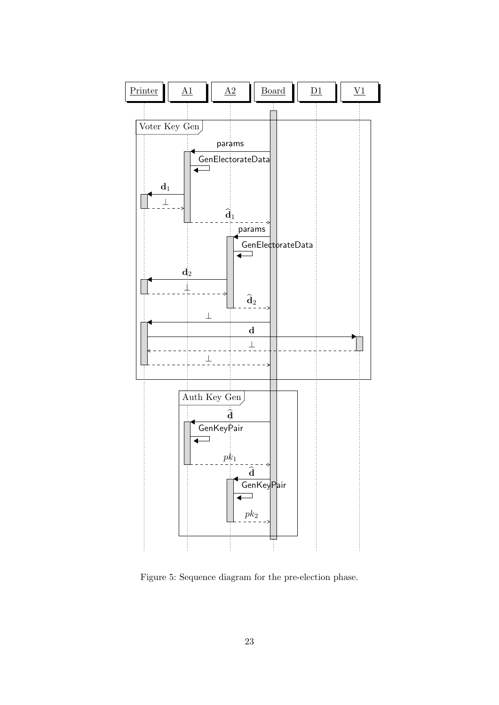

<span id="page-22-0"></span>Figure 5: Sequence diagram for the pre-election phase.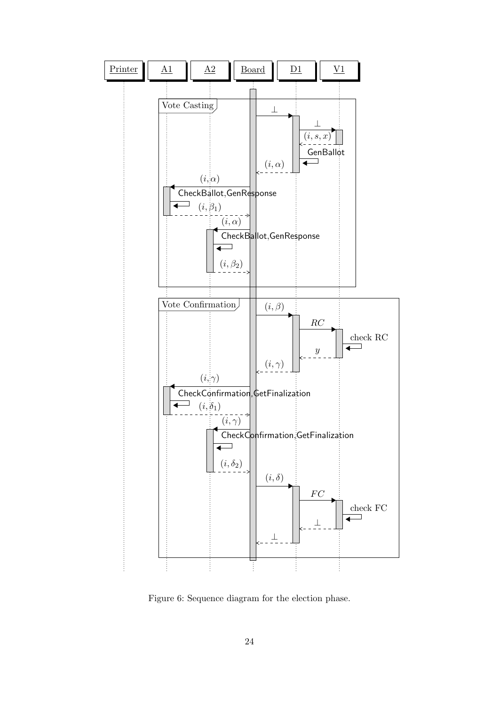

<span id="page-23-0"></span>Figure 6: Sequence diagram for the election phase.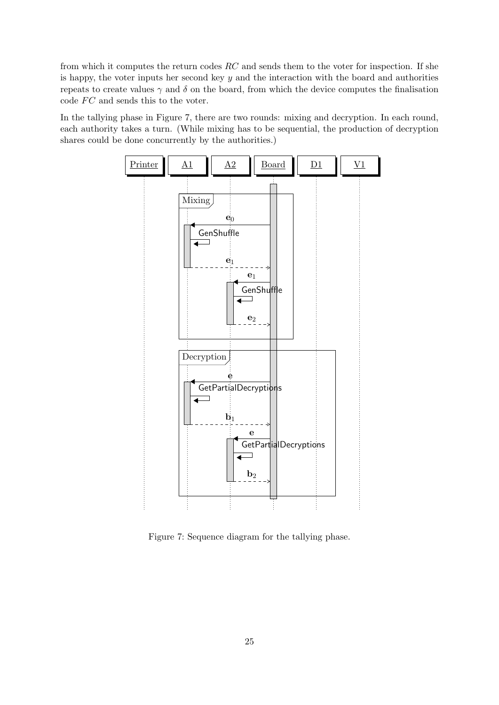from which it computes the return codes  $RC$  and sends them to the voter for inspection. If she is happy, the voter inputs her second key  $y$  and the interaction with the board and authorities repeats to create values  $\gamma$  and  $\delta$  on the board, from which the device computes the finalisation code  $FC$  and sends this to the voter.

In the tallying phase in Figure [7,](#page-24-0) there are two rounds: mixing and decryption. In each round, each authority takes a turn. (While mixing has to be sequential, the production of decryption shares could be done concurrently by the authorities.)



<span id="page-24-0"></span>Figure 7: Sequence diagram for the tallying phase.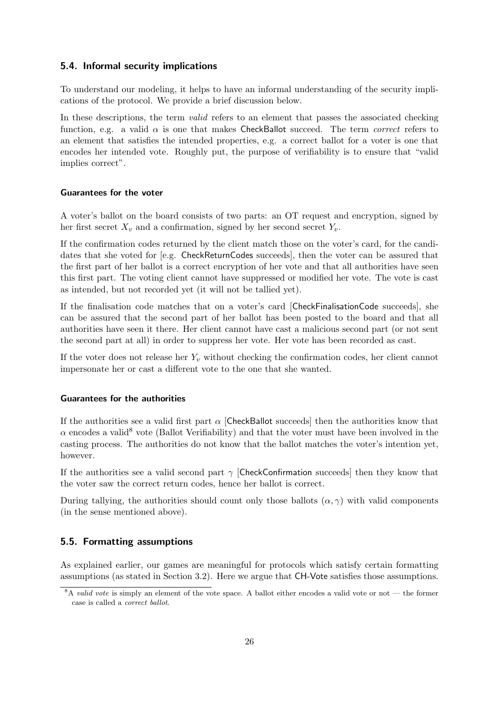## <span id="page-25-0"></span>5.4. Informal security implications

To understand our modeling, it helps to have an informal understanding of the security implications of the protocol. We provide a brief discussion below.

In these descriptions, the term *valid* refers to an element that passes the associated checking function, e.g. a valid  $\alpha$  is one that makes CheckBallot succeed. The term *correct* refers to an element that satisfies the intended properties, e.g. a correct ballot for a voter is one that encodes her intended vote. Roughly put, the purpose of verifiability is to ensure that "valid implies correct".

## Guarantees for the voter

A voter's ballot on the board consists of two parts: an OT request and encryption, signed by her first secret  $X_v$  and a confirmation, signed by her second secret  $Y_v$ .

If the confirmation codes returned by the client match those on the voter's card, for the candidates that she voted for [e.g. CheckReturnCodes succeeds], then the voter can be assured that the first part of her ballot is a correct encryption of her vote and that all authorities have seen this first part. The voting client cannot have suppressed or modified her vote. The vote is cast as intended, but not recorded yet (it will not be tallied yet).

If the finalisation code matches that on a voter's card [CheckFinalisationCode succeeds], she can be assured that the second part of her ballot has been posted to the board and that all authorities have seen it there. Her client cannot have cast a malicious second part (or not sent the second part at all) in order to suppress her vote. Her vote has been recorded as cast.

If the voter does not release her  $Y_v$  without checking the confirmation codes, her client cannot impersonate her or cast a different vote to the one that she wanted.

## Guarantees for the authorities

If the authorities see a valid first part  $\alpha$  [CheckBallot succeeds] then the authorities know that  $\alpha$  encodes a valid<sup>[8](#page-25-2)</sup> vote (Ballot Verifiability) and that the voter must have been involved in the casting process. The authorities do not know that the ballot matches the voter's intention yet, however.

If the authorities see a valid second part  $\gamma$  [CheckConfirmation succeeds] then they know that the voter saw the correct return codes, hence her ballot is correct.

During tallying, the authorities should count only those ballots  $(\alpha, \gamma)$  with valid components (in the sense mentioned above).

#### <span id="page-25-1"></span>5.5. Formatting assumptions

As explained earlier, our games are meaningful for protocols which satisfy certain formatting assumptions (as stated in Section [3.2\)](#page-11-0). Here we argue that CH-Vote satisfies those assumptions.

<span id="page-25-2"></span> $8A$  valid vote is simply an element of the vote space. A ballot either encodes a valid vote or not — the former case is called a correct ballot.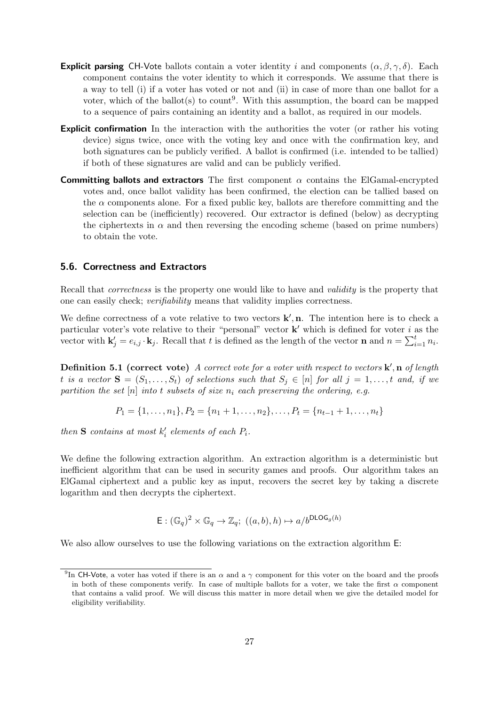- **Explicit parsing** CH-Vote ballots contain a voter identity i and components  $(\alpha, \beta, \gamma, \delta)$ . Each component contains the voter identity to which it corresponds. We assume that there is a way to tell (i) if a voter has voted or not and (ii) in case of more than one ballot for a voter, which of the ballot(s) to count<sup>[9](#page-26-1)</sup>. With this assumption, the board can be mapped to a sequence of pairs containing an identity and a ballot, as required in our models.
- **Explicit confirmation** In the interaction with the authorities the voter (or rather his voting device) signs twice, once with the voting key and once with the confirmation key, and both signatures can be publicly verified. A ballot is confirmed (i.e. intended to be tallied) if both of these signatures are valid and can be publicly verified.
- **Committing ballots and extractors** The first component  $\alpha$  contains the ElGamal-encrypted votes and, once ballot validity has been confirmed, the election can be tallied based on the  $\alpha$  components alone. For a fixed public key, ballots are therefore committing and the selection can be (inefficiently) recovered. Our extractor is defined (below) as decrypting the ciphertexts in  $\alpha$  and then reversing the encoding scheme (based on prime numbers) to obtain the vote.

## <span id="page-26-0"></span>5.6. Correctness and Extractors

Recall that *correctness* is the property one would like to have and *validity* is the property that one can easily check; verifiability means that validity implies correctness.

We define correctness of a vote relative to two vectors  $\mathbf{k}', \mathbf{n}$ . The intention here is to check a particular voter's vote relative to their "personal" vector  $\mathbf{k}'$  which is defined for voter i as the vector with  $\mathbf{k}'_j = e_{i,j} \cdot \mathbf{k}_j$ . Recall that t is defined as the length of the vector **n** and  $n = \sum_{i=1}^{t} n_i$ .

<span id="page-26-2"></span>**Definition 5.1 (correct vote)** A correct vote for a voter with respect to vectors  $\mathbf{k}'$ , n of length t is a vector  $S = (S_1, \ldots, S_t)$  of selections such that  $S_i \in [n]$  for all  $j = 1, \ldots, t$  and, if we partition the set  $[n]$  into t subsets of size  $n_i$  each preserving the ordering, e.g.

$$
P_1 = \{1, \ldots, n_1\}, P_2 = \{n_1 + 1, \ldots, n_2\}, \ldots, P_t = \{n_{t-1} + 1, \ldots, n_t\}
$$

then **S** contains at most  $k'_i$  elements of each  $P_i$ .

We define the following extraction algorithm. An extraction algorithm is a deterministic but inefficient algorithm that can be used in security games and proofs. Our algorithm takes an ElGamal ciphertext and a public key as input, recovers the secret key by taking a discrete logarithm and then decrypts the ciphertext.

$$
\mathsf{E}: (\mathbb{G}_q)^2 \times \mathbb{G}_q \to \mathbb{Z}_q; \ ((a, b), h) \mapsto a/b^{\mathsf{DLOG}_g(h)}
$$

We also allow ourselves to use the following variations on the extraction algorithm  $E$ :

<span id="page-26-1"></span><sup>&</sup>lt;sup>9</sup>In CH-Vote, a voter has voted if there is an  $\alpha$  and a  $\gamma$  component for this voter on the board and the proofs in both of these components verify. In case of multiple ballots for a voter, we take the first  $\alpha$  component that contains a valid proof. We will discuss this matter in more detail when we give the detailed model for eligibility verifiability.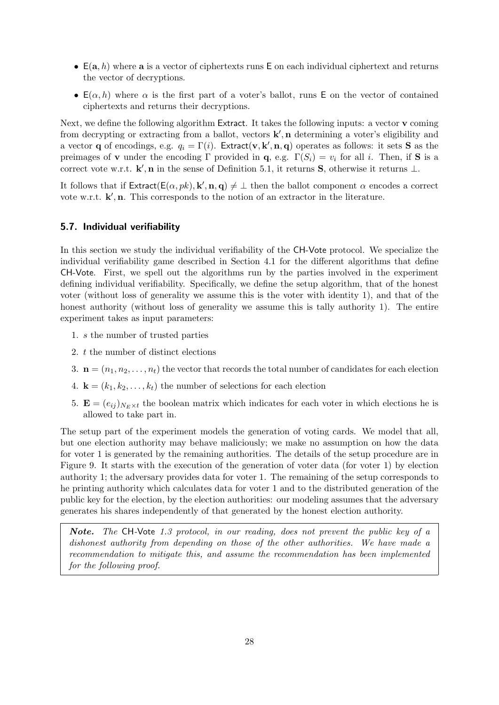- $E(a, h)$  where a is a vector of ciphertexts runs E on each individual ciphertext and returns the vector of decryptions.
- $E(\alpha, h)$  where  $\alpha$  is the first part of a voter's ballot, runs E on the vector of contained ciphertexts and returns their decryptions.

Next, we define the following algorithm Extract. It takes the following inputs: a vector v coming from decrypting or extracting from a ballot, vectors  $\mathbf{k}'$ , n determining a voter's eligibility and a vector **q** of encodings, e.g.  $q_i = \Gamma(i)$ . Extract(**v**, **k'**, **n**, **q**) operates as follows: it sets **S** as the preimages of **v** under the encoding Γ provided in **q**, e.g.  $\Gamma(S_i) = v_i$  for all i. Then, if **S** is a correct vote w.r.t.  $\mathbf{k}', \mathbf{n}$  in the sense of Definition [5.1,](#page-26-2) it returns S, otherwise it returns  $\perp$ .

It follows that if  $\mathsf{Extract}(\mathsf{E}(\alpha, pk), \mathbf{k}', \mathbf{n}, \mathbf{q}) \neq \bot$  then the ballot component  $\alpha$  encodes a correct vote w.r.t.  $\mathbf{k}', \mathbf{n}$ . This corresponds to the notion of an extractor in the literature.

## <span id="page-27-0"></span>5.7. Individual verifiability

In this section we study the individual verifiability of the CH-Vote protocol. We specialize the individual verifiability game described in Section [4.1](#page-13-1) for the different algorithms that define CH-Vote. First, we spell out the algorithms run by the parties involved in the experiment defining individual verifiability. Specifically, we define the setup algorithm, that of the honest voter (without loss of generality we assume this is the voter with identity 1), and that of the honest authority (without loss of generality we assume this is tally authority 1). The entire experiment takes as input parameters:

- 1. s the number of trusted parties
- 2. t the number of distinct elections
- 3.  $\mathbf{n} = (n_1, n_2, \ldots, n_t)$  the vector that records the total number of candidates for each election
- 4.  $\mathbf{k} = (k_1, k_2, \ldots, k_t)$  the number of selections for each election
- 5.  $\mathbf{E} = (e_{ij})_{N \in \mathcal{X}} t$  the boolean matrix which indicates for each voter in which elections he is allowed to take part in.

The setup part of the experiment models the generation of voting cards. We model that all, but one election authority may behave maliciously; we make no assumption on how the data for voter 1 is generated by the remaining authorities. The details of the setup procedure are in Figure [9.](#page-31-0) It starts with the execution of the generation of voter data (for voter 1) by election authority 1; the adversary provides data for voter 1. The remaining of the setup corresponds to he printing authority which calculates data for voter 1 and to the distributed generation of the public key for the election, by the election authorities: our modeling assumes that the adversary generates his shares independently of that generated by the honest election authority.

Note. The CH-Vote 1.3 protocol, in our reading, does not prevent the public key of a dishonest authority from depending on those of the other authorities. We have made a recommendation to mitigate this, and assume the recommendation has been implemented for the following proof.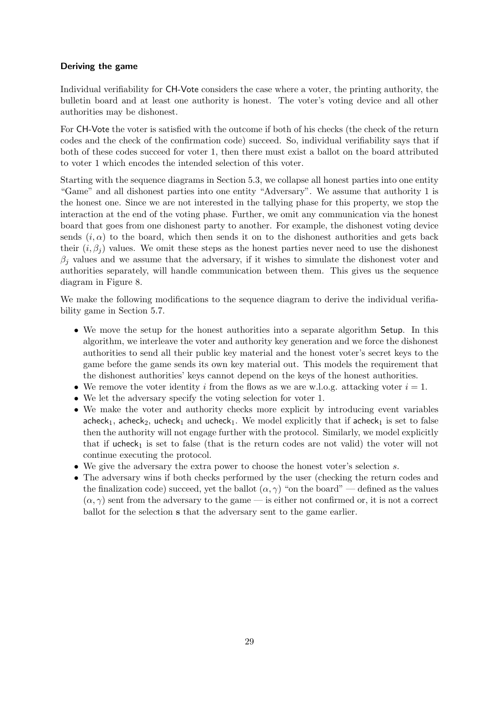## Deriving the game

Individual verifiability for CH-Vote considers the case where a voter, the printing authority, the bulletin board and at least one authority is honest. The voter's voting device and all other authorities may be dishonest.

For CH-Vote the voter is satisfied with the outcome if both of his checks (the check of the return codes and the check of the confirmation code) succeed. So, individual verifiability says that if both of these codes succeed for voter 1, then there must exist a ballot on the board attributed to voter 1 which encodes the intended selection of this voter.

Starting with the sequence diagrams in Section [5.3,](#page-21-0) we collapse all honest parties into one entity "Game" and all dishonest parties into one entity "Adversary". We assume that authority 1 is the honest one. Since we are not interested in the tallying phase for this property, we stop the interaction at the end of the voting phase. Further, we omit any communication via the honest board that goes from one dishonest party to another. For example, the dishonest voting device sends  $(i, \alpha)$  to the board, which then sends it on to the dishonest authorities and gets back their  $(i, \beta_i)$  values. We omit these steps as the honest parties never need to use the dishonest  $\beta_i$  values and we assume that the adversary, if it wishes to simulate the dishonest voter and authorities separately, will handle communication between them. This gives us the sequence diagram in Figure [8.](#page-29-0)

We make the following modifications to the sequence diagram to derive the individual verifiability game in Section [5.7.](#page-27-0)

- We move the setup for the honest authorities into a separate algorithm Setup. In this algorithm, we interleave the voter and authority key generation and we force the dishonest authorities to send all their public key material and the honest voter's secret keys to the game before the game sends its own key material out. This models the requirement that the dishonest authorities' keys cannot depend on the keys of the honest authorities.
- We remove the voter identity i from the flows as we are w.l.o.g. attacking voter  $i = 1$ .
- We let the adversary specify the voting selection for voter 1.
- We make the voter and authority checks more explicit by introducing event variables acheck<sub>1</sub>, acheck<sub>2</sub>, ucheck<sub>1</sub> and ucheck<sub>1</sub>. We model explicitly that if acheck<sub>1</sub> is set to false then the authority will not engage further with the protocol. Similarly, we model explicitly that if ucheck<sub>1</sub> is set to false (that is the return codes are not valid) the voter will not continue executing the protocol.
- We give the adversary the extra power to choose the honest voter's selection s.
- The adversary wins if both checks performed by the user (checking the return codes and the finalization code) succeed, yet the ballot  $(\alpha, \gamma)$  "on the board" — defined as the values  $(\alpha, \gamma)$  sent from the adversary to the game — is either not confirmed or, it is not a correct ballot for the selection s that the adversary sent to the game earlier.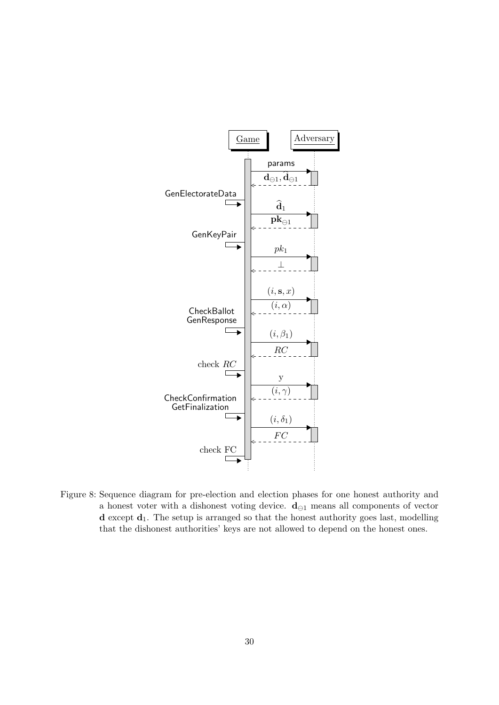

<span id="page-29-0"></span>Figure 8: Sequence diagram for pre-election and election phases for one honest authority and a honest voter with a dishonest voting device.  $\mathbf{d}_{\ominus 1}$  means all components of vector  $d$  except  $d_1$ . The setup is arranged so that the honest authority goes last, modelling that the dishonest authorities' keys are not allowed to depend on the honest ones.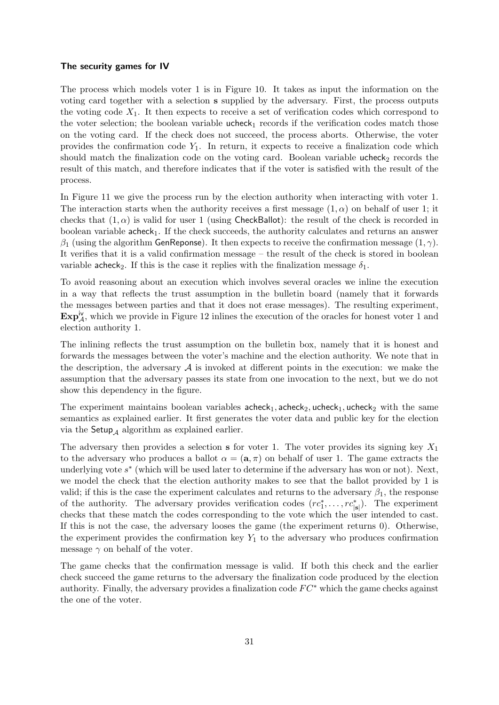#### The security games for IV

The process which models voter 1 is in Figure [10.](#page-32-0) It takes as input the information on the voting card together with a selection s supplied by the adversary. First, the process outputs the voting code  $X_1$ . It then expects to receive a set of verification codes which correspond to the voter selection; the boolean variable  $u$ check<sub>1</sub> records if the verification codes match those on the voting card. If the check does not succeed, the process aborts. Otherwise, the voter provides the confirmation code  $Y_1$ . In return, it expects to receive a finalization code which should match the finalization code on the voting card. Boolean variable ucheck<sub>2</sub> records the result of this match, and therefore indicates that if the voter is satisfied with the result of the process.

In Figure [11](#page-32-1) we give the process run by the election authority when interacting with voter 1. The interaction starts when the authority receives a first message  $(1, \alpha)$  on behalf of user 1; it checks that  $(1, \alpha)$  is valid for user 1 (using CheckBallot): the result of the check is recorded in boolean variable  $\alpha$ -check<sub>1</sub>. If the check succeeds, the authority calculates and returns an answer  $β_1$  (using the algorithm GenReponse). It then expects to receive the confirmation message  $(1, γ)$ . It verifies that it is a valid confirmation message – the result of the check is stored in boolean variable acheck<sub>2</sub>. If this is the case it replies with the finalization message  $\delta_1$ .

To avoid reasoning about an execution which involves several oracles we inline the execution in a way that reflects the trust assumption in the bulletin board (namely that it forwards the messages between parties and that it does not erase messages). The resulting experiment,  $\mathbf{Exp}^{\mathsf{iv}}_{\mathcal{A}}$ , which we provide in Figure [12](#page-33-1) inlines the execution of the oracles for honest voter 1 and election authority 1.

The inlining reflects the trust assumption on the bulletin box, namely that it is honest and forwards the messages between the voter's machine and the election authority. We note that in the description, the adversary  $A$  is invoked at different points in the execution: we make the assumption that the adversary passes its state from one invocation to the next, but we do not show this dependency in the figure.

The experiment maintains boolean variables  $\mathsf{acheck}_1$ , acheck<sub>2</sub>, ucheck<sub>1</sub>, ucheck<sub>2</sub> with the same semantics as explained earlier. It first generates the voter data and public key for the election via the  $\mathsf{Setup}_\mathcal{A}$  algorithm as explained earlier.

The adversary then provides a selection s for voter 1. The voter provides its signing key  $X_1$ to the adversary who produces a ballot  $\alpha = (\mathbf{a}, \pi)$  on behalf of user 1. The game extracts the underlying vote  $s^*$  (which will be used later to determine if the adversary has won or not). Next, we model the check that the election authority makes to see that the ballot provided by 1 is valid; if this is the case the experiment calculates and returns to the adversary  $\beta_1$ , the response of the authority. The adversary provides verification codes  $(re_1^*, \ldots, re_{|\mathbf{s}|}^*)$ . The experiment checks that these match the codes corresponding to the vote which the user intended to cast. If this is not the case, the adversary looses the game (the experiment returns 0). Otherwise, the experiment provides the confirmation key  $Y_1$  to the adversary who produces confirmation message  $\gamma$  on behalf of the voter.

The game checks that the confirmation message is valid. If both this check and the earlier check succeed the game returns to the adversary the finalization code produced by the election authority. Finally, the adversary provides a finalization code  $FC^*$  which the game checks against the one of the voter.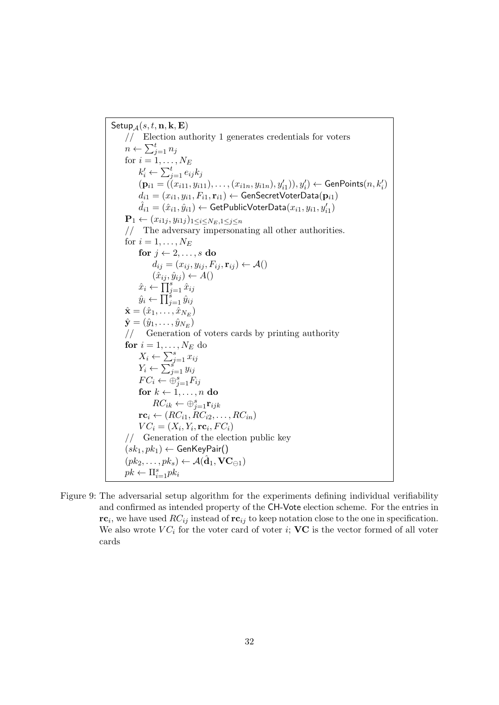Setup  $_A(s, t, n, k, E)$ // Election authority 1 generates credentials for voters  $n \leftarrow \sum_{j=1}^t n_j$ for  $i = 1, \ldots, N_E$  $k'_i \leftarrow \sum_{j=1}^t e_{ij} k_j$  $(\mathbf{p}_{i1} = ((x_{i11}, y_{i11}), \ldots, (x_{i1n}, y_{i1n}), y'_{i1})), y'_{i}) \leftarrow \mathsf{GenPoints}(n, k'_{i})$  $d_{i1} = (x_{i1}, y_{i1}, F_{i1}, \mathbf{r}_{i1}) \leftarrow \mathsf{GenSecretVoterData}(\mathbf{p}_{i1})$  $\hat{d}_{i1} = (\hat{x}_{i1}, \hat{y}_{i1}) \leftarrow \textsf{GetPublicVoterData}(x_{i1}, y_{i1}, y_{i1}')$  $\mathbf{P}_1 \leftarrow (x_{i1j}, y_{i1j})_{1 \leq i \leq N_E, 1 \leq j \leq n}$ // The adversary impersonating all other authorities. for  $i = 1, \ldots, N_E$ for  $j \leftarrow 2, \ldots, s$  do  $d_{ij} = (x_{ij}, y_{ij}, F_{ij}, \mathbf{r}_{ij}) \leftarrow \mathcal{A}()$  $(\hat{x}_{ij}, \hat{y}_{ij}) \leftarrow A()$  $\hat{x}_i \leftarrow \prod_{j=1}^s \hat{x}_{ij}$  $\hat{y}_i \leftarrow \prod_{j=1}^s \hat{y}_{ij}$  $\hat{\mathbf{x}}=(\hat{x}_1,\ldots,\hat{x}_{N_E})$  $\hat{\textbf{y}}=(\hat{y}_1,\ldots,\hat{y}_{N_E})$ // Generation of voters cards by printing authority for  $i = 1, \ldots, N_E$  do  $X_i \leftarrow \sum_{j=1}^s x_{ij}$  $Y_i \leftarrow \sum_{j=1}^s y_{ij}$  $FC_i \leftarrow \ddot{\oplus}_{j=1}^s F_{ij}$ for  $k \leftarrow 1, \ldots, n$  do  $RC_{ik} \leftarrow \bigoplus_{j=1}^{s} \mathbf{r}_{ijk}$  $\mathbf{rc}_i \leftarrow (RC_{i1}, RC_{i2}, \ldots, RC_{in})$  $VC_i = (X_i, Y_i, \mathbf{rc}_i, FC_i)$ // Generation of the election public key  $(sk_1, pk_1) \leftarrow$  GenKeyPair()  $(pk_2, \ldots, pk_s) \leftarrow \mathcal{A}(\hat{\mathbf{d}}_1, \mathbf{VC}_{\ominus 1})$  $pk \leftarrow \prod_{i=1}^s pk_i$ 

<span id="page-31-0"></span>Figure 9: The adversarial setup algorithm for the experiments defining individual verifiability and confirmed as intended property of the CH-Vote election scheme. For the entries in  $r\mathbf{c}_i$ , we have used  $RC_{ij}$  instead of  $r\mathbf{c}_{ij}$  to keep notation close to the one in specification. We also wrote  $VC_i$  for the voter card of voter i;  $VC$  is the vector formed of all voter cards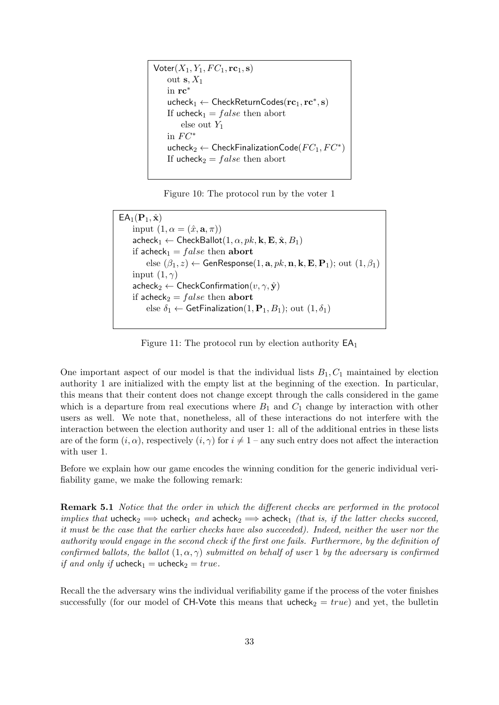$\mathsf{Voter}(X_1, Y_1, FC_1, \mathbf{rc}_1, \mathbf{s})$ out  $s, X_1$ in rc<sup>∗</sup>  $\mathsf{ucheck}_1 \leftarrow \mathsf{CheckReturnCodes}(\mathbf{rc}_1, \mathbf{rc}^*, \mathbf{s})$ If ucheck<sub>1</sub> =  $false$  then abort else out  $Y_1$ in  $FC^*$  $\mathsf{ucheck}_2 \leftarrow \mathsf{CheckFinalizationCode}(FC_1, FC^*)$ If ucheck<sub>2</sub> =  $false$  then abort

<span id="page-32-0"></span>Figure 10: The protocol run by the voter 1

```
EA_1(\mathbf{P}_1, \hat{\mathbf{x}})input (1, \alpha = (\hat{x}, \mathbf{a}, \pi))\mathsf{acheck}_1 \leftarrow \mathsf{CheckBallot}(1, \alpha, pk, \mathbf{k}, \mathbf{E}, \hat{\mathbf{x}}, B_1)if acheck<sub>1</sub> = false then abort
  else (\beta_1, z) \leftarrow GenResponse(1, a, pk, n, k, E, P_1); out (1, \beta_1)input (1, \gamma)\mathsf{acheck}_2 \leftarrow \mathsf{CheckConfirmation}(v, \gamma, \hat{\mathbf{y}})if acheck<sub>2</sub> = false then abort
  else \delta_1 \leftarrow \textsf{GetFinalization}(1,\mathbf{P}_1,B_1); out (1,\delta_1)
```
<span id="page-32-1"></span>Figure 11: The protocol run by election authority  $EA_1$ 

One important aspect of our model is that the individual lists  $B_1, C_1$  maintained by election authority 1 are initialized with the empty list at the beginning of the exection. In particular, this means that their content does not change except through the calls considered in the game which is a departure from real executions where  $B_1$  and  $C_1$  change by interaction with other users as well. We note that, nonetheless, all of these interactions do not interfere with the interaction between the election authority and user 1: all of the additional entries in these lists are of the form  $(i, \alpha)$ , respectively  $(i, \gamma)$  for  $i \neq 1$  – any such entry does not affect the interaction with user 1.

Before we explain how our game encodes the winning condition for the generic individual verifiability game, we make the following remark:

Remark 5.1 Notice that the order in which the different checks are performed in the protocol implies that ucheck<sub>2</sub>  $\implies$  ucheck<sub>1</sub> and acheck<sub>2</sub>  $\implies$  acheck<sub>1</sub> (that is, if the latter checks succeed, it must be the case that the earlier checks have also succeeded). Indeed, neither the user nor the authority would engage in the second check if the first one fails. Furthermore, by the definition of confirmed ballots, the ballot  $(1, \alpha, \gamma)$  submitted on behalf of user 1 by the adversary is confirmed if and only if ucheck<sub>1</sub> = ucheck<sub>2</sub> = true.

Recall the the adversary wins the individual verifiability game if the process of the voter finishes successfully (for our model of CH-Vote this means that  $ucheck_2 = true$ ) and yet, the bulletin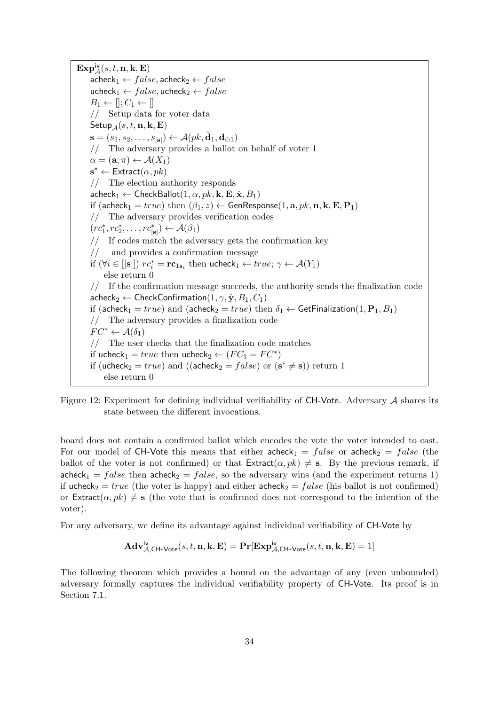$\mathbf{Exp}^{\mathsf{iv}}_{\mathcal{A}}(s,t,\mathbf{n},\mathbf{k},\mathbf{E})$  $\mathsf{acheck}_1 \leftarrow false$ , acheck $_2 \leftarrow false$ ucheck<sub>1</sub>  $\leftarrow false$ , ucheck<sub>2</sub>  $\leftarrow false$  $B_1 \leftarrow \left[ \left| \cdot, C_1 \leftarrow \right| \right]$ // Setup data for voter data Setup $_A(s, t, n, k, E)$  $\mathbf{s} = (s_1, s_2, \dots, s_{|\mathbf{s}|}) \leftarrow \mathcal{A}(pk, \hat{\mathbf{d}}_1, \mathbf{d}_{\ominus 1})$ // The adversary provides a ballot on behalf of voter 1  $\alpha = (\mathbf{a}, \pi) \leftarrow \mathcal{A}(X_1)$  $\mathbf{s}^* \leftarrow \textsf{Extract}(\alpha, pk)$ // The election authority responds  $\mathsf{acheck}_1 \leftarrow \mathsf{CheckBallot}(1, \alpha, pk, \mathbf{k}, \mathbf{E}, \hat{\mathbf{x}}, B_1)$ if (acheck<sub>1</sub> = true) then  $(\beta_1, z) \leftarrow$  GenResponse(1, a, pk, n, k, E, P<sub>1</sub>) // The adversary provides verification codes  $(re_1^*, re_2^*, \ldots, re_{|\mathbf{s}|}^* ) \leftarrow \mathcal{A}(\beta_1)$ // If codes match the adversary gets the confirmation key and provides a confirmation message if  $(\forall i \in [|\mathbf{s}|])$   $rc_i^* = \mathbf{rc}_{1\mathbf{s}_i}$  then ucheck $_1 \leftarrow true; \gamma \leftarrow \mathcal{A}(Y_1)$ else return 0 // If the confirmation message succeeds, the authority sends the finalization code  $\mathsf{acheck}_2 \leftarrow \mathsf{CheckConfirmation}(1, \gamma, \hat{\mathbf{y}}, B_1, C_1)$ if (acheck<sub>1</sub> = true) and (acheck<sub>2</sub> = true) then  $\delta_1 \leftarrow$  GetFinalization(1, P<sub>1</sub>, B<sub>1</sub>) // The adversary provides a finalization code  $FC^* \leftarrow \mathcal{A}(\delta_1)$ // The user checks that the finalization code matches if ucheck<sub>1</sub> = true then ucheck<sub>2</sub>  $\leftarrow$   $(FC_1 = FC^*)$ if (ucheck<sub>2</sub> = *true*) and ((acheck<sub>2</sub> = *false*) or  $(s^* \neq s)$ ) return 1 else return 0

<span id="page-33-1"></span>Figure 12: Experiment for defining individual verifiability of  $CH$ -Vote. Adversary A shares its state between the different invocations.

board does not contain a confirmed ballot which encodes the vote the voter intended to cast. For our model of CH-Vote this means that either acheck<sub>1</sub> = false or acheck<sub>2</sub> = false (the ballot of the voter is not confirmed) or that  $\textsf{Extract}(\alpha, pk) \neq s$ . By the previous remark, if acheck<sub>1</sub> = false then acheck<sub>2</sub> = false, so the adversary wins (and the experiment returns 1) if ucheck<sub>2</sub> = true (the voter is happy) and either acheck<sub>2</sub> = false (his ballot is not confirmed) or Extract( $\alpha, pk$ )  $\neq$  s (the vote that is confirmed does not correspond to the intention of the voter).

For any adversary, we define its advantage against individual verifiability of CH-Vote by

<span id="page-33-0"></span>
$$
\mathbf{Adv}_{\mathcal{A},\mathsf{CH}\textrm{-}\mathsf{Vote}}^{\mathsf{iv}}(s,t,\mathbf{n},\mathbf{k},\mathbf{E})=\mathbf{Pr}[\mathbf{Exp}_{\mathcal{A},\mathsf{CH}\textrm{-}\mathsf{Vote}}^{\mathsf{iv}}(s,t,\mathbf{n},\mathbf{k},\mathbf{E})=1]
$$

The following theorem which provides a bound on the advantage of any (even unbounded) adversary formally captures the individual verifiability property of CH-Vote. Its proof is in Section [7.1.](#page-63-1)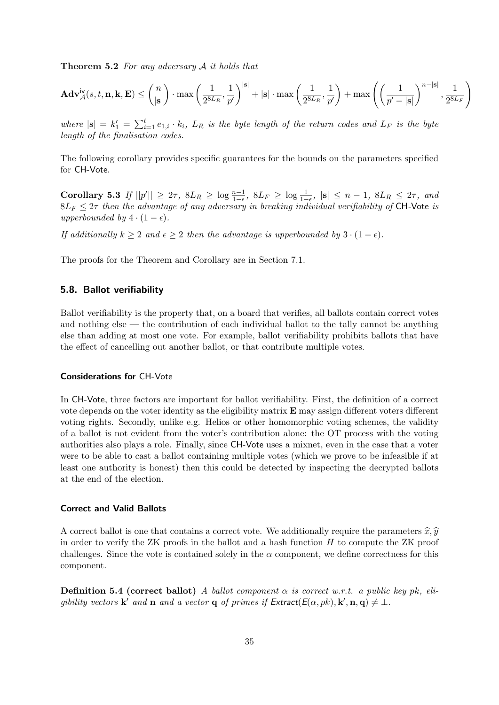Theorem 5.2 For any adversary A it holds that

$$
\mathbf{Adv}_{\mathcal{A}}^{\mathsf{iv}}(s,t,\mathbf{n},\mathbf{k},\mathbf{E}) \le \binom{n}{|\mathbf{s}|}\cdot\max\left(\frac{1}{2^{8L_{R}}},\frac{1}{p'}\right)^{|\mathbf{s}|}+|\mathbf{s}|\cdot\max\left(\frac{1}{2^{8L_{R}}},\frac{1}{p'}\right)+\max\left(\left(\frac{1}{p'-|\mathbf{s}|}\right)^{n-|\mathbf{s}|},\frac{1}{2^{8L_{F}}}\right)
$$

where  $|\mathbf{s}| = k_1' = \sum_{i=1}^t e_{1,i} \cdot k_i$ ,  $L_R$  is the byte length of the return codes and  $L_F$  is the byte length of the finalisation codes.

<span id="page-34-1"></span>The following corollary provides specific guarantees for the bounds on the parameters specified for CH-Vote.

Corollary 5.3 If  $||p'|| \geq 2\tau$ ,  $8L_R \geq \log \frac{n-1}{1-\epsilon}$ ,  $8L_F \geq \log \frac{1}{1-\epsilon}$ ,  $|s| \leq n-1$ ,  $8L_R \leq 2\tau$ , and  $8L_F \leq 2\tau$  then the advantage of any adversary in breaking individual verifiability of CH-Vote is upperbounded by  $4 \cdot (1 - \epsilon)$ .

If additionally  $k \geq 2$  and  $\epsilon \geq 2$  then the advantage is upperbounded by  $3 \cdot (1 - \epsilon)$ .

The proofs for the Theorem and Corollary are in Section [7.1.](#page-63-1)

## <span id="page-34-0"></span>5.8. Ballot verifiability

Ballot verifiability is the property that, on a board that verifies, all ballots contain correct votes and nothing else — the contribution of each individual ballot to the tally cannot be anything else than adding at most one vote. For example, ballot verifiability prohibits ballots that have the effect of cancelling out another ballot, or that contribute multiple votes.

## Considerations for CH-Vote

In CH-Vote, three factors are important for ballot verifiability. First, the definition of a correct vote depends on the voter identity as the eligibility matrix E may assign different voters different voting rights. Secondly, unlike e.g. Helios or other homomorphic voting schemes, the validity of a ballot is not evident from the voter's contribution alone: the OT process with the voting authorities also plays a role. Finally, since CH-Vote uses a mixnet, even in the case that a voter were to be able to cast a ballot containing multiple votes (which we prove to be infeasible if at least one authority is honest) then this could be detected by inspecting the decrypted ballots at the end of the election.

## Correct and Valid Ballots

A correct ballot is one that contains a correct vote. We additionally require the parameters  $\hat{x}, \hat{y}$ in order to verify the ZK proofs in the ballot and a hash function  $H$  to compute the ZK proof challenges. Since the vote is contained solely in the  $\alpha$  component, we define correctness for this component.

**Definition 5.4 (correct ballot)** A ballot component  $\alpha$  is correct w.r.t. a public key pk, eligibility vectors **k'** and **n** and a vector **q** of primes if  $\textsf{Extract}(\mathcal{E}(\alpha, pk), \mathbf{k}', \mathbf{n}, \mathbf{q}) \neq \bot$ .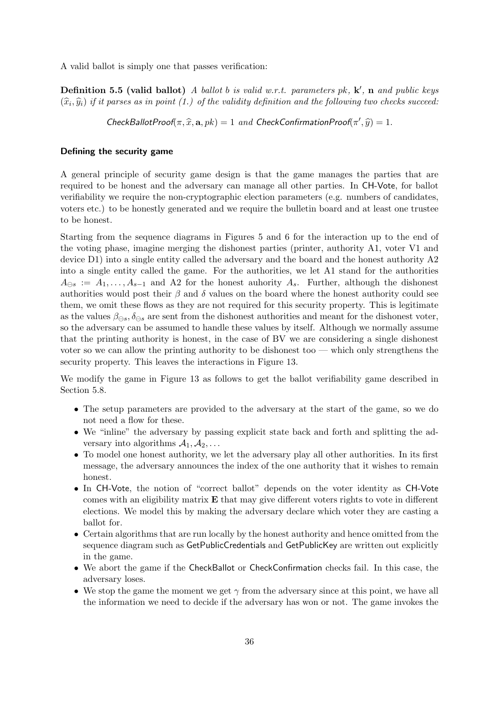A valid ballot is simply one that passes verification:

**Definition 5.5 (valid ballot)** A ballot b is valid w.r.t. parameters  $pk$ ,  $k'$ , n and public keys  $(\widehat{x}_i, \widehat{y}_i)$  if it parses as in point (1.) of the validity definition and the following two checks succeed:

 $\mathsf{CheckBallotProof}(\pi, \widehat{x}, \mathbf{a}, pk) = 1$  and  $\mathsf{CheckConfirmationProof}(\pi', \widehat{y}) = 1$ .

#### Defining the security game

A general principle of security game design is that the game manages the parties that are required to be honest and the adversary can manage all other parties. In CH-Vote, for ballot verifiability we require the non-cryptographic election parameters (e.g. numbers of candidates, voters etc.) to be honestly generated and we require the bulletin board and at least one trustee to be honest.

Starting from the sequence diagrams in Figures [5](#page-22-0) and [6](#page-23-0) for the interaction up to the end of the voting phase, imagine merging the dishonest parties (printer, authority A1, voter V1 and device D1) into a single entity called the adversary and the board and the honest authority A2 into a single entity called the game. For the authorities, we let A1 stand for the authorities  $A_{\ominus s} := A_1, \ldots, A_{s-1}$  and A2 for the honest auhority  $A_s$ . Further, although the dishonest authorities would post their  $\beta$  and  $\delta$  values on the board where the honest authority could see them, we omit these flows as they are not required for this security property. This is legitimate as the values  $\beta_{\ominus s}, \delta_{\ominus s}$  are sent from the dishonest authorities and meant for the dishonest voter, so the adversary can be assumed to handle these values by itself. Although we normally assume that the printing authority is honest, in the case of BV we are considering a single dishonest voter so we can allow the printing authority to be dishonest too — which only strengthens the security property. This leaves the interactions in Figure [13.](#page-36-0)

We modify the game in Figure [13](#page-36-0) as follows to get the ballot verifiability game described in Section [5.8.](#page-34-0)

- The setup parameters are provided to the adversary at the start of the game, so we do not need a flow for these.
- We "inline" the adversary by passing explicit state back and forth and splitting the adversary into algorithms  $A_1, A_2, \ldots$
- To model one honest authority, we let the adversary play all other authorities. In its first message, the adversary announces the index of the one authority that it wishes to remain honest.
- In CH-Vote, the notion of "correct ballot" depends on the voter identity as CH-Vote comes with an eligibility matrix  $E$  that may give different voters rights to vote in different elections. We model this by making the adversary declare which voter they are casting a ballot for.
- Certain algorithms that are run locally by the honest authority and hence omitted from the sequence diagram such as GetPublicCredentials and GetPublicKey are written out explicitly in the game.
- We abort the game if the CheckBallot or CheckConfirmation checks fail. In this case, the adversary loses.
- We stop the game the moment we get  $\gamma$  from the adversary since at this point, we have all the information we need to decide if the adversary has won or not. The game invokes the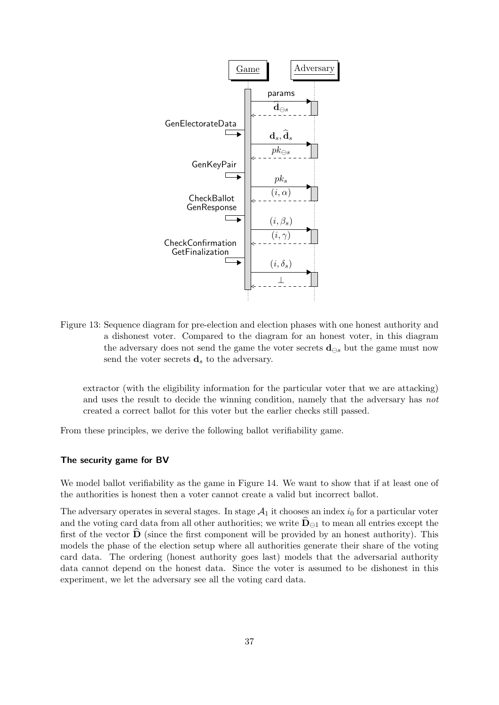

Figure 13: Sequence diagram for pre-election and election phases with one honest authority and a dishonest voter. Compared to the diagram for an honest voter, in this diagram the adversary does not send the game the voter secrets  $\mathbf{d}_{\ominus s}$  but the game must now send the voter secrets  $\mathbf{d}_s$  to the adversary.

extractor (with the eligibility information for the particular voter that we are attacking) and uses the result to decide the winning condition, namely that the adversary has not created a correct ballot for this voter but the earlier checks still passed.

From these principles, we derive the following ballot verifiability game.

#### The security game for BV

We model ballot verifiability as the game in Figure [14.](#page-37-0) We want to show that if at least one of the authorities is honest then a voter cannot create a valid but incorrect ballot.

The adversary operates in several stages. In stage  $A_1$  it chooses an index  $i_0$  for a particular voter and the voting card data from all other authorities; we write  $D_{\ominus 1}$  to mean all entries except the first of the vector  $\overline{D}$  (since the first component will be provided by an honest authority). This models the phase of the election setup where all authorities generate their share of the voting card data. The ordering (honest authority goes last) models that the adversarial authority data cannot depend on the honest data. Since the voter is assumed to be dishonest in this experiment, we let the adversary see all the voting card data.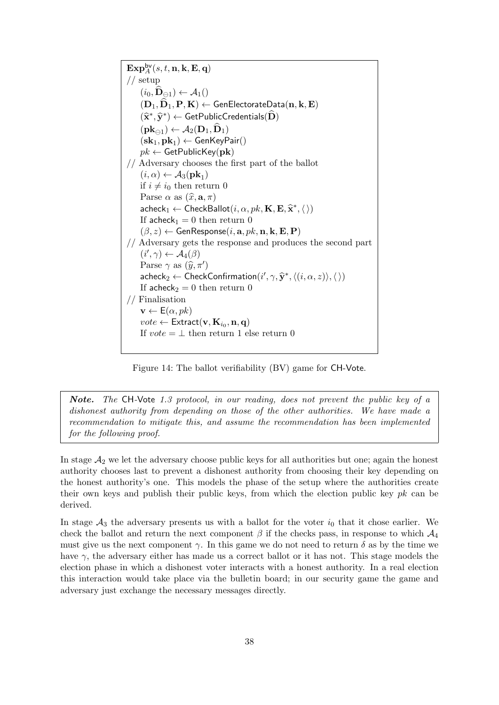$\mathbf{Exp}^{\mathsf{bv}}_A(s,t,\mathbf{n},\mathbf{k},\mathbf{E},\mathbf{q})$ // setup  $(i_0, \widehat{\mathbf{D}}_{\ominus 1}) \leftarrow \mathcal{A}_1()$  $(\mathbf{D}_1, \mathbf{\hat{D}}_1, \mathbf{P}, \mathbf{K}) \leftarrow \mathsf{GenElectorateData}(\mathbf{n}, \mathbf{k}, \mathbf{E})$  $(\widehat{\mathbf{x}}^*, \widehat{\mathbf{y}}^*) \leftarrow \mathsf{GetPublicCredentials}(\widehat{\mathbf{D}})$  $(\mathbf{pk}_{\ominus 1}) \leftarrow \mathcal{A}_2(\mathbf{D}_1, \mathbf{D}_1)$  $({\mathbf{sk}}_1, {\mathbf{pk}}_1) \leftarrow {\mathsf{GenKeyPair}}()$  $pk \leftarrow$  GetPublicKey(pk) // Adversary chooses the first part of the ballot  $(i, \alpha) \leftarrow \mathcal{A}_3(\mathbf{pk}_1)$ if  $i \neq i_0$  then return 0 Parse  $\alpha$  as  $(\widehat{x}, \mathbf{a}, \pi)$  $\mathsf{acheck}_1 \leftarrow \mathsf{CheckBallot}(i, \alpha, pk, \mathbf{K}, \mathbf{E}, \hat{\mathbf{x}}^*, \langle \rangle)$ If acheck<sub>1</sub> = 0 then return 0  $(\beta, z) \leftarrow$  GenResponse $(i, \mathbf{a}, \mathit{pk}, \mathbf{n}, \mathbf{k}, \mathbf{E}, \mathbf{P})$ // Adversary gets the response and produces the second part  $(i', \gamma) \leftarrow \mathcal{A}_4(\beta)$ Parse  $\gamma$  as  $(\widehat{y}, \pi')$ <br>cabcoles 4 Chock  $\mathsf{acheck}_2 \leftarrow \mathsf{CheckConfirmation}(i', \gamma, \hat{\mathbf{y}}^*, \langle (i, \alpha, z) \rangle, \langle \rangle)$ If acheck<sub>2</sub> = 0 then return 0 // Finalisation  $\mathbf{v} \leftarrow E(\alpha, pk)$  $\mathit{vote} \leftarrow \mathsf{Extract}(\mathbf{v}, \mathbf{K}_{i_0}, \mathbf{n}, \mathbf{q})$ If  $vote = \perp$  then return 1 else return 0

<span id="page-37-0"></span>Figure 14: The ballot verifiability (BV) game for CH-Vote.

Note. The CH-Vote 1.3 protocol, in our reading, does not prevent the public key of a dishonest authority from depending on those of the other authorities. We have made a recommendation to mitigate this, and assume the recommendation has been implemented for the following proof.

In stage  $\mathcal{A}_2$  we let the adversary choose public keys for all authorities but one; again the honest authority chooses last to prevent a dishonest authority from choosing their key depending on the honest authority's one. This models the phase of the setup where the authorities create their own keys and publish their public keys, from which the election public key  $pk$  can be derived.

In stage  $A_3$  the adversary presents us with a ballot for the voter  $i_0$  that it chose earlier. We check the ballot and return the next component  $\beta$  if the checks pass, in response to which  $\mathcal{A}_4$ must give us the next component  $\gamma$ . In this game we do not need to return  $\delta$  as by the time we have  $\gamma$ , the adversary either has made us a correct ballot or it has not. This stage models the election phase in which a dishonest voter interacts with a honest authority. In a real election this interaction would take place via the bulletin board; in our security game the game and adversary just exchange the necessary messages directly.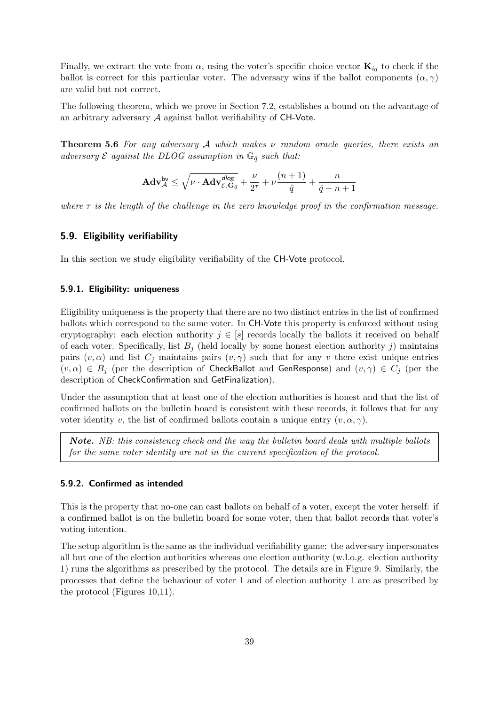Finally, we extract the vote from  $\alpha$ , using the voter's specific choice vector  $\mathbf{K}_{i_0}$  to check if the ballot is correct for this particular voter. The adversary wins if the ballot components  $(\alpha, \gamma)$ are valid but not correct.

The following theorem, which we prove in Section [7.2,](#page-70-0) establishes a bound on the advantage of an arbitrary adversary  $A$  against ballot verifiability of  $CH$ -Vote.

<span id="page-38-0"></span>**Theorem 5.6** For any adversary A which makes  $\nu$  random oracle queries, there exists an adversary  $\mathcal E$  against the DLOG assumption in  $\mathbb G_{\hat q}$  such that:

$$
\mathbf{Adv}_{\mathcal{A}}^{\mathsf{bv}} \leq \sqrt{\nu \cdot \mathbf{Adv}_{\mathcal{E},\mathbf{G}_{\hat{q}}}^{\mathsf{dlog}}} + \frac{\nu}{2^{\tau}} + \nu \frac{(n+1)}{\hat{q}} + \frac{n}{\hat{q}-n+1}
$$

where  $\tau$  is the length of the challenge in the zero knowledge proof in the confirmation message.

## 5.9. Eligibility verifiability

In this section we study eligibility verifiability of the CH-Vote protocol.

## 5.9.1. Eligibility: uniqueness

Eligibility uniqueness is the property that there are no two distinct entries in the list of confirmed ballots which correspond to the same voter. In CH-Vote this property is enforced without using cryptography: each election authority  $j \in [s]$  records locally the ballots it received on behalf of each voter. Specifically, list  $B_i$  (held locally by some honest election authority j) maintains pairs  $(v, \alpha)$  and list  $C_j$  maintains pairs  $(v, \gamma)$  such that for any v there exist unique entries  $(v, \alpha) \in B_j$  (per the description of CheckBallot and GenResponse) and  $(v, \gamma) \in C_j$  (per the description of CheckConfirmation and GetFinalization).

Under the assumption that at least one of the election authorities is honest and that the list of confirmed ballots on the bulletin board is consistent with these records, it follows that for any voter identity v, the list of confirmed ballots contain a unique entry  $(v, \alpha, \gamma)$ .

Note. NB: this consistency check and the way the bulletin board deals with multiple ballots for the same voter identity are not in the current specification of the protocol.

#### 5.9.2. Confirmed as intended

This is the property that no-one can cast ballots on behalf of a voter, except the voter herself: if a confirmed ballot is on the bulletin board for some voter, then that ballot records that voter's voting intention.

The setup algorithm is the same as the individual verifiability game: the adversary impersonates all but one of the election authorities whereas one election authority (w.l.o.g. election authority 1) runs the algorithms as prescribed by the protocol. The details are in Figure [9.](#page-31-0) Similarly, the processes that define the behaviour of voter 1 and of election authority 1 are as prescribed by the protocol (Figures [10](#page-32-0)[,11\)](#page-32-1).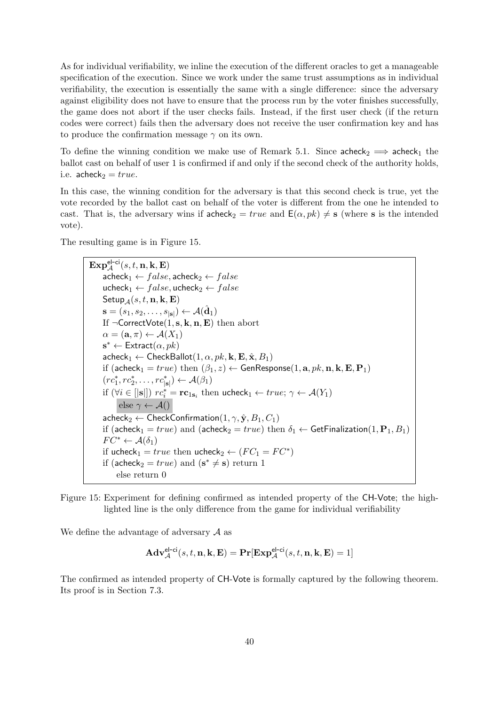As for individual verifiability, we inline the execution of the different oracles to get a manageable specification of the execution. Since we work under the same trust assumptions as in individual verifiability, the execution is essentially the same with a single difference: since the adversary against eligibility does not have to ensure that the process run by the voter finishes successfully, the game does not abort if the user checks fails. Instead, if the first user check (if the return codes were correct) fails then the adversary does not receive the user confirmation key and has to produce the confirmation message  $\gamma$  on its own.

To define the winning condition we make use of Remark [5.1.](#page-32-2) Since  $\text{acheck}_2 \implies \text{acheck}_1$  the ballot cast on behalf of user 1 is confirmed if and only if the second check of the authority holds, i.e.  $acheck<sub>2</sub> = true.$ 

In this case, the winning condition for the adversary is that this second check is true, yet the vote recorded by the ballot cast on behalf of the voter is different from the one he intended to cast. That is, the adversary wins if  $\mathsf{acheck}_2 = true$  and  $\mathsf{E}(\alpha, pk) \neq \mathsf{s}$  (where s is the intended vote).

The resulting game is in Figure [15.](#page-39-0)

 $\mathbf{Exp}^{\mathsf{el-ci}}_\mathcal{A}(s,t,\mathbf{n},\mathbf{k},\mathbf{E})$  $\mathsf{acheck}_1 \leftarrow false, \mathsf{acheck}_2 \leftarrow false$ ucheck<sub>1</sub> ←  $false$ , ucheck<sub>2</sub> ←  $false$ Setup<sub>A</sub> $(s, t, n, k, E)$  $\mathbf{s} = (s_1, s_2, \dots, s_{|\mathbf{s}|}) \leftarrow \mathcal{A}(\hat{\mathbf{d}}_1)$ If  $\neg$ CorrectVote $(1, s, k, n, E)$  then abort  $\alpha = (\mathbf{a}, \pi) \leftarrow \mathcal{A}(X_1)$  $\mathbf{s}^* \leftarrow$  Extract $(\alpha, pk)$  $\mathsf{acheck}_1 \leftarrow \mathsf{CheckBallot}(1, \alpha, \mathit{pk}, \mathbf{k}, \mathbf{E}, \hat{\mathbf{x}}, B_1)$ if (acheck<sub>1</sub> = true) then  $(\beta_1, z) \leftarrow$  GenResponse $(1, a, pk, n, k, E, P_1)$  $(re_1^*, re_2^*, \ldots, re_{|\mathbf{s}|}^* ) \leftarrow \mathcal{A}(\beta_1)$ if  $(\forall i \in [|s|])$   $rc_i^* = rc_{1s_i}$  then ucheck $_1 \leftarrow true; \gamma \leftarrow \mathcal{A}(Y_1)$ else  $\gamma \leftarrow \mathcal{A}()$  $\mathsf{acheck}_2 \leftarrow \mathsf{CheckConfirmation}(1, \gamma, \hat{\mathbf{y}}, B_1, C_1)$ if (acheck<sub>1</sub> = true) and (acheck<sub>2</sub> = true) then  $\delta_1 \leftarrow$  GetFinalization(1, P<sub>1</sub>, B<sub>1</sub>)  $FC^* \leftarrow \mathcal{A}(\delta_1)$ if ucheck<sub>1</sub> = true then ucheck<sub>2</sub>  $\leftarrow$   $(FC_1 = FC^*)$ if (acheck<sub>2</sub> =  $true$ ) and ( $\mathbf{s}^* \neq \mathbf{s}$ ) return 1 else return 0

<span id="page-39-0"></span>Figure 15: Experiment for defining confirmed as intended property of the CH-Vote; the highlighted line is the only difference from the game for individual verifiability

We define the advantage of adversary  $A$  as

$$
\mathbf{Adv}_{\mathcal{A}}^{\mathsf{el-ci}}(s,t,\mathbf{n},\mathbf{k},\mathbf{E})=\mathbf{Pr}[\mathbf{Exp}^{\mathsf{el-ci}}_{\mathcal{A}}(s,t,\mathbf{n},\mathbf{k},\mathbf{E})=1]
$$

The confirmed as intended property of CH-Vote is formally captured by the following theorem. Its proof is in Section [7.3.](#page-75-0)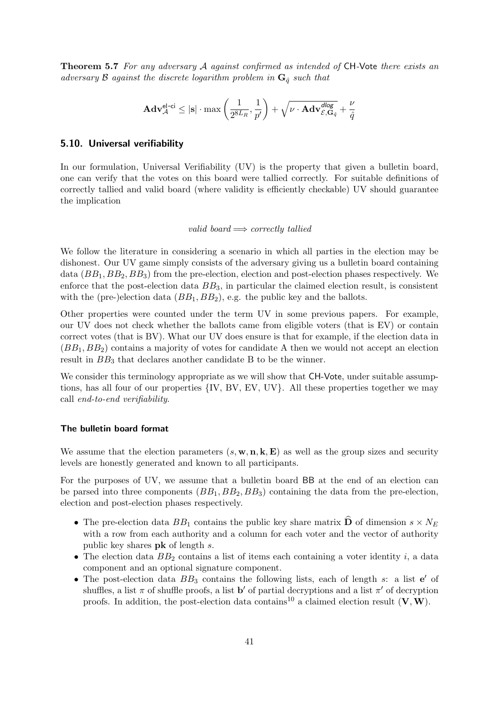**Theorem 5.7** For any adversary A against confirmed as intended of CH-Vote there exists an adversary B against the discrete logarithm problem in  $\mathbf{G}_{\hat{q}}$  such that

$$
\mathbf{Adv}_{\mathcal{A}}^{\mathsf{el-ci}} \leq |\mathbf{s}| \cdot \max \left( \frac{1}{2^{8L_R}}, \frac{1}{p'} \right) + \sqrt{\nu \cdot \mathbf{Adv}_{\mathcal{E}, \mathbf{G}_{\hat{q}}^{\mathit{dlog}}}} + \frac{\nu}{\hat{q}}
$$

#### 5.10. Universal verifiability

In our formulation, Universal Verifiability (UV) is the property that given a bulletin board, one can verify that the votes on this board were tallied correctly. For suitable definitions of correctly tallied and valid board (where validity is efficiently checkable) UV should guarantee the implication

#### valid board  $\implies$  correctly tallied

We follow the literature in considering a scenario in which all parties in the election may be dishonest. Our UV game simply consists of the adversary giving us a bulletin board containing data  $(BB_1, BB_2, BB_3)$  from the pre-election, election and post-election phases respectively. We enforce that the post-election data  $BB_3$ , in particular the claimed election result, is consistent with the (pre-)election data  $(BB_1, BB_2)$ , e.g. the public key and the ballots.

Other properties were counted under the term UV in some previous papers. For example, our UV does not check whether the ballots came from eligible voters (that is EV) or contain correct votes (that is BV). What our UV does ensure is that for example, if the election data in  $(BB_1, BB_2)$  contains a majority of votes for candidate A then we would not accept an election result in  $BB<sub>3</sub>$  that declares another candidate B to be the winner.

We consider this terminology appropriate as we will show that **CH-Vote**, under suitable assumptions, has all four of our properties {IV, BV, EV, UV}. All these properties together we may call end-to-end verifiability.

#### The bulletin board format

We assume that the election parameters  $(s, \mathbf{w}, \mathbf{n}, \mathbf{k}, \mathbf{E})$  as well as the group sizes and security levels are honestly generated and known to all participants.

For the purposes of UV, we assume that a bulletin board BB at the end of an election can be parsed into three components  $(BB_1, BB_2, BB_3)$  containing the data from the pre-election, election and post-election phases respectively.

- The pre-election data  $BB_1$  contains the public key share matrix  $\widehat{\mathbf{D}}$  of dimension  $s \times N_E$ with a row from each authority and a column for each voter and the vector of authority public key shares pk of length s.
- The election data  $BB_2$  contains a list of items each containing a voter identity i, a data component and an optional signature component.
- The post-election data  $BB_3$  contains the following lists, each of length s: a list  $e'$  of shuffles, a list  $\pi$  of shuffle proofs, a list **b'** of partial decryptions and a list  $\pi'$  of decryption proofs. In addition, the post-election data contains<sup>[10](#page-41-0)</sup> a claimed election result  $(V, W)$ .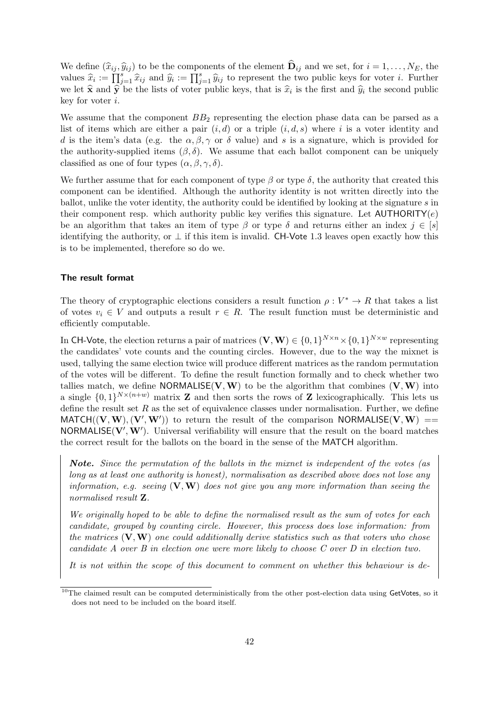We define  $(\widehat{x}_{ij}, \widehat{y}_{ij})$  to be the components of the element  $\widehat{\mathbf{D}}_{ij}$  and we set, for  $i = 1, \ldots, N_E$ , the values  $\hat{x}_i := \prod_{j=1}^s \hat{x}_{ij}$  and  $\hat{y}_i := \prod_{j=1}^s \hat{y}_{ij}$  to represent the two public keys for voter *i*. Further we let  $\hat{\mathbf{x}}$  and  $\hat{\mathbf{y}}$  be the lists of voter public keys, that is  $\hat{x}_i$  is the first and  $\hat{y}_i$  the second public level for voter i key for voter i.

We assume that the component  $BB<sub>2</sub>$  representing the election phase data can be parsed as a list of items which are either a pair  $(i, d)$  or a triple  $(i, d, s)$  where i is a voter identity and d is the item's data (e.g. the  $\alpha, \beta, \gamma$  or  $\delta$  value) and s is a signature, which is provided for the authority-supplied items  $(\beta, \delta)$ . We assume that each ballot component can be uniquely classified as one of four types  $(\alpha, \beta, \gamma, \delta)$ .

We further assume that for each component of type  $\beta$  or type  $\delta$ , the authority that created this component can be identified. Although the authority identity is not written directly into the ballot, unlike the voter identity, the authority could be identified by looking at the signature s in their component resp. which authority public key verifies this signature. Let  $\text{AUTHORITY}(e)$ be an algorithm that takes an item of type  $\beta$  or type  $\delta$  and returns either an index  $j \in [s]$ identifying the authority, or  $\perp$  if this item is invalid. CH-Vote 1.3 leaves open exactly how this is to be implemented, therefore so do we.

#### The result format

The theory of cryptographic elections considers a result function  $\rho: V^* \to R$  that takes a list of votes  $v_i \in V$  and outputs a result  $r \in R$ . The result function must be deterministic and efficiently computable.

In CH-Vote, the election returns a pair of matrices  $(V, W) \in \{0, 1\}^{N \times n} \times \{0, 1\}^{N \times w}$  representing the candidates' vote counts and the counting circles. However, due to the way the mixnet is used, tallying the same election twice will produce different matrices as the random permutation of the votes will be different. To define the result function formally and to check whether two tallies match, we define NORMALISE(V, W) to be the algorithm that combines  $(V, W)$  into a single  $\{0,1\}^{N\times(n+w)}$  matrix **Z** and then sorts the rows of **Z** lexicographically. This lets us define the result set  $R$  as the set of equivalence classes under normalisation. Further, we define MATCH $((V, W), (V', W'))$  to return the result of the comparison NORMALISE $(V, W)$  == NORMALISE( $V', W'$ ). Universal verifiability will ensure that the result on the board matches the correct result for the ballots on the board in the sense of the MATCH algorithm.

Note. Since the permutation of the ballots in the mixnet is independent of the votes (as long as at least one authority is honest), normalisation as described above does not lose any information, e.g. seeing  $(V, W)$  does not give you any more information than seeing the normalised result Z.

We originally hoped to be able to define the normalised result as the sum of votes for each candidate, grouped by counting circle. However, this process does lose information: from the matrices  $(V, W)$  one could additionally derive statistics such as that voters who chose candidate A over B in election one were more likely to choose C over D in election two.

It is not within the scope of this document to comment on whether this behaviour is de-

<span id="page-41-0"></span><sup>&</sup>lt;sup>10</sup>The claimed result can be computed deterministically from the other post-election data using GetVotes, so it does not need to be included on the board itself.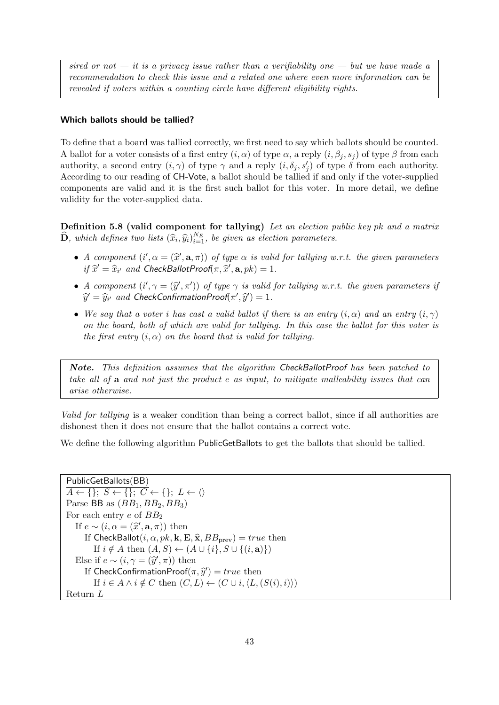sired or not  $-$  it is a privacy issue rather than a verifiability one  $-$  but we have made a recommendation to check this issue and a related one where even more information can be revealed if voters within a counting circle have different eligibility rights.

## Which ballots should be tallied?

To define that a board was tallied correctly, we first need to say which ballots should be counted. A ballot for a voter consists of a first entry  $(i, \alpha)$  of type  $\alpha$ , a reply  $(i, \beta_i, s_i)$  of type  $\beta$  from each authority, a second entry  $(i, \gamma)$  of type  $\gamma$  and a reply  $(i, \delta_j, s'_j)$  of type  $\delta$  from each authority. According to our reading of CH-Vote, a ballot should be tallied if and only if the voter-supplied components are valid and it is the first such ballot for this voter. In more detail, we define validity for the voter-supplied data.

Definition 5.8 (valid component for tallying) Let an election public key pk and a matrix  $\widehat{\mathbf{D}}$ , which defines two lists  $(\widehat{x}_i, \widehat{y}_i)_{i=1}^{N_E}$ , be given as election parameters.

- A component  $(i', \alpha = (\hat{x}', \mathbf{a}, \pi))$  of type  $\alpha$  is valid for tallying w.r.t. the given parameters if  $\hat{x}' = \hat{x}$ , and ChackBallatProof  $\pi$ ,  $\hat{x}'$ , and  $\alpha$ ,  $\alpha$ ,  $\alpha$ ,  $\alpha$ ,  $\alpha$ ,  $\alpha$ ,  $\alpha$ ,  $\alpha$ ,  $\alpha$ ,  $\alpha$ ,  $\alpha$ ,  $\$ if  $\widehat{x}' = \widehat{x}_{i'}$  and CheckBallotProof( $\pi, \widehat{x}', \mathbf{a}, pk$ ) = 1.
- A component  $(i', \gamma = (\hat{y}', \pi'))$  of type  $\gamma$  is valid for tallying w.r.t. the given parameters if  $\hat{y}' = \hat{y}$ , and ChockConfirmationProof( $\pi'$ ,  $\hat{y}'$ ) 1  $\widehat{y}' = \widehat{y}_{i'}$  and CheckConfirmationProof $(\pi', \widehat{y}') = 1$ .
- We say that a voter i has cast a valid ballot if there is an entry  $(i, \alpha)$  and an entry  $(i, \gamma)$ on the board, both of which are valid for tallying. In this case the ballot for this voter is the first entry  $(i, \alpha)$  on the board that is valid for tallying.

Note. This definition assumes that the algorithm CheckBallotProof has been patched to take all of a and not just the product e as input, to mitigate malleability issues that can arise otherwise.

Valid for tallying is a weaker condition than being a correct ballot, since if all authorities are dishonest then it does not ensure that the ballot contains a correct vote.

We define the following algorithm PublicGetBallots to get the ballots that should be tallied.

```
PublicGetBallots(BB)
\overline{A \leftarrow \{\}; S \leftarrow \{\}; C \leftarrow \{\}; L \leftarrow \langle \rangleParse BB as (BB_1, BB_2, BB_3)For each entry e of BB<sub>2</sub>If e \sim (i, \alpha = (\hat{x}', \mathbf{a}, \pi)) then<br>If ChockBallot(i, \alpha, \eta) k E
         If CheckBallot(i, \alpha, pk, \mathbf{k}, \mathbf{E}, \hat{\mathbf{x}}, BB_{\text{prev}}) = true then
              If i \notin A then (A, S) \leftarrow (A \cup \{i\}, S \cup \{(i, a)\})Else if e \sim (i, \gamma = (\hat{y}', \pi)) then<br>If ChackConfirmation Proof (π
          If CheckConfirmationProof(\pi, \hat{y}') = true then<br>
If \hat{y} \in A \land \hat{y} \notin C then (C, I) \neq (C \cup \hat{y}/I)If i \in A \wedge i \notin C then (C, L) \leftarrow (C \cup i, \langle L, (S(i), i) \rangle)Return L
```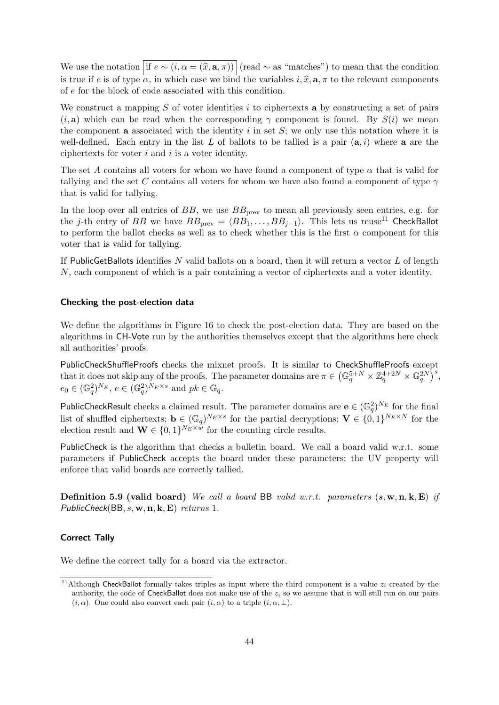We use the notation if  $e \sim (i, \alpha = (\hat{x}, \mathbf{a}, \pi))$  (read ∼ as "matches") to mean that the condition is true if e is of type  $\alpha$ , in which case we bind the variables  $i, \hat{x}$ ,  $\mathbf{a}, \pi$  to the relevant components of e for the block of code associated with this condition.

We construct a mapping  $S$  of voter identities  $i$  to ciphertexts a by constructing a set of pairs  $(i, a)$  which can be read when the corresponding  $\gamma$  component is found. By  $S(i)$  we mean the component **a** associated with the identity i in set  $S$ ; we only use this notation where it is well-defined. Each entry in the list L of ballots to be tallied is a pair  $(a, i)$  where a are the ciphertexts for voter  $i$  and  $i$  is a voter identity.

The set A contains all voters for whom we have found a component of type  $\alpha$  that is valid for tallying and the set C contains all voters for whom we have also found a component of type  $\gamma$ that is valid for tallying.

In the loop over all entries of  $BB$ , we use  $BB<sub>prev</sub>$  to mean all previously seen entries, e.g. for the j-th entry of BB we have  $BB_{prev} = \langle BB_1, \ldots, BB_{j-1} \rangle$ . This lets us reuse<sup>[11](#page-43-0)</sup> CheckBallot to perform the ballot checks as well as to check whether this is the first  $\alpha$  component for this voter that is valid for tallying.

If PublicGetBallots identifies  $N$  valid ballots on a board, then it will return a vector  $L$  of length N, each component of which is a pair containing a vector of ciphertexts and a voter identity.

#### Checking the post-election data

We define the algorithms in Figure [16](#page-44-0) to check the post-election data. They are based on the algorithms in CH-Vote run by the authorities themselves except that the algorithms here check all authorities' proofs.

PublicCheckShuffleProofs checks the mixnet proofs. It is similar to CheckShuffleProofs except that it does not skip any of the proofs. The parameter domains are  $\pi \in (\mathbb{G}_q^{5+N} \times \mathbb{Z}_q^{4+2N} \times \mathbb{G}_q^{2N})^s$ ,  $e_0 \in (\mathbb{G}_q^2)^{N_E}, e \in (\mathbb{G}_q^2)^{N_E \times s}$  and  $pk \in \mathbb{G}_q$ .

PublicCheckResult checks a claimed result. The parameter domains are  $e \in (\mathbb{G}_q^2)^{N_E}$  for the final list of shuffled ciphertexts;  $\mathbf{b} \in (\mathbb{G}_q)^{N_E \times s}$  for the partial decryptions;  $\mathbf{V} \in \{0,1\}^{N_E \times N}$  for the election result and  $\mathbf{W} \in \{0,1\}^{N_E \times w}$  for the counting circle results.

PublicCheck is the algorithm that checks a bulletin board. We call a board valid w.r.t. some parameters if PublicCheck accepts the board under these parameters; the UV property will enforce that valid boards are correctly tallied.

**Definition 5.9 (valid board)** We call a board BB valid w.r.t. parameters  $(s, w, n, k, E)$  if PublicCheck(BB,  $s$ ,  $\mathbf{w}$ ,  $\mathbf{n}$ ,  $\mathbf{k}$ ,  $\mathbf{E}$ ) returns 1.

## Correct Tally

We define the correct tally for a board via the extractor.

<span id="page-43-0"></span><sup>&</sup>lt;sup>11</sup>Although CheckBallot formally takes triples as input where the third component is a value  $z_i$  created by the authority, the code of CheckBallot does not make use of the  $z_i$  so we assume that it will still run on our pairs  $(i, \alpha)$ . One could also convert each pair  $(i, \alpha)$  to a triple  $(i, \alpha, \perp)$ .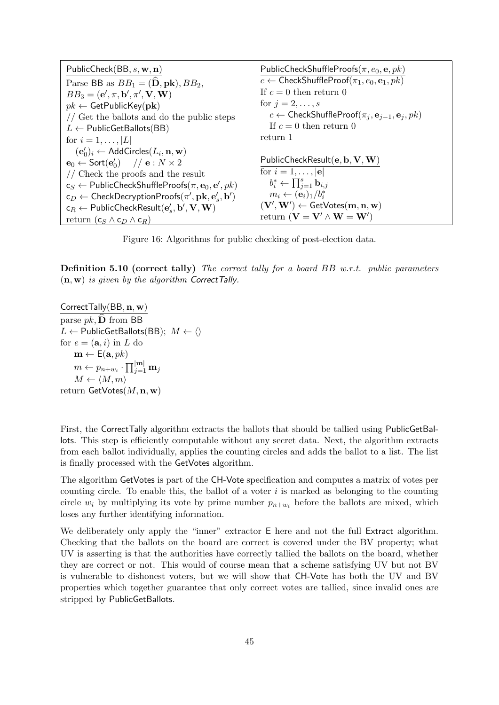| PublicCheck(BB, $s$ , $\mathbf{w}$ , $\mathbf{n}$ )                                      | PublicCheckShuffleProofs $(\pi, e_0, e, pk)$                                   |
|------------------------------------------------------------------------------------------|--------------------------------------------------------------------------------|
| Parse BB as $BB_1 = (\hat{\mathbf{D}}, \mathbf{pk}), BB_2$ ,                             | $c \leftarrow$ CheckShuffleProof $(\pi_1, e_0, \mathbf{e}_1, pk)$              |
| $BB_3 = (\mathbf{e}', \pi, \mathbf{b}', \pi', \mathbf{V}, \mathbf{W})$                   | If $c = 0$ then return 0                                                       |
| $pk \leftarrow \textsf{GetPublicKey}(\textbf{pk})$                                       | for $j=2,\ldots,s$                                                             |
| // Get the ballots and do the public steps                                               | $c \leftarrow$ CheckShuffleProof $(\pi_j, \mathbf{e}_{j-1}, \mathbf{e}_j, pk)$ |
| $L \leftarrow$ PublicGetBallots(BB)                                                      | If $c = 0$ then return 0                                                       |
| for $i = 1, ,  L $                                                                       | return 1                                                                       |
| $(\mathbf{e}'_0)_i \leftarrow$ AddCircles $(L_i, \mathbf{n}, \mathbf{w})$                |                                                                                |
| $\mathbf{e}_0 \leftarrow \mathsf{Sort}(\mathbf{e}'_0)$ // $\mathbf{e}: N \times 2$       | PublicCheckResult $(e, b, V, W)$                                               |
| // Check the proofs and the result                                                       | for $i = 1, \ldots,  \mathbf{e} $                                              |
| $c_S \leftarrow$ PublicCheckShuffleProofs $(\pi, \mathbf{e}_0, \mathbf{e}', pk)$         | $b_i^* \leftarrow \prod_{j=1}^s \mathbf{b}_{i,j}$                              |
| $c_D \leftarrow$ CheckDecryptionProofs $(\pi', \mathbf{pk}, \mathbf{e}'_s, \mathbf{b}')$ | $m_i \leftarrow (\mathbf{e}_i)_1/b_i^*$                                        |
| $c_R \leftarrow$ PublicCheckResult $(e'_s, b', V, W)$                                    | $(V', W') \leftarrow$ GetVotes $(m, n, w)$                                     |
| return $(c_S \wedge c_D \wedge c_R)$                                                     | return $(\mathbf{V} = \mathbf{V}' \wedge \mathbf{W} = \mathbf{W}')$            |

<span id="page-44-0"></span>Figure 16: Algorithms for public checking of post-election data.

Definition 5.10 (correct tally) The correct tally for a board BB w.r.t. public parameters  $(n, w)$  is given by the algorithm CorrectTally.

CorrectTally(BB,  $n, w$ ) parse  $pk$ ,  $\widehat{\mathbf{D}}$  from BB  $L \leftarrow$  PublicGetBallots(BB);  $M \leftarrow \langle \rangle$ for  $e = (\mathbf{a}, i)$  in L do  $\mathbf{m} \leftarrow \mathsf{E}(\mathbf{a}, \mathit{pk})$  $m \leftarrow p_{n+w_i} \cdot \prod_{j=1}^{|\mathbf{m}|} \mathbf{m}_j$  $M \leftarrow \langle M, m \rangle$ return  $\mathsf{GetVotes}(M, \mathbf{n}, \mathbf{w})$ 

First, the CorrectTally algorithm extracts the ballots that should be tallied using PublicGetBallots. This step is efficiently computable without any secret data. Next, the algorithm extracts from each ballot individually, applies the counting circles and adds the ballot to a list. The list is finally processed with the GetVotes algorithm.

The algorithm GetVotes is part of the CH-Vote specification and computes a matrix of votes per counting circle. To enable this, the ballot of a voter  $i$  is marked as belonging to the counting circle  $w_i$  by multiplying its vote by prime number  $p_{n+w_i}$  before the ballots are mixed, which loses any further identifying information.

We deliberately only apply the "inner" extractor E here and not the full Extract algorithm. Checking that the ballots on the board are correct is covered under the BV property; what UV is asserting is that the authorities have correctly tallied the ballots on the board, whether they are correct or not. This would of course mean that a scheme satisfying UV but not BV is vulnerable to dishonest voters, but we will show that CH-Vote has both the UV and BV properties which together guarantee that only correct votes are tallied, since invalid ones are stripped by PublicGetBallots.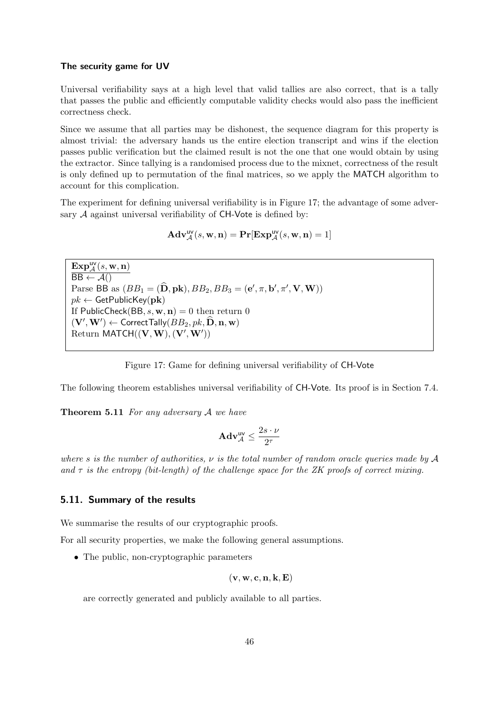#### The security game for UV

Universal verifiability says at a high level that valid tallies are also correct, that is a tally that passes the public and efficiently computable validity checks would also pass the inefficient correctness check.

Since we assume that all parties may be dishonest, the sequence diagram for this property is almost trivial: the adversary hands us the entire election transcript and wins if the election passes public verification but the claimed result is not the one that one would obtain by using the extractor. Since tallying is a randomised process due to the mixnet, correctness of the result is only defined up to permutation of the final matrices, so we apply the MATCH algorithm to account for this complication.

The experiment for defining universal verifiability is in Figure [17;](#page-45-0) the advantage of some adversary  $A$  against universal verifiability of CH-Vote is defined by:

$$
\mathbf{Adv}_{\mathcal{A}}^{\mathsf{uv}}(s, \mathbf{w}, \mathbf{n}) = \mathbf{Pr}[\mathbf{Exp}_{\mathcal{A}}^{\mathsf{uv}}(s, \mathbf{w}, \mathbf{n}) = 1]
$$

 $\mathbf{Exp}^{\mathsf{uv}}_{\mathcal{A}}(s,\mathbf{w},\mathbf{n})$  $\overline{BB \leftarrow \mathcal{A}}()$ Parse BB as  $(BB_1 = (\hat{\mathbf{D}}, \mathbf{pk}), BB_2, BB_3 = (\mathbf{e}', \pi, \mathbf{b}', \pi', \mathbf{V}, \mathbf{W}))$  $pk \leftarrow \textsf{GetPublicKey}(\textbf{pk})$ If PublicCheck(BB,  $s$ ,  $\mathbf{w}$ ,  $\mathbf{n}$ ) = 0 then return 0  $(\mathbf{V}', \mathbf{W}') \leftarrow \textsf{CorrectTally}(BB_2, pk, \hat{\mathbf{D}}, \mathbf{n}, \mathbf{w})$ Return MATCH $((V, W), (V', W'))$ 

<span id="page-45-0"></span>Figure 17: Game for defining universal verifiability of CH-Vote

The following theorem establishes universal verifiability of CH-Vote. Its proof is in Section [7.4.](#page-79-0)

Theorem 5.11 For any adversary A we have

$$
\mathbf{Adv}_{\mathcal{A}}^{\mathsf{uv}} \leq \frac{2s \cdot \nu}{2^{\tau}}
$$

where s is the number of authorities,  $\nu$  is the total number of random oracle queries made by  $\mathcal A$ and  $\tau$  is the entropy (bit-length) of the challenge space for the ZK proofs of correct mixing.

#### 5.11. Summary of the results

We summarise the results of our cryptographic proofs.

For all security properties, we make the following general assumptions.

• The public, non-cryptographic parameters

$$
(\mathbf{v},\mathbf{w},\mathbf{c},\mathbf{n},\mathbf{k},\mathbf{E})
$$

are correctly generated and publicly available to all parties.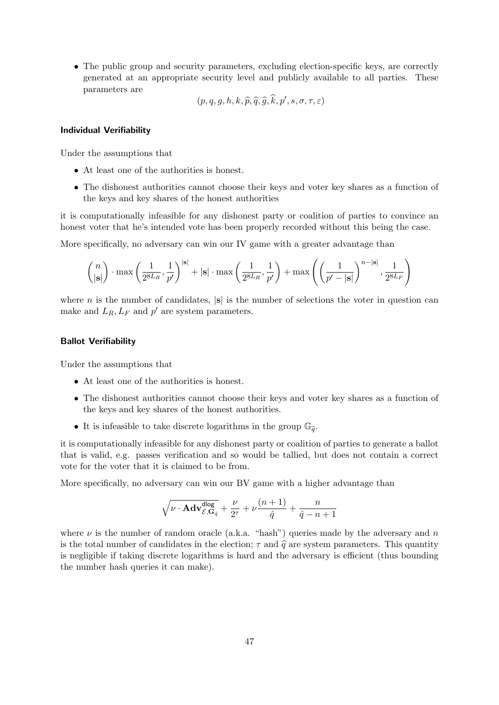• The public group and security parameters, excluding election-specific keys, are correctly generated at an appropriate security level and publicly available to all parties. These parameters are

$$
(p, q, g, h, k, \widehat{p}, \widehat{q}, \widehat{g}, \widehat{k}, p', s, \sigma, \tau, \varepsilon)
$$

#### Individual Verifiability

Under the assumptions that

- At least one of the authorities is honest.
- The dishonest authorities cannot choose their keys and voter key shares as a function of the keys and key shares of the honest authorities

it is computationally infeasible for any dishonest party or coalition of parties to convince an honest voter that he's intended vote has been properly recorded without this being the case.

More specifically, no adversary can win our IV game with a greater advantage than

$$
\binom{n}{|\mathbf{s}|}\cdot\max\left(\frac{1}{2^{8L_R}},\frac{1}{p'}\right)^{|\mathbf{s}|}+|\mathbf{s}|\cdot\max\left(\frac{1}{2^{8L_R}},\frac{1}{p'}\right)+\max\left(\left(\frac{1}{p'-|\mathbf{s}|}\right)^{n-|\mathbf{s}|},\frac{1}{2^{8L_F}}\right)
$$

where n is the number of candidates,  $|\mathbf{s}|$  is the number of selections the voter in question can make and  $L_R$ ,  $L_F$  and  $p'$  are system parameters.

### Ballot Verifiability

Under the assumptions that

- At least one of the authorities is honest.
- The dishonest authorities cannot choose their keys and voter key shares as a function of the keys and key shares of the honest authorities.
- It is infeasible to take discrete logarithms in the group  $\mathbb{G}_{\hat{\sigma}}$ .

it is computationally infeasible for any dishonest party or coalition of parties to generate a ballot that is valid, e.g. passes verification and so would be tallied, but does not contain a correct vote for the voter that it is claimed to be from.

More specifically, no adversary can win our BV game with a higher advantage than

$$
\sqrt{\nu \cdot \mathbf{Adv}_{\mathcal{E},\mathbf{G}_{\hat{q}}}^{\mathsf{dlog}}} + \frac{\nu}{2^\tau} + \nu\frac{(n+1)}{\hat{q}} + \frac{n}{\hat{q}-n+1}
$$

where  $\nu$  is the number of random oracle (a.k.a. "hash") queries made by the adversary and n is the total number of candidates in the election;  $\tau$  and  $\hat{q}$  are system parameters. This quantity is negligible if taking discrete logarithms is hard and the adversary is efficient (thus bounding the number hash queries it can make).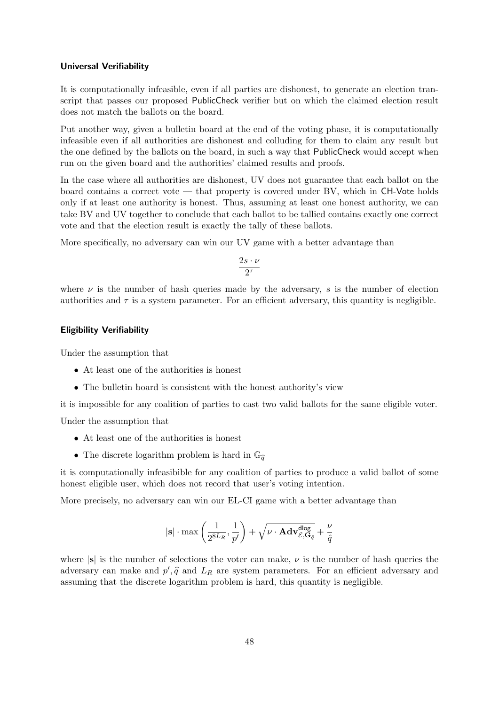#### Universal Verifiability

It is computationally infeasible, even if all parties are dishonest, to generate an election transcript that passes our proposed PublicCheck verifier but on which the claimed election result does not match the ballots on the board.

Put another way, given a bulletin board at the end of the voting phase, it is computationally infeasible even if all authorities are dishonest and colluding for them to claim any result but the one defined by the ballots on the board, in such a way that PublicCheck would accept when run on the given board and the authorities' claimed results and proofs.

In the case where all authorities are dishonest, UV does not guarantee that each ballot on the board contains a correct vote — that property is covered under BV, which in CH-Vote holds only if at least one authority is honest. Thus, assuming at least one honest authority, we can take BV and UV together to conclude that each ballot to be tallied contains exactly one correct vote and that the election result is exactly the tally of these ballots.

More specifically, no adversary can win our UV game with a better advantage than

$$
\frac{2s\cdot\nu}{2^{\tau}}
$$

where  $\nu$  is the number of hash queries made by the adversary, s is the number of election authorities and  $\tau$  is a system parameter. For an efficient adversary, this quantity is negligible.

#### Eligibility Verifiability

Under the assumption that

- At least one of the authorities is honest
- The bulletin board is consistent with the honest authority's view

it is impossible for any coalition of parties to cast two valid ballots for the same eligible voter.

Under the assumption that

- At least one of the authorities is honest
- The discrete logarithm problem is hard in  $\mathbb{G}_{\widehat{q}}$

it is computationally infeasibible for any coalition of parties to produce a valid ballot of some honest eligible user, which does not record that user's voting intention.

More precisely, no adversary can win our EL-CI game with a better advantage than

$$
|\mathbf{s}| \cdot \max\left(\frac{1}{2^{8L_R}}, \frac{1}{p'}\right) + \sqrt{\nu \cdot \mathbf{Adv}^{\sf dlog}_{\mathcal{E}, \mathbf{G}_{\hat{q}}}} + \frac{\nu}{\hat{q}}
$$

where  $|s|$  is the number of selections the voter can make,  $\nu$  is the number of hash queries the adversary can make and  $p', \hat{q}$  and  $L_R$  are system parameters. For an efficient adversary and<br>accuming that the discrete locarithm problem is hard, this quantity is possibile assuming that the discrete logarithm problem is hard, this quantity is negligible.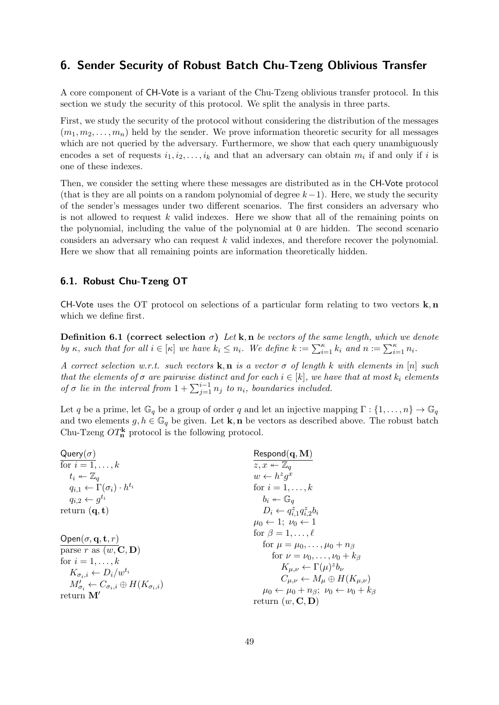# 6. Sender Security of Robust Batch Chu-Tzeng Oblivious Transfer

A core component of CH-Vote is a variant of the Chu-Tzeng oblivious transfer protocol. In this section we study the security of this protocol. We split the analysis in three parts.

First, we study the security of the protocol without considering the distribution of the messages  $(m_1, m_2, \ldots, m_n)$  held by the sender. We prove information theoretic security for all messages which are not queried by the adversary. Furthermore, we show that each query unambiguously encodes a set of requests  $i_1, i_2, \ldots, i_k$  and that an adversary can obtain  $m_i$  if and only if i is one of these indexes.

Then, we consider the setting where these messages are distributed as in the CH-Vote protocol (that is they are all points on a random polynomial of degree  $k-1$ ). Here, we study the security of the sender's messages under two different scenarios. The first considers an adversary who is not allowed to request  $k$  valid indexes. Here we show that all of the remaining points on the polynomial, including the value of the polynomial at 0 are hidden. The second scenario considers an adversary who can request k valid indexes, and therefore recover the polynomial. Here we show that all remaining points are information theoretically hidden.

## 6.1. Robust Chu-Tzeng OT

CH-Vote uses the OT protocol on selections of a particular form relating to two vectors  $\mathbf{k}, \mathbf{n}$ which we define first.

**Definition 6.1** (correct selection  $\sigma$ ) Let k, n be vectors of the same length, which we denote by  $\kappa$ , such that for all  $i \in [\kappa]$  we have  $k_i \leq n_i$ . We define  $k := \sum_{i=1}^{\kappa} k_i$  and  $n := \sum_{i=1}^{\kappa} n_i$ .

A correct selection w.r.t. such vectors  $\mathbf{k}, \mathbf{n}$  is a vector  $\sigma$  of length k with elements in [n] such that the elements of  $\sigma$  are pairwise distinct and for each  $i \in [k]$ , we have that at most  $k_i$  elements of  $\sigma$  lie in the interval from  $1 + \sum_{j=1}^{i-1} n_j$  to  $n_i$ , boundaries included.

Let q be a prime, let  $\mathbb{G}_q$  be a group of order q and let an injective mapping  $\Gamma: \{1, \ldots, n\} \to \mathbb{G}_q$ and two elements  $g, h \in \mathbb{G}_q$  be given. Let **k**, **n** be vectors as described above. The robust batch Chu-Tzeng  $OT_n^{\mathbf{k}}$  protocol is the following protocol.

| Query $(\sigma)$                                                   | $\mathsf{Respond}(\mathbf{q}, \mathbf{M})$                             |
|--------------------------------------------------------------------|------------------------------------------------------------------------|
| for $i=1,\ldots,k$                                                 | $z, x \leftarrow \mathbb{Z}_q$                                         |
| $t_i \leftarrow \mathbb{Z}_q$                                      | $w \leftarrow h^z q^x$                                                 |
| $q_{i,1} \leftarrow \Gamma(\sigma_i) \cdot h^{t_i}$                | for $i=1,\ldots,k$                                                     |
| $q_{i,2} \leftarrow g^{t_i}$                                       | $b_i \leftarrow \mathbb{G}_q$                                          |
| return $(q, t)$                                                    | $D_i \leftarrow q_{i,1}^z q_{i,2}^z b_i$                               |
|                                                                    | $\mu_0 \leftarrow 1$ ; $\nu_0 \leftarrow 1$                            |
| Open $(\sigma, \mathbf{q}, \mathbf{t}, r)$                         | for $\beta = 1, \ldots, \ell$                                          |
| parse r as $(w, \mathbf{C}, \mathbf{D})$                           | for $\mu = \mu_0, \ldots, \mu_0 + n_\beta$                             |
| for $i=1,\ldots,k$                                                 | for $\nu = \nu_0, \ldots, \nu_0 + k_\beta$                             |
| $K_{\sigma_i,i} \leftarrow D_i/w^{t_i}$                            | $K_{\mu,\nu} \leftarrow \Gamma(\mu)^z b_{\nu}$                         |
| $M'_{\sigma_i} \leftarrow C_{\sigma_i,i} \oplus H(K_{\sigma_i,i})$ | $C_{\mu,\nu} \leftarrow M_{\mu} \oplus H(K_{\mu,\nu})$                 |
| return $M'$                                                        | $\mu_0 \leftarrow \mu_0 + n_\beta; \ \nu_0 \leftarrow \nu_0 + k_\beta$ |
|                                                                    | return $(w, \mathbf{C}, \mathbf{D})$                                   |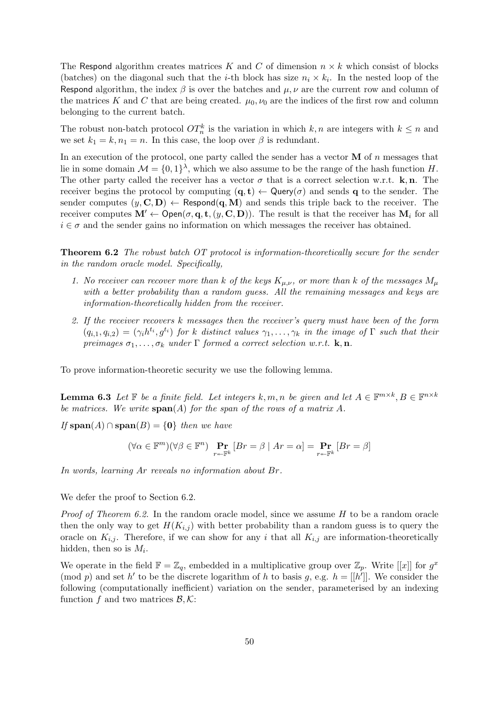The Respond algorithm creates matrices K and C of dimension  $n \times k$  which consist of blocks (batches) on the diagonal such that the *i*-th block has size  $n_i \times k_i$ . In the nested loop of the Respond algorithm, the index  $\beta$  is over the batches and  $\mu, \nu$  are the current row and column of the matrices K and C that are being created.  $\mu_0, \nu_0$  are the indices of the first row and column belonging to the current batch.

The robust non-batch protocol  $OT_n^k$  is the variation in which  $k, n$  are integers with  $k \leq n$  and we set  $k_1 = k, n_1 = n$ . In this case, the loop over  $\beta$  is redundant.

In an execution of the protocol, one party called the sender has a vector  $\bf{M}$  of n messages that lie in some domain  $\mathcal{M} = \{0,1\}^{\lambda}$ , which we also assume to be the range of the hash function H. The other party called the receiver has a vector  $\sigma$  that is a correct selection w.r.t. **k**, **n**. The receiver begins the protocol by computing  $(q, t) \leftarrow Q^{\text{uery}}(\sigma)$  and sends q to the sender. The sender computes  $(y, C, D) \leftarrow$  Respond $(q, M)$  and sends this triple back to the receiver. The receiver computes  $\mathbf{M}' \leftarrow \mathsf{Open}(\sigma, \mathbf{q}, \mathbf{t}, (y, \mathbf{C}, \mathbf{D}))$ . The result is that the receiver has  $\mathbf{M}_i$  for all  $i \in \sigma$  and the sender gains no information on which messages the receiver has obtained.

<span id="page-49-0"></span>Theorem 6.2 The robust batch OT protocol is information-theoretically secure for the sender in the random oracle model. Specifically,

- 1. No receiver can recover more than k of the keys  $K_{\mu,\nu}$ , or more than k of the messages  $M_{\mu}$ with a better probability than a random quess. All the remaining messages and keys are information-theoretically hidden from the receiver.
- 2. If the receiver recovers k messages then the receiver's query must have been of the form  $(q_{i,1}, q_{i,2}) = (\gamma_i h^{t_i}, g^{t_i})$  for k distinct values  $\gamma_1, \ldots, \gamma_k$  in the image of  $\Gamma$  such that their preimages  $\sigma_1, \ldots, \sigma_k$  under  $\Gamma$  formed a correct selection w.r.t. **k**, **n**.

<span id="page-49-1"></span>To prove information-theoretic security we use the following lemma.

**Lemma 6.3** Let  $\mathbb{F}$  be a finite field. Let integers k, m, n be given and let  $A \in \mathbb{F}^{m \times k}$ ,  $B \in \mathbb{F}^{n \times k}$ be matrices. We write  $\text{span}(A)$  for the span of the rows of a matrix A.

If  $\text{span}(A) \cap \text{span}(B) = \{0\}$  then we have

$$
(\forall \alpha \in \mathbb{F}^m)(\forall \beta \in \mathbb{F}^n) \Pr_{r \in \mathbb{F}^k} [Br = \beta \mid Ar = \alpha] = \Pr_{r \in \mathbb{F}^k} [Br = \beta]
$$

In words, learning Ar reveals no information about Br.

We defer the proof to Section [6.2.](#page-53-0)

*Proof of Theorem [6.2.](#page-49-0)* In the random oracle model, since we assume  $H$  to be a random oracle then the only way to get  $H(K_{i,j})$  with better probability than a random guess is to query the oracle on  $K_{i,j}$ . Therefore, if we can show for any i that all  $K_{i,j}$  are information-theoretically hidden, then so is  $M_i$ .

We operate in the field  $\mathbb{F} = \mathbb{Z}_q$ , embedded in a multiplicative group over  $\mathbb{Z}_p$ . Write [[x]] for  $g^x$ (mod p) and set h' to be the discrete logarithm of h to basis g, e.g.  $h = [[h']]$ . We consider the following (computationally inefficient) variation on the sender, parameterised by an indexing function f and two matrices  $\mathcal{B}, \mathcal{K}$ :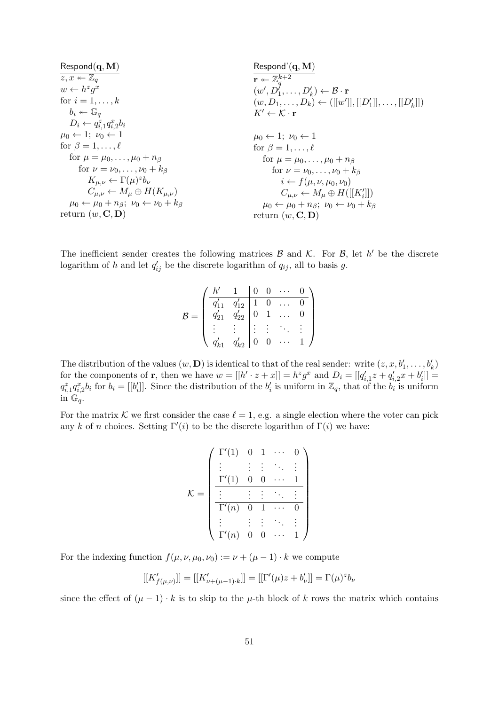| Respond                                                              | Respond                                                                 |
|----------------------------------------------------------------------|-------------------------------------------------------------------------|
| $z, x \leftarrow \mathbb{Z}_q$                                       | Respond                                                                 |
| $w \leftarrow h^z g^x$                                               | $(w', D'_1, \ldots, D'_k) \leftarrow B \cdot r$                         |
| $for i = 1, \ldots, k$                                               | $(w, D_1, \ldots, D_k) \leftarrow ([[w']], [[D'_1]], \ldots, [[D'_k]])$ |
| $b_i \leftarrow \mathbb{G}_q$                                        | $K' \leftarrow K \cdot r$                                               |
| $D_i \leftarrow q_{i,1}^z q_{i,2}^z b_i$                             | $\mu_0 \leftarrow 1; \nu_0 \leftarrow 1$                                |
| $\text{for } \beta = 1, \ldots, \ell$                                | $\text{for } \beta = 1, \ldots, \ell$                                   |
| $\text{for } \mu = \mu_0, \ldots, \mu_0 + n_\beta$                   | $\text{for } \mu = \mu_0, \ldots, \mu_0 + n_\beta$                      |
| $\text{for } \nu = \nu_0, \ldots, \nu_0 + k_\beta$                   | $\text{for } \nu = \nu_0, \ldots, \nu_0 + k_\beta$                      |
| $K_{\mu,\nu} \leftarrow \Gamma(\mu)^z b_\nu$                         | $i \leftarrow f(\mu, \nu, \mu_0, \nu_0)$                                |
| $C_{\mu,\nu} \leftarrow M_\mu \oplus H(K_{\mu,\nu})$                 | $C_{\mu,\nu} \leftarrow M_\mu \oplus H([[K'_i]])$                       |
| $\mu_0 \leftarrow \mu_0 + n_\beta; \nu_0 \leftarrow \nu_0 + k_\beta$ | $\mu_0 \leftarrow \mu_0 + n_\beta; \nu_0 \leftarrow \nu_0 + k_\beta$    |
| $\text{return } (w, \mathbf{C}, \mathbf{D$                           |                                                                         |

The inefficient sender creates the following matrices  $\mathcal{B}$  and  $\mathcal{K}$ . For  $\mathcal{B}$ , let h' be the discrete logarithm of h and let  $q'_{ij}$  be the discrete logarithm of  $q_{ij}$ , all to basis g.

$$
\mathcal{B} = \begin{pmatrix} \frac{h'}{q'_{11}} & \frac{1}{q'_{12}} & \frac{0}{1} & \cdots & \frac{0}{0} \\ \frac{q'_{21}}{q'_{21}} & \frac{q'_{22}}{q'_{22}} & \frac{0}{0} & \cdots & \frac{0}{0} \\ \vdots & \vdots & \vdots & \ddots & \vdots \\ \frac{q'_{k1}}{q'_{k1}} & \frac{q'_{k2}}{q'_{22}} & \frac{0}{0} & \cdots & 1 \end{pmatrix}
$$

The distribution of the values  $(w, D)$  is identical to that of the real sender: write  $(z, x, b'_1, \ldots, b'_k)$ for the components of **r**, then we have  $w = [[h' \cdot z + x]] = h^z g^x$  and  $D_i = [[q'_{i,1}z + q'_{i,2}x + b'_i]] =$  $q_{i,1}^z q_{i,2}^x b_i$  for  $b_i = [[b'_i]]$ . Since the distribution of the  $b'_i$  is uniform in  $\mathbb{Z}_q$ , that of the  $b_i$  is uniform in  $\mathbb{G}_q$ .

For the matrix K we first consider the case  $\ell = 1$ , e.g. a single election where the voter can pick any k of n choices. Setting  $\Gamma'(i)$  to be the discrete logarithm of  $\Gamma(i)$  we have:

$$
\mathcal{K} = \begin{pmatrix}\n\Gamma'(1) & 0 & 1 & \cdots & 0 \\
\vdots & \vdots & \vdots & \ddots & \vdots \\
\frac{\Gamma'(1) & 0 & 0 & \cdots & 1}{0 & \cdots & 1} \\
\vdots & \vdots & \vdots & \ddots & \vdots \\
\frac{\Gamma'(n) & 0 & 1 & \cdots & 0}{0 & \cdots & 1}\n\end{pmatrix}
$$

For the indexing function  $f(\mu, \nu, \mu_0, \nu_0) := \nu + (\mu - 1) \cdot k$  we compute

$$
[[K'_{f(\mu,\nu)}]] = [[K'_{\nu+(\mu-1)\cdot k}]] = [[\Gamma'(\mu)z + b'_{\nu}]] = \Gamma(\mu)^{z}b_{\nu}
$$

since the effect of  $(\mu - 1) \cdot k$  is to skip to the  $\mu$ -th block of k rows the matrix which contains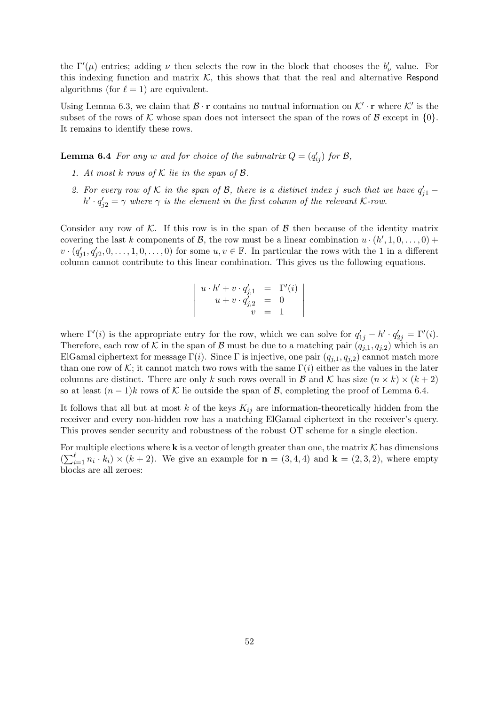the  $\Gamma'(\mu)$  entries; adding  $\nu$  then selects the row in the block that chooses the  $b'_\nu$  value. For this indexing function and matrix  $K$ , this shows that that the real and alternative Respond algorithms (for  $\ell = 1$ ) are equivalent.

Using Lemma [6.3,](#page-49-1) we claim that  $\mathcal{B} \cdot \mathbf{r}$  contains no mutual information on  $\mathcal{K}' \cdot \mathbf{r}$  where  $\mathcal{K}'$  is the subset of the rows of K whose span does not intersect the span of the rows of B except in  $\{0\}$ . It remains to identify these rows.

<span id="page-51-0"></span>**Lemma 6.4** For any w and for choice of the submatrix  $Q = (q'_{ij})$  for  $\mathcal{B}$ ,

- 1. At most k rows of  $K$  lie in the span of  $\mathcal{B}$ .
- 2. For every row of K in the span of B, there is a distinct index j such that we have  $q'_{j1}$   $h' \cdot q'_{j2} = \gamma$  where  $\gamma$  is the element in the first column of the relevant K-row.

Consider any row of K. If this row is in the span of  $\beta$  then because of the identity matrix covering the last k components of B, the row must be a linear combination  $u \cdot (h', 1, 0, \ldots, 0)$  +  $v \cdot (q'_{j1}, q'_{j2}, 0, \ldots, 1, 0, \ldots, 0)$  for some  $u, v \in \mathbb{F}$ . In particular the rows with the 1 in a different column cannot contribute to this linear combination. This gives us the following equations.

$$
\begin{vmatrix}\nu \cdot h' + v \cdot q'_{j,1} &= \Gamma'(i) \\
u + v \cdot q'_{j,2} &= 0 \\
v &= 1\n\end{vmatrix}
$$

where  $\Gamma'(i)$  is the appropriate entry for the row, which we can solve for  $q'_{1j} - h' \cdot q'_{2j} = \Gamma'(i)$ . Therefore, each row of K in the span of B must be due to a matching pair  $(q_{j,1}, q_{j,2})$  which is an ElGamal ciphertext for message  $\Gamma(i)$ . Since  $\Gamma$  is injective, one pair  $(q_{i,1}, q_{i,2})$  cannot match more than one row of K; it cannot match two rows with the same  $\Gamma(i)$  either as the values in the later columns are distinct. There are only k such rows overall in B and K has size  $(n \times k) \times (k+2)$ so at least  $(n-1)k$  rows of K lie outside the span of B, completing the proof of Lemma [6.4.](#page-51-0)

It follows that all but at most k of the keys  $K_{ij}$  are information-theoretically hidden from the receiver and every non-hidden row has a matching ElGamal ciphertext in the receiver's query. This proves sender security and robustness of the robust OT scheme for a single election.

For multiple elections where **k** is a vector of length greater than one, the matrix  $K$  has dimensions  $\left(\sum_{i=1}^{\ell} n_i \cdot k_i\right) \times (k+2)$ . We give an example for  $\mathbf{n} = (3, 4, 4)$  and  $\mathbf{k} = (2, 3, 2)$ , where empty blocks are all zeroes: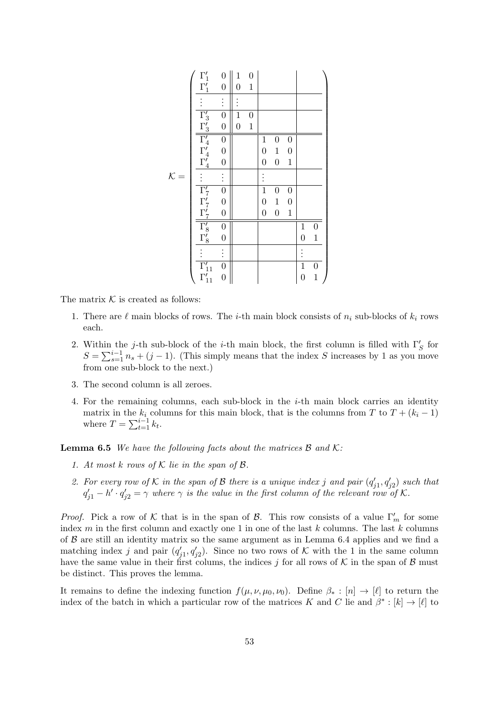|                 |                                                                                                                                | $\overline{0}$                       | $\mathbf 1$    | $\boldsymbol{0}$ |                  |                  |                  |                |                  |
|-----------------|--------------------------------------------------------------------------------------------------------------------------------|--------------------------------------|----------------|------------------|------------------|------------------|------------------|----------------|------------------|
|                 | $\Gamma_1'$                                                                                                                    | $\boldsymbol{0}$                     | $\overline{0}$ | $\mathbf 1$      |                  |                  |                  |                |                  |
|                 | $\vdots$                                                                                                                       | $\vdots$                             |                |                  |                  |                  |                  |                |                  |
|                 |                                                                                                                                | $\overline{0}$                       | $\overline{1}$ | $\boldsymbol{0}$ |                  |                  |                  |                |                  |
|                 | $\frac{\Gamma'_3}{\Gamma'_4}$<br>$\frac{\Gamma'_3}{\Gamma'_4}$<br>$\frac{\Gamma'_4}{\Gamma'_4}$                                | $\overline{0}$                       | $\overline{0}$ | $\mathbf 1$      |                  |                  |                  |                |                  |
|                 |                                                                                                                                | $\overline{0}$                       |                |                  | $\mathbf{1}$     | $\boldsymbol{0}$ | $\boldsymbol{0}$ |                |                  |
|                 |                                                                                                                                | $\overline{0}$                       |                |                  | $\boldsymbol{0}$ | $\!1\!$          | $\boldsymbol{0}$ |                |                  |
|                 |                                                                                                                                | $\overline{0}$                       |                |                  | $\boldsymbol{0}$ | $\boldsymbol{0}$ | $\mathbf{1}$     |                |                  |
| $\mathcal{K} =$ |                                                                                                                                | $\vdots$                             |                |                  |                  |                  |                  |                |                  |
|                 |                                                                                                                                | $\overline{0}$                       |                |                  | $\overline{1}$   | $\boldsymbol{0}$ | $\boldsymbol{0}$ |                |                  |
|                 |                                                                                                                                |                                      |                |                  | $\boldsymbol{0}$ | $\!1\!$          | $\overline{0}$   |                |                  |
|                 |                                                                                                                                | $\begin{matrix} 0 \\ 0 \end{matrix}$ |                |                  | $\overline{0}$   | $\boldsymbol{0}$ | $\mathbf{1}$     |                |                  |
|                 |                                                                                                                                | $\boldsymbol{0}$                     |                |                  |                  |                  |                  | $\mathbf{1}$   | $\boldsymbol{0}$ |
|                 | $\begin{array}{l} \Gamma'_7 \\ \Gamma'_7 \\ \underline{\Gamma'_7} \\ \hline \Gamma'_8 \\ \underline{\Gamma'_8} \\ \end{array}$ | $\overline{0}$                       |                |                  |                  |                  |                  | $\overline{0}$ | $\mathbf 1$      |
|                 |                                                                                                                                | $\vdots$                             |                |                  |                  |                  |                  |                |                  |
|                 | $\overline{\Gamma'_{11}}$<br>$\Gamma'_{11}$                                                                                    | $\overline{0}$                       |                |                  |                  |                  |                  | $\overline{1}$ | $\boldsymbol{0}$ |
|                 |                                                                                                                                | $\overline{0}$                       |                |                  |                  |                  |                  | $\overline{0}$ | $\mathbf{1}$     |

The matrix  $K$  is created as follows:

- 1. There are  $\ell$  main blocks of rows. The *i*-th main block consists of  $n_i$  sub-blocks of  $k_i$  rows each.
- 2. Within the j-th sub-block of the i-th main block, the first column is filled with  $\Gamma'_{S}$  for  $S = \sum_{s=1}^{i-1} n_s + (j-1)$ . (This simply means that the index S increases by 1 as you move from one sub-block to the next.)
- 3. The second column is all zeroes.
- 4. For the remaining columns, each sub-block in the  $i$ -th main block carries an identity matrix in the  $k_i$  columns for this main block, that is the columns from T to  $T + (k_i - 1)$ where  $T = \sum_{t=1}^{i-1} k_t$ .

**Lemma 6.5** We have the following facts about the matrices  $\mathcal{B}$  and  $\mathcal{K}$ :

- 1. At most k rows of  $K$  lie in the span of  $\mathcal{B}$ .
- 2. For every row of K in the span of B there is a unique index j and pair  $(q'_{j1}, q'_{j2})$  such that  $q'_{j1} - h' \cdot q'_{j2} = \gamma$  where  $\gamma$  is the value in the first column of the relevant row of K.

*Proof.* Pick a row of K that is in the span of B. This row consists of a value  $\Gamma'_m$  for some index  $m$  in the first column and exactly one 1 in one of the last  $k$  columns. The last  $k$  columns of  $\beta$  are still an identity matrix so the same argument as in Lemma [6.4](#page-51-0) applies and we find a matching index j and pair  $(q'_{j1}, q'_{j2})$ . Since no two rows of K with the 1 in the same column have the same value in their first colums, the indices j for all rows of  $K$  in the span of  $\beta$  must be distinct. This proves the lemma.

It remains to define the indexing function  $f(\mu, \nu, \mu_0, \nu_0)$ . Define  $\beta_* : [n] \to [\ell]$  to return the index of the batch in which a particular row of the matrices K and C lie and  $\beta^* : [k] \to [\ell]$  to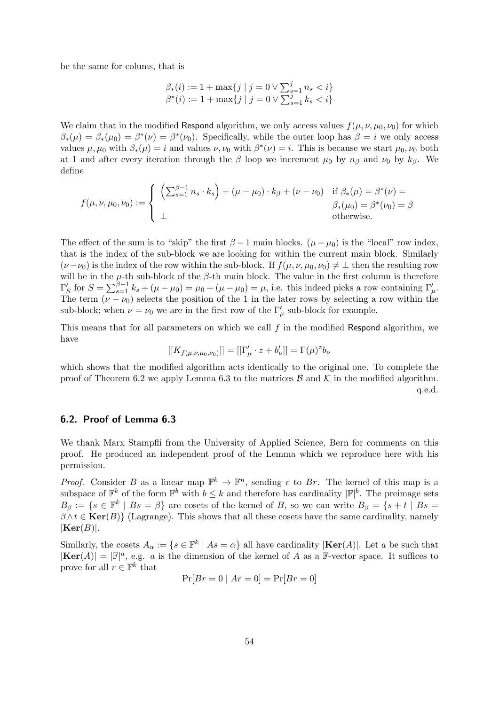be the same for colums, that is

$$
\beta_*(i) := 1 + \max\{j \mid j = 0 \lor \sum_{s=1}^j n_s < i\}
$$
\n
$$
\beta^*(i) := 1 + \max\{j \mid j = 0 \lor \sum_{s=1}^j k_s < i\}
$$

We claim that in the modified Respond algorithm, we only access values  $f(\mu, \nu, \mu_0, \nu_0)$  for which  $\beta_*(\mu) = \beta_*(\mu_0) = \beta^*(\nu) = \beta^*(\nu_0)$ . Specifically, while the outer loop has  $\beta = i$  we only access values  $\mu, \mu_0$  with  $\beta_*(\mu) = i$  and values  $\nu, \nu_0$  with  $\beta^*(\nu) = i$ . This is because we start  $\mu_0, \nu_0$  both at 1 and after every iteration through the  $\beta$  loop we increment  $\mu_0$  by  $n_\beta$  and  $\nu_0$  by  $k_\beta$ . We define

$$
f(\mu, \nu, \mu_0, \nu_0) := \begin{cases} \left( \sum_{s=1}^{\beta-1} n_s \cdot k_s \right) + (\mu - \mu_0) \cdot k_\beta + (\nu - \nu_0) & \text{if } \beta_*(\mu) = \beta^*(\nu) = \\ \bot & \text{otherwise.} \end{cases}
$$

The effect of the sum is to "skip" the first  $\beta - 1$  main blocks.  $(\mu - \mu_0)$  is the "local" row index, that is the index of the sub-block we are looking for within the current main block. Similarly  $(\nu-\nu_0)$  is the index of the row within the sub-block. If  $f(\mu,\nu,\mu_0,\nu_0) \neq \bot$  then the resulting row will be in the  $\mu$ -th sub-block of the  $\beta$ -th main block. The value in the first column is therefore  $\Gamma'_{S}$  for  $S = \sum_{s=1}^{\beta-1} k_s + (\mu - \mu_0) = \mu_0 + (\mu - \mu_0) = \mu$ , i.e. this indeed picks a row containing  $\Gamma'_{\mu}$ . The term  $(\nu - \nu_0)$  selects the position of the 1 in the later rows by selecting a row within the sub-block; when  $\nu = \nu_0$  we are in the first row of the  $\Gamma'_{\mu}$  sub-block for example.

This means that for all parameters on which we call  $f$  in the modified Respond algorithm, we have

$$
[[K_{f(\mu,\nu,\mu_0,\nu_0)}]] = [[\Gamma_{\mu}' \cdot z + b_{\nu}']] = \Gamma(\mu)^{z} b_{\nu}
$$

which shows that the modified algorithm acts identically to the original one. To complete the proof of Theorem [6.2](#page-49-0) we apply Lemma [6.3](#page-49-1) to the matrices  $\mathcal{B}$  and  $\mathcal{K}$  in the modified algorithm. q.e.d.

## <span id="page-53-0"></span>6.2. Proof of Lemma [6.3](#page-49-1)

We thank Marx Stampfli from the University of Applied Science, Bern for comments on this proof. He produced an independent proof of the Lemma which we reproduce here with his permission.

*Proof.* Consider B as a linear map  $\mathbb{F}^k \to \mathbb{F}^n$ , sending r to Br. The kernel of this map is a subspace of  $\mathbb{F}^k$  of the form  $\mathbb{F}^b$  with  $b \leq k$  and therefore has cardinality  $|\mathbb{F}|^b$ . The preimage sets  $B_{\beta} := \{s \in \mathbb{F}^k \mid Bs = \beta\}$  are cosets of the kernel of B, so we can write  $B_{\beta} = \{s + t \mid Bs = \beta\}$  $\beta \wedge t \in \text{Ker}(B)$  (Lagrange). This shows that all these cosets have the same cardinality, namely  $|\mathbf{Ker}(B)|$ .

Similarly, the cosets  $A_{\alpha} := \{ s \in \mathbb{F}^k \mid As = \alpha \}$  all have cardinality  $|\textbf{Ker}(A)|$ . Let a be such that  $|\textbf{Ker}(A)| = |F|^a$ , e.g. a is the dimension of the kernel of A as a F-vector space. It suffices to prove for all  $r \in \mathbb{F}^k$  that

$$
\Pr[Br = 0 \mid Ar = 0] = \Pr[Br = 0]
$$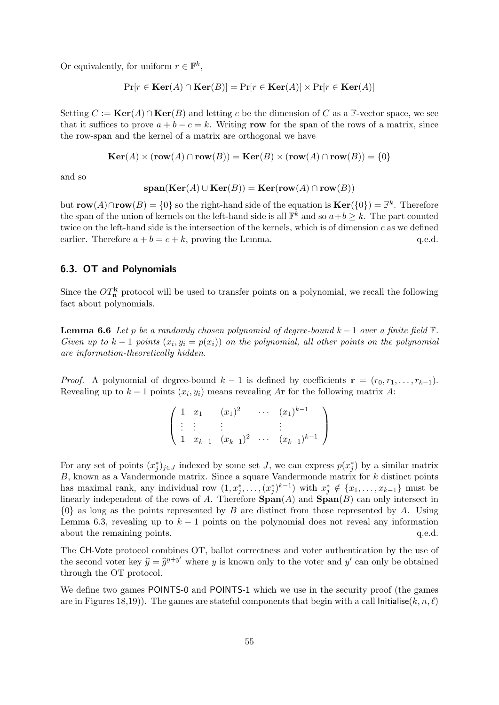Or equivalently, for uniform  $r \in \mathbb{F}^k$ ,

$$
\Pr[r \in \mathbf{Ker}(A) \cap \mathbf{Ker}(B)] = \Pr[r \in \mathbf{Ker}(A)] \times \Pr[r \in \mathbf{Ker}(A)]
$$

Setting  $C := \text{Ker}(A) \cap \text{Ker}(B)$  and letting c be the dimension of C as a F-vector space, we see that it suffices to prove  $a + b - c = k$ . Writing row for the span of the rows of a matrix, since the row-span and the kernel of a matrix are orthogonal we have

$$
\mathbf{Ker}(A) \times (\mathbf{row}(A) \cap \mathbf{row}(B)) = \mathbf{Ker}(B) \times (\mathbf{row}(A) \cap \mathbf{row}(B)) = \{0\}
$$

and so

$$
\mathbf{span}(\mathbf{Ker}(A) \cup \mathbf{Ker}(B)) = \mathbf{Ker}(\mathbf{row}(A) \cap \mathbf{row}(B))
$$

but  $\text{row}(A) \cap \text{row}(B) = \{0\}$  so the right-hand side of the equation is  $\text{Ker}(\{0\}) = \mathbb{F}^k$ . Therefore the span of the union of kernels on the left-hand side is all  $\mathbb{F}^k$  and so  $a+b\geq k$ . The part counted twice on the left-hand side is the intersection of the kernels, which is of dimension c as we defined earlier. Therefore  $a + b = c + k$ , proving the Lemma. q.e.d.

## 6.3. OT and Polynomials

Since the  $OT_{n}^{\mathbf{k}}$  protocol will be used to transfer points on a polynomial, we recall the following fact about polynomials.

<span id="page-54-0"></span>**Lemma 6.6** Let p be a randomly chosen polynomial of degree-bound  $k-1$  over a finite field  $\mathbb{F}$ . Given up to  $k-1$  points  $(x_i, y_i = p(x_i))$  on the polynomial, all other points on the polynomial are information-theoretically hidden.

*Proof.* A polynomial of degree-bound  $k - 1$  is defined by coefficients  $\mathbf{r} = (r_0, r_1, \ldots, r_{k-1})$ . Revealing up to  $k-1$  points  $(x_i, y_i)$  means revealing  $A$ **r** for the following matrix  $A$ :

$$
\begin{pmatrix} 1 & x_1 & (x_1)^2 & \cdots & (x_1)^{k-1} \\ \vdots & \vdots & & \vdots & \vdots \\ 1 & x_{k-1} & (x_{k-1})^2 & \cdots & (x_{k-1})^{k-1} \end{pmatrix}
$$

For any set of points  $(x_j^*)_{j\in J}$  indexed by some set J, we can express  $p(x_j^*)$  by a similar matrix  $B$ , known as a Vandermonde matrix. Since a square Vandermonde matrix for  $k$  distinct points has maximal rank, any individual row  $(1, x_j^*, \ldots, (x_j^*)^{k-1})$  with  $x_j^* \notin \{x_1, \ldots, x_{k-1}\}$  must be linearly independent of the rows of A. Therefore  $\text{Span}(A)$  and  $\text{Span}(B)$  can only intersect in  $\{0\}$  as long as the points represented by B are distinct from those represented by A. Using Lemma [6.3,](#page-49-1) revealing up to  $k-1$  points on the polynomial does not reveal any information about the remaining points.  $q.e.d.$ 

The CH-Vote protocol combines OT, ballot correctness and voter authentication by the use of the second voter key  $\hat{y} = \hat{g}^{y+y'}$  where y is known only to the voter and y' can only be obtained<br>through the OT protocol through the OT protocol.

We define two games POINTS-0 and POINTS-1 which we use in the security proof (the games are in Figures [18,](#page-55-0)[19\)](#page-56-0). The games are stateful components that begin with a call Initialise(k, n, l)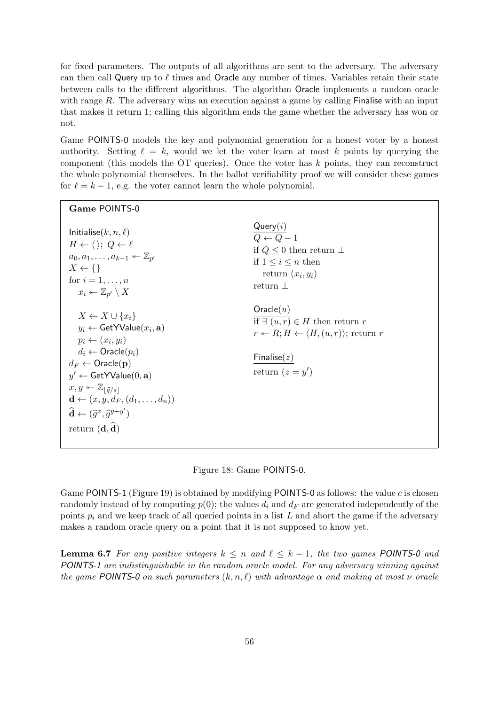for fixed parameters. The outputs of all algorithms are sent to the adversary. The adversary can then call Query up to  $\ell$  times and Oracle any number of times. Variables retain their state between calls to the different algorithms. The algorithm Oracle implements a random oracle with range  $R$ . The adversary wins an execution against a game by calling Finalise with an input that makes it return 1; calling this algorithm ends the game whether the adversary has won or not.

Game POINTS-0 models the key and polynomial generation for a honest voter by a honest authority. Setting  $\ell = k$ , would we let the voter learn at most k points by querying the component (this models the OT queries). Once the voter has  $k$  points, they can reconstruct the whole polynomial themselves. In the ballot verifiability proof we will consider these games for  $\ell = k - 1$ , e.g. the voter cannot learn the whole polynomial.

| Game POINTS-0                                                                                                                                                                                                                                                                                                                                                                                                                                     |                                                                                                                                                                           |
|---------------------------------------------------------------------------------------------------------------------------------------------------------------------------------------------------------------------------------------------------------------------------------------------------------------------------------------------------------------------------------------------------------------------------------------------------|---------------------------------------------------------------------------------------------------------------------------------------------------------------------------|
| Initialise $(k, n, \ell)$<br>$H \leftarrow \langle \rangle$ ; $Q \leftarrow \ell$<br>$a_0, a_1, \ldots, a_{k-1} \leftarrow \mathbb{Z}_{p'}$<br>$X \leftarrow \{\}$<br>for $i=1,\ldots,n$<br>$x_i \leftarrow \mathbb{Z}_{n'} \setminus X$                                                                                                                                                                                                          | Query(i)<br>$\overline{Q\leftarrow Q}-1$<br>if $Q \leq 0$ then return $\perp$<br>if $1 \leq i \leq n$ then<br>return $(x_i, y_i)$<br>return $\perp$                       |
| $X \leftarrow X \cup \{x_i\}$<br>$y_i \leftarrow$ GetYValue $(x_i, a)$<br>$p_i \leftarrow (x_i, y_i)$<br>$d_i \leftarrow$ Oracle $(p_i)$<br>$d_F \leftarrow$ Oracle(p)<br>$y' \leftarrow$ GetYValue $(0, a)$<br>$x, y \leftarrow \mathbb{Z}_{ \widehat{q}/s }$<br>$\mathbf{d} \leftarrow (x, y, d_F, (d_1, \ldots, d_n))$<br>$\widehat{\mathbf{d}} \leftarrow (\widehat{q}^x, \widehat{q}^{y+y'})$<br>return $(\mathbf{d}, \widehat{\mathbf{d}})$ | Oracle(u)<br>if $\exists (u, r) \in H$ then return r<br>$r \leftarrow R; H \leftarrow \langle H, (u, r) \rangle;$ return r<br>$\mathsf{Finalise}(z)$<br>return $(z = y')$ |

<span id="page-55-0"></span>Figure 18: Game POINTS-0.

Game POINTS-1 (Figure [19\)](#page-56-0) is obtained by modifying POINTS-0 as follows: the value c is chosen randomly instead of by computing  $p(0)$ ; the values  $d_i$  and  $d_F$  are generated independently of the points  $p_i$  and we keep track of all queried points in a list L and abort the game if the adversary makes a random oracle query on a point that it is not supposed to know yet.

<span id="page-55-1"></span>**Lemma 6.7** For any positive integers  $k \leq n$  and  $\ell \leq k - 1$ , the two games POINTS-0 and POINTS-1 are indistinguishable in the random oracle model. For any adversary winning against the game POINTS-0 on such parameters  $(k, n, \ell)$  with advantage  $\alpha$  and making at most  $\nu$  oracle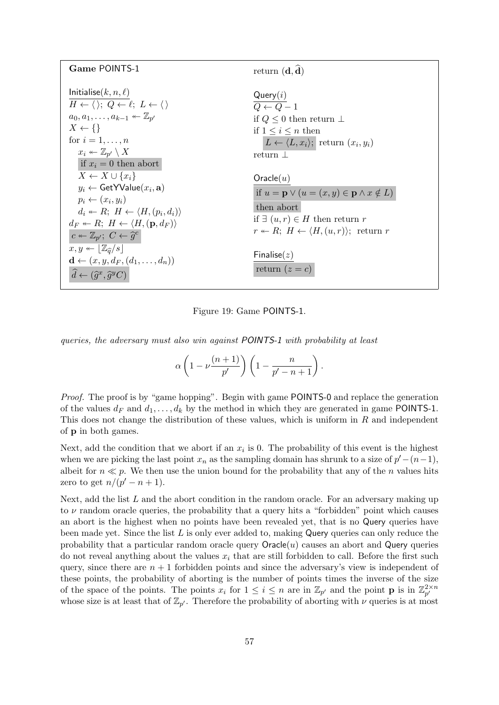| Game POINTS-1                                                                                                      | return $(\mathbf{d}, \mathbf{\hat{d}})$                                |
|--------------------------------------------------------------------------------------------------------------------|------------------------------------------------------------------------|
| Initialise $(k, n, \ell)$<br>$H \leftarrow \langle \rangle$ ; $Q \leftarrow \ell$ ; $L \leftarrow \langle \rangle$ | Query(i)                                                               |
| $a_0, a_1, \ldots, a_{k-1} \leftarrow \mathbb{Z}_{n'}$                                                             | $\overline{O\leftarrow Q}-1$<br>if $Q \leq 0$ then return $\perp$      |
| $X \leftarrow \{\}$                                                                                                | if $1 \leq i \leq n$ then                                              |
| for $i=1,\ldots,n$                                                                                                 | $L \leftarrow \langle L, x_i \rangle;$ return $(x_i, y_i)$             |
| $x_i \leftarrow \mathbb{Z}_{p'} \setminus X$<br>if $x_i = 0$ then abort                                            | return $\perp$                                                         |
| $X \leftarrow X \cup \{x_i\}$                                                                                      | Oracle(u)                                                              |
| $y_i \leftarrow$ GetYValue $(x_i, a)$<br>$p_i \leftarrow (x_i, y_i)$                                               | if $u = \mathbf{p} \vee (u = (x, y) \in \mathbf{p} \wedge x \notin L)$ |
| $d_i \leftarrow R$ ; $H \leftarrow \langle H, (p_i, d_i) \rangle$                                                  | then abort                                                             |
| $d_F \leftarrow R$ ; $H \leftarrow \langle H, (\mathbf{p}, d_F) \rangle$                                           | if $\exists (u, r) \in H$ then return r                                |
| $c \leftarrow \mathbb{Z}_{p'}; C \leftarrow \widehat{g}^c$                                                         | $r \leftarrow R$ ; $H \leftarrow \langle H,(u,r) \rangle$ ; return r   |
| $x, y \leftarrow  \mathbb{Z}_{\widehat{a}}/s $<br>$\mathbf{d} \leftarrow (x, y, d_F, (d_1, \ldots, d_n))$          | Finalise $(z)$                                                         |
| $\widehat{d} \leftarrow (\widehat{g}^x, \widehat{g}^y C)$                                                          | return $(z = c)$                                                       |

<span id="page-56-0"></span>Figure 19: Game POINTS-1.

queries, the adversary must also win against POINTS-1 with probability at least

$$
\alpha \left(1 - \nu \frac{(n+1)}{p'}\right) \left(1 - \frac{n}{p' - n + 1}\right).
$$

Proof. The proof is by "game hopping". Begin with game POINTS-0 and replace the generation of the values  $d_F$  and  $d_1, \ldots, d_k$  by the method in which they are generated in game POINTS-1. This does not change the distribution of these values, which is uniform in R and independent of p in both games.

Next, add the condition that we abort if an  $x_i$  is 0. The probability of this event is the highest when we are picking the last point  $x_n$  as the sampling domain has shrunk to a size of  $p'-(n-1)$ , albeit for  $n \ll p$ . We then use the union bound for the probability that any of the n values hits zero to get  $n/(p'-n+1)$ .

Next, add the list  $L$  and the abort condition in the random oracle. For an adversary making up to  $\nu$  random oracle queries, the probability that a query hits a "forbidden" point which causes an abort is the highest when no points have been revealed yet, that is no Query queries have been made yet. Since the list  $L$  is only ever added to, making Query queries can only reduce the probability that a particular random oracle query  $O$ racle $(u)$  causes an abort and Query queries do not reveal anything about the values  $x_i$  that are still forbidden to call. Before the first such query, since there are  $n + 1$  forbidden points and since the adversary's view is independent of these points, the probability of aborting is the number of points times the inverse of the size of the space of the points. The points  $x_i$  for  $1 \leq i \leq n$  are in  $\mathbb{Z}_{p'}$  and the point **p** is in  $\mathbb{Z}_{p'}^{2 \times n}$  $p'$ whose size is at least that of  $\mathbb{Z}_{p'}$ . Therefore the probability of aborting with  $\nu$  queries is at most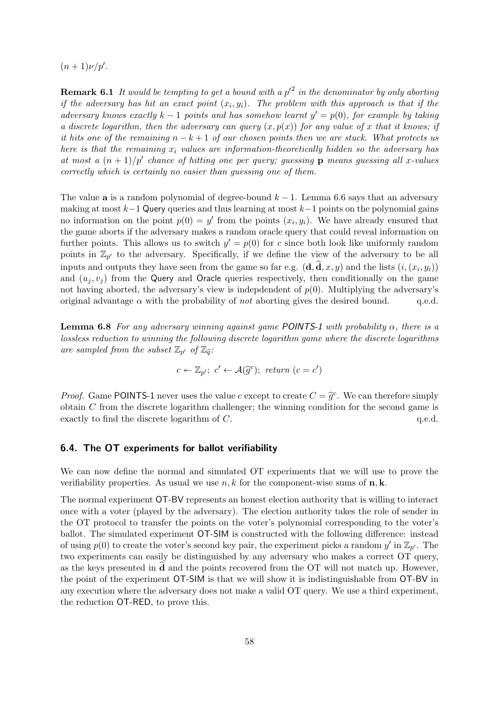$(n+1)\nu/p'.$ 

**Remark 6.1** It would be tempting to get a bound with a  $p'^2$  in the denominator by only aborting if the adversary has hit an exact point  $(x_i, y_i)$ . The problem with this approach is that if the adversary knows exactly  $k-1$  points and has somehow learnt  $y' = p(0)$ , for example by taking a discrete logarithm, then the adversary can query  $(x, p(x))$  for any value of x that it knows; if it hits one of the remaining  $n - k + 1$  of our chosen points then we are stuck. What protects us here is that the remaining  $x_i$  values are information-theoretically hidden so the adversary has at most a  $(n+1)/p'$  chance of hitting one per query; guessing **p** means guessing all x-values correctly which is certainly no easier than guessing one of them.

The value **a** is a random polynomial of degree-bound  $k - 1$ . Lemma [6.6](#page-54-0) says that an adversary making at most  $k-1$  Query queries and thus learning at most  $k-1$  points on the polynomial gains no information on the point  $p(0) = y'$  from the points  $(x_i, y_i)$ . We have already ensured that the game aborts if the adversary makes a random oracle query that could reveal information on further points. This allows us to switch  $y' = p(0)$  for c since both look like uniformly random points in  $\mathbb{Z}_{p'}$  to the adversary. Specifically, if we define the view of the adversary to be all inputs and outputs they have seen from the game so far e.g.  $(\mathbf{d}, \mathbf{d}, x, y)$  and the lists  $(i, (x_i, y_i))$ and  $(u_i, v_j)$  from the Query and Oracle queries respectively, then conditionally on the game not having aborted, the adversary's view is indepdendent of  $p(0)$ . Multiplying the adversary's original advantage  $\alpha$  with the probability of *not* aborting gives the desired bound. q.e.d.

**Lemma 6.8** For any adversary winning against game POINTS-1 with probability  $\alpha$ , there is a lossless reduction to winning the following discrete logarithm game where the discrete logarithms are sampled from the subset  $\mathbb{Z}_{p'}$  of  $\mathbb{Z}_{\widehat{q}}$ :

$$
c \leftarrow \mathbb{Z}_{p'}; \ c' \leftarrow \mathcal{A}(\widehat{g}^{c}); \ return \ (c = c')
$$

*Proof.* Game POINTS-1 never uses the value c except to create  $C = \hat{g}^c$ . We can therefore simply obtain C from the discrete logarithm challenger; the winning condition for the second game is obtain  $C$  from the discrete logarithm challenger; the winning condition for the second game is exactly to find the discrete logarithm of  $C$ .  $q.e.d.$ 

## 6.4. The OT experiments for ballot verifiability

We can now define the normal and simulated OT experiments that we will use to prove the verifiability properties. As usual we use  $n, k$  for the component-wise sums of  $n, k$ .

The normal experiment OT-BV represents an honest election authority that is willing to interact once with a voter (played by the adversary). The election authority takes the role of sender in the OT protocol to transfer the points on the voter's polynomial corresponding to the voter's ballot. The simulated experiment OT-SIM is constructed with the following difference: instead of using  $p(0)$  to create the voter's second key pair, the experiment picks a random y' in  $\mathbb{Z}_{p'}$ . The two experiments can easily be distinguished by any adversary who makes a correct OT query, as the keys presented in  $\bf d$  and the points recovered from the OT will not match up. However, the point of the experiment OT-SIM is that we will show it is indistinguishable from OT-BV in any execution where the adversary does not make a valid OT query. We use a third experiment, the reduction OT-RED, to prove this.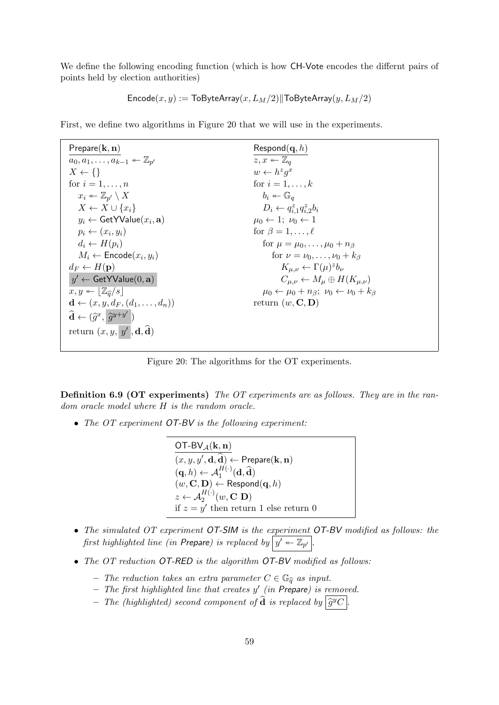We define the following encoding function (which is how CH-Vote encodes the differnt pairs of points held by election authorities)

$$
\mathsf{Encode}(x,y):=\mathsf{ToByteArray}(x,L_M/2)\|\mathsf{ToByteArray}(y,L_M/2)
$$

First, we define two algorithms in Figure [20](#page-58-0) that we will use in the experiments.

| Prepare $(\mathbf{k}, \mathbf{n})$                                    | $\mathsf{Respond}(\mathbf{q}, h)$                                       |
|-----------------------------------------------------------------------|-------------------------------------------------------------------------|
| $a_0, a_1, \ldots, a_{k-1} \leftarrow \mathbb{Z}_{p'}$                | $z, x \leftarrow \mathbb{Z}_q$                                          |
| $X \leftarrow \{\}$                                                   | $w \leftarrow h^z q^x$                                                  |
| for $i=1,\ldots,n$                                                    | for $i=1,\ldots,k$                                                      |
| $x_i \leftarrow \mathbb{Z}_{p'} \setminus X$                          | $b_i \leftarrow \mathbb{G}_q$                                           |
| $X \leftarrow X \cup \{x_i\}$                                         | $D_i \leftarrow q_{i,1}^z q_{i,2}^z b_i$                                |
| $y_i \leftarrow$ GetYValue $(x_i, a)$                                 | $\mu_0 \leftarrow 1$ ; $\nu_0 \leftarrow 1$                             |
| $p_i \leftarrow (x_i, y_i)$                                           | for $\beta = 1, \ldots, \ell$                                           |
| $d_i \leftarrow H(p_i)$                                               | for $\mu = \mu_0, , \mu_0 + n_\beta$                                    |
| $M_i \leftarrow$ Encode $(x_i, y_i)$                                  | for $\nu = \nu_0, \ldots, \nu_0 + k_\beta$                              |
| $d_F \leftarrow H(\mathbf{p})$                                        | $K_{\mu,\nu} \leftarrow \Gamma(\mu)^z b_\nu$                            |
| $y' \leftarrow$ GetYValue $(0, a)$                                    | $C_{\mu,\nu} \leftarrow M_{\mu} \oplus H(K_{\mu,\nu})$                  |
| $x, y \leftarrow  \mathbb{Z}_{\widehat{a}}/s $                        | $\mu_0 \leftarrow \mu_0 + n_\beta$ ; $\nu_0 \leftarrow \nu_0 + k_\beta$ |
| $\mathbf{d} \leftarrow (x, y, d_F, (d_1, \ldots, d_n))$               | return $(w, \mathbf{C}, \mathbf{D})$                                    |
| $\widehat{\mathbf{d}} \leftarrow (\widehat{g}^x, \widehat{g}^{y+y'})$ |                                                                         |
| return $(x, y, y', \mathbf{d}, \widehat{\mathbf{d}})$                 |                                                                         |

<span id="page-58-0"></span>Figure 20: The algorithms for the OT experiments.

Definition 6.9 (OT experiments) The OT experiments are as follows. They are in the random oracle model where H is the random oracle.

• The OT experiment OT-BV is the following experiment:

OT-BV $_A(\mathbf{k}, \mathbf{n})$  $(x, y, y', \mathbf{d}, \widehat{\mathbf{d}}) \leftarrow \mathsf{Prepare}(\mathbf{k}, \mathbf{n})$  $(\mathbf{q}, h) \leftarrow \mathcal{A}_1^{H(\cdot)}(\mathbf{d}, \widehat{\mathbf{d}})$  $(w, \mathbf{C}, \mathbf{D}) \leftarrow \mathsf{Respond}(\mathbf{q}, h)$  $z \leftarrow \mathcal{A}_2^{H(\cdot)}(w, \mathbf{C}|\mathbf{D})$ if  $z = y'$  then return 1 else return 0

- The simulated OT experiment OT-SIM is the experiment OT-BV modified as follows: the first highlighted line (in Prepare) is replaced by  $\big|y' \twoheadleftarrow \mathbb{Z}_{p'}\big|$ .
- The OT reduction OT-RED is the algorithm OT-BV modified as follows:
	- The reduction takes an extra parameter  $C \in \mathbb{G}_{\widehat{\sigma}}$  as input.
	- $-$  The first highlighted line that creates  $y'$  (in Prepare) is removed.
	- $-$  The (highlighted) second component of  $\widehat{\mathbf{d}}$  is replaced by  $\widehat{g}^yC$ .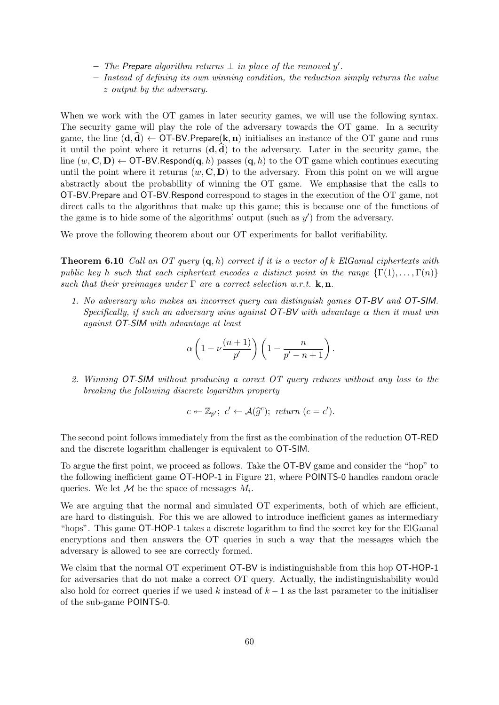- The Prepare algorithm returns  $\perp$  in place of the removed y'.
- Instead of defining its own winning condition, the reduction simply returns the value z output by the adversary.

When we work with the OT games in later security games, we will use the following syntax. The security game will play the role of the adversary towards the OT game. In a security game, the line  $(d, d) \leftarrow \text{OT-BV.Prepare}(\mathbf{k}, \mathbf{n})$  initialises an instance of the OT game and runs it until the point where it returns  $(d, d)$  to the adversary. Later in the security game, the line  $(w, C, D) \leftarrow \text{OT-BV}$ . Respond $(q, h)$  passes  $(q, h)$  to the OT game which continues executing until the point where it returns  $(w, C, D)$  to the adversary. From this point on we will argue abstractly about the probability of winning the OT game. We emphasise that the calls to OT-BV.Prepare and OT-BV.Respond correspond to stages in the execution of the OT game, not direct calls to the algorithms that make up this game; this is because one of the functions of the game is to hide some of the algorithms' output (such as  $y'$ ) from the adversary.

<span id="page-59-0"></span>We prove the following theorem about our OT experiments for ballot verifiability.

**Theorem 6.10** Call an OT query  $(q, h)$  correct if it is a vector of k ElGamal ciphertexts with public key h such that each ciphertext encodes a distinct point in the range  $\{\Gamma(1), \ldots, \Gamma(n)\}$ such that their preimages under  $\Gamma$  are a correct selection w.r.t.  $\mathbf{k}, \mathbf{n}$ .

1. No adversary who makes an incorrect query can distinguish games OT-BV and OT-SIM. Specifically, if such an adversary wins against  $OT$ -BV with advantage  $\alpha$  then it must win against OT-SIM with advantage at least

$$
\alpha\left(1-\nu\frac{(n+1)}{p'}\right)\left(1-\frac{n}{p'-n+1}\right).
$$

2. Winning OT-SIM without producing a corect OT query reduces without any loss to the breaking the following discrete logarithm property

$$
c \leftarrow \mathbb{Z}_{p'}
$$
;  $c' \leftarrow \mathcal{A}(\widehat{g}^c)$ ; return  $(c = c')$ .

The second point follows immediately from the first as the combination of the reduction OT-RED and the discrete logarithm challenger is equivalent to OT-SIM.

To argue the first point, we proceed as follows. Take the OT-BV game and consider the "hop" to the following inefficient game OT-HOP-1 in Figure [21,](#page-60-0) where POINTS-0 handles random oracle queries. We let  $\mathcal M$  be the space of messages  $M_i$ .

We are arguing that the normal and simulated OT experiments, both of which are efficient, are hard to distinguish. For this we are allowed to introduce inefficient games as intermediary "hops". This game OT-HOP-1 takes a discrete logarithm to find the secret key for the ElGamal encryptions and then answers the OT queries in such a way that the messages which the adversary is allowed to see are correctly formed.

We claim that the normal OT experiment  $OT-BV$  is indistinguishable from this hop  $OT-HOP-1$ for adversaries that do not make a correct OT query. Actually, the indistinguishability would also hold for correct queries if we used k instead of  $k - 1$  as the last parameter to the initialiser of the sub-game POINTS-0.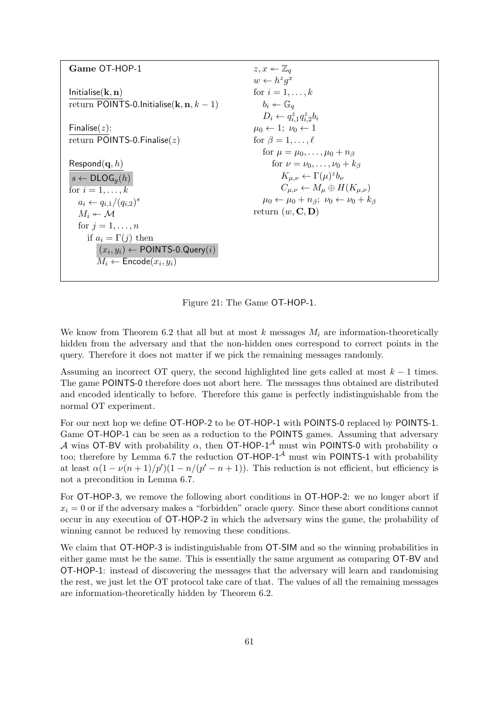| Game OT-HOP-1                                               | $z, x \leftarrow \mathbb{Z}_q$                                          |
|-------------------------------------------------------------|-------------------------------------------------------------------------|
|                                                             | $w \leftarrow h^z q^x$                                                  |
| Initialise $(\mathbf{k}, \mathbf{n})$                       | for $i=1,\ldots,k$                                                      |
| return POINTS-0.Initialise( $\mathbf{k}, \mathbf{n}, k-1$ ) | $b_i \leftarrow \mathbb{G}_q$                                           |
|                                                             | $D_i \leftarrow q_{i,1}^z q_{i,2}^z b_i$                                |
| Finalise $(z)$ :                                            | $\mu_0 \leftarrow 1$ ; $\nu_0 \leftarrow 1$                             |
| return POINTS-0. Finalise $(z)$                             | for $\beta = 1, \ldots, \ell$                                           |
|                                                             | for $\mu = \mu_0, \ldots, \mu_0 + n_\beta$                              |
| $\mathsf{Respond}(\mathbf{q}, h)$                           | for $\nu = \nu_0, \ldots, \nu_0 + k_\beta$                              |
| $s \leftarrow \textsf{DLOG}_q(h)$                           | $K_{\mu,\nu} \leftarrow \Gamma(\mu)^z b_{\nu}$                          |
| for $i=1,\ldots,k$                                          | $C_{\mu,\nu} \leftarrow M_{\mu} \oplus H(K_{\mu,\nu})$                  |
| $a_i \leftarrow q_{i,1}/(q_{i,2})^s$                        | $\mu_0 \leftarrow \mu_0 + n_\beta$ ; $\nu_0 \leftarrow \nu_0 + k_\beta$ |
| $M_i \leftarrow M$                                          | return $(w, \mathbf{C}, \mathbf{D})$                                    |
| for $i=1,\ldots,n$                                          |                                                                         |
| if $a_i = \Gamma(j)$ then                                   |                                                                         |
| $(x_i, y_i) \leftarrow$ POINTS-0.Query $(i)$                |                                                                         |
| $M_i \leftarrow$ Encode $(x_i, y_i)$                        |                                                                         |
|                                                             |                                                                         |

<span id="page-60-0"></span>Figure 21: The Game OT-HOP-1.

We know from Theorem [6.2](#page-49-0) that all but at most  $k$  messages  $M_i$  are information-theoretically hidden from the adversary and that the non-hidden ones correspond to correct points in the query. Therefore it does not matter if we pick the remaining messages randomly.

Assuming an incorrect OT query, the second highlighted line gets called at most  $k - 1$  times. The game POINTS-0 therefore does not abort here. The messages thus obtained are distributed and encoded identically to before. Therefore this game is perfectly indistinguishable from the normal OT experiment.

For our next hop we define OT-HOP-2 to be OT-HOP-1 with POINTS-0 replaced by POINTS-1. Game OT-HOP-1 can be seen as a reduction to the POINTS games. Assuming that adversary A wins OT-BV with probability  $\alpha$ , then OT-HOP-1<sup>A</sup> must win POINTS-0 with probability  $\alpha$ too; therefore by Lemma [6.7](#page-55-1) the reduction  $\mathsf{OT}\text{-}\mathsf{HOP}\text{-}\mathsf{I}^{\mathcal{A}}$  must win POINTS-1 with probability at least  $\alpha(1 - \nu(n+1)/p')(1 - n/(p'-n+1))$ . This reduction is not efficient, but efficiency is not a precondition in Lemma [6.7.](#page-55-1)

For OT-HOP-3, we remove the following abort conditions in OT-HOP-2: we no longer abort if  $x_i = 0$  or if the adversary makes a "forbidden" oracle query. Since these abort conditions cannot occur in any execution of OT-HOP-2 in which the adversary wins the game, the probability of winning cannot be reduced by removing these conditions.

We claim that  $OT-HOP-3$  is indistinguishable from  $OT-SIM$  and so the winning probabilities in either game must be the same. This is essentially the same argument as comparing OT-BV and OT-HOP-1: instead of discovering the messages that the adversary will learn and randomising the rest, we just let the OT protocol take care of that. The values of all the remaining messages are information-theoretically hidden by Theorem [6.2.](#page-49-0)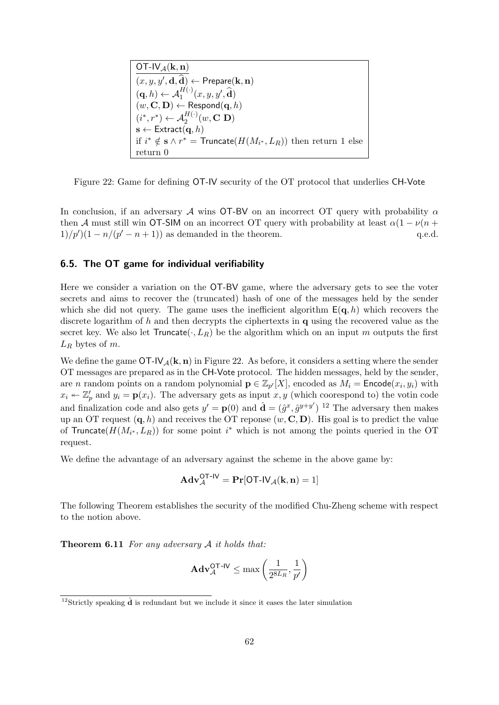OT-IV $_{\mathcal{A}}(\mathbf{k}, \mathbf{n})$  $(x, y, y', \mathbf{d}, \widehat{\mathbf{d}}) \leftarrow \mathsf{Prepare}(\mathbf{k}, \mathbf{n})$  $(\mathbf{q}, h) \leftarrow \mathcal{A}_1^{H(\cdot)}(x, y, y', \widehat{\mathbf{d}})$  $(w, \mathbf{C}, \mathbf{D}) \leftarrow \mathsf{Respond}(\mathbf{q}, h)$  $(i^*, r^*) \leftarrow \mathcal{A}_2^{H(\cdot)}(w, \mathbf{C} \mathbf{D})$  $\mathbf{s} \leftarrow \mathsf{Extract}(\mathbf{q},h)$ if  $i^* \notin \mathbf{s} \wedge r^* = \mathsf{Truncate}(H(M_{i^*}, L_R))$  then return 1 else return 0

<span id="page-61-0"></span>Figure 22: Game for defining OT-IV security of the OT protocol that underlies CH-Vote

In conclusion, if an adversary A wins OT-BV on an incorrect OT query with probability  $\alpha$ then A must still win OT-SIM on an incorrect OT query with probability at least  $\alpha(1 - \nu(n +$  $1/p'$ ) $(1 - n/(p' - n + 1))$  as demanded in the theorem. q.e.d.

## 6.5. The OT game for individual verifiability

Here we consider a variation on the OT-BV game, where the adversary gets to see the voter secrets and aims to recover the (truncated) hash of one of the messages held by the sender which she did not query. The game uses the inefficient algorithm  $E(q, h)$  which recovers the discrete logarithm of h and then decrypts the ciphertexts in  $q$  using the recovered value as the secret key. We also let  $Truncate(\cdot, L_R)$  be the algorithm which on an input m outputs the first  $L_R$  bytes of m.

We define the game  $\overline{OT-IV_A(k,n)}$  in Figure [22.](#page-61-0) As before, it considers a setting where the sender OT messages are prepared as in the CH-Vote protocol. The hidden messages, held by the sender, are *n* random points on a random polynomial  $\mathbf{p} \in \mathbb{Z}_{p}[X]$ , encoded as  $M_i = \mathsf{Encode}(x_i, y_i)$  with  $x_i \leftarrow \mathbb{Z}_p'$  and  $y_i = \mathbf{p}(x_i)$ . The adversary gets as input  $x, y$  (which coorespond to) the votin code and finalization code and also gets  $y' = \mathbf{p}(0)$  and  $\hat{\mathbf{d}} = (\hat{g}^x, \hat{g}^{y+y'})$  <sup>[12](#page-61-1)</sup> The adversary then makes up an OT request  $(q, h)$  and receives the OT reponse  $(w, C, D)$ . His goal is to predict the value of Truncate( $H(M_{i^*}, L_R)$ ) for some point  $i^*$  which is not among the points queried in the OT request.

We define the advantage of an adversary against the scheme in the above game by:

$$
\mathbf{Adv}_{\mathcal{A}}^{OT\text{-IV}} = \mathbf{Pr}[OT\text{-IV}_{\mathcal{A}}(\mathbf{k}, \mathbf{n}) = 1]
$$

<span id="page-61-2"></span>The following Theorem establishes the security of the modified Chu-Zheng scheme with respect to the notion above.

**Theorem 6.11** For any adversary  $A$  it holds that:

$$
\mathbf{Adv}_{\mathcal{A}}^{\mathsf{QT-IV}} \leq \max\left(\frac{1}{2^{8L_R}}, \frac{1}{p'}\right)
$$

<span id="page-61-1"></span><sup>&</sup>lt;sup>12</sup>Strictly speaking  $\hat{d}$  is redundant but we include it since it eases the later simulation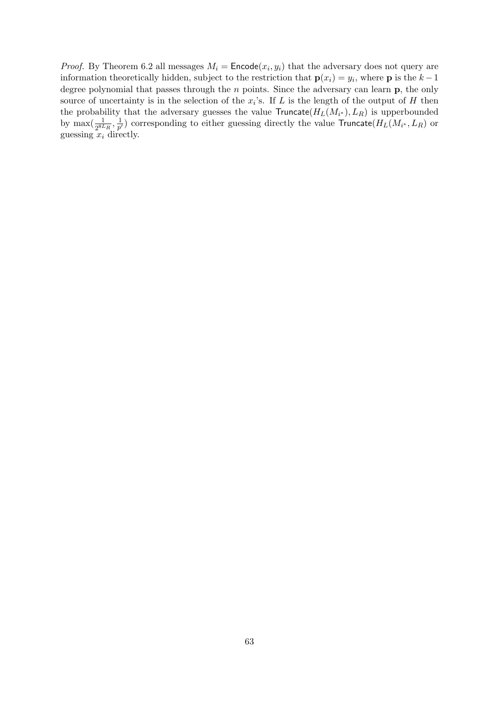*Proof.* By Theorem [6.2](#page-49-0) all messages  $M_i = \text{Encode}(x_i, y_i)$  that the adversary does not query are information theoretically hidden, subject to the restriction that  $p(x_i) = y_i$ , where p is the  $k-1$ degree polynomial that passes through the  $n$  points. Since the adversary can learn  $\bf{p}$ , the only source of uncertainty is in the selection of the  $x_i$ 's. If L is the length of the output of H then the probability that the adversary guesses the value  $Truncate(H_L(M_{i*}), L_R)$  is upperbounded by  $\max(\frac{1}{2^{8L_R}}, \frac{1}{p})$  $\frac{1}{p^{\prime}}$ ) corresponding to either guessing directly the value  $\mathsf{Truncate}(H_L(M_{i^*},L_R)$  or guessing  $x_i$  directly.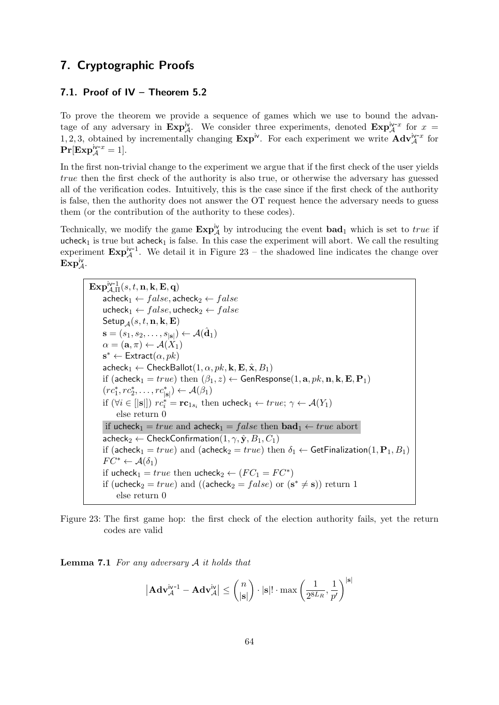# 7. Cryptographic Proofs

## 7.1. Proof of IV – Theorem [5.2](#page-33-0)

To prove the theorem we provide a sequence of games which we use to bound the advantage of any adversary in  $\operatorname{Exp}^{\text{iv}}_{\mathcal{A}}$ . We consider three experiments, denoted  $\operatorname{Exp}^{\text{iv-}x}_{\mathcal{A}}$  for  $x =$ 1, 2, 3, obtained by incrementally changing  $\exp^{iv}$ . For each experiment we write  $\mathbf{Adv}_{\mathcal{A}}^{iv-x}$  for  $\Pr[\mathrm{Exp}^{\mathrm{iv-}x}_\mathcal{A}=1].$ 

In the first non-trivial change to the experiment we argue that if the first check of the user yields true then the first check of the authority is also true, or otherwise the adversary has guessed all of the verification codes. Intuitively, this is the case since if the first check of the authority is false, then the authority does not answer the OT request hence the adversary needs to guess them (or the contribution of the authority to these codes).

Technically, we modify the game  $\mathbf{Exp}^{iv}_{\mathcal{A}}$  by introducing the event  $\mathbf{bad}_1$  which is set to true if ucheck<sub>1</sub> is true but acheck<sub>1</sub> is false. In this case the experiment will abort. We call the resulting experiment  $\mathbf{Exp}^{iv-1}_{\mathcal{A}}$ . We detail it in Figure [23](#page-63-0) – the shadowed line indicates the change over  $\mathrm{Exp}^{\mathrm{iv}}_{\mathcal{A}}.$ 

 $\overline{\mathrm{\mathbf{Exp}}_{\mathcal{A},\Pi}^{\mathrm{iv-1}}(s,t,\mathbf{n},\mathbf{k},\mathbf{E},\mathbf{q})}$  $\mathsf{acheck}_1 \leftarrow false$ , acheck $_2 \leftarrow false$ ucheck<sub>1</sub> ←  $false$ , ucheck<sub>2</sub> ←  $false$  $\mathsf{Setup}_{\mathcal{A}}(s,t,{\bf n},{\bf k},{\bf E})$  $\mathbf{s}=(s_1,s_2,\ldots,s_{|\mathbf{s}|}) \leftarrow \mathcal{A}(\hat{\mathbf{d}}_1)$  $\alpha = (\mathbf{a}, \pi) \leftarrow \mathcal{A}(X_1)$  $\mathbf{s}^* \leftarrow$  Extract $(\alpha, pk)$  $\mathsf{acheck}_1 \leftarrow \mathsf{CheckBallot}(1, \alpha, pk, \mathbf{k}, \mathbf{E}, \hat{\mathbf{x}}, B_1)$ if (acheck<sub>1</sub> =  $true$ ) then  $(\beta_1, z) \leftarrow$  GenResponse $(1, a, pk, n, k, E, P_1)$  $(re_1^*, re_2^*, \ldots, re_{|\mathbf{s}|}^* ) \leftarrow \mathcal{A}(\beta_1)$ if  $(\forall i \in [|\mathbf{s}|])$   $rc_i^* = \mathbf{rc}_{1s_i}$  then ucheck $1 \leftarrow true; \gamma \leftarrow \mathcal{A}(Y_1)$ else return 0 if ucheck<sub>1</sub> = true and acheck<sub>1</sub> = false then  $\mathbf{bad}_1 \leftarrow true$  abort  $\mathsf{acheck}_2 \leftarrow \mathsf{CheckConfirmation}(1, \gamma, \hat{\mathbf{y}}, B_1, C_1)$ if (acheck<sub>1</sub> = true) and (acheck<sub>2</sub> = true) then  $\delta_1 \leftarrow$  GetFinalization(1, P<sub>1</sub>, B<sub>1</sub>)  $FC^* \leftarrow \mathcal{A}(\delta_1)$ if ucheck<sub>1</sub> = true then ucheck<sub>2</sub>  $\leftarrow$   $(FC_1 = FC^*)$ if (ucheck<sub>2</sub> = *true*) and ((acheck<sub>2</sub> = *false*) or  $(s^* \neq s)$ ) return 1 else return 0

<span id="page-63-0"></span>Figure 23: The first game hop: the first check of the election authority fails, yet the return codes are valid

**Lemma 7.1** For any adversary  $A$  it holds that

$$
\left|\mathbf{Adv}_{\mathcal{A}}^{\mathsf{iv-1}}-\mathbf{Adv}_{\mathcal{A}}^{\mathsf{iv}}\right|\leq\binom{n}{\left|\mathbf{s}\right|}\cdot\left|\mathbf{s}\right|!\cdot\max\left(\frac{1}{2^{8L_{R}}},\frac{1}{p'}\right)^{\left|\mathbf{s}\right|}
$$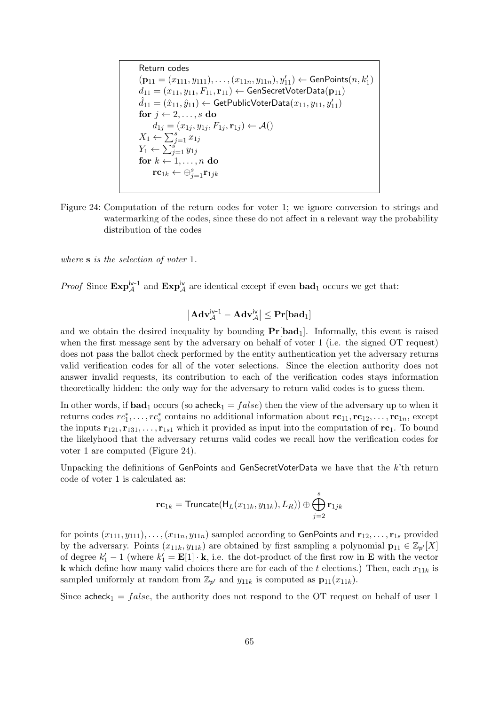Return codes  
\n(p<sub>11</sub> = (x<sub>111</sub>, y<sub>111</sub>),..., (x<sub>11n</sub>, y<sub>11</sub>), y'<sub>11</sub>) ← GenPoints(n, k'<sub>1</sub>)  
\nd<sub>11</sub> = (x<sub>11</sub>, y<sub>11</sub>, F<sub>11</sub>, r<sub>11</sub>) ← GenSecretVoterData(p<sub>11</sub>)  
\n
$$
\hat{d}_{11} = (\hat{x}_{11}, \hat{y}_{11}) \leftarrow
$$
 GetPublicVoterData(x<sub>11</sub>, y<sub>11</sub>, y'<sub>11</sub>)  
\nfor j ← 2,..., s do  
\nd<sub>1j</sub> = (x<sub>1j</sub>, y<sub>1j</sub>, F<sub>1j</sub>, r<sub>1j</sub>) ← A()  
\nX<sub>1</sub> ←  $\sum_{j=1}^{s} x_{1j}$   
\nY<sub>1</sub> ←  $\sum_{j=1}^{s} y_{1j}$   
\nfor k ← 1,..., n do  
\nrc<sub>1k</sub> ←  $\oplus_{j=1}^{s} r_{1jk}$ 

<span id="page-64-0"></span>Figure 24: Computation of the return codes for voter 1; we ignore conversion to strings and watermarking of the codes, since these do not affect in a relevant way the probability distribution of the codes

where **s** is the selection of voter 1.

*Proof* Since  $\text{Exp}_{\mathcal{A}}^{\text{iv}-1}$  and  $\text{Exp}_{\mathcal{A}}^{\text{iv}}$  are identical except if even  $\text{bad}_1$  occurs we get that:

$$
\left|\mathbf{Adv}_{\mathcal{A}}^{iv\text{-}1}-\mathbf{Adv}_{\mathcal{A}}^{iv}\right|\leq \mathbf{Pr}[\mathbf{bad}_1]
$$

and we obtain the desired inequality by bounding  $Pr[bad_1]$ . Informally, this event is raised when the first message sent by the adversary on behalf of voter 1 (i.e. the signed OT request) does not pass the ballot check performed by the entity authentication yet the adversary returns valid verification codes for all of the voter selections. Since the election authority does not answer invalid requests, its contribution to each of the verification codes stays information theoretically hidden: the only way for the adversary to return valid codes is to guess them.

In other words, if  $\mathbf{bad}_1$  occurs (so acheck<sub>1</sub> =  $false$ ) then the view of the adversary up to when it returns codes  $rc_1^*, \ldots, rc_s^*$  contains no additional information about  $rc_{11}, rc_{12}, \ldots, rc_{1n}$ , except the inputs  $\mathbf{r}_{121}, \mathbf{r}_{131}, \ldots, \mathbf{r}_{1s1}$  which it provided as input into the computation of  $\mathbf{r}_{\mathbf{C}_1}$ . To bound the likelyhood that the adversary returns valid codes we recall how the verification codes for voter 1 are computed (Figure [24\)](#page-64-0).

Unpacking the definitions of GenPoints and GenSecretVoterData we have that the k'th return code of voter 1 is calculated as:

$$
\mathbf{rc}_{1k} = \mathsf{Truncate}(\mathsf{H}_{L}(x_{11k},y_{11k}),L_R)) \oplus \bigoplus_{j=2}^s \mathbf{r}_{1jk}
$$

for points  $(x_{111}, y_{111}), \ldots, (x_{11n}, y_{11n})$  sampled according to GenPoints and  $\mathbf{r}_{12}, \ldots, \mathbf{r}_{1s}$  provided by the adversary. Points  $(x_{11k}, y_{11k})$  are obtained by first sampling a polynomial  $\mathbf{p}_{11} \in \mathbb{Z}_{p'}[X]$ of degree  $k'_1 - 1$  (where  $k'_1 = \mathbf{E}[1] \cdot \mathbf{k}$ , i.e. the dot-product of the first row in  $\mathbf{E}$  with the vector **k** which define how many valid choices there are for each of the t elections.) Then, each  $x_{11k}$  is sampled uniformly at random from  $\mathbb{Z}_{p'}$  and  $y_{11k}$  is computed as  $\mathbf{p}_{11}(x_{11k})$ .

Since acheck<sub>1</sub> = false, the authority does not respond to the OT request on behalf of user 1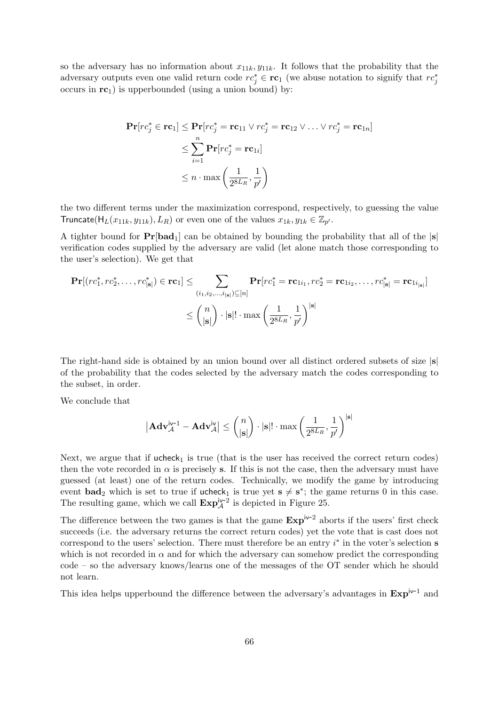so the adversary has no information about  $x_{11k}$ ,  $y_{11k}$ . It follows that the probability that the adversary outputs even one valid return code  $rc_j^* \in \mathbf{rc}_1$  (we abuse notation to signify that  $rc_j^*$ occurs in  $rc_1$ ) is upperbounded (using a union bound) by:

$$
\begin{aligned} \mathbf{Pr}[rc_j^* \in \mathbf{rc}_1] &\leq \mathbf{Pr}[rc_j^* = \mathbf{rc}_{11} \lor rc_j^* = \mathbf{rc}_{12} \lor \dots \lor rc_j^* = \mathbf{rc}_{1n}] \\ &\leq \sum_{i=1}^n \mathbf{Pr}[rc_j^* = \mathbf{rc}_{1i}] \\ &\leq n \cdot \max\left(\frac{1}{2^{8L_R}}, \frac{1}{p'}\right) \end{aligned}
$$

the two different terms under the maximization correspond, respectively, to guessing the value Truncate( $H_L(x_{11k}, y_{11k}), L_R$ ) or even one of the values  $x_{1k}, y_{1k} \in \mathbb{Z}_{p'}$ .

A tighter bound for  $Pr[bad_1]$  can be obtained by bounding the probability that all of the  $|s|$ verification codes supplied by the adversary are valid (let alone match those corresponding to the user's selection). We get that

$$
\begin{aligned} \mathbf{Pr}[(rc_1^*, rc_2^*, \dots, rc_{|\mathbf{s}|}^*) \in \mathbf{rc}_1] &\leq \sum_{(i_1, i_2, \dots, i_{|\mathbf{s}|}) \subseteq [n]} \mathbf{Pr}[rc_1^* = \mathbf{rc}_{1i_1}, rc_2^* = \mathbf{rc}_{1i_2}, \dots, rc_{|\mathbf{s}|}^* = \mathbf{rc}_{1i_{|\mathbf{s}|}}] \\ &\leq {n \choose |\mathbf{s}|} \cdot |\mathbf{s}|! \cdot \max \left( \frac{1}{2^{8L_R}}, \frac{1}{p'} \right)^{|\mathbf{s}|} \end{aligned}
$$

The right-hand side is obtained by an union bound over all distinct ordered subsets of size  $|s|$ of the probability that the codes selected by the adversary match the codes corresponding to the subset, in order.

We conclude that

$$
\left|\mathbf{Adv}_{\mathcal{A}}^{\mathsf{iv-1}}-\mathbf{Adv}_{\mathcal{A}}^{\mathsf{iv}}\right|\leq\binom{n}{|\mathbf{s}|}\cdot|\mathbf{s}|!\cdot\max\left(\frac{1}{2^{8L_{R}}},\frac{1}{p'}\right)^{|\mathbf{s}|}
$$

Next, we argue that if  $ucheck<sub>1</sub>$  is true (that is the user has received the correct return codes) then the vote recorded in  $\alpha$  is precisely s. If this is not the case, then the adversary must have guessed (at least) one of the return codes. Technically, we modify the game by introducing event **bad**<sub>2</sub> which is set to true if  $\mathsf{ucheck}_1$  is true yet  $s \neq s^*$ ; the game returns 0 in this case. The resulting game, which we call  $\text{Exp}_{\mathcal{A}}^{\text{iv-2}}$  is depicted in Figure [25.](#page-66-0)

The difference between the two games is that the game  $Exp<sup>i</sup> v<sup>-2</sup>$  aborts if the users' first check succeeds (i.e. the adversary returns the correct return codes) yet the vote that is cast does not correspond to the users' selection. There must therefore be an entry  $i^*$  in the voter's selection  $s$ which is not recorded in  $\alpha$  and for which the adversary can somehow predict the corresponding code – so the adversary knows/learns one of the messages of the OT sender which he should not learn.

This idea helps upperbound the difference between the adversary's advantages in  $\text{Exp}^{iv-1}$  and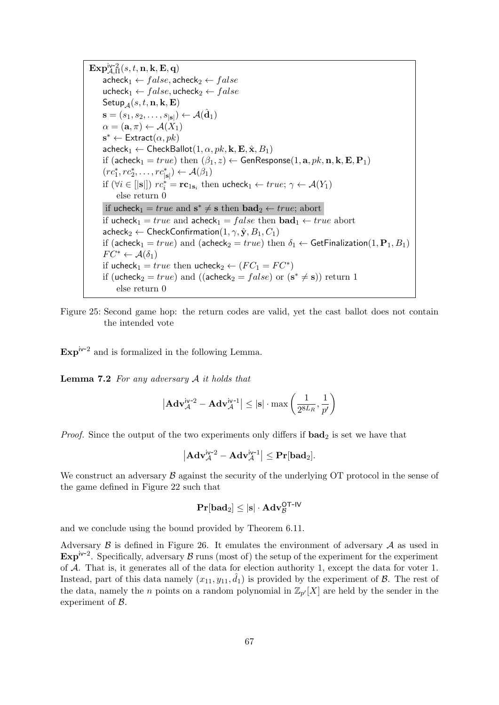$\mathbf{Exp}^{\mathsf{iv-2}}_{\mathcal{A},\Pi}(s,t,\mathbf{n},\mathbf{k},\mathbf{E},\mathbf{q})$  $\mathsf{acheck}_1 \leftarrow false$ , acheck $\mathcal{A} \leftarrow false$ ucheck<sub>1</sub> ←  $false$ , ucheck<sub>2</sub> ←  $false$ Setup $_A(s, t, n, k, E)$  $\mathbf{s} = (s_1, s_2, \dots, s_{|\mathbf{s}|}) \leftarrow \mathcal{A}(\hat{\mathbf{d}}_1)$  $\alpha = (\mathbf{a}, \pi) \leftarrow \mathcal{A}(X_1)$  $\mathbf{s}^* \leftarrow$  Extract $(\alpha, pk)$  $\mathsf{acheck}_1 \leftarrow \mathsf{CheckBallot}(1, \alpha, pk, \mathbf{k}, \mathbf{E}, \hat{\mathbf{x}}, B_1)$ if (acheck<sub>1</sub> = true) then  $(\beta_1, z) \leftarrow$  GenResponse(1, a, pk, n, k, E, P<sub>1</sub>)  $(re_1^*, re_2^*, \ldots, re_{|\mathbf{s}|}^* ) \leftarrow \mathcal{A}(\beta_1)$ if  $(\forall i \in [|s|])$   $rc_i^* = rc_{1s_i}$  then ucheck $_1 \leftarrow true; \gamma \leftarrow \mathcal{A}(Y_1)$ else return 0 if ucheck<sub>1</sub> =  $true$  and  $s^* \neq s$  then  $bad_2 \leftarrow true$ ; abort if ucheck<sub>1</sub> = true and acheck<sub>1</sub> = false then  $\mathbf{bad}_1 \leftarrow true$  abort  $\mathsf{acheck}_2 \leftarrow \mathsf{CheckConfirmation}(1, \gamma, \hat{\mathbf{y}}, B_1, C_1)$ if (acheck<sub>1</sub> = true) and (acheck<sub>2</sub> = true) then  $\delta_1 \leftarrow$  GetFinalization(1, P<sub>1</sub>, B<sub>1</sub>)  $FC^* \leftarrow \mathcal{A}(\delta_1)$ if ucheck<sub>1</sub> = true then ucheck<sub>2</sub>  $\leftarrow$   $(FC_1 = FC^*)$ if (ucheck<sub>2</sub> = *true*) and ((acheck<sub>2</sub> = *false*) or  $(s^* \neq s)$ ) return 1 else return 0

<span id="page-66-0"></span>Figure 25: Second game hop: the return codes are valid, yet the cast ballot does not contain the intended vote

 $\text{Exp}^{\text{iv-2}}$  and is formalized in the following Lemma.

**Lemma 7.2** For any adversary  $A$  it holds that

$$
\left|\mathbf{Adv}_{\mathcal{A}}^{\mathsf{iv-2}} - \mathbf{Adv}_{\mathcal{A}}^{\mathsf{iv-1}}\right| \leq |\mathbf{s}| \cdot \max\left(\frac{1}{2^{8L_R}}, \frac{1}{p'}\right)
$$

*Proof.* Since the output of the two experiments only differs if  $bad_2$  is set we have that

$$
\left|\mathbf{Adv}_{\mathcal{A}}^{iv\text{-}2}-\mathbf{Adv}_{\mathcal{A}}^{iv\text{-}1}\right|\leq \mathbf{Pr}[\mathbf{bad}_2].
$$

We construct an adversary  $\beta$  against the security of the underlying OT protocol in the sense of the game defined in Figure [22](#page-61-0) such that

$$
\mathbf{Pr}[\mathbf{bad}_2] \leq |\mathbf{s}| \cdot \mathbf{Adv}_{\mathcal{B}}^{\mathsf{OT-IV}}
$$

and we conclude using the bound provided by Theorem [6.11.](#page-61-2)

Adversary  $\beta$  is defined in Figure [26.](#page-67-0) It emulates the environment of adversary  $\beta$  as used in  $\text{Exp}^{iv-2}$ . Specifically, adversary  $\mathcal B$  runs (most of) the setup of the experiment for the experiment of A. That is, it generates all of the data for election authority 1, except the data for voter 1. Instead, part of this data namely  $(x_{11}, y_{11}, \hat{d}_1)$  is provided by the experiment of  $\beta$ . The rest of the data, namely the *n* points on a random polynomial in  $\mathbb{Z}_{p'}[X]$  are held by the sender in the experiment of B.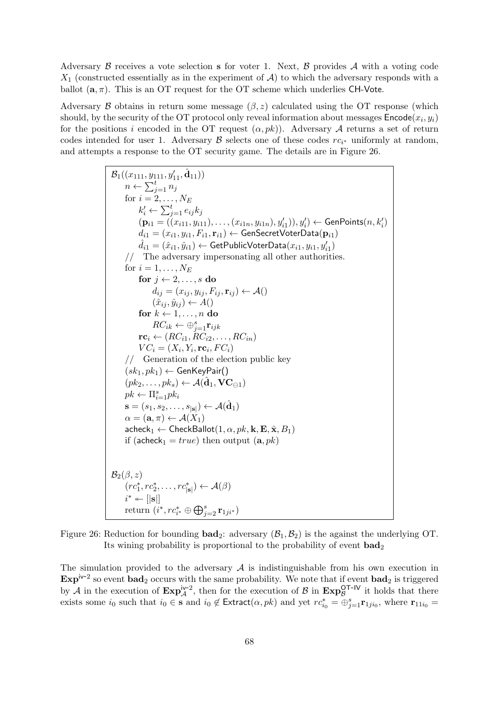Adversary  $\beta$  receives a vote selection s for voter 1. Next,  $\beta$  provides  $\mathcal A$  with a voting code  $X_1$  (constructed essentially as in the experiment of  $A$ ) to which the adversary responds with a ballot  $(a, \pi)$ . This is an OT request for the OT scheme which underlies CH-Vote.

Adversary B obtains in return some message  $(\beta, z)$  calculated using the OT response (which should, by the security of the OT protocol only reveal information about messages  $\mathsf{Encode}(x_i, y_i)$ for the positions i encoded in the OT request  $(\alpha, pk)$ . Adversary A returns a set of return codes intended for user 1. Adversary  $\beta$  selects one of these codes  $rc_{i^*}$  uniformly at random, and attempts a response to the OT security game. The details are in Figure [26.](#page-67-0)

> $\mathcal{B}_1((x_{111},y_{111},y'_{11},\hat{\mathbf{d}}_{11}))$  $n \leftarrow \sum_{j=1}^t n_j$ for  $i = 2, \ldots, N_E$  $k'_i \leftarrow \sum_{j=1}^t e_{ij} k_j$  $(\mathbf{p}_{i1} = ((x_{i11}, y_{i11}), \ldots, (x_{i1n}, y_{i1n}), y'_{i1})), y'_{i}) \leftarrow \mathsf{GenPoints}(n, k'_{i})$  $d_{i1} = (x_{i1}, y_{i1}, F_{i1}, \mathbf{r}_{i1}) \leftarrow \textsf{GenSecretVoterData}(\mathbf{p}_{i1})$  $\hat{d}_{i1} = (\hat{x}_{i1}, \hat{y}_{i1}) \leftarrow \mathsf{GetPublicVoterData}(x_{i1}, y_{i1}, y_{i1}')$ // The adversary impersonating all other authorities. for  $i = 1, \ldots, N_E$ for  $j \leftarrow 2, \ldots, s$  do  $d_{ij} = (x_{ij}, y_{ij}, F_{ij}, \mathbf{r}_{ij}) \leftarrow \mathcal{A}()$  $(\hat{x}_{ij}, \hat{y}_{ij}) \leftarrow A()$ for  $k \leftarrow 1, \ldots, n$  do  $RC_{ik} \leftarrow \bigoplus_{j=1}^{s} \mathbf{r}_{ijk}$  $r\mathbf{c}_i \leftarrow (RC_{i1}, RC_{i2}, \ldots, RC_{in})$  $VC_i = (X_i, Y_i, \mathbf{rc}_i, FC_i)$ // Generation of the election public key  $(sk_1, pk_1) \leftarrow$  GenKeyPair()  $(pk_2, \ldots, pk_s) \leftarrow \mathcal{A}(\hat{\mathbf{d}}_1, \mathbf{VC}_{\ominus 1})$  $pk \leftarrow \prod_{i=1}^s pk_i$  $\mathbf{s}=(s_1,s_2,\ldots,s_{|\mathbf{s}|}) \leftarrow \mathcal{A}(\hat{\mathbf{d}}_1)$  $\alpha = (\mathbf{a}, \pi) \leftarrow \mathcal{A}(X_1)$  $\mathsf{acheck}_1 \leftarrow \mathsf{CheckBallot}(1, \alpha, \mathit{pk}, \mathbf{k}, \mathbf{E}, \hat{\mathbf{x}}, B_1)$ if (acheck<sub>1</sub> = true) then output  $(a, pk)$  $\mathcal{B}_2(\beta,z)$  $(re_1^*, re_2^*, \ldots, re_{|\mathbf{s}|}^*) \leftarrow \mathcal{A}(\beta)$  $i^* \leftarrow \vert \vert \mathbf{s} \vert \vert$  $\text{return}~(i^*,rc^*_{i^*}\oplus \bigoplus_{j=2}^s \mathbf{r}_{1ji^*})$

<span id="page-67-0"></span>Figure 26: Reduction for bounding  $\text{bad}_2$ : adversary  $(\mathcal{B}_1, \mathcal{B}_2)$  is the against the underlying OT. Its wining probability is proportional to the probability of event  $\mathbf{bad}_2$ 

The simulation provided to the adversary  $A$  is indistinguishable from his own execution in  $\text{Exp}^{iv-2}$  so event  $\text{bad}_2$  occurs with the same probability. We note that if event  $\text{bad}_2$  is triggered by A in the execution of  $\text{Exp}_{\mathcal{A}}^{iv-2}$ , then for the execution of B in  $\text{Exp}_{\mathcal{B}}^{OT-IV}$  it holds that there exists some  $i_0$  such that  $i_0 \in \mathbf{s}$  and  $i_0 \notin \text{Extract}(\alpha, pk)$  and yet  $rc_{i_0}^* = \bigoplus_{j=1}^s \mathbf{r}_{1ji_0}$ , where  $\mathbf{r}_{11i_0} =$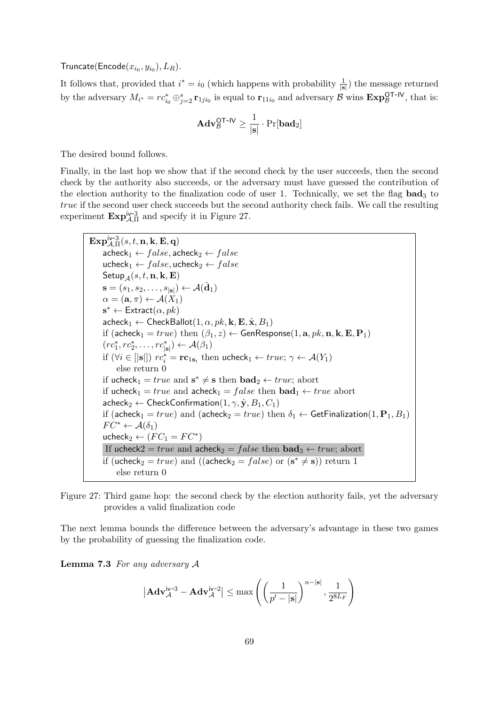Truncate(Encode $(x_{i_0}, y_{i_0}), L_R$ ).

It follows that, provided that  $i^* = i_0$  (which happens with probability  $\frac{1}{|\mathbf{s}|}$ ) the message returned by the adversary  $M_{i^*} = rc_{i_0}^* \oplus_{j=2}^s {\bf r}_{1ji_0}$  is equal to  ${\bf r}_{11i_0}$  and adversary  $\overset{\sim}{\mathcal{B}}$  wins  ${\bf Exp}_{\mathcal{B}}^{\sf OT-IV}$ , that is:

$$
\mathbf{Adv}_{\mathcal{B}}^{\mathsf{OT-IV}} \geq \frac{1}{|\mathbf{s}|} \cdot \Pr[\mathbf{bad}_2]
$$

The desired bound follows.

Finally, in the last hop we show that if the second check by the user succeeds, then the second check by the authority also succeeds, or the adversary must have guessed the contribution of the election authority to the finalization code of user 1. Technically, we set the flag  $bad_3$  to true if the second user check succeeds but the second authority check fails. We call the resulting experiment  $\mathbf{Exp}_{\mathcal{A},\Pi}^{\text{iv-3}}$  and specify it in Figure [27.](#page-68-0)

<span id="page-68-0"></span>Figure 27: Third game hop: the second check by the election authority fails, yet the adversary provides a valid finalization code

The next lemma bounds the difference between the adversary's advantage in these two games by the probability of guessing the finalization code.

**Lemma 7.3** For any adversary  $A$ 

$$
\left|\mathbf{Adv}_{\mathcal{A}}^{\text{iv-3}} - \mathbf{Adv}_{\mathcal{A}}^{\text{iv-2}}\right| \le \max\left(\left(\frac{1}{p^{\prime}-|\mathbf{s}|}\right)^{n-|\mathbf{s}|}, \frac{1}{2^{8L_F}}\right)
$$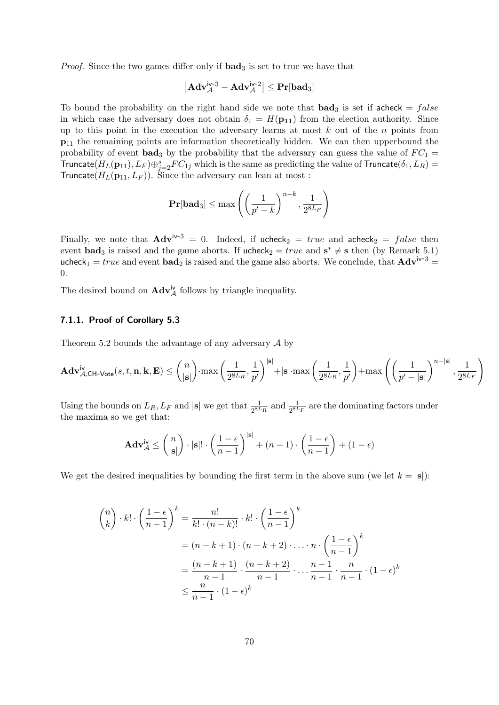*Proof.* Since the two games differ only if  $bad_3$  is set to true we have that

$$
\left|\mathbf{Adv}_{\mathcal{A}}^{iv\text{-}3} - \mathbf{Adv}_{\mathcal{A}}^{iv\text{-}2}\right| \leq \mathbf{Pr}[\mathbf{bad}_3]
$$

To bound the probability on the right hand side we note that  $\textbf{bad}_3$  is set if acheck =  $false$ in which case the adversary does not obtain  $\delta_1 = H(\mathbf{p}_{11})$  from the election authority. Since up to this point in the execution the adversary learns at most  $k$  out of the  $n$  points from  $p_{11}$  the remaining points are information theoretically hidden. We can then upperbound the probability of event bad<sub>3</sub> by the probability that the adversary can guess the value of  $FC_1 =$ Truncate $(H_L(\mathbf{p}_{11}), L_F) \oplus_{j=2}^s FC_{1j}$  which is the same as predicting the value of Truncate $(\delta_1, L_R)$  = Truncate( $H_L(\mathbf{p}_{11}, L_F)$ ). Since the adversary can lean at most :

$$
\mathbf{Pr}[\mathbf{bad}_3] \le \max\left(\left(\frac{1}{p'-k}\right)^{n-k}, \frac{1}{2^{8L_F}}\right)
$$

Finally, we note that  $\mathbf{Adv}^{iv-3} = 0$ . Indeed, if ucheck<sub>2</sub> = true and  $\mathbf{acheck}_2 = false$  then event **bad**<sub>3</sub> is raised and the game aborts. If ucheck<sub>2</sub> = true and  $s^* \neq s$  then (by Remark [5.1\)](#page-32-2) ucheck<sub>1</sub> = true and event **bad**<sub>2</sub> is raised and the game also aborts. We conclude, that  $\mathbf{Adv}^{iv-3}$  = 0.

The desired bound on  $\mathbf{Adv}_{\mathcal{A}}^{iv}$  follows by triangle inequality.

## 7.1.1. Proof of Corollary [5.3](#page-34-0)

Theorem [5.2](#page-33-0) bounds the advantage of any adversary  $A$  by

$$
\mathbf{Adv}_{\mathcal{A},\mathsf{CH-Vote}}^{\mathsf{iv}}(s,t,\mathbf{n},\mathbf{k},\mathbf{E}) \le \binom{n}{|\mathbf{s}|}\cdot\max\left(\frac{1}{2^{8L_R}},\frac{1}{p'}\right)^{|\mathbf{s}|}+|\mathbf{s}|\cdot\max\left(\frac{1}{2^{8L_R}},\frac{1}{p'}\right)+\max\left(\left(\frac{1}{p'-|\mathbf{s}|}\right)^{n-|\mathbf{s}|},\frac{1}{2^{8L_F}}\right)
$$

Using the bounds on  $L_R$ ,  $L_F$  and  $|\mathbf{s}|$  we get that  $\frac{1}{2^{8L_R}}$  and  $\frac{1}{2^{8L_F}}$  are the dominating factors under the maxima so we get that:

$$
\mathbf{Adv}_{\mathcal{A}}^{\mathsf{iv}} \le \binom{n}{|\mathbf{s}|} \cdot |\mathbf{s}|! \cdot \left(\frac{1-\epsilon}{n-1}\right)^{|\mathbf{s}|} + (n-1) \cdot \left(\frac{1-\epsilon}{n-1}\right) + (1-\epsilon)
$$

We get the desired inequalities by bounding the first term in the above sum (we let  $k = |s|$ ):

$$
\binom{n}{k} \cdot k! \cdot \left(\frac{1-\epsilon}{n-1}\right)^k = \frac{n!}{k! \cdot (n-k)!} \cdot k! \cdot \left(\frac{1-\epsilon}{n-1}\right)^k
$$

$$
= (n-k+1) \cdot (n-k+2) \cdot \ldots \cdot n \cdot \left(\frac{1-\epsilon}{n-1}\right)^k
$$

$$
= \frac{(n-k+1)}{n-1} \cdot \frac{(n-k+2)}{n-1} \cdot \ldots \cdot \frac{n-1}{n-1} \cdot \frac{n}{n-1} \cdot (1-\epsilon)^k
$$

$$
\leq \frac{n}{n-1} \cdot (1-\epsilon)^k
$$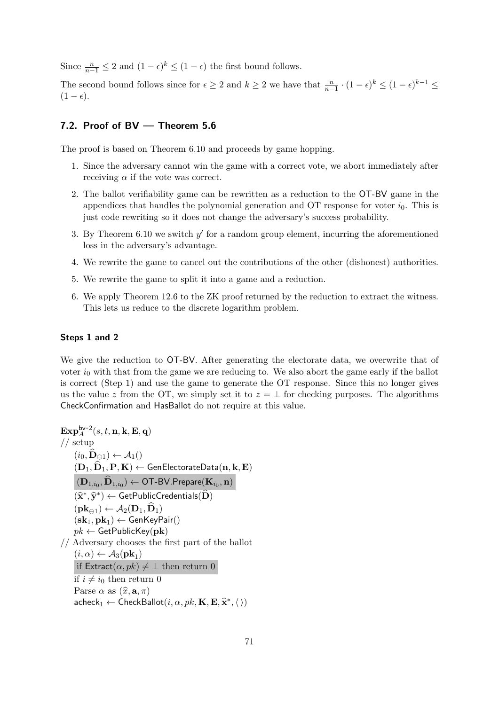Since  $\frac{n}{n-1} \leq 2$  and  $(1 - \epsilon)^k \leq (1 - \epsilon)$  the first bound follows.

The second bound follows since for  $\epsilon \geq 2$  and  $k \geq 2$  we have that  $\frac{n}{n-1} \cdot (1-\epsilon)^k \leq (1-\epsilon)^{k-1} \leq$  $(1 - \epsilon).$ 

# <span id="page-70-0"></span>7.2. Proof of BV — Theorem [5.6](#page-38-0)

The proof is based on Theorem [6.10](#page-59-0) and proceeds by game hopping.

- 1. Since the adversary cannot win the game with a correct vote, we abort immediately after receiving  $\alpha$  if the vote was correct.
- 2. The ballot verifiability game can be rewritten as a reduction to the OT-BV game in the appendices that handles the polynomial generation and OT response for voter  $i_0$ . This is just code rewriting so it does not change the adversary's success probability.
- 3. By Theorem  $6.10$  we switch  $y'$  for a random group element, incurring the aforementioned loss in the adversary's advantage.
- 4. We rewrite the game to cancel out the contributions of the other (dishonest) authorities.
- 5. We rewrite the game to split it into a game and a reduction.
- 6. We apply Theorem [12.6](#page-111-0) to the ZK proof returned by the reduction to extract the witness. This lets us reduce to the discrete logarithm problem.

## Steps 1 and 2

We give the reduction to OT-BV. After generating the electorate data, we overwrite that of voter  $i_0$  with that from the game we are reducing to. We also abort the game early if the ballot is correct (Step 1) and use the game to generate the OT response. Since this no longer gives us the value z from the OT, we simply set it to  $z = \perp$  for checking purposes. The algorithms CheckConfirmation and HasBallot do not require at this value.

$$
\begin{array}{l} \mathbf{Exp}^{\mathsf{bv}-2}_{A}(s,t,\mathbf{n},\mathbf{k},\mathbf{E},\mathbf{q})\\[1mm] // setup\\[1mm] (i_0,\widehat{\mathbf{D}}_{\ominus 1}) \leftarrow \mathcal{A}_1()\\[1mm] (\mathbf{D}_1,\widehat{\mathbf{D}}_1,\mathbf{P},\mathbf{K}) \leftarrow \mathsf{GenElectorateData}(\mathbf{n},\mathbf{k},\mathbf{E})\\[1mm] (\mathbf{D}_{1,i_0},\widehat{\mathbf{D}}_{1,i_0}) \leftarrow \mathsf{OT-BV}.\mathsf{Prepare}(\mathbf{K}_{i_0},\mathbf{n})\\[1mm] (\widehat{\mathbf{x}}^*,\widehat{\mathbf{y}}^*) \leftarrow \mathsf{GetPublicCredentials}(\widehat{\mathbf{D}})\\[1mm] (\mathbf{sk}_1,\mathbf{pk}_1) \leftarrow \mathcal{A}_2(\mathbf{D}_1,\widehat{\mathbf{D}}_1)\\[1mm] (sk_1,\mathbf{pk}_1) \leftarrow \mathsf{GenKeyPair}()\\[1mm] pk \leftarrow \mathsf{GetPublicKey}(\mathbf{pk})\\[1mm] // Adversary chooses the first part of the ballot\\[1mm] (i,\alpha) \leftarrow \mathcal{A}_3(\mathbf{pk}_1)\\[1mm] \text{if Extract}(\alpha,pk) \neq \bot \text{ then return } 0\\[1mm] \text{if } i \neq i_0 \text{ then return } 0\\[1mm] \text{Parse } \alpha \text{ as } (\widehat{x},\mathbf{a},\pi)\\ \text{acheck}_1 \leftarrow \mathsf{CheckBallot}(i,\alpha,pk,\mathbf{K},\mathbf{E},\widehat{\mathbf{x}}^*,\langle\,\rangle)\\ \end{array}
$$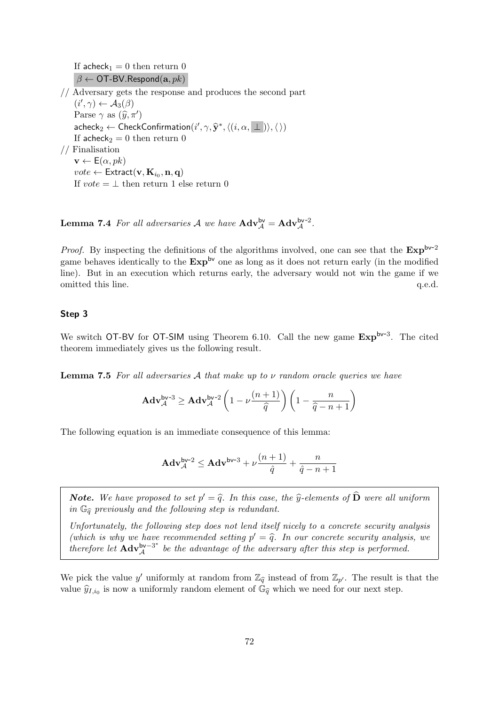If acheck<sub>1</sub> = 0 then return 0  $\beta \leftarrow$  OT-BV. Respond(a,  $pk$ )

// Adversary gets the response and produces the second part  $(i', \gamma) \leftarrow \mathcal{A}_3(\beta)$ Parse  $\gamma$  as  $(\widehat{y}, \pi')$  $\mathsf{acheck}_2 \leftarrow \mathsf{CheckConfiguration}(i', \gamma, \hat{\mathbf{y}}^*, \langle (i, \alpha, \bot) \rangle, \langle \rangle)$ If acheck<sub>2</sub> = 0 then return 0 // Finalisation

 $\mathbf{v} \leftarrow \mathsf{E}(\alpha, pk)$  $vote \leftarrow \textsf{Extract}(\textbf{v},\textbf{K}_{i_0},\textbf{n},\textbf{q})$ If  $vote = \perp$  then return 1 else return 0

**Lemma 7.4** For all adversaries A we have  $\mathbf{Adv}_{\mathcal{A}}^{\mathsf{bv}} = \mathbf{Adv}_{\mathcal{A}}^{\mathsf{bv}-2}$ .

*Proof.* By inspecting the definitions of the algorithms involved, one can see that the  $Exp^{bv-2}$ game behaves identically to the  $Exp^{bv}$  one as long as it does not return early (in the modified line). But in an execution which returns early, the adversary would not win the game if we omitted this line.  $q.e.d.$ 

#### Step 3

We switch OT-BV for OT-SIM using Theorem [6.10.](#page-59-0) Call the new game  $Exp^{bv-3}$ . The cited theorem immediately gives us the following result.

**Lemma 7.5** For all adversaries A that make up to  $\nu$  random oracle queries we have

$$
\mathbf{Adv}_{\mathcal{A}}^{\mathsf{bv-3}} \geq \mathbf{Adv}_{\mathcal{A}}^{\mathsf{bv-2}} \left( 1 - \nu \frac{(n+1)}{\widehat{q}} \right) \left( 1 - \frac{n}{\widehat{q} - n + 1} \right)
$$

The following equation is an immediate consequence of this lemma:

$$
\mathbf{Adv}_{\mathcal{A}}^{\mathsf{bv-2}} \leq \mathbf{Adv}^{\mathsf{bv-3}} + \nu \frac{(n+1)}{\hat{q}} + \frac{n}{\hat{q}-n+1}
$$

**Note.** We have proposed to set  $p' = \hat{q}$ . In this case, the  $\hat{y}$ -elements of  $\hat{D}$  were all uniform in  $\mathbb{C}$ , provisely and the following step is redundant. in  $\mathbb{G}_{\widehat{\sigma}}$  previously and the following step is redundant.

Unfortunately, the following step does not lend itself nicely to a concrete security analysis (which is why we have recommended setting  $p' = \hat{q}$ . In our concrete security analysis, we<br>therefore let  $\Delta d x^{b\vee -3^*}$  be the advantage of the advancement of the idea is performed. therefore let  $\mathbf{Adv}_{A}^{\mathsf{bv}-3^*}$  $\mathbb{A}^{\mathsf{bv}-3^*}$  be the advantage of the adversary after this step is performed.

We pick the value y' uniformly at random from  $\mathbb{Z}_{\widehat{q}}$  instead of from  $\mathbb{Z}_{p'}$ . The result is that the value  $\hat{y}_{I,i_0}$  is now a uniformly random element of  $\hat{\mathbb{G}}_{\hat{q}}$  which we need for our next step.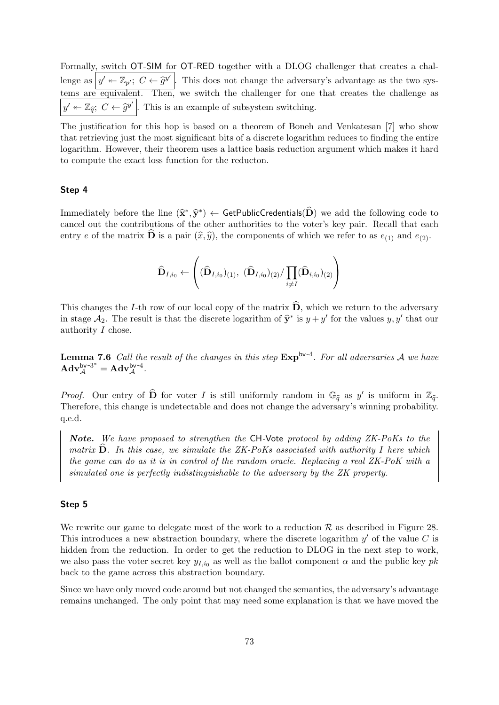Formally, switch OT-SIM for OT-RED together with a DLOG challenger that creates a challenge as  $y' \leftarrow \mathbb{Z}_{p'}$ ;  $C \leftarrow \widehat{g}^{y'}$ . This does not change the adversary's advantage as the two systems are equivalent. Then, we switch the challenger for one that creates the challenge as  $y' \leftarrow \mathbb{Z}_{\hat{q}}$ ;  $C \leftarrow \hat{g}^{y'}$ . This is an example of subsystem switching.

The justification for this hop is based on a theorem of Boneh and Venkatesan [\[7\]](#page-113-0) who show that retrieving just the most significant bits of a discrete logarithm reduces to finding the entire logarithm. However, their theorem uses a lattice basis reduction argument which makes it hard to compute the exact loss function for the reducton.

#### Step 4

Immediately before the line  $(\hat{\mathbf{x}}^*, \hat{\mathbf{y}}^*) \leftarrow$  GetPublicCredentials( $\hat{\mathbf{D}}$ ) we add the following code to appeal out the contributions of the other surfacilities to the veter's low pair. Besall that each cancel out the contributions of the other authorities to the voter's key pair. Recall that each entry e of the matrix  $\hat{\mathbf{D}}$  is a pair  $(\hat{x}, \hat{y})$ , the components of which we refer to as  $e_{(1)}$  and  $e_{(2)}$ .

$$
\widehat{\mathbf{D}}_{I, i_0} \gets \left( (\widehat{\mathbf{D}}_{I, i_0})_{(1)}, \ (\widehat{\mathbf{D}}_{I, i_0})_{(2)} / \prod_{i \neq I} (\widehat{\mathbf{D}}_{i, i_0})_{(2)} \right)
$$

This changes the I-th row of our local copy of the matrix  $\hat{\mathbf{D}}$ , which we return to the adversary in stage  $\mathcal{A}_2$ . The result is that the discrete logarithm of  $\hat{\mathbf{y}}^*$  is  $y + y'$  for the values  $y, y'$  that our authority I chose.

**Lemma 7.6** Call the result of the changes in this step  $Exp^{bv-4}$ . For all adversaries A we have  $\mathbf{Adv}_{\mathcal{A}}^{\mathsf{bv-3^*}} = \mathbf{Adv}_{\mathcal{A}}^{\mathsf{bv-4}}.$ 

*Proof.* Our entry of  $\widehat{\mathbf{D}}$  for voter I is still uniformly random in  $\mathbb{G}_{\widehat{q}}$  as y' is uniform in  $\mathbb{Z}_{\widehat{q}}$ . Therefore, this change is undetectable and does not change the adversary's winning probability. q.e.d.

Note. We have proposed to strengthen the CH-Vote protocol by adding ZK-PoKs to the matrix  $\mathbf{D}$ . In this case, we simulate the ZK-PoKs associated with authority I here which the game can do as it is in control of the random oracle. Replacing a real ZK-PoK with a simulated one is perfectly indistinguishable to the adversary by the ZK property.

#### Step 5

We rewrite our game to delegate most of the work to a reduction  $\mathcal R$  as described in Figure [28.](#page-73-0) This introduces a new abstraction boundary, where the discrete logarithm  $y'$  of the value C is hidden from the reduction. In order to get the reduction to DLOG in the next step to work, we also pass the voter secret key  $y_{I,i_0}$  as well as the ballot component  $\alpha$  and the public key pk back to the game across this abstraction boundary.

Since we have only moved code around but not changed the semantics, the adversary's advantage remains unchanged. The only point that may need some explanation is that we have moved the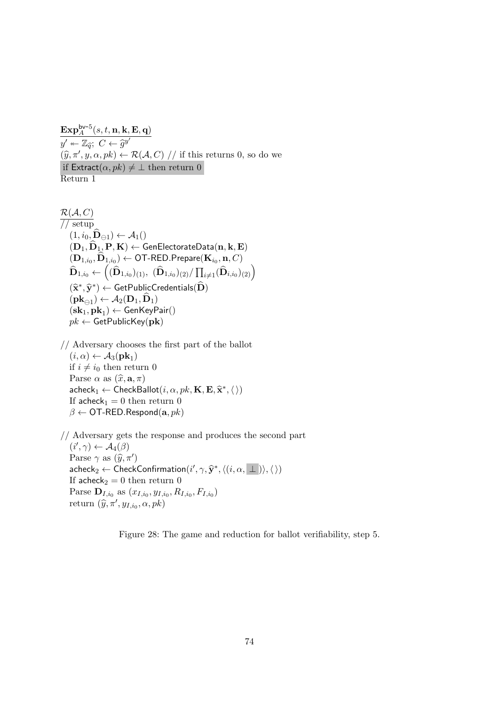$\mathbf{Exp}^{\mathsf{bv-5}}_A(s,t,\mathbf{n},\mathbf{k},\mathbf{E},\mathbf{q})$  $y' \leftarrow \mathbb{Z}_{\widehat{q}}$ ;  $C \leftarrow \widehat{g}^{y'}$ <br> $(\widehat{x}, \pi', y, \alpha, \alpha)$  $(\widehat{y}, \pi', y, \alpha, pk) \leftarrow \mathcal{R}(\mathcal{A}, C)$  // if this returns 0, so do we if  $\textsf{Extract}(\alpha, pk) \neq \bot$  then return 0 Return 1

 $\mathcal{R}(\mathcal{A}, C)$ // setup  $(1, i_0, \widehat{\mathbf{D}}_{\ominus 1}) \leftarrow \mathcal{A}_1()$  $(D_1, D_1, P, K) \leftarrow$  GenElectorateData $(n, k, E)$  $(\mathbf{D}_{1,i_0}, \mathbf{D}_{1,i_0}) \leftarrow \mathsf{OT-RED}.\mathsf{Prepare}(\mathbf{K}_{i_0}, \mathbf{n}, C)$  $\widehat{\mathbf{D}}_{1,i_0}\leftarrow\left((\widehat{\mathbf{D}}_{1,i_0})_{(1)},\ (\widehat{\mathbf{D}}_{1,i_0})_{(2)}/\prod_{i\neq 1}(\widehat{\mathbf{D}}_{i,i_0})_{(2)}\right)$  $(\widehat{\mathbf{x}}^*, \widehat{\mathbf{y}}^*) \leftarrow \mathsf{GetPublicCredentials}(\widehat{\mathbf{D}})$  $(\mathbf{pk}_{\ominus 1}) \leftarrow \mathcal{A}_2(\mathbf{D}_1, \mathbf{D}_1)$  $({\mathbf{sk}}_1, {\mathbf{pk}}_1) \leftarrow {\mathsf{GenKeyPair}}()$  $pk \leftarrow$  GetPublicKey(pk)

// Adversary chooses the first part of the ballot  $(i, \alpha) \leftarrow \mathcal{A}_3(\mathbf{pk}_1)$ if  $i \neq i_0$  then return 0 Parse  $\alpha$  as  $(\widehat{x}, \mathbf{a}, \pi)$  $\mathsf{acheck}_1 \leftarrow \mathsf{CheckBallot}(i, \alpha, pk, \mathbf{K}, \mathbf{E}, \hat{\mathbf{x}}^*, \langle \rangle)$ <br>
If achock = 0 than return 0 If acheck<sub>1</sub> = 0 then return 0  $\beta \leftarrow$  OT-RED.Respond(a,  $pk$ )

// Adversary gets the response and produces the second part  $(i', \gamma) \leftarrow \mathcal{A}_4(\beta)$ Parse  $\gamma$  as  $(\widehat{y}, \pi')$ <br>cabeck  $\land$  Chock  $\mathsf{acheck}_2 \leftarrow \mathsf{CheckConfiguration}(i', \gamma, \hat{\mathbf{y}}^*, \langle (i, \alpha, \bot) \rangle, \langle \rangle)$ If acheck<sub>2</sub> = 0 then return 0 Parse  $\mathbf{D}_{I,i_0}$  as  $(x_{I,i_0}, y_{I,i_0}, R_{I,i_0}, F_{I,i_0})$ return  $(\widehat{y}, \pi', y_{I,i_0}, \alpha, pk)$ 

<span id="page-73-0"></span>Figure 28: The game and reduction for ballot verifiability, step 5.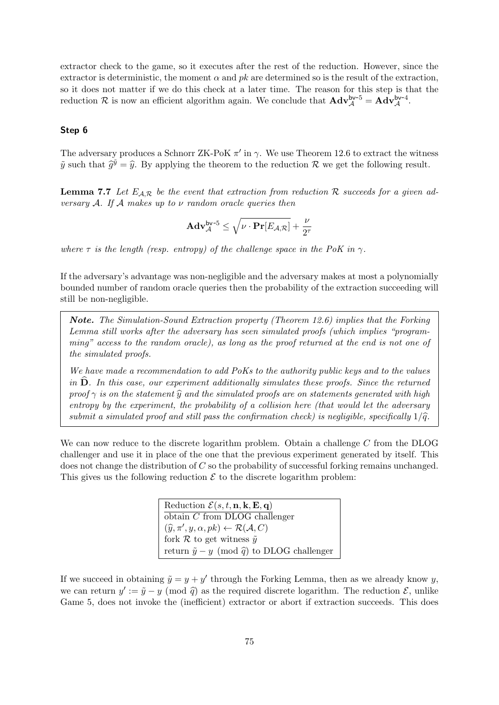extractor check to the game, so it executes after the rest of the reduction. However, since the extractor is deterministic, the moment  $\alpha$  and  $pk$  are determined so is the result of the extraction, so it does not matter if we do this check at a later time. The reason for this step is that the reduction R is now an efficient algorithm again. We conclude that  $\mathbf{Adv}_{\mathcal{A}}^{bv-5} = \mathbf{Adv}_{\mathcal{A}}^{bv-4}$ .

#### Step 6

The adversary produces a Schnorr ZK-PoK  $\pi'$  in  $\gamma$ . We use Theorem [12.6](#page-111-0) to extract the witness  $\tilde{y}$  such that  $\tilde{g}^{\tilde{y}} = \hat{y}$ . By applying the theorem to the reduction R we get the following result.

**Lemma 7.7** Let  $E_{\mathcal{A},\mathcal{R}}$  be the event that extraction from reduction  $\mathcal{R}$  succeeds for a given adversary A. If A makes up to  $\nu$  random oracle queries then

$$
\mathbf{Adv}_{\mathcal{A}}^{\mathsf{bv-5}} \leq \sqrt{\nu \cdot \mathbf{Pr}[E_{\mathcal{A},\mathcal{R}}]} + \frac{\nu}{2^{\tau}}
$$

where  $\tau$  is the length (resp. entropy) of the challenge space in the PoK in  $\gamma$ .

If the adversary's advantage was non-negligible and the adversary makes at most a polynomially bounded number of random oracle queries then the probability of the extraction succeeding will still be non-negligible.

Note. The Simulation-Sound Extraction property (Theorem [12.6\)](#page-111-0) implies that the Forking Lemma still works after the adversary has seen simulated proofs (which implies "programming" access to the random oracle), as long as the proof returned at the end is not one of the simulated proofs.

We have made a recommendation to add PoKs to the authority public keys and to the values in  $\widehat{\mathbf{D}}$ . In this case, our experiment additionally simulates these proofs. Since the returned proof  $\gamma$  is on the statement  $\widehat{y}$  and the simulated proofs are on statements generated with high entropy by the experiment, the probability of a collision here (that would let the adversary submit a simulated proof and still pass the confirmation check) is negligible, specifically  $1/\hat{q}$ .

We can now reduce to the discrete logarithm problem. Obtain a challenge  $C$  from the DLOG challenger and use it in place of the one that the previous experiment generated by itself. This does not change the distribution of C so the probability of successful forking remains unchanged. This gives us the following reduction  $\mathcal E$  to the discrete logarithm problem:

> Reduction  $\mathcal{E}(s, t, n, k, E, q)$ obtain C from DLOG challenger  $(\widehat{y}, \pi', y, \alpha, pk) \leftarrow \mathcal{R}(\mathcal{A}, C)$ <br>fork  $\mathcal{P}$  to get witness  $\widetilde{\alpha}$ fork  $R$  to get witness  $\tilde{y}$ return  $\tilde{y} - y \pmod{\tilde{q}}$  to DLOG challenger

If we succeed in obtaining  $\tilde{y} = y + y'$  through the Forking Lemma, then as we already know y, we can return  $y' := \tilde{y} - y \pmod{\tilde{q}}$  as the required discrete logarithm. The reduction  $\mathcal{E}$ , unlike<br>Came 5, does not invoke the (inefficient) extractor or about if extraction succeeds. This does Game 5, does not invoke the (inefficient) extractor or abort if extraction succeeds. This does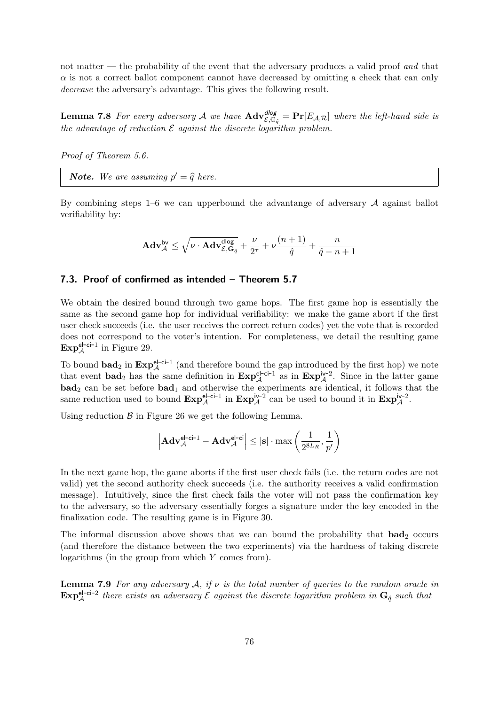not matter — the probability of the event that the adversary produces a valid proof and that  $\alpha$  is not a correct ballot component cannot have decreased by omitting a check that can only decrease the adversary's advantage. This gives the following result.

**Lemma 7.8** For every adversary A we have  $\mathbf{Adv}_{\mathcal{E},\mathbb{G}_q}^{dlog} = \mathbf{Pr}[E_{\mathcal{A},\mathcal{R}}]$  where the left-hand side is the advantage of reduction  $\mathcal E$  against the discrete logarithm problem.

Proof of Theorem [5.6.](#page-38-0)

**Note.** We are assuming  $p' = \widehat{q}$  here.

By combining steps  $1-6$  we can upperbound the advantange of adversary  $\mathcal A$  against ballot verifiability by:

$$
\mathbf{Adv}_{\mathcal{A}}^{\mathsf{bv}} \leq \sqrt{\nu \cdot \mathbf{Adv}_{\mathcal{E},\mathbf{G}_{\hat{q}}}^{\mathsf{dlog}}} + \frac{\nu}{2^{\tau}} + \nu\frac{(n+1)}{\hat{q}} + \frac{n}{\hat{q}-n+1}
$$

#### 7.3. Proof of confirmed as intended – Theorem [5.7](#page-39-0)

We obtain the desired bound through two game hops. The first game hop is essentially the same as the second game hop for individual verifiability: we make the game abort if the first user check succeeds (i.e. the user receives the correct return codes) yet the vote that is recorded does not correspond to the voter's intention. For completeness, we detail the resulting game  $\mathrm{Exp}^{\mathrm{el-ci-1}}_{\mathcal{A}}$  in Figure [29.](#page-76-0)

To bound  $\mathbf{bad}_2$  in  $\mathbf{Exp}^{\mathsf{el-ci-1}}_{\mathcal{A}}$  (and therefore bound the gap introduced by the first hop) we note that event bad<sub>2</sub> has the same definition in  $\text{Exp}_{\mathcal{A}}^{\text{el-ci-1}}$  as in  $\text{Exp}_{\mathcal{A}}^{\text{iv-2}}$ . Since in the latter game  $\mathbf{bad}_2$  can be set before  $\mathbf{bad}_1$  and otherwise the experiments are identical, it follows that the same reduction used to bound  $\text{Exp}_{\mathcal{A}}^{\text{el-ci-1}}$  in  $\text{Exp}_{\mathcal{A}}^{\text{iv-2}}$  can be used to bound it in  $\text{Exp}_{\mathcal{A}}^{\text{iv-2}}$ .

Using reduction  $\beta$  in Figure [26](#page-67-0) we get the following Lemma.

$$
\left|\mathbf{Adv}_{\mathcal{A}}^{\mathsf{el}\text{-}\mathsf{ci}\text{-}1}-\mathbf{Adv}_{\mathcal{A}}^{\mathsf{el}\text{-}\mathsf{ci}}\right| \leq |\mathbf{s}| \cdot \max\left(\frac{1}{2^{8L_R}},\frac{1}{p'}\right)
$$

In the next game hop, the game aborts if the first user check fails (i.e. the return codes are not valid) yet the second authority check succeeds (i.e. the authority receives a valid confirmation message). Intuitively, since the first check fails the voter will not pass the confirmation key to the adversary, so the adversary essentially forges a signature under the key encoded in the finalization code. The resulting game is in Figure [30.](#page-77-0)

The informal discussion above shows that we can bound the probability that  $bad_2$  occurs (and therefore the distance between the two experiments) via the hardness of taking discrete logarithms (in the group from which Y comes from).

**Lemma 7.9** For any adversary  $A$ , if  $\nu$  is the total number of queries to the random oracle in  $\text{Exp}_{\mathcal{A}}^{\text{el-ci-2}}$  there exists an adversary  $\mathcal{E}$  against the discrete logarithm problem in  $\mathbf{G}_{\hat{q}}$  such that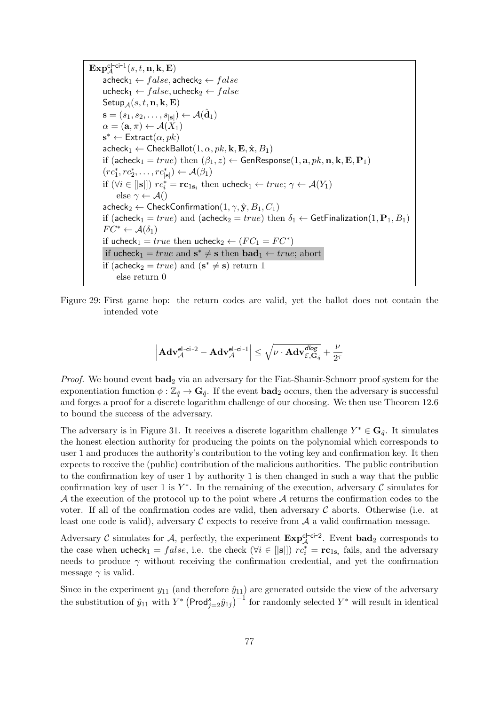$\mathbf{Exp}^{\mathsf{el}\text{-}\mathsf{ci}\text{-}1}_\mathcal{A}(s,t,\mathbf{n},\mathbf{k},\mathbf{E})$  $\mathsf{acheck}_1 \leftarrow false, \mathsf{acheck}_2 \leftarrow false$ ucheck<sub>1</sub> ←  $false$ , ucheck<sub>2</sub> ←  $false$ Setup<sub>A</sub> $(s, t, n, k, E)$  $\mathbf{s}=(s_1,s_2,\ldots,s_{|\mathbf{s}|}) \leftarrow \mathcal{A}(\hat{\mathbf{d}}_1)$  $\alpha = (\mathbf{a}, \pi) \leftarrow \mathcal{A}(X_1)$  $\mathbf{s}^* \leftarrow$  Extract $(\alpha, pk)$  $\mathsf{acheck}_1 \leftarrow \mathsf{CheckBallot}(1, \alpha, pk, \mathbf{k}, \mathbf{E}, \hat{\mathbf{x}}, B_1)$ if (acheck<sub>1</sub> = true) then  $(\beta_1, z) \leftarrow$  GenResponse(1, a, pk, n, k, E, P<sub>1</sub>)  $(re_1^*, re_2^*, \ldots, re_{|\mathbf{s}|}^* ) \leftarrow \mathcal{A}(\beta_1)$ if  $(\forall i \in [|s|])$   $rc_i^* = rc_{1s_i}$  then ucheck $_1 \leftarrow true; \gamma \leftarrow \mathcal{A}(Y_1)$ else  $\gamma \leftarrow \mathcal{A}()$  $\mathsf{acheck}_2 \leftarrow \mathsf{CheckConfirmation}(1, \gamma, \hat{\mathbf{y}}, B_1, C_1)$ if (acheck<sub>1</sub> = true) and (acheck<sub>2</sub> = true) then  $\delta_1 \leftarrow$  GetFinalization(1, P<sub>1</sub>, B<sub>1</sub>)  $FC^* \leftarrow \mathcal{A}(\delta_1)$ if ucheck<sub>1</sub> = true then ucheck<sub>2</sub>  $\leftarrow$   $(FC_1 = FC^*)$ if ucheck<sub>1</sub> =  $true$  and  $s^* \neq s$  then  $bad_1 \leftarrow true$ ; abort if (acheck<sub>2</sub> =  $true$ ) and ( $s^* \neq s$ ) return 1 else return 0

<span id="page-76-0"></span>Figure 29: First game hop: the return codes are valid, yet the ballot does not contain the intended vote

$$
\left|\mathbf{Adv}_{\mathcal{A}}^{\mathsf{el}\text{-}\mathsf{ci}\text{-}2}-\mathbf{Adv}_{\mathcal{A}}^{\mathsf{el}\text{-}\mathsf{ci}\text{-}1}\right|\leq\sqrt{\nu\cdot\mathbf{Adv}_{\mathcal{E},\mathbf{G}_{\hat{q}}^{\mathcal{A}}}}+\frac{\nu}{2^{\tau}}
$$

*Proof.* We bound event  $bad_2$  via an adversary for the Fiat-Shamir-Schnorr proof system for the exponentiation function  $\phi : \mathbb{Z}_{\hat{\sigma}} \to \mathbf{G}_{\hat{\sigma}}$ . If the event **bad**<sub>2</sub> occurs, then the adversary is successful and forges a proof for a discrete logarithm challenge of our choosing. We then use Theorem [12.6](#page-111-0) to bound the success of the adversary.

The adversary is in Figure [31.](#page-78-0) It receives a discrete logarithm challenge  $Y^* \in \mathbf{G}_{\hat{q}}$ . It simulates the honest election authority for producing the points on the polynomial which corresponds to user 1 and produces the authority's contribution to the voting key and confirmation key. It then expects to receive the (public) contribution of the malicious authorities. The public contribution to the confirmation key of user 1 by authority 1 is then changed in such a way that the public confirmation key of user 1 is  $Y^*$ . In the remaining of the execution, adversary  $\mathcal C$  simulates for  $\mathcal A$  the execution of the protocol up to the point where  $\mathcal A$  returns the confirmation codes to the voter. If all of the confirmation codes are valid, then adversary  $C$  aborts. Otherwise (i.e. at least one code is valid), adversary  $\mathcal C$  expects to receive from  $\mathcal A$  a valid confirmation message.

Adversary C simulates for A, perfectly, the experiment  $\text{Exp}_{\mathcal{A}}^{\text{el-ci-2}}$ . Event  $\text{bad}_2$  corresponds to the case when  $\mathsf{ucheck}_1 = false$ , i.e. the check  $(\forall i \in [|\mathbf{s}|])$   $rc_i^* = rc_{1\mathbf{s}_i}$  fails, and the adversary needs to produce  $\gamma$  without receiving the confirmation credential, and yet the confirmation message  $\gamma$  is valid.

Since in the experiment  $y_{11}$  (and therefore  $\hat{y}_{11}$ ) are generated outside the view of the adversary the substitution of  $\hat{y}_{11}$  with  $Y^*$  (Prod $_{j=2}^s \hat{y}_{1j}$ )<sup>-1</sup> for randomly selected  $Y^*$  will result in identical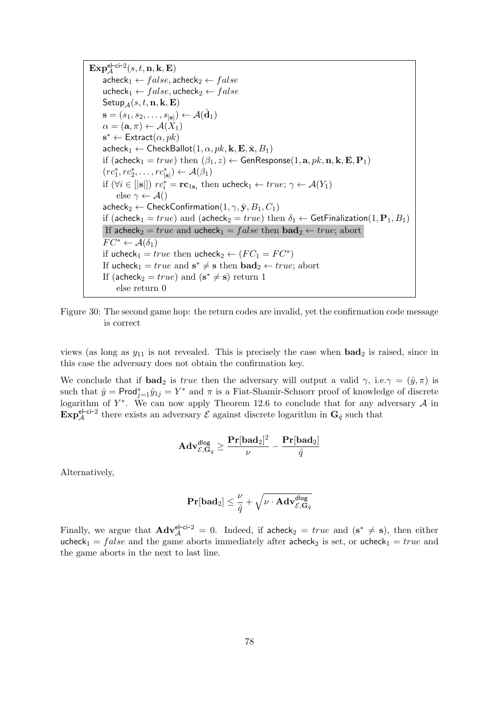$\mathbf{Exp}^{\mathsf{el}\text{-}\mathsf{ci}\text{-}2}_\mathcal{A}(s,t,\mathbf{n},\mathbf{k},\mathbf{E})$  $\mathsf{acheck}_1 \leftarrow false, \mathsf{acheck}_2 \leftarrow false$ ucheck<sub>1</sub> ←  $false$ , ucheck<sub>2</sub> ←  $false$ Setup<sub>A</sub> $(s, t, n, k, E)$  $\mathbf{s}=(s_1,s_2,\ldots,s_{|\mathbf{s}|}) \leftarrow \mathcal{A}(\hat{\mathbf{d}}_1)$  $\alpha = (\mathbf{a}, \pi) \leftarrow \mathcal{A}(X_1)$  $\mathbf{s}^* \leftarrow$  Extract $(\alpha, pk)$  $\mathsf{acheck}_1 \leftarrow \mathsf{CheckBallot}(1, \alpha, pk, \mathbf{k}, \mathbf{E}, \hat{\mathbf{x}}, B_1)$ if (acheck<sub>1</sub> = true) then  $(\beta_1, z) \leftarrow$  GenResponse(1, a, pk, n, k, E, P<sub>1</sub>)  $(re_1^*, re_2^*, \ldots, re_{|\mathbf{s}|}^* ) \leftarrow \mathcal{A}(\beta_1)$ if  $(\forall i \in [|s|])$   $rc_i^* = rc_{1s_i}$  then ucheck $_1 \leftarrow true; \gamma \leftarrow \mathcal{A}(Y_1)$ else  $\gamma \leftarrow \mathcal{A}()$  $\mathsf{acheck}_2 \leftarrow \mathsf{CheckConfirmation}(1, \gamma, \hat{\mathbf{y}}, B_1, C_1)$ if (acheck<sub>1</sub> = true) and (acheck<sub>2</sub> = true) then  $\delta_1 \leftarrow$  GetFinalization(1, P<sub>1</sub>, B<sub>1</sub>) If acheck<sub>2</sub> = true and ucheck<sub>1</sub> = false then  $\text{bad}_2 \leftarrow true$ ; abort  $FC^* \leftarrow \mathcal{A}(\delta_1)$ if ucheck<sub>1</sub> = true then ucheck<sub>2</sub>  $\leftarrow$   $(FC_1 = FC^*)$ If ucheck<sub>1</sub> =  $true$  and  $s^* \neq s$  then  $bad_2 \leftarrow true$ ; abort If (acheck<sub>2</sub> =  $true$ ) and ( $s^* \neq s$ ) return 1 else return 0

<span id="page-77-0"></span>Figure 30: The second game hop: the return codes are invalid, yet the confirmation code message is correct

views (as long as  $y_{11}$  is not revealed. This is precisely the case when  $bad_2$  is raised, since in this case the adversary does not obtain the confirmation key.

We conclude that if **bad**<sub>2</sub> is true then the adversary will output a valid  $\gamma$ , i.e. $\gamma = (\hat{y}, \pi)$  is such that  $\hat{y} = \text{Prod}_{j=1}^{s} \hat{y}_{1j} = Y^*$  and  $\pi$  is a Fiat-Shamir-Schnorr proof of knowledge of discrete logarithm of  $Y^*$ . We can now apply Theorem [12.6](#page-111-0) to conclude that for any adversary A in  $\mathbf{Exp}^{\text{el-ci-2}}_{\mathcal{A}}$  there exists an adversary  $\mathcal{E}$  against discrete logarithm in  $\mathbf{G}_{\hat{q}}$  such that

$$
\mathbf{Adv}_{\mathcal{E},\mathbf{G}_{\hat{q}}}^{\mathsf{dlog}} \geq \frac{\mathbf{Pr}[\mathbf{bad}_2]^2}{\nu} - \frac{\mathbf{Pr}[\mathbf{bad}_2]}{\hat{q}}
$$

Alternatively,

$$
\mathbf{Pr}[\mathbf{bad}_2] \leq \frac{\nu}{\hat{q}} + \sqrt{\nu \cdot \mathbf{Adv}_{\mathcal{E}, \mathbf{G}_{\hat{q}}}^{\mathsf{dlog}}}
$$

Finally, we argue that  $\mathbf{Adv}_{\mathcal{A}}^{\mathsf{el-ci-2}} = 0$ . Indeed, if  $\mathsf{acheck}_2 = true$  and  $(s^* \neq s)$ , then either ucheck<sub>1</sub> = false and the game aborts immediately after acheck<sub>2</sub> is set, or ucheck<sub>1</sub> = true and the game aborts in the next to last line.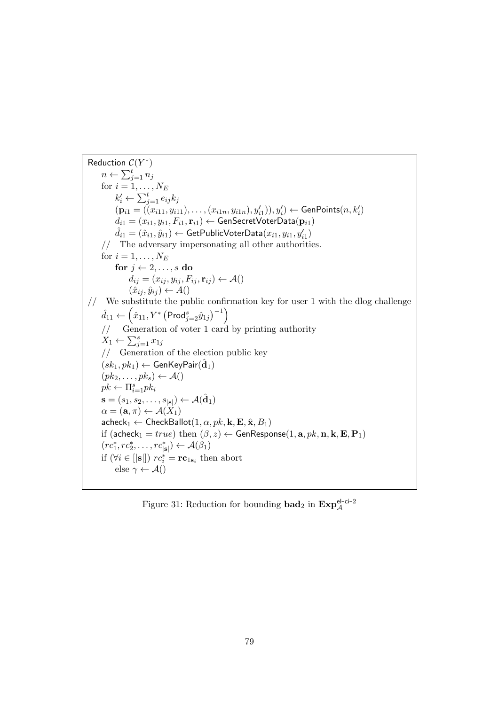Reduction  $C(Y^*)$  $n \leftarrow \sum_{j=1}^t n_j$ for  $i = 1, \ldots, N_E$  $k'_i \leftarrow \sum_{j=1}^t e_{ij} k_j$  $(\mathbf{p}_{i1} = ((x_{i11}, y_{i11}), \ldots, (x_{i1n}, y_{i1n}), y'_{i1})), y'_{i}) \leftarrow \mathsf{GenPoints}(n, k'_{i})$  $d_{i1} = (x_{i1}, y_{i1}, F_{i1}, \mathbf{r}_{i1}) \leftarrow \mathsf{GenSecretVoterData}(\mathbf{p}_{i1})$  $\hat{d}_{i1} = (\hat{x}_{i1}, \hat{y}_{i1}) \leftarrow \textsf{GetPublicVoterData}(x_{i1}, y_{i1}, y_{i1}')$ // The adversary impersonating all other authorities. for  $i = 1, \ldots, N_E$ for  $j \leftarrow 2, \ldots, s$  do  $d_{ij} = (x_{ij}, y_{ij}, F_{ij}, \mathbf{r}_{ij}) \leftarrow \mathcal{A}()$  $(\hat{x}_{ij}, \hat{y}_{ij}) \leftarrow A()$ // We substitute the public confirmation key for user 1 with the dlog challenge  $\hat{d}_{11} \leftarrow \left(\hat{x}_{11}, Y^*\left(\mathsf{Prod}_{j=2}^s \hat{y}_{1j}\right)^{-1}\right)$  $\sqrt{\frac{1}{\text{C}}\left( \frac{1}{\text{C}} \right)^2}$  Generation of voter 1 card by printing authority  $X_1 \leftarrow \sum_{j=1}^s x_{1j}$ // Generation of the election public key  $(\overline{sk_1}, \overline{pk_1}) \leftarrow \mathsf{GenKeyPair}(\hat{\mathbf{d}}_1)$  $(pk_2, \ldots, pk_s) \leftarrow \mathcal{A}()$  $pk \leftarrow \prod_{i=1}^s pk_i$  $\mathbf{s}=(s_1,s_2,\ldots,s_{|\mathbf{s}|}) \leftarrow \mathcal{A}(\hat{\mathbf{d}}_1)$  $\alpha = (\mathbf{a}, \pi) \leftarrow \mathcal{A}(X_1)$  $\mathsf{acheck}_1 \leftarrow \mathsf{CheckBallot}(1, \alpha, \mathit{pk}, \mathbf{k}, \mathbf{E}, \hat{\mathbf{x}}, B_1)$ if (acheck<sub>1</sub> = true) then  $(\beta, z) \leftarrow$  GenResponse(1, a, pk, n, k, E, P<sub>1</sub>)  $(re_1^*, re_2^*, \ldots, re_{|\mathbf{s}|}^* ) \leftarrow \mathcal{A}(\beta_1)$ if  $(\forall i \in [|s|])$   $rc_i^* = rc_{1s_i}$  then abort else  $\gamma \leftarrow \mathcal{A}()$ 

<span id="page-78-0"></span>Figure 31: Reduction for bounding  $\textbf{bad}_2$  in  $\textbf{Exp}_{\mathcal{A}}^{\text{el-ci-2}}$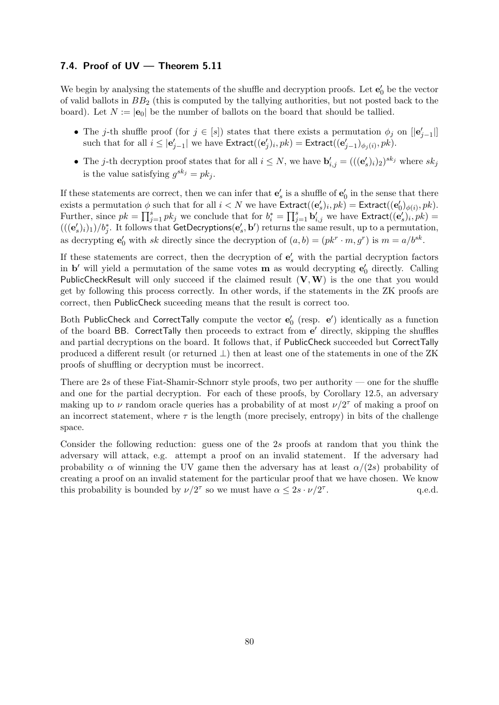#### 7.4. Proof of UV — Theorem [5.11](#page-45-0)

We begin by analysing the statements of the shuffle and decryption proofs. Let  $\mathbf{e}'_0$  be the vector of valid ballots in  $BB_2$  (this is computed by the tallying authorities, but not posted back to the board). Let  $N := |\mathbf{e}_0|$  be the number of ballots on the board that should be tallied.

- The j-th shuffle proof (for  $j \in [s]$ ) states that there exists a permutation  $\phi_j$  on  $[|{\bf e}'_{j-1}|]$ such that for all  $i \leq |\mathbf{e}'_{j-1}|$  we have  $\mathsf{Extract}((\mathbf{e}'_j)_i, pk) = \mathsf{Extract}((\mathbf{e}'_{j-1})_{\phi_j(i)}, pk).$
- The j-th decryption proof states that for all  $i \leq N$ , we have  $\mathbf{b}'_{i,j} = (((\mathbf{e}'_s)_i)_2)^{sk_j}$  where  $sk_j$ is the value satisfying  $g^{sk_j} = pk_j$ .

If these statements are correct, then we can infer that  $\mathbf{e}'_s$  is a shuffle of  $\mathbf{e}'_0$  in the sense that there exists a permutation  $\phi$  such that for all  $i < N$  we have  $\textsf{Extract}((\mathbf{e}'_s)_i, pk) = \textsf{Extract}((\mathbf{e}'_0)_{\phi(i)}, pk)$ . Further, since  $pk = \prod_{j=1}^{s} pk_j$  we conclude that for  $b_i^* = \prod_{j=1}^{s} \mathbf{b}'_{i,j}$  we have  $\text{Extract}((\mathbf{e}'_s)_i, pk)$  $(((e'_s)_i)_1)/b_j^*$ . It follows that GetDecryptions $(e'_s, b')$  returns the same result, up to a permutation, as decrypting  $\mathbf{e}'_0$  with sk directly since the decryption of  $(a, b) = (pk^r \cdot m, g^r)$  is  $m = a/b^{sk}$ .

If these statements are correct, then the decryption of  $e'_{s}$  with the partial decryption factors in **b'** will yield a permutation of the same votes **m** as would decrypting  $e'_0$  directly. Calling PublicCheckResult will only succeed if the claimed result  $(V, W)$  is the one that you would get by following this process correctly. In other words, if the statements in the ZK proofs are correct, then PublicCheck suceeding means that the result is correct too.

Both PublicCheck and CorrectTally compute the vector  $\mathbf{e}'_0$  (resp.  $\mathbf{e}'$ ) identically as a function of the board BB. CorrectTally then proceeds to extract from e' directly, skipping the shuffles and partial decryptions on the board. It follows that, if PublicCheck succeeded but CorrectTally produced a different result (or returned ⊥) then at least one of the statements in one of the ZK proofs of shuffling or decryption must be incorrect.

There are 2s of these Fiat-Shamir-Schnorr style proofs, two per authority — one for the shuffle and one for the partial decryption. For each of these proofs, by Corollary [12.5,](#page-111-1) an adversary making up to  $\nu$  random oracle queries has a probability of at most  $\nu/2^{\tau}$  of making a proof on an incorrect statement, where  $\tau$  is the length (more precisely, entropy) in bits of the challenge space.

Consider the following reduction: guess one of the 2s proofs at random that you think the adversary will attack, e.g. attempt a proof on an invalid statement. If the adversary had probability  $\alpha$  of winning the UV game then the adversary has at least  $\alpha/(2s)$  probability of creating a proof on an invalid statement for the particular proof that we have chosen. We know this probability is bounded by  $\nu/2^{\tau}$  so we must have  $\alpha \leq 2s \cdot \nu/2^{\tau}$ . q.e.d.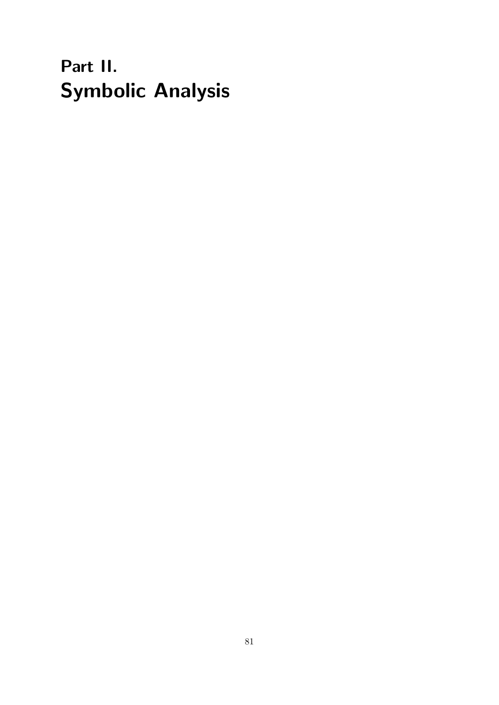# Part II. Symbolic Analysis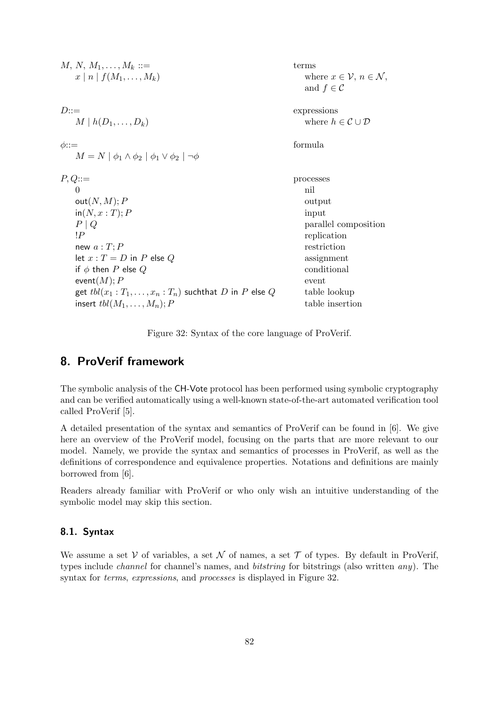| $M, N, M_1, \ldots, M_k ::=$<br>$x \mid n \mid f(M_1, \ldots, M_k)$              | terms<br>where $x \in \mathcal{V}, n \in \mathcal{N}$ ,<br>and $f \in \mathcal{C}$ |
|----------------------------------------------------------------------------------|------------------------------------------------------------------------------------|
| $D ::=$                                                                          | expressions                                                                        |
| $M \mid h(D_1,\ldots,D_k)$                                                       | where $h \in \mathcal{C} \cup \mathcal{D}$                                         |
| $\phi$ :: $=$<br>$M = N   \phi_1 \wedge \phi_2   \phi_1 \vee \phi_2   \neg \phi$ | formula                                                                            |
| $P,Q ::=$                                                                        | processes                                                                          |
| $\Omega$                                                                         | nil                                                                                |
| out(N, M); P                                                                     | output                                                                             |
| $\mathsf{in}(N, x : T); P$                                                       | input                                                                              |
| $P \mid Q$                                                                       | parallel composition                                                               |
| $\mathsf{I}P$                                                                    | replication                                                                        |
| new $a: T: P$                                                                    | restriction                                                                        |
| let $x: T = D$ in P else Q                                                       | assignment                                                                         |
| if $\phi$ then P else Q                                                          | conditional                                                                        |
| event $(M); P$                                                                   | event                                                                              |
| get $\mathit{tbl}(x_1 : T_1, \ldots, x_n : T_n)$ such that D in P else Q         | table lookup                                                                       |
| insert $\operatorname{tbl}(M_1,\ldots,M_n)$ ; P                                  | table insertion                                                                    |

<span id="page-81-0"></span>Figure 32: Syntax of the core language of ProVerif.

## 8. ProVerif framework

The symbolic analysis of the CH-Vote protocol has been performed using symbolic cryptography and can be verified automatically using a well-known state-of-the-art automated verification tool called ProVerif [\[5\]](#page-113-1).

A detailed presentation of the syntax and semantics of ProVerif can be found in [\[6\]](#page-113-2). We give here an overview of the ProVerif model, focusing on the parts that are more relevant to our model. Namely, we provide the syntax and semantics of processes in ProVerif, as well as the definitions of correspondence and equivalence properties. Notations and definitions are mainly borrowed from [\[6\]](#page-113-2).

Readers already familiar with ProVerif or who only wish an intuitive understanding of the symbolic model may skip this section.

#### 8.1. Syntax

We assume a set V of variables, a set N of names, a set  $\mathcal T$  of types. By default in ProVerif, types include channel for channel's names, and bitstring for bitstrings (also written any). The syntax for *terms, expressions*, and *processes* is displayed in Figure [32.](#page-81-0)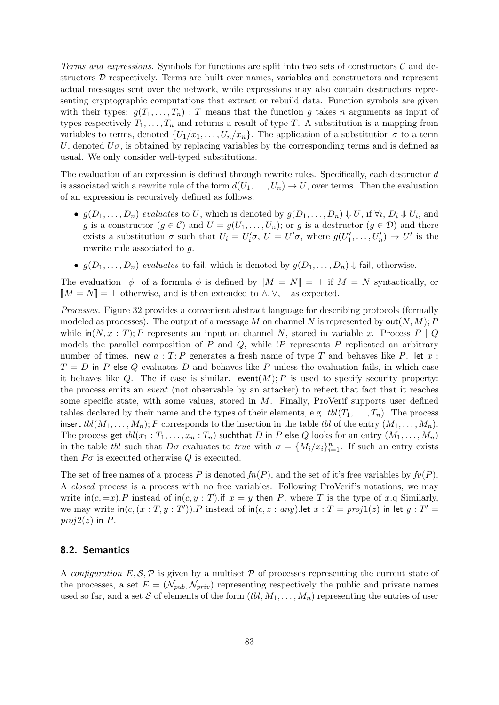Terms and expressions. Symbols for functions are split into two sets of constructors  $\mathcal C$  and destructors D respectively. Terms are built over names, variables and constructors and represent actual messages sent over the network, while expressions may also contain destructors representing cryptographic computations that extract or rebuild data. Function symbols are given with their types:  $g(T_1, \ldots, T_n)$ : T means that the function g takes n arguments as input of types respectively  $T_1, \ldots, T_n$  and returns a result of type T. A substitution is a mapping from variables to terms, denoted  $\{U_1/x_1,\ldots,U_n/x_n\}$ . The application of a substitution  $\sigma$  to a term U, denoted  $U\sigma$ , is obtained by replacing variables by the corresponding terms and is defined as usual. We only consider well-typed substitutions.

The evaluation of an expression is defined through rewrite rules. Specifically, each destructor d is associated with a rewrite rule of the form  $d(U_1, \ldots, U_n) \to U$ , over terms. Then the evaluation of an expression is recursively defined as follows:

- $g(D_1, \ldots, D_n)$  evaluates to U, which is denoted by  $g(D_1, \ldots, D_n) \Downarrow U$ , if  $\forall i$ ,  $D_i \Downarrow U_i$ , and g is a constructor  $(g \in \mathcal{C})$  and  $U = g(U_1, \ldots, U_n)$ ; or g is a destructor  $(g \in \mathcal{D})$  and there exists a substitution  $\sigma$  such that  $U_i = U'_i \sigma$ ,  $U = U' \sigma$ , where  $g(U'_1, \ldots, U'_n) \to U'$  is the rewrite rule associated to g.
- $g(D_1, \ldots, D_n)$  evaluates to fail, which is denoted by  $g(D_1, \ldots, D_n) \Downarrow$  fail, otherwise.

The evaluation  $\llbracket \phi \rrbracket$  of a formula  $\phi$  is defined by  $\llbracket M = N \rrbracket = \top$  if  $M = N$  syntactically, or  $\llbracket M = N \rrbracket = \bot$  otherwise, and is then extended to  $\land, \lor, \neg$  as expected.

Processes. Figure [32](#page-81-0) provides a convenient abstract language for describing protocols (formally modeled as processes). The output of a message M on channel N is represented by  $\text{out}(N, M)$ ; P while  $\text{in}(N, x : T)$ ; P represents an input on channel N, stored in variable x. Process P | Q models the parallel composition of  $P$  and  $Q$ , while  $P$  represents  $P$  replicated an arbitrary number of times. new  $a: T; P$  generates a fresh name of type T and behaves like P. let  $x:$  $T = D$  in P else Q evaluates D and behaves like P unless the evaluation fails, in which case it behaves like Q. The if case is similar. event $(M); P$  is used to specify security property: the process emits an event (not observable by an attacker) to reflect that fact that it reaches some specific state, with some values, stored in M. Finally, ProVerif supports user defined tables declared by their name and the types of their elements, e.g.  $\text{tol}(T_1, \ldots, T_n)$ . The process insert  $\text{td}(M_1, \ldots, M_n); P$  corresponds to the insertion in the table tbl of the entry  $(M_1, \ldots, M_n)$ . The process get  $\text{tel}(x_1 : T_1, \ldots, x_n : T_n)$  such that D in P else Q looks for an entry  $(M_1, \ldots, M_n)$ in the table tbl such that  $D\sigma$  evaluates to true with  $\sigma = \{M_i/x_i\}_{i=1}^n$ . If such an entry exists then  $P\sigma$  is executed otherwise Q is executed.

The set of free names of a process P is denoted  $fn(P)$ , and the set of it's free variables by  $fv(P)$ . A closed process is a process with no free variables. Following ProVerif's notations, we may write  $\text{in}(c, =x)$ . P instead of  $\text{in}(c, y : T)$ . if  $x = y$  then P, where T is the type of x.q Similarly, we may write  $\text{in}(c, (x : T, y : T'))$ . P instead of  $\text{in}(c, z : any)$ . let  $x : T = proj1(z)$  in let  $y : T' =$  $proj2(z)$  in P.

#### 8.2. Semantics

A configuration  $E, \mathcal{S}, \mathcal{P}$  is given by a multiset  $\mathcal P$  of processes representing the current state of the processes, a set  $E = (\mathcal{N}_{pub}, \mathcal{N}_{priv})$  representing respectively the public and private names used so far, and a set S of elements of the form  $(tbl, M_1, \ldots, M_n)$  representing the entries of user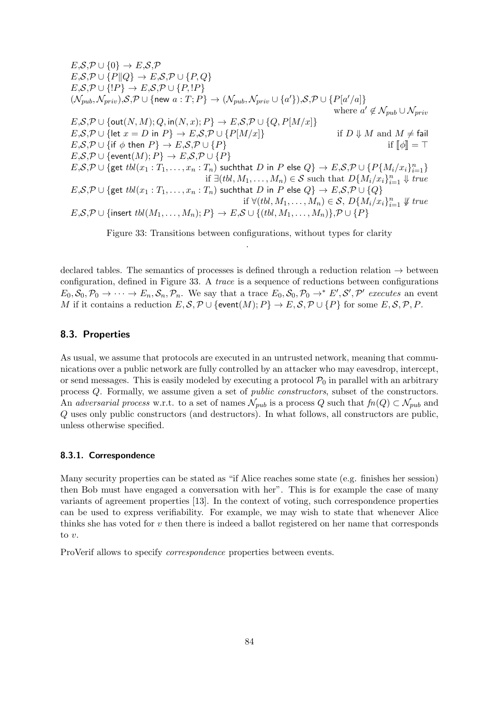$E, \mathcal{S}, \mathcal{P} \cup \{0\} \rightarrow E, \mathcal{S}, \mathcal{P}$  $E, \mathcal{S}, \mathcal{P} \cup \{P \| Q \} \rightarrow E, \mathcal{S}, \mathcal{P} \cup \{P, Q \}$  $E, \mathcal{S}, \mathcal{P} \cup \{P\} \rightarrow E, \mathcal{S}, \mathcal{P} \cup \{P, P\}$  $(\mathcal{N}_{pub}, \mathcal{N}_{priv}), \mathcal{S}, \mathcal{P} \cup \{ \text{new } a: T; P\} \rightarrow (\mathcal{N}_{pub}, \mathcal{N}_{priv} \cup \{a'\}), \mathcal{S}, \mathcal{P} \cup \{P[a'/a]\}$ where  $a' \notin \mathcal{N}_{pub} \cup \mathcal{N}_{priv}$  $E, \mathcal{S}, \mathcal{P} \cup \{\textsf{out}(N, M); Q, \textsf{in}(N, x); P\} \rightarrow E, \mathcal{S}, \mathcal{P} \cup \{Q, P[M/x]\}$  $E, \mathcal{S}, \mathcal{P} \cup \{\text{let } x = D \text{ in } P\} \to E, \mathcal{S}, \mathcal{P} \cup \{P[M/x]\}$  if  $D \Downarrow M$  and  $M \neq \text{fail}$  $E, \mathcal{S}, \mathcal{P} \cup \{\text{if } \phi \text{ then } P\} \to E, \mathcal{S}, \mathcal{P} \cup \{P\}$  if  $\llbracket \phi \rrbracket = \top$  $E, \mathcal{S}, \mathcal{P} \cup {\text{event}(M); P} \rightarrow E, \mathcal{S}, \mathcal{P} \cup \{P\}$  $E,\mathcal{S},\mathcal{P}\cup\{\mathsf{get}\; tol(x_1:T_1,\ldots,x_n:T_n) \text{ such that } D \text{ in } P \text{ else } Q\}\rightarrow E,\mathcal{S},\mathcal{P}\cup\{P\{M_i/x_i\}_{i=1}^n\}$ if  $\exists (tol, M_1, \ldots, M_n) \in \mathcal{S}$  such that  $D\{M_i/x_i\}_{i=1}^n \Downarrow true$  $E, S, P \cup \{ \text{get } tol(x_1 : T_1, \ldots, x_n : T_n) \text{ such that } D \text{ in } P \text{ else } Q \} \to E, S, P \cup \{Q\}$ if  $\forall (tol, M_1, \ldots, M_n) \in S$ ,  $D\{M_i/x_i\}_{i=1}^n \not\Downarrow true$  $E, \mathcal{S}, \mathcal{P} \cup \{ \text{insert } tol(M_1, \ldots, M_n); P \} \to E, \mathcal{S} \cup \{ (tol, M_1, \ldots, M_n) \}, \mathcal{P} \cup \{ P \}$ 

<span id="page-83-0"></span>Figure 33: Transitions between configurations, without types for clarity .

declared tables. The semantics of processes is defined through a reduction relation  $\rightarrow$  between configuration, defined in Figure [33.](#page-83-0) A trace is a sequence of reductions between configurations  $E_0, \mathcal{S}_0, \mathcal{P}_0 \to \cdots \to E_n, \mathcal{S}_n, \mathcal{P}_n$ . We say that a trace  $E_0, \mathcal{S}_0, \mathcal{P}_0 \to^* E', \mathcal{S}', \mathcal{P}'$  executes an event M if it contains a reduction  $E, S, P \cup \{\text{event}(M); P\} \to E, S, P \cup \{P\}$  for some  $E, S, P, P$ .

#### 8.3. Properties

As usual, we assume that protocols are executed in an untrusted network, meaning that communications over a public network are fully controlled by an attacker who may eavesdrop, intercept, or send messages. This is easily modeled by executing a protocol  $P_0$  in parallel with an arbitrary process Q. Formally, we assume given a set of public constructors, subset of the constructors. An adversarial process w.r.t. to a set of names  $\mathcal{N}_{pub}$  is a process Q such that  $fn(Q) \subset \mathcal{N}_{pub}$  and Q uses only public constructors (and destructors). In what follows, all constructors are public, unless otherwise specified.

#### 8.3.1. Correspondence

Many security properties can be stated as "if Alice reaches some state (e.g. finishes her session) then Bob must have engaged a conversation with her". This is for example the case of many variants of agreement properties [\[13\]](#page-113-3). In the context of voting, such correspondence properties can be used to express verifiability. For example, we may wish to state that whenever Alice thinks she has voted for v then there is indeed a ballot registered on her name that corresponds to  $v$ .

ProVerif allows to specify correspondence properties between events.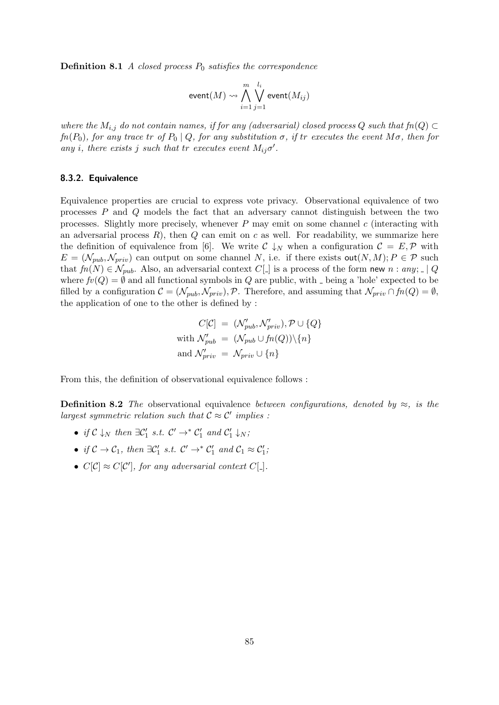**Definition 8.1** A closed process  $P_0$  satisfies the correspondence

$$
\mathsf{event}(M) \rightsquigarrow \bigwedge_{i=1}^{m} \bigvee_{j=1}^{l_i} \mathsf{event}(M_{ij})
$$

where the  $M_{i,j}$  do not contain names, if for any (adversarial) closed process Q such that  $fn(Q) \subset$  $fn(P_0)$ , for any trace tr of  $P_0 | Q$ , for any substitution  $\sigma$ , if tr executes the event  $M\sigma$ , then for any i, there exists j such that tr executes event  $M_{ij}\sigma'$ .

#### 8.3.2. Equivalence

Equivalence properties are crucial to express vote privacy. Observational equivalence of two processes  $P$  and  $Q$  models the fact that an adversary cannot distinguish between the two processes. Slightly more precisely, whenever  $P$  may emit on some channel  $c$  (interacting with an adversarial process  $R$ ), then  $Q$  can emit on c as well. For readability, we summarize here the definition of equivalence from [\[6\]](#page-113-2). We write  $\mathcal{C} \downarrow_N$  when a configuration  $\mathcal{C} = E, \mathcal{P}$  with  $E = (\mathcal{N}_{pub}, \mathcal{N}_{priv})$  can output on some channel N, i.e. if there exists  $out(N, M); P \in \mathcal{P}$  such that  $fn(N) \in \mathcal{N}_{pub}$ . Also, an adversarial context  $C[\ ]$  is a process of the form new  $n : any; [\ ]Q$ where  $fv(Q) = \emptyset$  and all functional symbols in Q are public, with  $\Box$  being a 'hole' expected to be filled by a configuration  $\mathcal{C} = (\mathcal{N}_{pub}, \mathcal{N}_{priv})$ ,  $\mathcal{P}$ . Therefore, and assuming that  $\mathcal{N}_{priv} \cap fn(Q) = \emptyset$ , the application of one to the other is defined by :

$$
C[\mathcal{C}] = (\mathcal{N}_{pub}', \mathcal{N}_{priv}'), \mathcal{P} \cup \{Q\}
$$
  
with  $\mathcal{N}_{pub}' = (\mathcal{N}_{pub} \cup fn(Q))\backslash\{n\}$   
and  $\mathcal{N}_{priv}' = \mathcal{N}_{priv} \cup \{n\}$ 

From this, the definition of observational equivalence follows :

**Definition 8.2** The observational equivalence between configurations, denoted by  $\approx$ , is the largest symmetric relation such that  $\mathcal{C} \approx \mathcal{C}'$  implies :

- if  $C \downarrow_N$  then  $\exists C'_1 \ s.t. \ C' \rightarrow^* C'_1 \ and \ C'_1 \downarrow_N;$
- if  $C \to C_1$ , then  $\exists C'_1$  s.t.  $C' \to^* C'_1$  and  $C_1 \approx C'_1$ ;
- $C[\mathcal{C}] \approx C[\mathcal{C}']$ , for any adversarial context  $C[\_$ .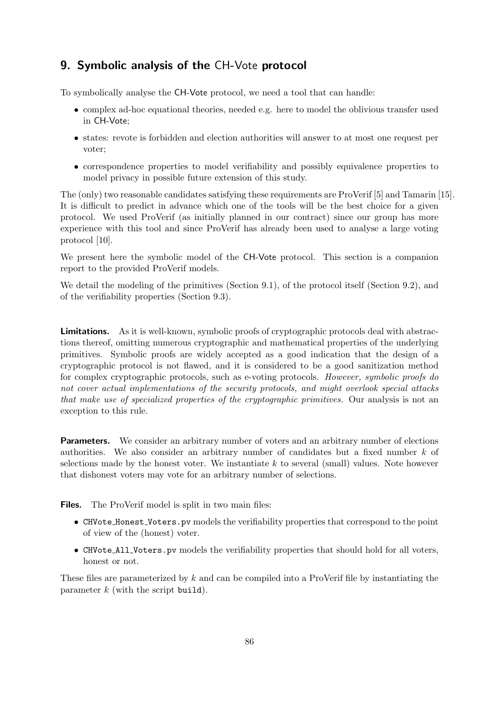## 9. Symbolic analysis of the CH-Vote protocol

To symbolically analyse the CH-Vote protocol, we need a tool that can handle:

- complex ad-hoc equational theories, needed e.g. here to model the oblivious transfer used in CH-Vote;
- states: revote is forbidden and election authorities will answer to at most one request per voter;
- correspondence properties to model verifiability and possibly equivalence properties to model privacy in possible future extension of this study.

The (only) two reasonable candidates satisfying these requirements are ProVerif [\[5\]](#page-113-1) and Tamarin [\[15\]](#page-113-4). It is difficult to predict in advance which one of the tools will be the best choice for a given protocol. We used ProVerif (as initially planned in our contract) since our group has more experience with this tool and since ProVerif has already been used to analyse a large voting protocol [\[10\]](#page-113-5).

We present here the symbolic model of the CH-Vote protocol. This section is a companion report to the provided ProVerif models.

We detail the modeling of the primitives (Section [9.1\)](#page-86-0), of the protocol itself (Section [9.2\)](#page-90-0), and of the verifiability properties (Section [9.3\)](#page-93-0).

**Limitations.** As it is well-known, symbolic proofs of cryptographic protocols deal with abstractions thereof, omitting numerous cryptographic and mathematical properties of the underlying primitives. Symbolic proofs are widely accepted as a good indication that the design of a cryptographic protocol is not flawed, and it is considered to be a good sanitization method for complex cryptographic protocols, such as e-voting protocols. However, symbolic proofs do not cover actual implementations of the security protocols, and might overlook special attacks that make use of specialized properties of the cryptographic primitives. Our analysis is not an exception to this rule.

**Parameters.** We consider an arbitrary number of voters and an arbitrary number of elections authorities. We also consider an arbitrary number of candidates but a fixed number k of selections made by the honest voter. We instantiate  $k$  to several (small) values. Note however that dishonest voters may vote for an arbitrary number of selections.

Files. The ProVerif model is split in two main files:

- CHVote Honest Voters.pv models the verifiability properties that correspond to the point of view of the (honest) voter.
- CHVote All Voters.pv models the verifiability properties that should hold for all voters, honest or not.

These files are parameterized by  $k$  and can be compiled into a ProVerif file by instantiating the parameter  $k$  (with the script build).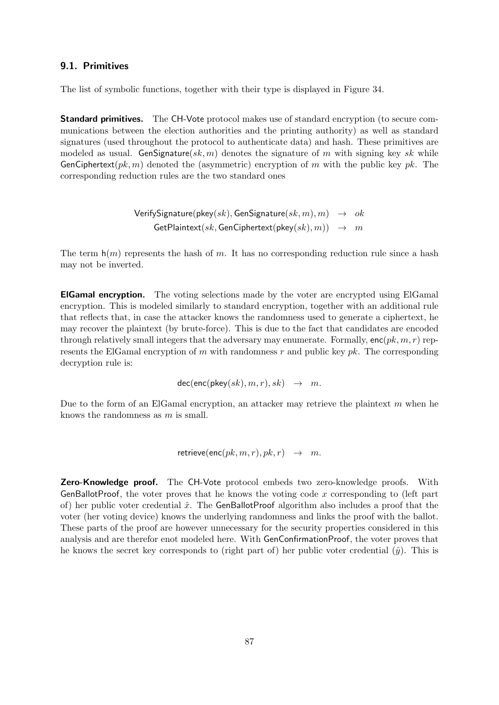#### <span id="page-86-0"></span>9.1. Primitives

The list of symbolic functions, together with their type is displayed in Figure [34.](#page-87-0)

**Standard primitives.** The CH-Vote protocol makes use of standard encryption (to secure communications between the election authorities and the printing authority) as well as standard signatures (used throughout the protocol to authenticate data) and hash. These primitives are modeled as usual. GenSignature(sk, m) denotes the signature of m with signing key sk while GenCiphertext $(pk, m)$  denoted the (asymmetric) encryption of m with the public key pk. The corresponding reduction rules are the two standard ones

> $VerifySignature(pkey(sk), GenSignature(sk, m), m) \rightarrow ok$  $G$ etPlaintext(sk, GenCiphertext(pkey(sk), m))  $\rightarrow$  m

The term  $h(m)$  represents the hash of m. It has no corresponding reduction rule since a hash may not be inverted.

ElGamal encryption. The voting selections made by the voter are encrypted using ElGamal encryption. This is modeled similarly to standard encryption, together with an additional rule that reflects that, in case the attacker knows the randomness used to generate a ciphertext, he may recover the plaintext (by brute-force). This is due to the fact that candidates are encoded through relatively small integers that the adversary may enumerate. Formally,  $enc(pk, m, r)$  represents the ElGamal encryption of  $m$  with randomness  $r$  and public key  $pk$ . The corresponding decryption rule is:

 $dec(enc(\mathsf{pkev}(sk), m, r), sk) \rightarrow m.$ 

Due to the form of an ElGamal encryption, an attacker may retrieve the plaintext  $m$  when he knows the randomness as m is small.

retrieve(enc( $pk, m, r$ ),  $pk, r$ )  $\rightarrow m$ .

Zero-Knowledge proof. The CH-Vote protocol embeds two zero-knowledge proofs. With GenBallotProof, the voter proves that he knows the voting code x corresponding to (left part of) her public voter credential  $\hat{x}$ . The GenBallotProof algorithm also includes a proof that the voter (her voting device) knows the underlying randomness and links the proof with the ballot. These parts of the proof are however unnecessary for the security properties considered in this analysis and are therefor enot modeled here. With GenConfirmationProof, the voter proves that he knows the secret key corresponds to (right part of) her public voter credential  $(\hat{y})$ . This is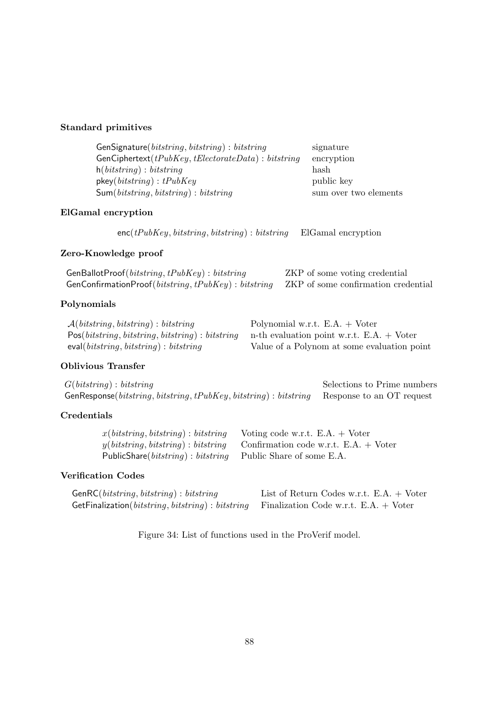### Standard primitives

| GenSignature( $bits string, bit string$ ): bitstring | signature             |
|------------------------------------------------------|-----------------------|
| $GenCiphertext(tPubKey, tElectorateData): bitstring$ | encryption            |
| $h(\textit{bitsstring}) : \textit{bitsstring}$       | hash                  |
| $\mathsf{pkey}(\textit{bitsring}): tPubKey$          | public key            |
| $Sum(bits string, bitstring): bitstring$             | sum over two elements |

## ElGamal encryption

 $enc(tPubKey, bitstring, bitstring) : bitstring$  ElGamal encryption

## Zero-Knowledge proof

| GenBallotProof( $bits string, tPubKey$ ): bitstring                                         | ZKP of some voting credential |
|---------------------------------------------------------------------------------------------|-------------------------------|
| GenConfirmationProof(bitstring, $tPubKey$ ) : bitstring ZKP of some confirmation credential |                               |

## Polynomials

| $\mathcal{A}(bits string, bitstring): bitstring$                                              | Polynomial w.r.t. $E.A. + Voter$            |
|-----------------------------------------------------------------------------------------------|---------------------------------------------|
| $Pos(bitsring, bitstring, bitstring): bitstring \t n-th evaluation point w.r.t. E.A. + Voter$ |                                             |
| eval $(\textit{bitsstring}, \textit{bitsstring}) : \textit{bitsstring}$                       | Value of a Polynom at some evaluation point |

## Oblivious Transfer

| G(bits string): <i>bits string</i>                                                           | Selections to Prime numbers |  |  |
|----------------------------------------------------------------------------------------------|-----------------------------|--|--|
| GenResponse (bitstring, bitstring, tPubKey, bitstring) : bitstring Response to an OT request |                             |  |  |

## Credentials

| $x(bits string, bitstring): bitstring$ Voting code w.r.t. E.A. + Voter      |                                                                              |
|-----------------------------------------------------------------------------|------------------------------------------------------------------------------|
|                                                                             | $y(bits string, bitstring): bitstring$ Confirmation code w.r.t. E.A. + Voter |
| PublicShare( <i>bitstring</i> ): <i>bitstring</i> Public Share of some E.A. |                                                                              |

## Verification Codes

| $GenRC(bits string, bitstring): bitstring$                                                                      | List of Return Codes w.r.t. $E.A. + Voter$ |
|-----------------------------------------------------------------------------------------------------------------|--------------------------------------------|
| GetFinalization( <i>bitstring</i> , <i>bitstring</i> ) : <i>bitstring</i> Finalization Code w.r.t. E.A. + Voter |                                            |

<span id="page-87-0"></span>Figure 34: List of functions used in the ProVerif model.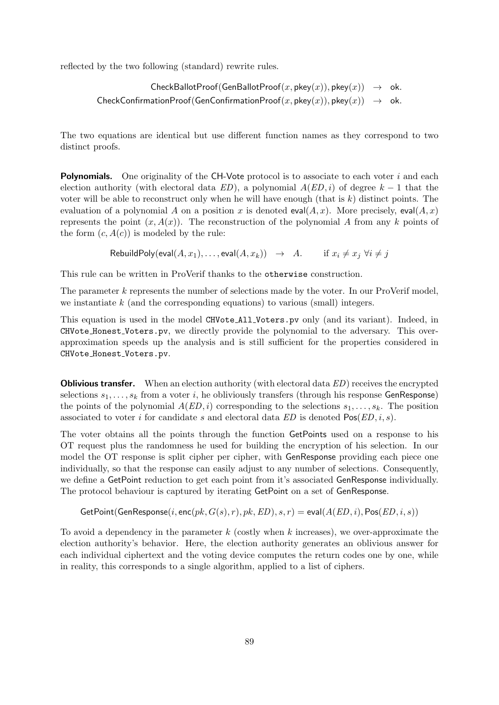reflected by the two following (standard) rewrite rules.

```
CheckBallotProof(GenBallotProof(x, pkey(x)), pkey(x)) \rightarrow ok.CheckConfigurationProof(GenConfigurationProof(x, \text{pkv}(x)), \text{pkv}(x)) \rightarrow \text{ok}.
```
The two equations are identical but use different function names as they correspond to two distinct proofs.

**Polynomials.** One originality of the CH-Vote protocol is to associate to each voter i and each election authority (with electoral data  $ED$ ), a polynomial  $A(ED, i)$  of degree  $k - 1$  that the voter will be able to reconstruct only when he will have enough (that is  $k$ ) distinct points. The evaluation of a polynomial A on a position x is denoted eval(A, x). More precisely, eval(A, x) represents the point  $(x, A(x))$ . The reconstruction of the polynomial A from any k points of the form  $(c, A(c))$  is modeled by the rule:

RebuildPoly(eval $(A, x_1), \ldots$ , eval $(A, x_k)$ )  $\rightarrow$  A. if  $x_i \neq x_i$   $\forall i \neq j$ 

This rule can be written in ProVerif thanks to the otherwise construction.

The parameter k represents the number of selections made by the voter. In our ProVerif model, we instantiate  $k$  (and the corresponding equations) to various (small) integers.

This equation is used in the model CHVote All Voters.pv only (and its variant). Indeed, in CHVote Honest Voters.pv, we directly provide the polynomial to the adversary. This overapproximation speeds up the analysis and is still sufficient for the properties considered in CHVote Honest Voters.pv.

**Oblivious transfer.** When an election authority (with electoral data ED) receives the encrypted selections  $s_1, \ldots, s_k$  from a voter i, he obliviously transfers (through his response GenResponse) the points of the polynomial  $A(ED, i)$  corresponding to the selections  $s_1, \ldots, s_k$ . The position associated to voter i for candidate s and electoral data  $ED$  is denoted  $Pos(ED, i, s)$ .

The voter obtains all the points through the function GetPoints used on a response to his OT request plus the randomness he used for building the encryption of his selection. In our model the OT response is split cipher per cipher, with GenResponse providing each piece one individually, so that the response can easily adjust to any number of selections. Consequently, we define a GetPoint reduction to get each point from it's associated GenResponse individually. The protocol behaviour is captured by iterating GetPoint on a set of GenResponse.

```
GetPoint(GenResponse(i, enc(pk, G(s), r), pk, ED), s, r) = eval(A(ED, i), Pos(ED, i, s))
```
To avoid a dependency in the parameter  $k$  (costly when k increases), we over-approximate the election authority's behavior. Here, the election authority generates an oblivious answer for each individual ciphertext and the voting device computes the return codes one by one, while in reality, this corresponds to a single algorithm, applied to a list of ciphers.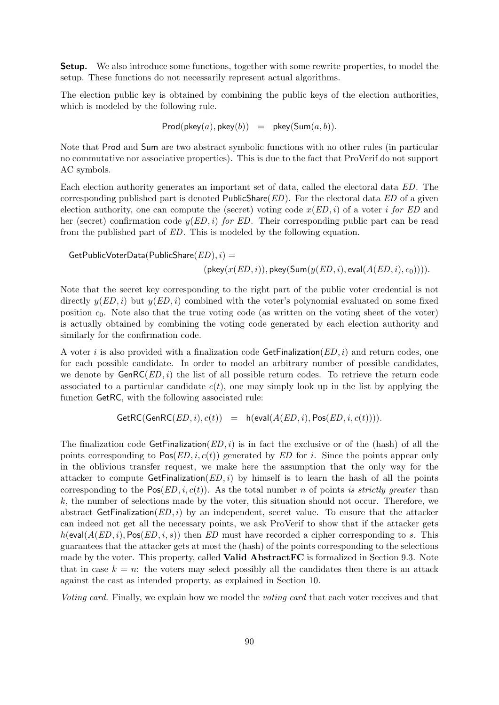<span id="page-89-0"></span>**Setup.** We also introduce some functions, together with some rewrite properties, to model the setup. These functions do not necessarily represent actual algorithms.

The election public key is obtained by combining the public keys of the election authorities, which is modeled by the following rule.

$$
\mathsf{Prod}(\mathsf{pkey}(a),\mathsf{pkey}(b)) = \mathsf{pkey}(\mathsf{Sum}(a,b)).
$$

Note that Prod and Sum are two abstract symbolic functions with no other rules (in particular no commutative nor associative properties). This is due to the fact that ProVerif do not support AC symbols.

Each election authority generates an important set of data, called the electoral data ED. The corresponding published part is denoted PublicShare( $ED$ ). For the electoral data  $ED$  of a given election authority, one can compute the (secret) voting code  $x(ED, i)$  of a voter i for ED and her (secret) confirmation code  $y(ED, i)$  for ED. Their corresponding public part can be read from the published part of ED. This is modeled by the following equation.

 $GetPublicVoterData(PublicShare(ED), i) =$  $(\mathsf{pkey}(x(ED, i)), \mathsf{pkey}(\mathsf{Sum}(y(ED, i), \mathsf{eval}(A(ED, i), c_0))))$ .

Note that the secret key corresponding to the right part of the public voter credential is not directly  $y(ED, i)$  but  $y(ED, i)$  combined with the voter's polynomial evaluated on some fixed position  $c_0$ . Note also that the true voting code (as written on the voting sheet of the voter) is actually obtained by combining the voting code generated by each election authority and similarly for the confirmation code.

A voter i is also provided with a finalization code  $\mathsf{GetFinalization}(ED, i)$  and return codes, one for each possible candidate. In order to model an arbitrary number of possible candidates, we denote by  $GenRC(ED, i)$  the list of all possible return codes. To retrieve the return code associated to a particular candidate  $c(t)$ , one may simply look up in the list by applying the function GetRC, with the following associated rule:

$$
\mathsf{GetRC}(\mathsf{GenRC}(ED,i),c(t)) = \mathsf{h}(\mathsf{eval}(A(ED,i),\mathsf{Pos}(ED,i,c(t)))).
$$

The finalization code GetFinalization( $ED, i$ ) is in fact the exclusive or of the (hash) of all the points corresponding to  $Pos(ED, i, c(t))$  generated by ED for i. Since the points appear only in the oblivious transfer request, we make here the assumption that the only way for the attacker to compute GetFinalization( $ED, i$ ) by himself is to learn the hash of all the points corresponding to the  $Pos(ED, i, c(t))$ . As the total number n of points is strictly greater than  $k$ , the number of selections made by the voter, this situation should not occur. Therefore, we abstract GetFinalization( $ED, i$ ) by an independent, secret value. To ensure that the attacker can indeed not get all the necessary points, we ask ProVerif to show that if the attacker gets  $h(\text{eval}(A(ED, i), \text{Pos}(ED, i, s))$  then ED must have recorded a cipher corresponding to s. This guarantees that the attacker gets at most the (hash) of the points corresponding to the selections made by the voter. This property, called Valid AbstractFC is formalized in Section [9.3.](#page-93-0) Note that in case  $k = n$ : the voters may select possibly all the candidates then there is an attack against the cast as intended property, as explained in Section [10.](#page-99-0)

Voting card. Finally, we explain how we model the voting card that each voter receives and that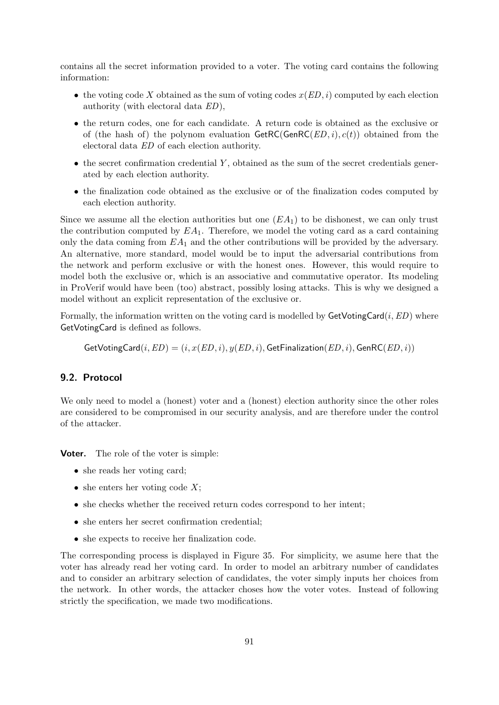contains all the secret information provided to a voter. The voting card contains the following information:

- the voting code X obtained as the sum of voting codes  $x(ED, i)$  computed by each election authority (with electoral data ED),
- the return codes, one for each candidate. A return code is obtained as the exclusive or of (the hash of) the polynom evaluation  $\mathsf{GetRC}(\mathsf{GenRC}(ED, i), c(t))$  obtained from the electoral data ED of each election authority.
- $\bullet$  the secret confirmation credential Y, obtained as the sum of the secret credentials generated by each election authority.
- the finalization code obtained as the exclusive or of the finalization codes computed by each election authority.

Since we assume all the election authorities but one  $(EA_1)$  to be dishonest, we can only trust the contribution computed by  $EA_1$ . Therefore, we model the voting card as a card containing only the data coming from  $EA_1$  and the other contributions will be provided by the adversary. An alternative, more standard, model would be to input the adversarial contributions from the network and perform exclusive or with the honest ones. However, this would require to model both the exclusive or, which is an associative and commutative operator. Its modeling in ProVerif would have been (too) abstract, possibly losing attacks. This is why we designed a model without an explicit representation of the exclusive or.

Formally, the information written on the voting card is modelled by  $\mathsf{GetVotingCard}(i,ED)$  where GetVotingCard is defined as follows.

 $\text{GetVotingCard}(i,ED) = (i, x(ED, i), y(ED, i), \text{GetFinalization}(ED, i), \text{GenRC}(ED, i))$ 

#### <span id="page-90-0"></span>9.2. Protocol

We only need to model a (honest) voter and a (honest) election authority since the other roles are considered to be compromised in our security analysis, and are therefore under the control of the attacker.

Voter. The role of the voter is simple:

- she reads her voting card;
- she enters her voting code  $X$ ;
- she checks whether the received return codes correspond to her intent;
- she enters her secret confirmation credential;
- she expects to receive her finalization code.

The corresponding process is displayed in Figure [35.](#page-91-0) For simplicity, we asume here that the voter has already read her voting card. In order to model an arbitrary number of candidates and to consider an arbitrary selection of candidates, the voter simply inputs her choices from the network. In other words, the attacker choses how the voter votes. Instead of following strictly the specification, we made two modifications.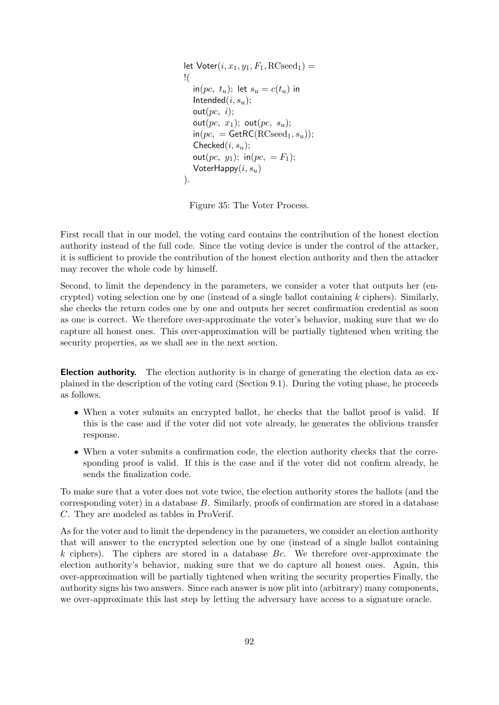```
let \text{Voter}(i, x_1, y_1, F_1, \text{RCseed}_1) =!(
   in(pc, t_u); let s_u = c(t_u) in
   Intended(i, s_u);
   out(pc, i);out(pc, x_1); out(pc, s_u);
   \mathsf{in}(pc, = \mathsf{GetRC}(\mathsf{RCseed}_1, s_u));Checked(i, s_u);out(pc, y_1); in(pc, = F_1);
   VoterHappy(i, s_u)).
```
<span id="page-91-0"></span>Figure 35: The Voter Process.

First recall that in our model, the voting card contains the contribution of the honest election authority instead of the full code. Since the voting device is under the control of the attacker, it is sufficient to provide the contribution of the honest election authority and then the attacker may recover the whole code by himself.

Second, to limit the dependency in the parameters, we consider a voter that outputs her (encrypted) voting selection one by one (instead of a single ballot containing  $k$  ciphers). Similarly, she checks the return codes one by one and outputs her secret confirmation credential as soon as one is correct. We therefore over-approximate the voter's behavior, making sure that we do capture all honest ones. This over-approximation will be partially tightened when writing the security properties, as we shall see in the next section.

Election authority. The election authority is in charge of generating the election data as explained in the description of the voting card (Section [9.1\)](#page-89-0). During the voting phase, he proceeds as follows.

- When a voter submits an encrypted ballot, he checks that the ballot proof is valid. If this is the case and if the voter did not vote already, he generates the oblivious transfer response.
- When a voter submits a confirmation code, the election authority checks that the corresponding proof is valid. If this is the case and if the voter did not confirm already, he sends the finalization code.

To make sure that a voter does not vote twice, the election authority stores the ballots (and the corresponding voter) in a database B. Similarly, proofs of confirmation are stored in a database C. They are modeled as tables in ProVerif.

As for the voter and to limit the dependency in the parameters, we consider an election authority that will answer to the encrypted selection one by one (instead of a single ballot containing  $k$  ciphers). The ciphers are stored in a database  $Bc$ . We therefore over-approximate the election authority's behavior, making sure that we do capture all honest ones. Again, this over-approximation will be partially tightened when writing the security properties Finally, the authority signs his two answers. Since each answer is now plit into (arbitrary) many components, we over-approximate this last step by letting the adversary have access to a signature oracle.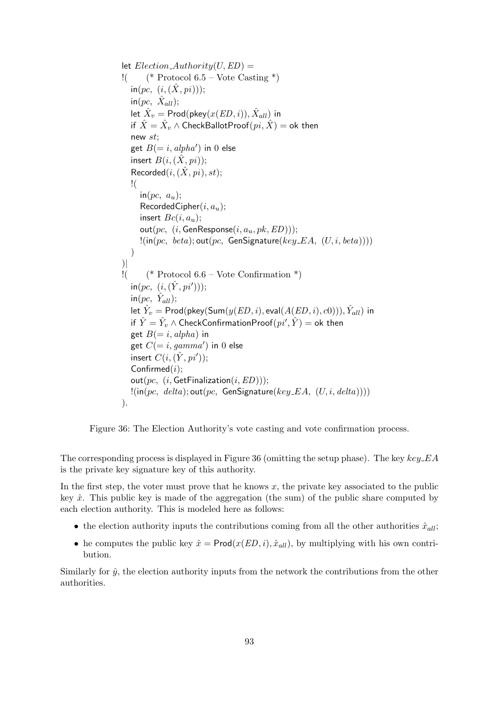```
let Election\_Authority(U, ED) =! (* Protocol 6.5 – Vote Casting *)
   in(pc, (i, (\hat{X}, pi)));\mathsf{in}(pc, \ \hat{X}_{all});let \hat{X}_v = \mathsf{Prod}(\mathsf{pkey}(x(ED, i)), \hat{X}_{all}) in
   if \hat{X}=\hat{X}_v\wedge \mathsf{CheckBallotProof}(pi,\hat{X})=\mathsf{ok} then
   new st;
   get B(=i, alpha') in 0 else
   insert B(i, (\hat{X}, pi);
   Recorded(i, (\hat{X}, pi), st);
   !(
      in(pc, a_u);RecordedCipher(i, a_u);insert Bc(i, a_n);
      out(pc, (i, GenResponse(i, a_u, pk, ED)));
      !(in(pc, beta); out(pc, GenSignature(key_EA, (U, i, beta))))
   )
)|
\frac{1}{2} (* Protocol 6.6 – Vote Confirmation *)
   \mathsf{in}(pc,~(i,(\hat{Y},pi')));\mathsf{in}(pc, \ \hat{Y}_{all});let \hat{Y}_v = \mathsf{Prod}(\mathsf{pkey}(\mathsf{Sum}(y(ED, i), \mathsf{eval}(A(ED, i), c0))), \hat{Y}_{all}) in
   if \hat{Y} = \hat{Y}_v \wedge \mathsf{CheckConfirmationProof}(p i', \hat{Y}) = \mathsf{ok} then
   get B(= i, alpha) in
   get C(=i, gamma') in 0 else
   insert C(i,(\hat{Y},pi'));Confirmed(i);
   out(pc, (i, \text{GetFinalization}(i, ED)));
   !(\text{in}(pc, delta); \text{out}(pc, GenSignature(key\_EA, (U, i, delta)))).
```
<span id="page-92-0"></span>

The corresponding process is displayed in Figure [36](#page-92-0) (omitting the setup phase). The key  $key\_EA$ is the private key signature key of this authority.

In the first step, the voter must prove that he knows  $x$ , the private key associated to the public key  $\hat{x}$ . This public key is made of the aggregation (the sum) of the public share computed by each election authority. This is modeled here as follows:

- the election authority inputs the contributions coming from all the other authorities  $\hat{x}_{all}$ ;
- he computes the public key  $\hat{x} = \text{Prod}(x(ED, i), \hat{x}_{all})$ , by multiplying with his own contribution.

Similarly for  $\hat{y}$ , the election authority inputs from the network the contributions from the other authorities.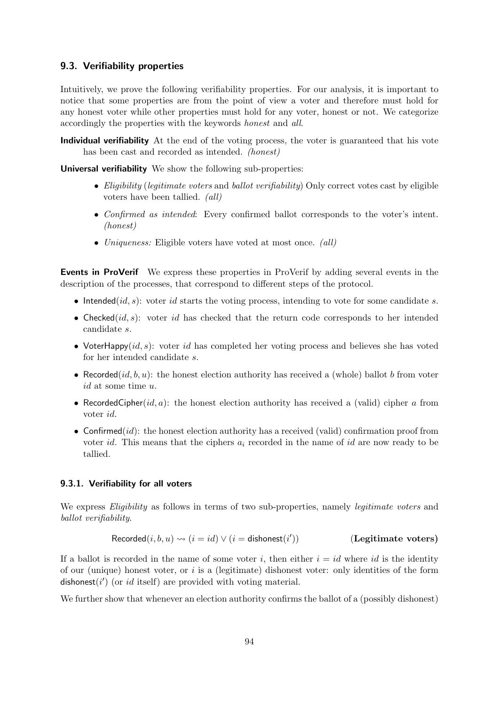#### <span id="page-93-0"></span>9.3. Verifiability properties

Intuitively, we prove the following verifiability properties. For our analysis, it is important to notice that some properties are from the point of view a voter and therefore must hold for any honest voter while other properties must hold for any voter, honest or not. We categorize accordingly the properties with the keywords honest and all.

Individual verifiability At the end of the voting process, the voter is guaranteed that his vote has been cast and recorded as intended. (honest)

Universal verifiability We show the following sub-properties:

- Eligibility (legitimate voters and ballot verifiability) Only correct votes cast by eligible voters have been tallied. (all)
- Confirmed as intended: Every confirmed ballot corresponds to the voter's intent. (honest)
- Uniqueness: Eligible voters have voted at most once. *(all)*

Events in ProVerif We express these properties in ProVerif by adding several events in the description of the processes, that correspond to different steps of the protocol.

- Intended( $id, s$ ): voter  $id$  starts the voting process, intending to vote for some candidate s.
- Checked(id, s): voter id has checked that the return code corresponds to her intended candidate s.
- VoterHappy( $id, s$ ): voter id has completed her voting process and believes she has voted for her intended candidate s.
- Recorded(id, b, u): the honest election authority has received a (whole) ballot b from voter id at some time u.
- RecordedCipher(id, a): the honest election authority has received a (valid) cipher a from voter id.
- Confirmed $(id)$ : the honest election authority has a received (valid) confirmation proof from voter id. This means that the ciphers  $a_i$  recorded in the name of id are now ready to be tallied.

#### 9.3.1. Verifiability for all voters

We express *Eligibility* as follows in terms of two sub-properties, namely *legitimate voters* and ballot verifiability.

$$
Recorded(i, b, u) \rightsquigarrow (i = id) \vee (i = \text{dishonest}(i'))
$$
\n(Legitimate voters)

If a ballot is recorded in the name of some voter i, then either  $i = id$  where id is the identity of our (unique) honest voter, or  $i$  is a (legitimate) dishonest voter: only identities of the form dishonest( $i'$ ) (or id itself) are provided with voting material.

We further show that whenever an election authority confirms the ballot of a (possibly dishonest)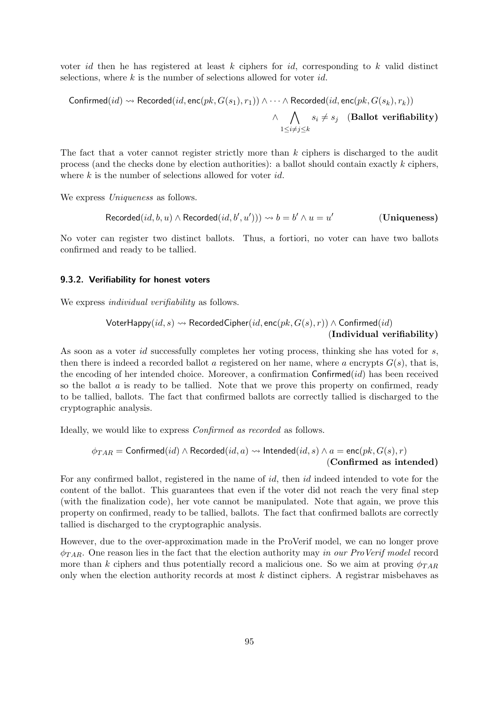voter *id* then he has registered at least  $k$  ciphers for *id*, corresponding to  $k$  valid distinct selections, where  $k$  is the number of selections allowed for voter  $id$ .

$$
\begin{array}{ccc}\text{Confirmed}(id)\leadsto\text{Recorded}(id,\texttt{enc}(pk,G(s_1),r_1))\land\cdots\land\text{Recorded}(id,\texttt{enc}(pk,G(s_k),r_k))\\&\land&\bigwedge\limits_{1\leq i\neq j\leq k}s_i\quad(\textbf{Ballot verifiability})\end{array}
$$

The fact that a voter cannot register strictly more than  $k$  ciphers is discharged to the audit process (and the checks done by election authorities): a ballot should contain exactly  $k$  ciphers, where  $k$  is the number of selections allowed for voter  $id$ .

We express *Uniqueness* as follows.

$$
Recorded(id, b, u) \land Recorded(id, b', u')) \rightsquigarrow b = b' \land u = u'
$$
 (Uniqueness)

No voter can register two distinct ballots. Thus, a fortiori, no voter can have two ballots confirmed and ready to be tallied.

#### 9.3.2. Verifiability for honest voters

We express *individual verifiability* as follows.

$$
\mathsf{VoterHappy}(id, s) \rightsquigarrow \mathsf{RecordedCipher}(id, \mathsf{enc}(pk, G(s), r)) \land \mathsf{Confirmed}(id)
$$
\n
$$
(\mathbf{Individual}\ verifiability)
$$

As soon as a voter *id* successfully completes her voting process, thinking she has voted for s, then there is indeed a recorded ballot a registered on her name, where a encrypts  $G(s)$ , that is, the encoding of her intended choice. Moreover, a confirmation  $\text{Confirmed}(id)$  has been received so the ballot  $\alpha$  is ready to be tallied. Note that we prove this property on confirmed, ready to be tallied, ballots. The fact that confirmed ballots are correctly tallied is discharged to the cryptographic analysis.

Ideally, we would like to express Confirmed as recorded as follows.

$$
\phi_{TAR} = \text{Confirmed}(id) \land \text{Recorded}(id, a) \rightsquigarrow \text{Intended}(id, s) \land a = \text{enc}(pk, G(s), r)
$$
\n
$$
\text{(Confirmed as intended)}
$$

For any confirmed ballot, registered in the name of *id*, then *id* indeed intended to vote for the content of the ballot. This guarantees that even if the voter did not reach the very final step (with the finalization code), her vote cannot be manipulated. Note that again, we prove this property on confirmed, ready to be tallied, ballots. The fact that confirmed ballots are correctly tallied is discharged to the cryptographic analysis.

However, due to the over-approximation made in the ProVerif model, we can no longer prove  $\phi_{TAR}$ . One reason lies in the fact that the election authority may in our ProVerif model record more than k ciphers and thus potentially record a malicious one. So we aim at proving  $\phi_{TAR}$ only when the election authority records at most  $k$  distinct ciphers. A registrar misbehaves as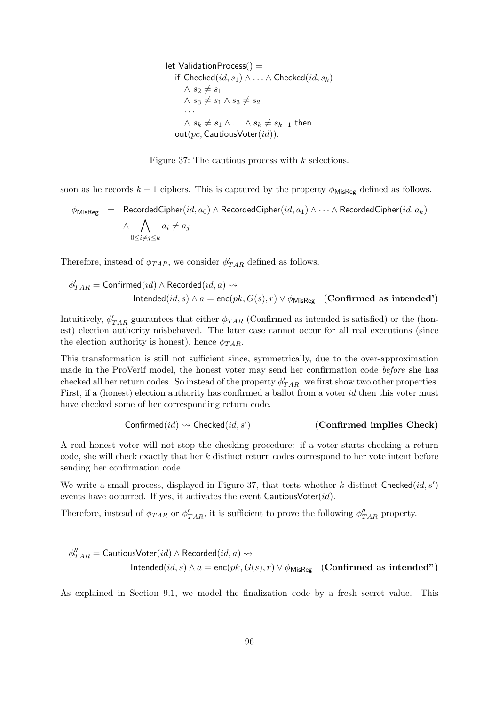let ValidationProcess $() =$ if  $\mathsf{Checked}(id, s_1) \wedge \ldots \wedge \mathsf{Checked}(id, s_k)$  $\wedge$  s<sub>2</sub>  $\neq$  s<sub>1</sub>  $\wedge s_3 \neq s_1 \wedge s_3 \neq s_2$ · · ·  $∧ s_k \neq s_1 ∧ \ldots ∧ s_k \neq s_{k-1}$  then  $out(pc, CautiousVoter(id)).$ 

<span id="page-95-0"></span>

soon as he records  $k + 1$  ciphers. This is captured by the property  $\phi_{\text{MisReg}}$  defined as follows.

$$
\phi_{\mathsf{MisReg}} = \text{RecordedCipher}(id, a_0) \land \text{RecordedCipher}(id, a_1) \land \dots \land \text{RecordedCipher}(id, a_k)
$$
\n
$$
\land \bigwedge_{0 \leq i \neq j \leq k} a_i \neq a_j
$$

Therefore, instead of  $\phi_{TAR}$ , we consider  $\phi_{TAR}'$  defined as follows.

$$
\phi'_{TAR} = \text{Confirmed}(id) \land \text{Recorded}(id, a) \rightsquigarrow
$$
\n
$$
\text{Intended}(id, s) \land a = \text{enc}(pk, G(s), r) \lor \phi_{\text{MisReg}} \quad \text{(Confirmed as intended')}
$$

Intuitively,  $\phi'_{TAR}$  guarantees that either  $\phi_{TAR}$  (Confirmed as intended is satisfied) or the (honest) election authority misbehaved. The later case cannot occur for all real executions (since the election authority is honest), hence  $\phi_{TAR}$ .

This transformation is still not sufficient since, symmetrically, due to the over-approximation made in the ProVerif model, the honest voter may send her confirmation code before she has checked all her return codes. So instead of the property  $\phi'_{TAR}$ , we first show two other properties. First, if a (honest) election authority has confirmed a ballot from a voter id then this voter must have checked some of her corresponding return code.

$$
Confirmed(id) \rightsquigarrow \text{Checked}(id, s') \qquad \qquad \text{(Confirmed implies Check)}
$$

A real honest voter will not stop the checking procedure: if a voter starts checking a return code, she will check exactly that her k distinct return codes correspond to her vote intent before sending her confirmation code.

We write a small process, displayed in Figure [37,](#page-95-0) that tests whether k distinct Checked $(id, s')$ events have occurred. If yes, it activates the event  $\textsf{CautiousVoter}(id)$ .

Therefore, instead of  $\phi_{TAR}$  or  $\phi'_{TAR}$ , it is sufficient to prove the following  $\phi''_{TAR}$  property.

$$
\phi''_{TAR} = \text{CautiousVoter}(id) \land \text{Recorded}(id, a) \leadsto
$$
  
Intended(*id*, *s*)  $\land$  *a* = enc(*pk*, *G*(*s*), *r*)  $\lor$   $\phi_{\text{MisReg}}$  (**Confirmed as intended**")

As explained in Section [9.1,](#page-89-0) we model the finalization code by a fresh secret value. This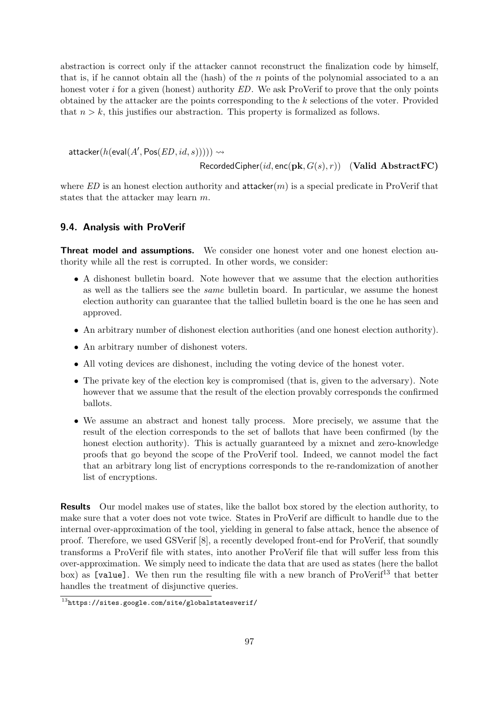abstraction is correct only if the attacker cannot reconstruct the finalization code by himself, that is, if he cannot obtain all the (hash) of the  $n$  points of the polynomial associated to a an honest voter  $i$  for a given (honest) authority  $ED$ . We ask ProVerif to prove that the only points obtained by the attacker are the points corresponding to the k selections of the voter. Provided that  $n > k$ , this justifies our abstraction. This property is formalized as follows.

 $\mathsf{attacker}(h(\mathsf{eval}(A', \mathsf{Pos}(ED, id, s)))) \rightsquigarrow$ 

RecordedCipher(id, enc(pk,  $G(s), r$ )) (Valid AbstractFC)

where  $ED$  is an honest election authority and **attacker** $(m)$  is a special predicate in ProVerif that states that the attacker may learn m.

#### 9.4. Analysis with ProVerif

Threat model and assumptions. We consider one honest voter and one honest election authority while all the rest is corrupted. In other words, we consider:

- A dishonest bulletin board. Note however that we assume that the election authorities as well as the talliers see the same bulletin board. In particular, we assume the honest election authority can guarantee that the tallied bulletin board is the one he has seen and approved.
- An arbitrary number of dishonest election authorities (and one honest election authority).
- An arbitrary number of dishonest voters.
- All voting devices are dishonest, including the voting device of the honest voter.
- The private key of the election key is compromised (that is, given to the adversary). Note however that we assume that the result of the election provably corresponds the confirmed ballots.
- We assume an abstract and honest tally process. More precisely, we assume that the result of the election corresponds to the set of ballots that have been confirmed (by the honest election authority). This is actually guaranteed by a mixnet and zero-knowledge proofs that go beyond the scope of the ProVerif tool. Indeed, we cannot model the fact that an arbitrary long list of encryptions corresponds to the re-randomization of another list of encryptions.

Results Our model makes use of states, like the ballot box stored by the election authority, to make sure that a voter does not vote twice. States in ProVerif are difficult to handle due to the internal over-approximation of the tool, yielding in general to false attack, hence the absence of proof. Therefore, we used GSVerif [\[8\]](#page-113-6), a recently developed front-end for ProVerif, that soundly transforms a ProVerif file with states, into another ProVerif file that will suffer less from this over-approximation. We simply need to indicate the data that are used as states (here the ballot box) as [value]. We then run the resulting file with a new branch of ProVerif<sup>[13](#page-96-0)</sup> that better handles the treatment of disjunctive queries.

<span id="page-96-0"></span> $\frac{13}{13}$ <https://sites.google.com/site/globalstatesverif/>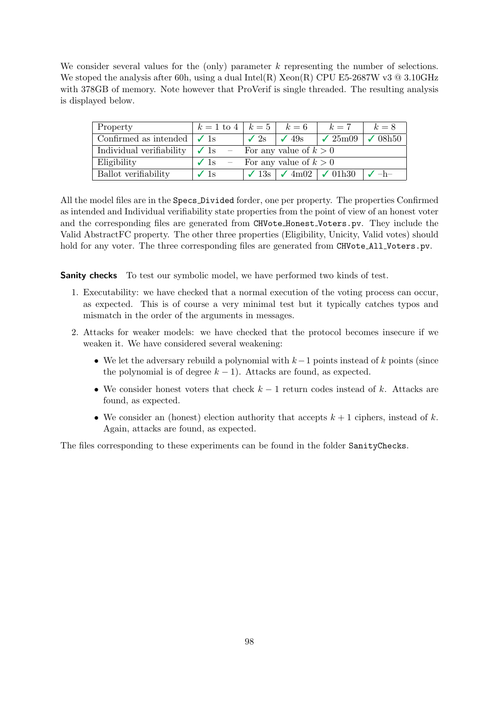We consider several values for the (only) parameter  $k$  representing the number of selections. We stoped the analysis after 60h, using a dual Intel(R) Xeon(R) CPU E5-2687W v3  $@$  3.10GHz with 378GB of memory. Note however that ProVerif is single threaded. The resulting analysis is displayed below.

| Property                                             | $k = 1$ to $4 \mid k = 5 \mid k = 6 \mid k = 7$ |             |               |                                                                                                | $k=8$ |
|------------------------------------------------------|-------------------------------------------------|-------------|---------------|------------------------------------------------------------------------------------------------|-------|
| Confirmed as intended $\vert \checkmark$ 1s          |                                                 | $\sqrt{2s}$ | $\sqrt{49}$ s | $\sqrt{25m09}$ $\sqrt{08h50}$                                                                  |       |
| Individual verifiability $\vert \checkmark \vert$ is | - For any value of $k > 0$                      |             |               |                                                                                                |       |
| Eligibility                                          | $\checkmark$ 1s – For any value of $k > 0$      |             |               |                                                                                                |       |
| Ballot verifiability                                 | $\sqrt{1}\text{s}$                              |             |               | $\vert \checkmark$ 13s $\vert \checkmark$ 4m02 $\vert \checkmark$ 01h30 $\vert \checkmark$ -h- |       |

All the model files are in the Specs Divided forder, one per property. The properties Confirmed as intended and Individual verifiability state properties from the point of view of an honest voter and the corresponding files are generated from CHVote Honest Voters.pv. They include the Valid AbstractFC property. The other three properties (Eligibility, Unicity, Valid votes) should hold for any voter. The three corresponding files are generated from CHVote\_All\_Voters.pv.

**Sanity checks** To test our symbolic model, we have performed two kinds of test.

- 1. Executability: we have checked that a normal execution of the voting process can occur, as expected. This is of course a very minimal test but it typically catches typos and mismatch in the order of the arguments in messages.
- 2. Attacks for weaker models: we have checked that the protocol becomes insecure if we weaken it. We have considered several weakening:
	- We let the adversary rebuild a polynomial with  $k-1$  points instead of k points (since the polynomial is of degree  $k - 1$ ). Attacks are found, as expected.
	- We consider honest voters that check  $k-1$  return codes instead of k. Attacks are found, as expected.
	- We consider an (honest) election authority that accepts  $k + 1$  ciphers, instead of k. Again, attacks are found, as expected.

The files corresponding to these experiments can be found in the folder SanityChecks.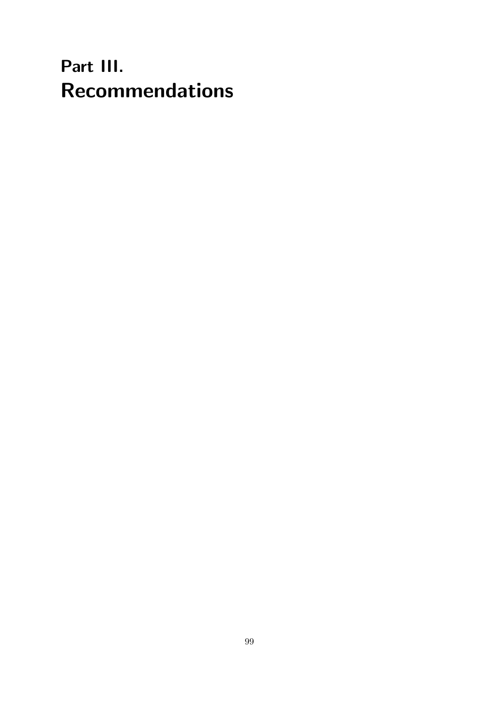## Part III. Recommendations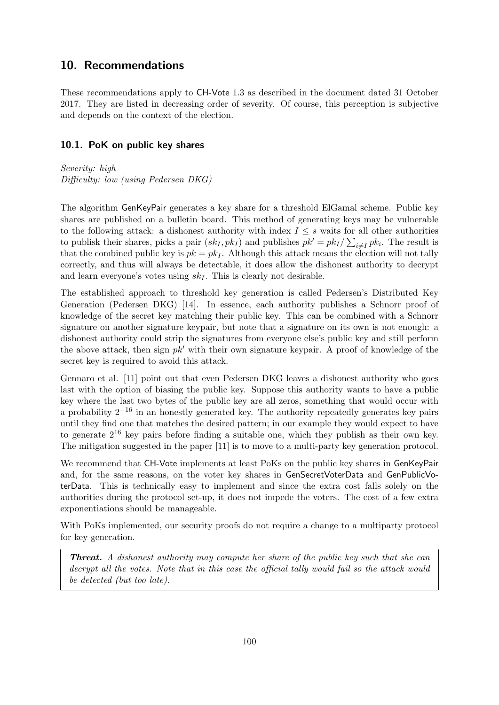## <span id="page-99-0"></span>10. Recommendations

These recommendations apply to CH-Vote 1.3 as described in the document dated 31 October 2017. They are listed in decreasing order of severity. Of course, this perception is subjective and depends on the context of the election.

#### 10.1. PoK on public key shares

Severity: high Difficulty: low (using Pedersen DKG)

The algorithm GenKeyPair generates a key share for a threshold ElGamal scheme. Public key shares are published on a bulletin board. This method of generating keys may be vulnerable to the following attack: a dishonest authority with index  $I \leq s$  waits for all other authorities to publisk their shares, picks a pair  $(sk_I, pk_I)$  and publishes  $pk' = pk_I / \sum_{i \neq I} pk_i$ . The result is that the combined public key is  $pk = pk_I$ . Although this attack means the election will not tally correctly, and thus will always be detectable, it does allow the dishonest authority to decrypt and learn everyone's votes using  $sk_I$ . This is clearly not desirable.

The established approach to threshold key generation is called Pedersen's Distributed Key Generation (Pedersen DKG) [\[14\]](#page-113-7). In essence, each authority publishes a Schnorr proof of knowledge of the secret key matching their public key. This can be combined with a Schnorr signature on another signature keypair, but note that a signature on its own is not enough: a dishonest authority could strip the signatures from everyone else's public key and still perform the above attack, then sign  $pk'$  with their own signature keypair. A proof of knowledge of the secret key is required to avoid this attack.

Gennaro et al. [\[11\]](#page-113-8) point out that even Pedersen DKG leaves a dishonest authority who goes last with the option of biasing the public key. Suppose this authority wants to have a public key where the last two bytes of the public key are all zeros, something that would occur with a probability  $2^{-16}$  in an honestly generated key. The authority repeatedly generates key pairs until they find one that matches the desired pattern; in our example they would expect to have to generate 2<sup>16</sup> key pairs before finding a suitable one, which they publish as their own key. The mitigation suggested in the paper [\[11\]](#page-113-8) is to move to a multi-party key generation protocol.

We recommend that CH-Vote implements at least PoKs on the public key shares in GenKeyPair and, for the same reasons, on the voter key shares in GenSecretVoterData and GenPublicVoterData. This is technically easy to implement and since the extra cost falls solely on the authorities during the protocol set-up, it does not impede the voters. The cost of a few extra exponentiations should be manageable.

With PoKs implemented, our security proofs do not require a change to a multiparty protocol for key generation.

Threat. A dishonest authority may compute her share of the public key such that she can decrypt all the votes. Note that in this case the official tally would fail so the attack would be detected (but too late).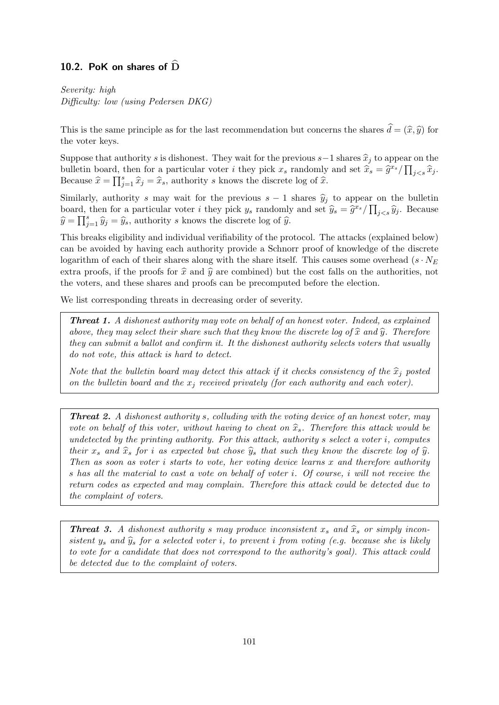#### 10.2. PoK on shares of  $\overline{D}$

Severity: high Difficulty: low (using Pedersen DKG)

This is the same principle as for the last recommendation but concerns the shares  $\hat{d} = (\hat{x}, \hat{y})$  for the voter keys.

Suppose that authority s is dishonest. They wait for the previous s–1 shares  $\hat{x}_j$  to appear on the bulletin board, then for a particular voter *i* they pick  $x_s$  randomly and set  $\hat{x}_s = \hat{g}^{x_s} / \prod_{j < s} \hat{x}_j$ .<br>Because  $\hat{x} = \overline{\hat{x}}$  as  $\hat{x}_s = \hat{x}_s$  authority a known the discrete log of  $\hat{x}_s$ . Because  $\hat{x} = \prod_{j=1}^s \hat{x}_j = \hat{x}_s$ , authority s knows the discrete log of  $\hat{x}$ .

Similarly, authority s may wait for the previous  $s - 1$  shares  $\hat{y}_i$  to appear on the bulletin board, then for a particular voter *i* they pick  $y_s$  randomly and set  $\hat{y}_s = \hat{g}^{x_s} / \prod_{j < s} \hat{y}_j$ . Because  $\widehat{y} = \prod_{j=1}^{s} \widehat{y}_j = \widehat{y}_s$ , authority s knows the discrete log of  $\widehat{y}$ .

This breaks eligibility and individual verifiability of the protocol. The attacks (explained below) can be avoided by having each authority provide a Schnorr proof of knowledge of the discrete logarithm of each of their shares along with the share itself. This causes some overhead ( $s \cdot N_E$ ) extra proofs, if the proofs for  $\hat{x}$  and  $\hat{y}$  are combined) but the cost falls on the authorities, not the voters, and these shares and proofs can be precomputed before the election.

We list corresponding threats in decreasing order of severity.

Threat 1. A dishonest authority may vote on behalf of an honest voter. Indeed, as explained above, they may select their share such that they know the discrete log of  $\hat{x}$  and  $\hat{y}$ . Therefore they can submit a ballot and confirm it. It the dishonest authority selects voters that usually do not vote, this attack is hard to detect.

Note that the bulletin board may detect this attack if it checks consistency of the  $\hat{x}_i$  posted on the bulletin board and the  $x_j$  received privately (for each authority and each voter).

**Threat 2.** A dishonest authority s, colluding with the voting device of an honest voter, may vote on behalf of this voter, without having to cheat on  $\hat{x}_s$ . Therefore this attack would be undetected by the printing authority. For this attack, authority s select a voter i, computes their  $x_s$  and  $\hat{x}_s$  for i as expected but chose  $\hat{y}_s$  that such they know the discrete log of  $\hat{y}$ . Then as soon as voter  $i$  starts to vote, her voting device learns  $x$  and therefore authority s has all the material to cast a vote on behalf of voter i. Of course, i will not receive the return codes as expected and may complain. Therefore this attack could be detected due to the complaint of voters.

**Threat 3.** A dishonest authority s may produce inconsistent  $x_s$  and  $\hat{x}_s$  or simply inconsistent  $y_s$  and  $\hat{y}_s$  for a selected voter i, to prevent i from voting (e.g. because she is likely to vote for a candidate that does not correspond to the authority's goal). This attack could be detected due to the complaint of voters.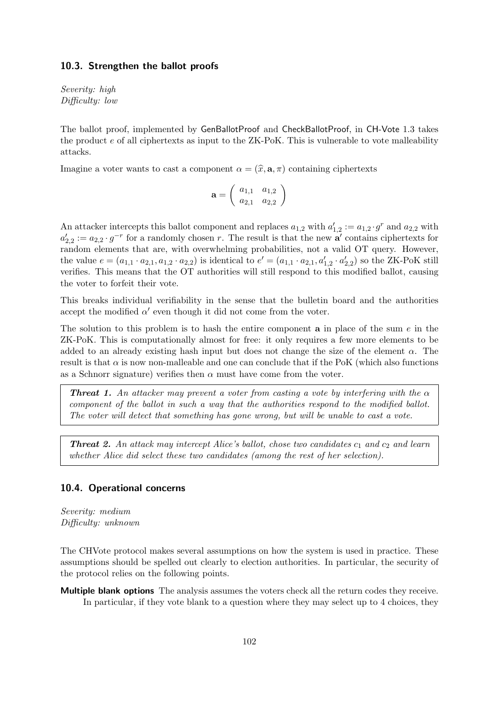#### 10.3. Strengthen the ballot proofs

Severity: high Difficulty: low

The ballot proof, implemented by GenBallotProof and CheckBallotProof, in CH-Vote 1.3 takes the product e of all ciphertexts as input to the ZK-PoK. This is vulnerable to vote malleability attacks.

Imagine a voter wants to cast a component  $\alpha = (\hat{x}, \mathbf{a}, \pi)$  containing ciphertexts

$$
\mathbf{a} = \left(\begin{array}{cc} a_{1,1} & a_{1,2} \\ a_{2,1} & a_{2,2} \end{array}\right)
$$

An attacker intercepts this ballot component and replaces  $a_{1,2}$  with  $a'_{1,2} := a_{1,2} \cdot g^r$  and  $a_{2,2}$  with  $a'_{2,2} := a_{2,2} \cdot g^{-r}$  for a randomly chosen r. The result is that the new  $\mathbf{a}'$  contains ciphertexts for random elements that are, with overwhelming probabilities, not a valid OT query. However, the value  $e = (a_{1,1} \cdot a_{2,1}, a_{1,2} \cdot a_{2,2})$  is identical to  $e' = (a_{1,1} \cdot a_{2,1}, a'_{1,2} \cdot a'_{2,2})$  so the ZK-PoK still verifies. This means that the OT authorities will still respond to this modified ballot, causing the voter to forfeit their vote.

This breaks individual verifiability in the sense that the bulletin board and the authorities accept the modified  $\alpha'$  even though it did not come from the voter.

The solution to this problem is to hash the entire component **a** in place of the sum  $e$  in the ZK-PoK. This is computationally almost for free: it only requires a few more elements to be added to an already existing hash input but does not change the size of the element  $\alpha$ . The result is that  $\alpha$  is now non-malleable and one can conclude that if the PoK (which also functions as a Schnorr signature) verifies then  $\alpha$  must have come from the voter.

**Threat 1.** An attacker may prevent a voter from casting a vote by interfering with the  $\alpha$ component of the ballot in such a way that the authorities respond to the modified ballot. The voter will detect that something has gone wrong, but will be unable to cast a vote.

**Threat 2.** An attack may intercept Alice's ballot, chose two candidates  $c_1$  and  $c_2$  and learn whether Alice did select these two candidates (among the rest of her selection).

#### 10.4. Operational concerns

Severity: medium Difficulty: unknown

The CHVote protocol makes several assumptions on how the system is used in practice. These assumptions should be spelled out clearly to election authorities. In particular, the security of the protocol relies on the following points.

Multiple blank options The analysis assumes the voters check all the return codes they receive. In particular, if they vote blank to a question where they may select up to 4 choices, they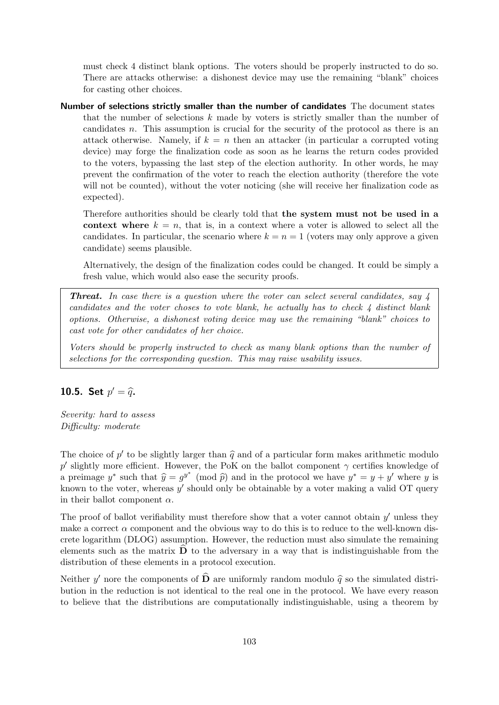must check 4 distinct blank options. The voters should be properly instructed to do so. There are attacks otherwise: a dishonest device may use the remaining "blank" choices for casting other choices.

Number of selections strictly smaller than the number of candidates The document states that the number of selections  $k$  made by voters is strictly smaller than the number of candidates n. This assumption is crucial for the security of the protocol as there is an attack otherwise. Namely, if  $k = n$  then an attacker (in particular a corrupted voting device) may forge the finalization code as soon as he learns the return codes provided to the voters, bypassing the last step of the election authority. In other words, he may prevent the confirmation of the voter to reach the election authority (therefore the vote will not be counted), without the voter noticing (she will receive her finalization code as expected).

Therefore authorities should be clearly told that the system must not be used in a context where  $k = n$ , that is, in a context where a voter is allowed to select all the candidates. In particular, the scenario where  $k = n = 1$  (voters may only approve a given candidate) seems plausible.

Alternatively, the design of the finalization codes could be changed. It could be simply a fresh value, which would also ease the security proofs.

Threat. In case there is a question where the voter can select several candidates, say 4 candidates and the voter choses to vote blank, he actually has to check  $\frac{1}{4}$  distinct blank options. Otherwise, a dishonest voting device may use the remaining "blank" choices to cast vote for other candidates of her choice.

Voters should be properly instructed to check as many blank options than the number of selections for the corresponding question. This may raise usability issues.

## **10.5.** Set  $p' = \hat{q}$ .

Severity: hard to assess Difficulty: moderate

The choice of  $p'$  to be slightly larger than  $\hat{q}$  and of a particular form makes arithmetic modulo  $x'$  clightly more efficient. However, the BeV on the hellet component a certifies linewides of p' slightly more efficient. However, the PoK on the ballot component  $\gamma$  certifies knowledge of a preimage y<sup>\*</sup> such that  $\hat{y} = g^{y^*} \pmod{\hat{p}}$  and in the protocol we have  $y^* = y + y'$  where y is<br>known to the veter whereas  $y'$  should only be obtainable by a veter making a valid OT succes known to the voter, whereas  $y'$  should only be obtainable by a voter making a valid OT query in their ballot component  $\alpha$ .

The proof of ballot verifiability must therefore show that a voter cannot obtain  $y'$  unless they make a correct  $\alpha$  component and the obvious way to do this is to reduce to the well-known discrete logarithm (DLOG) assumption. However, the reduction must also simulate the remaining elements such as the matrix  $\bf{D}$  to the adversary in a way that is indistinguishable from the distribution of these elements in a protocol execution.

Neither y' nore the components of  $\widehat{\mathbf{D}}$  are uniformly random modulo  $\widehat{q}$  so the simulated distri-<br>bution in the reduction is not identical to the real one in the protected. We have every reason bution in the reduction is not identical to the real one in the protocol. We have every reason to believe that the distributions are computationally indistinguishable, using a theorem by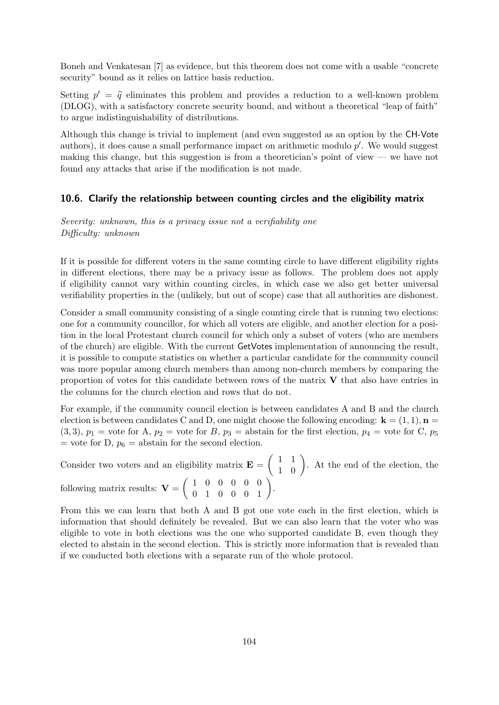Boneh and Venkatesan [\[7\]](#page-113-0) as evidence, but this theorem does not come with a usable "concrete security" bound as it relies on lattice basis reduction.

Setting  $p' = \hat{q}$  eliminates this problem and provides a reduction to a well-known problem  $(DLOC)$  with a getiafactory concrete sequence and without a theoretical "leap of faith" (DLOG), with a satisfactory concrete security bound, and without a theoretical "leap of faith" to argue indistinguishability of distributions.

Although this change is trivial to implement (and even suggested as an option by the CH-Vote authors), it does cause a small performance impact on arithmetic modulo  $p'$ . We would suggest making this change, but this suggestion is from a theoretician's point of view — we have not found any attacks that arise if the modification is not made.

#### 10.6. Clarify the relationship between counting circles and the eligibility matrix

Severity: unknown, this is a privacy issue not a verifiability one Difficulty: unknown

If it is possible for different voters in the same counting circle to have different eligibility rights in different elections, there may be a privacy issue as follows. The problem does not apply if eligibility cannot vary within counting circles, in which case we also get better universal verifiability properties in the (unlikely, but out of scope) case that all authorities are dishonest.

Consider a small community consisting of a single counting circle that is running two elections: one for a community councillor, for which all voters are eligible, and another election for a position in the local Protestant church council for which only a subset of voters (who are members of the church) are eligible. With the current GetVotes implementation of announcing the result, it is possible to compute statistics on whether a particular candidate for the community council was more popular among church members than among non-church members by comparing the proportion of votes for this candidate between rows of the matrix V that also have entries in the columns for the church election and rows that do not.

For example, if the community council election is between candidates A and B and the church election is between candidates C and D, one might choose the following encoding:  $\mathbf{k} = (1, 1), \mathbf{n} =$  $(3,3), p_1$  = vote for A,  $p_2$  = vote for B,  $p_3$  = abstain for the first election,  $p_4$  = vote for C,  $p_5$ = vote for D,  $p_6$  = abstain for the second election.

Consider two voters and an eligibility matrix  $\mathbf{E} = \begin{pmatrix} 1 & 1 \\ 1 & 0 \end{pmatrix}$ . At the end of the election, the following matrix results:  $\mathbf{V} = \begin{pmatrix} 1 & 0 & 0 & 0 & 0 & 0 \\ 0 & 1 & 0 & 0 & 0 & 1 \end{pmatrix}$ .

From this we can learn that both A and B got one vote each in the first election, which is information that should definitely be revealed. But we can also learn that the voter who was eligible to vote in both elections was the one who supported candidate B, even though they elected to abstain in the second election. This is strictly more information that is revealed than if we conducted both elections with a separate run of the whole protocol.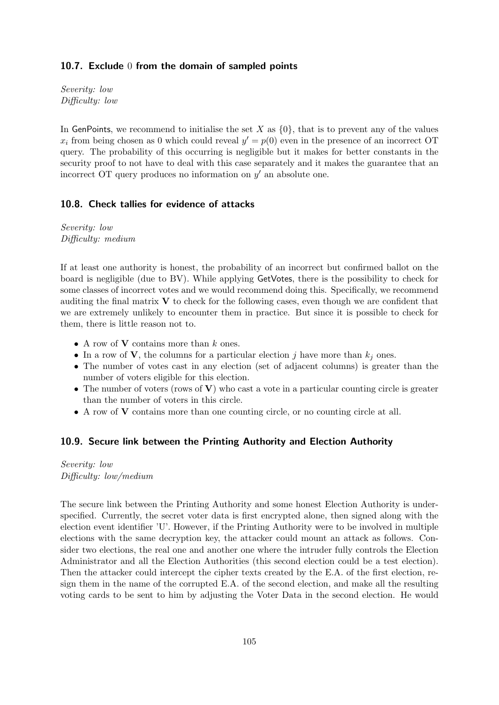#### 10.7. Exclude 0 from the domain of sampled points

Severity: low Difficulty: low

In GenPoints, we recommend to initialise the set X as  $\{0\}$ , that is to prevent any of the values  $x_i$  from being chosen as 0 which could reveal  $y' = p(0)$  even in the presence of an incorrect OT query. The probability of this occurring is negligible but it makes for better constants in the security proof to not have to deal with this case separately and it makes the guarantee that an incorrect OT query produces no information on  $y'$  an absolute one.

#### 10.8. Check tallies for evidence of attacks

Severity: low Difficulty: medium

If at least one authority is honest, the probability of an incorrect but confirmed ballot on the board is negligible (due to BV). While applying GetVotes, there is the possibility to check for some classes of incorrect votes and we would recommend doing this. Specifically, we recommend auditing the final matrix  $\bf{V}$  to check for the following cases, even though we are confident that we are extremely unlikely to encounter them in practice. But since it is possible to check for them, there is little reason not to.

- A row of  $V$  contains more than  $k$  ones.
- In a row of **V**, the columns for a particular election j have more than  $k_j$  ones.
- The number of votes cast in any election (set of adjacent columns) is greater than the number of voters eligible for this election.
- The number of voters (rows of V) who cast a vote in a particular counting circle is greater than the number of voters in this circle.
- A row of V contains more than one counting circle, or no counting circle at all.

#### 10.9. Secure link between the Printing Authority and Election Authority

Severity: low Difficulty: low/medium

The secure link between the Printing Authority and some honest Election Authority is underspecified. Currently, the secret voter data is first encrypted alone, then signed along with the election event identifier 'U'. However, if the Printing Authority were to be involved in multiple elections with the same decryption key, the attacker could mount an attack as follows. Consider two elections, the real one and another one where the intruder fully controls the Election Administrator and all the Election Authorities (this second election could be a test election). Then the attacker could intercept the cipher texts created by the E.A. of the first election, resign them in the name of the corrupted E.A. of the second election, and make all the resulting voting cards to be sent to him by adjusting the Voter Data in the second election. He would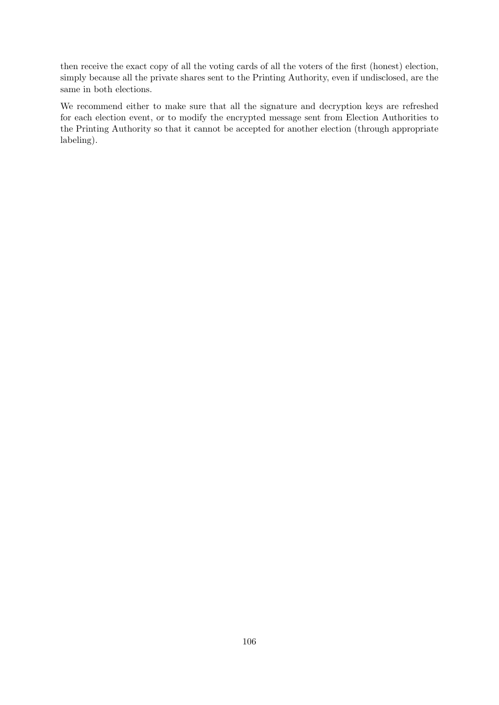then receive the exact copy of all the voting cards of all the voters of the first (honest) election, simply because all the private shares sent to the Printing Authority, even if undisclosed, are the same in both elections.

We recommend either to make sure that all the signature and decryption keys are refreshed for each election event, or to modify the encrypted message sent from Election Authorities to the Printing Authority so that it cannot be accepted for another election (through appropriate labeling).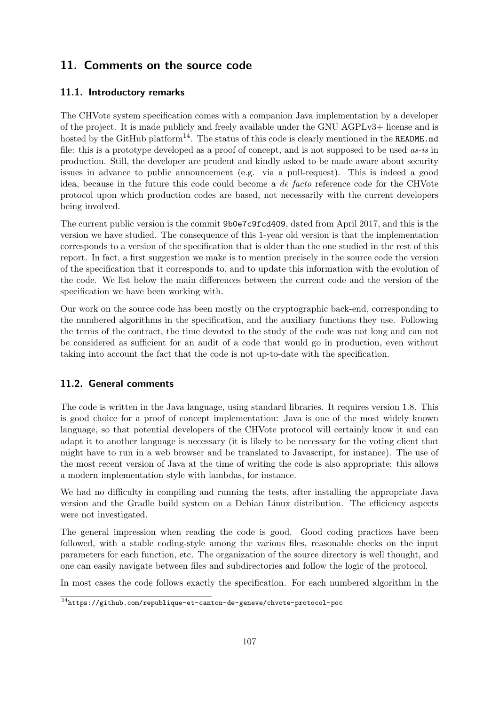## 11. Comments on the source code

## 11.1. Introductory remarks

The CHVote system specification comes with a companion Java implementation by a developer of the project. It is made publicly and freely available under the GNU AGPLv3+ license and is hosted by the GitHub platform<sup>[14](#page-106-0)</sup>. The status of this code is clearly mentioned in the README.md file: this is a prototype developed as a proof of concept, and is not supposed to be used *as-is* in production. Still, the developer are prudent and kindly asked to be made aware about security issues in advance to public announcement (e.g. via a pull-request). This is indeed a good idea, because in the future this code could become a de facto reference code for the CHVote protocol upon which production codes are based, not necessarily with the current developers being involved.

The current public version is the commit 9b0e7c9fcd409, dated from April 2017, and this is the version we have studied. The consequence of this 1-year old version is that the implementation corresponds to a version of the specification that is older than the one studied in the rest of this report. In fact, a first suggestion we make is to mention precisely in the source code the version of the specification that it corresponds to, and to update this information with the evolution of the code. We list below the main differences between the current code and the version of the specification we have been working with.

Our work on the source code has been mostly on the cryptographic back-end, corresponding to the numbered algorithms in the specification, and the auxiliary functions they use. Following the terms of the contract, the time devoted to the study of the code was not long and can not be considered as sufficient for an audit of a code that would go in production, even without taking into account the fact that the code is not up-to-date with the specification.

## 11.2. General comments

The code is written in the Java language, using standard libraries. It requires version 1.8. This is good choice for a proof of concept implementation: Java is one of the most widely known language, so that potential developers of the CHVote protocol will certainly know it and can adapt it to another language is necessary (it is likely to be necessary for the voting client that might have to run in a web browser and be translated to Javascript, for instance). The use of the most recent version of Java at the time of writing the code is also appropriate: this allows a modern implementation style with lambdas, for instance.

We had no difficulty in compiling and running the tests, after installing the appropriate Java version and the Gradle build system on a Debian Linux distribution. The efficiency aspects were not investigated.

The general impression when reading the code is good. Good coding practices have been followed, with a stable coding-style among the various files, reasonable checks on the input parameters for each function, etc. The organization of the source directory is well thought, and one can easily navigate between files and subdirectories and follow the logic of the protocol.

In most cases the code follows exactly the specification. For each numbered algorithm in the

<span id="page-106-0"></span><sup>14</sup><https://github.com/republique-et-canton-de-geneve/chvote-protocol-poc>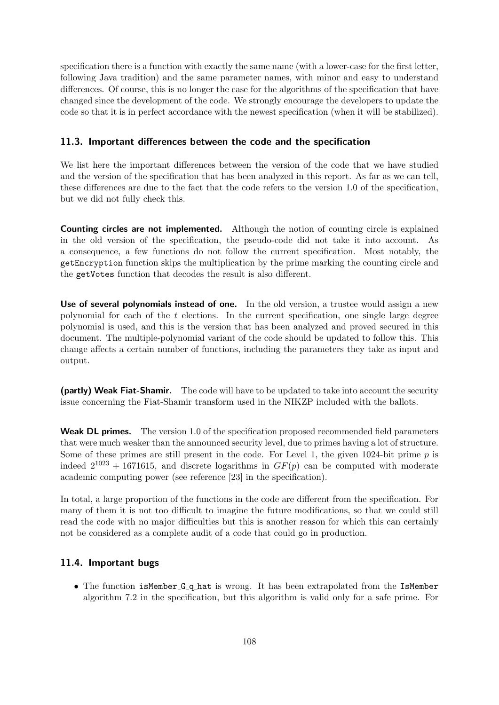specification there is a function with exactly the same name (with a lower-case for the first letter, following Java tradition) and the same parameter names, with minor and easy to understand differences. Of course, this is no longer the case for the algorithms of the specification that have changed since the development of the code. We strongly encourage the developers to update the code so that it is in perfect accordance with the newest specification (when it will be stabilized).

#### 11.3. Important differences between the code and the specification

We list here the important differences between the version of the code that we have studied and the version of the specification that has been analyzed in this report. As far as we can tell, these differences are due to the fact that the code refers to the version 1.0 of the specification, but we did not fully check this.

Counting circles are not implemented. Although the notion of counting circle is explained in the old version of the specification, the pseudo-code did not take it into account. As a consequence, a few functions do not follow the current specification. Most notably, the getEncryption function skips the multiplication by the prime marking the counting circle and the getVotes function that decodes the result is also different.

Use of several polynomials instead of one. In the old version, a trustee would assign a new polynomial for each of the  $t$  elections. In the current specification, one single large degree polynomial is used, and this is the version that has been analyzed and proved secured in this document. The multiple-polynomial variant of the code should be updated to follow this. This change affects a certain number of functions, including the parameters they take as input and output.

(partly) Weak Fiat-Shamir. The code will have to be updated to take into account the security issue concerning the Fiat-Shamir transform used in the NIKZP included with the ballots.

Weak DL primes. The version 1.0 of the specification proposed recommended field parameters that were much weaker than the announced security level, due to primes having a lot of structure. Some of these primes are still present in the code. For Level 1, the given  $1024$ -bit prime p is indeed  $2^{1023} + 1671615$ , and discrete logarithms in  $GF(p)$  can be computed with moderate academic computing power (see reference [23] in the specification).

In total, a large proportion of the functions in the code are different from the specification. For many of them it is not too difficult to imagine the future modifications, so that we could still read the code with no major difficulties but this is another reason for which this can certainly not be considered as a complete audit of a code that could go in production.

#### 11.4. Important bugs

• The function is Member G q hat is wrong. It has been extrapolated from the IsMember algorithm 7.2 in the specification, but this algorithm is valid only for a safe prime. For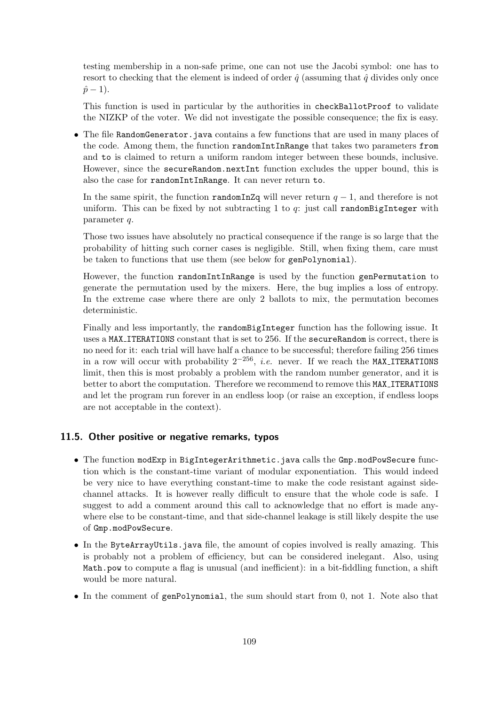testing membership in a non-safe prime, one can not use the Jacobi symbol: one has to resort to checking that the element is indeed of order  $\hat{q}$  (assuming that  $\hat{q}$  divides only once  $\hat{p}-1$ ).

This function is used in particular by the authorities in checkBallotProof to validate the NIZKP of the voter. We did not investigate the possible consequence; the fix is easy.

• The file RandomGenerator.java contains a few functions that are used in many places of the code. Among them, the function randomIntInRange that takes two parameters from and to is claimed to return a uniform random integer between these bounds, inclusive. However, since the secureRandom.nextInt function excludes the upper bound, this is also the case for randomIntInRange. It can never return to.

In the same spirit, the function randomInZq will never return  $q - 1$ , and therefore is not uniform. This can be fixed by not subtracting 1 to  $q$ : just call random BigInteger with parameter q.

Those two issues have absolutely no practical consequence if the range is so large that the probability of hitting such corner cases is negligible. Still, when fixing them, care must be taken to functions that use them (see below for genPolynomial).

However, the function randomIntInRange is used by the function genPermutation to generate the permutation used by the mixers. Here, the bug implies a loss of entropy. In the extreme case where there are only 2 ballots to mix, the permutation becomes deterministic.

Finally and less importantly, the randomBigInteger function has the following issue. It uses a MAX ITERATIONS constant that is set to 256. If the secureRandom is correct, there is no need for it: each trial will have half a chance to be successful; therefore failing 256 times in a row will occur with probability  $2^{-256}$ , *i.e.* never. If we reach the MAX\_ITERATIONS limit, then this is most probably a problem with the random number generator, and it is better to abort the computation. Therefore we recommend to remove this MAX ITERATIONS and let the program run forever in an endless loop (or raise an exception, if endless loops are not acceptable in the context).

#### 11.5. Other positive or negative remarks, typos

- The function modExp in BigIntegerArithmetic.java calls the Gmp.modPowSecure function which is the constant-time variant of modular exponentiation. This would indeed be very nice to have everything constant-time to make the code resistant against sidechannel attacks. It is however really difficult to ensure that the whole code is safe. I suggest to add a comment around this call to acknowledge that no effort is made anywhere else to be constant-time, and that side-channel leakage is still likely despite the use of Gmp.modPowSecure.
- In the ByteArrayUtils.java file, the amount of copies involved is really amazing. This is probably not a problem of efficiency, but can be considered inelegant. Also, using Math.pow to compute a flag is unusual (and inefficient): in a bit-fiddling function, a shift would be more natural.
- In the comment of genPolynomial, the sum should start from 0, not 1. Note also that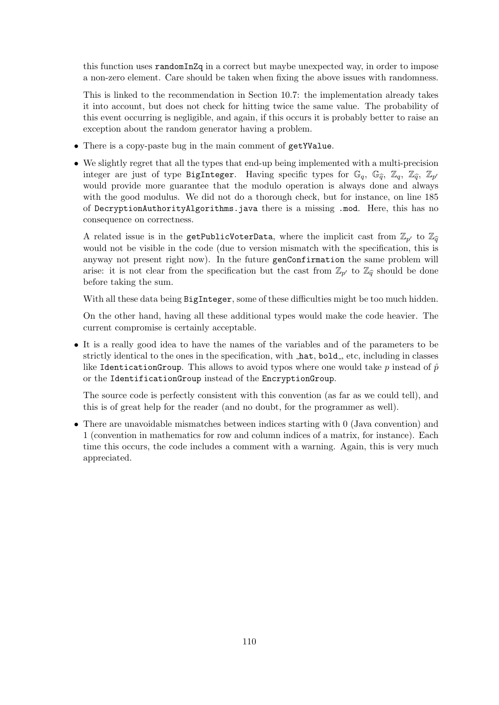this function uses randomInZq in a correct but maybe unexpected way, in order to impose a non-zero element. Care should be taken when fixing the above issues with randomness.

This is linked to the recommendation in Section [10.7:](#page-104-0) the implementation already takes it into account, but does not check for hitting twice the same value. The probability of this event occurring is negligible, and again, if this occurs it is probably better to raise an exception about the random generator having a problem.

- There is a copy-paste bug in the main comment of getYValue.
- We slightly regret that all the types that end-up being implemented with a multi-precision integer are just of type BigInteger. Having specific types for  $\mathbb{G}_q$ ,  $\mathbb{G}_{\widehat{q}}$ ,  $\mathbb{Z}_q$ ,  $\mathbb{Z}_q$ ,  $\mathbb{Z}_p$ ,  $\mathbb{Z}_p$ would provide more guarantee that the modulo operation is always done and always with the good modulus. We did not do a thorough check, but for instance, on line 185 of DecryptionAuthorityAlgorithms.java there is a missing .mod. Here, this has no consequence on correctness.

A related issue is in the getPublicVoterData, where the implicit cast from  $\mathbb{Z}_{p'}$  to  $\mathbb{Z}_{\widehat{q}}$ would not be visible in the code (due to version mismatch with the specification, this is anyway not present right now). In the future genConfirmation the same problem will arise: it is not clear from the specification but the cast from  $\mathbb{Z}_{p'}$  to  $\mathbb{Z}_{\widehat{q}}$  should be done before taking the sum.

With all these data being BigInteger, some of these difficulties might be too much hidden.

On the other hand, having all these additional types would make the code heavier. The current compromise is certainly acceptable.

• It is a really good idea to have the names of the variables and of the parameters to be strictly identical to the ones in the specification, with  $\Delta$ hat, bold, etc, including in classes like IdenticationGroup. This allows to avoid typos where one would take p instead of  $\hat{p}$ or the IdentificationGroup instead of the EncryptionGroup.

The source code is perfectly consistent with this convention (as far as we could tell), and this is of great help for the reader (and no doubt, for the programmer as well).

• There are unavoidable mismatches between indices starting with 0 (Java convention) and 1 (convention in mathematics for row and column indices of a matrix, for instance). Each time this occurs, the code includes a comment with a warning. Again, this is very much appreciated.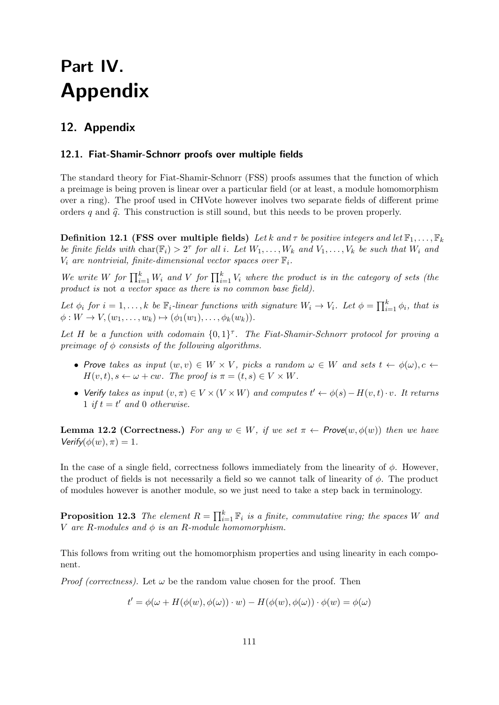# Part IV. Appendix

## 12. Appendix

#### 12.1. Fiat-Shamir-Schnorr proofs over multiple fields

The standard theory for Fiat-Shamir-Schnorr (FSS) proofs assumes that the function of which a preimage is being proven is linear over a particular field (or at least, a module homomorphism over a ring). The proof used in CHVote however inolves two separate fields of different prime orders q and  $\hat{q}$ . This construction is still sound, but this needs to be proven properly.

**Definition 12.1 (FSS over multiple fields)** Let k and  $\tau$  be positive integers and let  $\mathbb{F}_1, \ldots, \mathbb{F}_k$ be finite fields with  $char(\mathbb{F}_i) > 2^{\tau}$  for all i. Let  $W_1, \ldots, W_k$  and  $V_1, \ldots, V_k$  be such that  $W_i$  and  $V_i$  are nontrivial, finite-dimensional vector spaces over  $\mathbb{F}_i$ .

We write W for  $\prod_{i=1}^k W_i$  and V for  $\prod_{i=1}^k V_i$  where the product is in the category of sets (the product is not a vector space as there is no common base field).

Let  $\phi_i$  for  $i = 1, \ldots, k$  be  $\mathbb{F}_i$ -linear functions with signature  $W_i \to V_i$ . Let  $\phi = \prod_{i=1}^k \phi_i$ , that is  $\phi: W \to V, (w_1, \ldots, w_k) \mapsto (\phi_1(w_1), \ldots, \phi_k(w_k)).$ 

Let H be a function with codomain  $\{0,1\}^{\tau}$ . The Fiat-Shamir-Schnorr protocol for proving a preimage of  $\phi$  consists of the following algorithms.

- Prove takes as input  $(w, v) \in W \times V$ , picks a random  $\omega \in W$  and sets  $t \leftarrow \phi(\omega), c \leftarrow$  $H(v, t), s \leftarrow \omega + cw$ . The proof is  $\pi = (t, s) \in V \times W$ .
- Verify takes as input  $(v, \pi) \in V \times (V \times W)$  and computes  $t' \leftarrow \phi(s) H(v, t) \cdot v$ . It returns 1 if  $t = t'$  and 0 otherwise.

**Lemma 12.2 (Correctness.)** For any  $w \in W$ , if we set  $\pi \leftarrow \text{Prove}(w, \phi(w))$  then we have  $Verify(\phi(w), \pi) = 1.$ 

In the case of a single field, correctness follows immediately from the linearity of  $\phi$ . However, the product of fields is not necessarily a field so we cannot talk of linearity of  $\phi$ . The product of modules however is another module, so we just need to take a step back in terminology.

**Proposition 12.3** The element  $R = \prod_{i=1}^{k} \mathbb{F}_i$  is a finite, commutative ring; the spaces W and V are R-modules and  $\phi$  is an R-module homomorphism.

This follows from writing out the homomorphism properties and using linearity in each component.

*Proof (correctness)*. Let  $\omega$  be the random value chosen for the proof. Then

$$
t' = \phi(\omega + H(\phi(w), \phi(\omega)) \cdot w) - H(\phi(w), \phi(\omega)) \cdot \phi(w) = \phi(\omega)
$$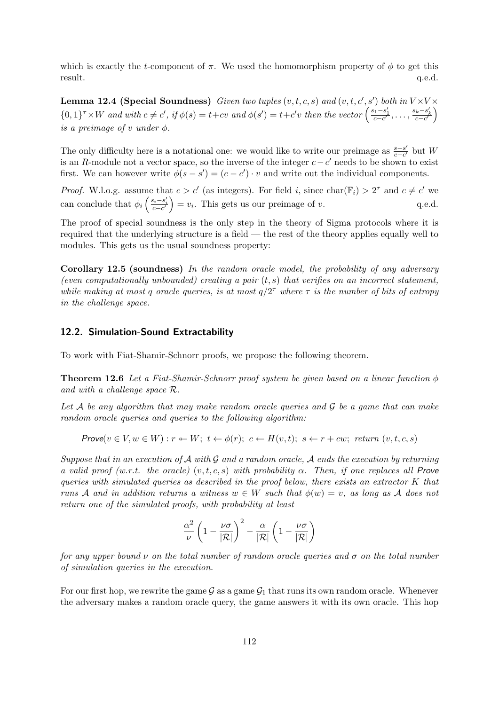which is exactly the t-component of  $\pi$ . We used the homomorphism property of  $\phi$  to get this result.  $q.e.d.$ 

**Lemma 12.4 (Special Soundness)** Given two tuples  $(v, t, c, s)$  and  $(v, t, c', s')$  both in  $V \times V \times$  ${0,1}^{\tau} \times W$  and with  $c \neq c'$ , if  $\phi(s) = t+cv$  and  $\phi(s') = t+c'v$  then the vector  $\left(\frac{s_1-s'_1}{c-c'}, \ldots, \frac{s_k-s'_k}{c-c'}\right)$ is a preimage of  $v$  under  $\phi$ .

The only difficulty here is a notational one: we would like to write our preimage as  $\frac{s-s'}{s-s'}$  $\frac{s-s'}{c-c'}$  but W is an R-module not a vector space, so the inverse of the integer  $c - c'$  needs to be shown to exist first. We can however write  $\phi(s - s') = (c - c') \cdot v$  and write out the individual components.

*Proof.* W.l.o.g. assume that  $c > c'$  (as integers). For field i, since char( $\mathbb{F}_i$ ) >  $2^{\tau}$  and  $c \neq c'$  we can conclude that  $\phi_i\left(\frac{s_i-s'_i}{c-c'}\right) = v_i$ . This gets us our preimage of v. q.e.d.

The proof of special soundness is the only step in the theory of Sigma protocols where it is required that the underlying structure is a field — the rest of the theory applies equally well to modules. This gets us the usual soundness property:

Corollary 12.5 (soundness) In the random oracle model, the probability of any adversary (even computationally unbounded) creating a pair  $(t, s)$  that verifies on an incorrect statement, while making at most q oracle queries, is at most  $q/2^{\tau}$  where  $\tau$  is the number of bits of entropy in the challenge space.

#### 12.2. Simulation-Sound Extractability

To work with Fiat-Shamir-Schnorr proofs, we propose the following theorem.

**Theorem 12.6** Let a Fiat-Shamir-Schnorr proof system be given based on a linear function  $\phi$ and with a challenge space R.

Let  $A$  be any algorithm that may make random oracle queries and  $G$  be a game that can make random oracle queries and queries to the following algorithm:

Prove $(v \in V, w \in W) : r \leftarrow W$ ;  $t \leftarrow \phi(r)$ ;  $c \leftarrow H(v, t)$ ;  $s \leftarrow r + cw$ ; return  $(v, t, c, s)$ 

Suppose that in an execution of  $\mathcal A$  with  $\mathcal G$  and a random oracle,  $\mathcal A$  ends the execution by returning a valid proof (w.r.t. the oracle)  $(v, t, c, s)$  with probability  $\alpha$ . Then, if one replaces all Prove queries with simulated queries as described in the proof below, there exists an extractor K that runs A and in addition returns a witness  $w \in W$  such that  $\phi(w) = v$ , as long as A does not return one of the simulated proofs, with probability at least

$$
\frac{\alpha^2}{\nu}\left(1-\frac{\nu\sigma}{|\mathcal{R}|}\right)^2-\frac{\alpha}{|\mathcal{R}|}\left(1-\frac{\nu\sigma}{|\mathcal{R}|}\right)
$$

for any upper bound  $\nu$  on the total number of random oracle queries and  $\sigma$  on the total number of simulation queries in the execution.

For our first hop, we rewrite the game  $\mathcal G$  as a game  $\mathcal G_1$  that runs its own random oracle. Whenever the adversary makes a random oracle query, the game answers it with its own oracle. This hop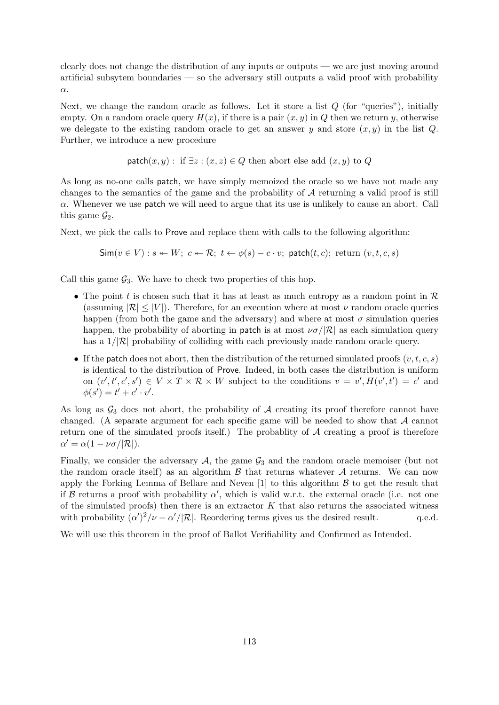clearly does not change the distribution of any inputs or outputs — we are just moving around artificial subsytem boundaries — so the adversary still outputs a valid proof with probability α.

Next, we change the random oracle as follows. Let it store a list  $Q$  (for "queries"), initially empty. On a random oracle query  $H(x)$ , if there is a pair  $(x, y)$  in Q then we return y, otherwise we delegate to the existing random oracle to get an answer y and store  $(x, y)$  in the list Q. Further, we introduce a new procedure

$$
\mathsf{patch}(x, y): \text{ if } \exists z : (x, z) \in Q \text{ then abort else add } (x, y) \text{ to } Q
$$

As long as no-one calls patch, we have simply memoized the oracle so we have not made any changes to the semantics of the game and the probability of  $A$  returning a valid proof is still  $\alpha$ . Whenever we use **patch** we will need to argue that its use is unlikely to cause an abort. Call this game  $\mathcal{G}_2$ .

Next, we pick the calls to Prove and replace them with calls to the following algorithm:

$$
\mathsf{Sim}(v \in V) : s \leftarrow W; \ c \leftarrow \mathcal{R}; \ t \leftarrow \phi(s) - c \cdot v; \ \mathsf{patch}(t, c); \ \mathsf{return}(v, t, c, s)
$$

Call this game  $\mathcal{G}_3$ . We have to check two properties of this hop.

- The point t is chosen such that it has at least as much entropy as a random point in  $\mathcal R$ (assuming  $|\mathcal{R}| \leq |V|$ ). Therefore, for an execution where at most  $\nu$  random oracle queries happen (from both the game and the adversary) and where at most  $\sigma$  simulation queries happen, the probability of aborting in patch is at most  $\nu\sigma/|\mathcal{R}|$  as each simulation query has a  $1/|\mathcal{R}|$  probability of colliding with each previously made random oracle query.
- If the patch does not abort, then the distribution of the returned simulated proofs  $(v, t, c, s)$ is identical to the distribution of Prove. Indeed, in both cases the distribution is uniform on  $(v', t', c', s') \in V \times T \times \mathcal{R} \times W$  subject to the conditions  $v = v', H(v', t') = c'$  and  $\phi(s') = t' + c' \cdot v'.$

As long as  $\mathcal{G}_3$  does not abort, the probability of A creating its proof therefore cannot have changed. (A separate argument for each specific game will be needed to show that A cannot return one of the simulated proofs itself.) The probablity of  $A$  creating a proof is therefore  $\alpha' = \alpha(1 - \nu \sigma / |\mathcal{R}|).$ 

Finally, we consider the adversary  $A$ , the game  $G_3$  and the random oracle memoiser (but not the random oracle itself) as an algorithm  $\beta$  that returns whatever  $\mathcal A$  returns. We can now apply the Forking Lemma of Bellare and Neven  $[1]$  to this algorithm  $\beta$  to get the result that if B returns a proof with probability  $\alpha'$ , which is valid w.r.t. the external oracle (i.e. not one of the simulated proofs) then there is an extractor  $K$  that also returns the associated witness with probability  $(\alpha')^2/\nu - \alpha'/|\mathcal{R}|$ . Reordering terms gives us the desired result. q.e.d.

We will use this theorem in the proof of Ballot Verifiability and Confirmed as Intended.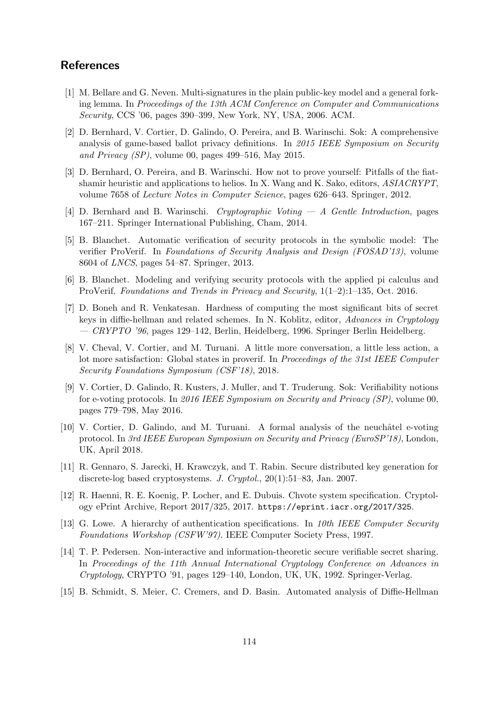### References

- <span id="page-113-0"></span>[1] M. Bellare and G. Neven. Multi-signatures in the plain public-key model and a general forking lemma. In Proceedings of the 13th ACM Conference on Computer and Communications Security, CCS '06, pages 390–399, New York, NY, USA, 2006. ACM.
- [2] D. Bernhard, V. Cortier, D. Galindo, O. Pereira, and B. Warinschi. Sok: A comprehensive analysis of game-based ballot privacy definitions. In 2015 IEEE Symposium on Security and Privacy (SP), volume 00, pages 499–516, May 2015.
- [3] D. Bernhard, O. Pereira, and B. Warinschi. How not to prove yourself: Pitfalls of the fiatshamir heuristic and applications to helios. In X. Wang and K. Sako, editors, ASIACRYPT, volume 7658 of Lecture Notes in Computer Science, pages 626–643. Springer, 2012.
- [4] D. Bernhard and B. Warinschi. Cryptographic Voting A Gentle Introduction, pages 167–211. Springer International Publishing, Cham, 2014.
- [5] B. Blanchet. Automatic verification of security protocols in the symbolic model: The verifier ProVerif. In Foundations of Security Analysis and Design (FOSAD'13), volume 8604 of LNCS, pages 54–87. Springer, 2013.
- [6] B. Blanchet. Modeling and verifying security protocols with the applied pi calculus and ProVerif. Foundations and Trends in Privacy and Security, 1(1–2):1–135, Oct. 2016.
- [7] D. Boneh and R. Venkatesan. Hardness of computing the most significant bits of secret keys in diffie-hellman and related schemes. In N. Koblitz, editor, Advances in Cryptology  $-CRYPTO$  '96, pages 129–142, Berlin, Heidelberg, 1996. Springer Berlin Heidelberg.
- [8] V. Cheval, V. Cortier, and M. Turuani. A little more conversation, a little less action, a lot more satisfaction: Global states in proverif. In Proceedings of the 31st IEEE Computer Security Foundations Symposium (CSF'18), 2018.
- [9] V. Cortier, D. Galindo, R. Kusters, J. Muller, and T. Truderung. Sok: Verifiability notions for e-voting protocols. In 2016 IEEE Symposium on Security and Privacy (SP), volume 00, pages 779–798, May 2016.
- [10] V. Cortier, D. Galindo, and M. Turuani. A formal analysis of the neuchâtel e-voting protocol. In 3rd IEEE European Symposium on Security and Privacy (EuroSP'18), London, UK, April 2018.
- [11] R. Gennaro, S. Jarecki, H. Krawczyk, and T. Rabin. Secure distributed key generation for discrete-log based cryptosystems. J. Cryptol., 20(1):51–83, Jan. 2007.
- [12] R. Haenni, R. E. Koenig, P. Locher, and E. Dubuis. Chvote system specification. Cryptology ePrint Archive, Report 2017/325, 2017. <https://eprint.iacr.org/2017/325>.
- [13] G. Lowe. A hierarchy of authentication specifications. In 10th IEEE Computer Security Foundations Workshop (CSFW'97). IEEE Computer Society Press, 1997.
- [14] T. P. Pedersen. Non-interactive and information-theoretic secure verifiable secret sharing. In Proceedings of the 11th Annual International Cryptology Conference on Advances in Cryptology, CRYPTO '91, pages 129–140, London, UK, UK, 1992. Springer-Verlag.
- [15] B. Schmidt, S. Meier, C. Cremers, and D. Basin. Automated analysis of Diffie-Hellman